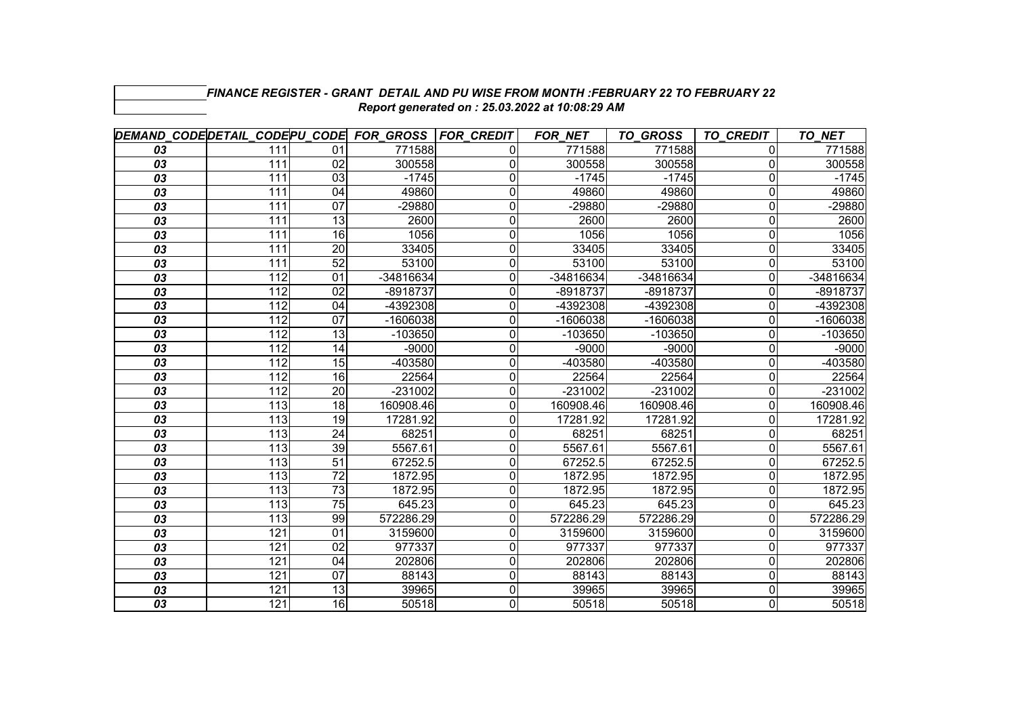|                 | DEMAND CODE DETAIL CODE PU CODE FOR GROSS FOR CREDIT |                 |            |   | <b>FOR NET</b> | TO_GROSS   | <b>TO CREDIT</b> | TO NET     |
|-----------------|------------------------------------------------------|-----------------|------------|---|----------------|------------|------------------|------------|
| 03              | 111                                                  | 01              | 771588     | 0 | 771588         | 771588     | 0                | 771588     |
| 03              | 111                                                  | 02              | 300558     | 0 | 300558         | 300558     | 0                | 300558     |
| 03              | 111                                                  | 03              | $-1745$    | 0 | $-1745$        | $-1745$    | $\Omega$         | $-1745$    |
| 03              | 111                                                  | 04              | 49860      | 0 | 49860          | 49860      | $\overline{0}$   | 49860      |
| $\overline{03}$ | 111                                                  | $\overline{07}$ | $-29880$   | 0 | $-29880$       | $-29880$   | $\Omega$         | -29880     |
| 03              | 111                                                  | 13              | 2600       | 0 | 2600           | 2600       | 0                | 2600       |
| 03              | 111                                                  | $\overline{16}$ | 1056       | 0 | 1056           | 1056       | 0                | 1056       |
| 03              | 111                                                  | 20              | 33405      | 0 | 33405          | 33405      | 0                | 33405      |
| 03              | 111                                                  | 52              | 53100      | 0 | 53100          | 53100      | $\Omega$         | 53100      |
| 03              | 112                                                  | 01              | -34816634  | 0 | -34816634      | -34816634  | $\Omega$         | -34816634  |
| 03              | 112                                                  | 02              | -8918737   | 0 | -8918737       | -8918737   | $\Omega$         | $-8918737$ |
| 03              | 112                                                  | 04              | -4392308   | 0 | -4392308       | -4392308   | 0                | -4392308   |
| 03              | 112                                                  | 07              | $-1606038$ | 0 | $-1606038$     | $-1606038$ | $\Omega$         | $-1606038$ |
| 03              | 112                                                  | 13              | $-103650$  | 0 | $-103650$      | $-103650$  | 0                | $-103650$  |
| 03              | 112                                                  | 14              | $-9000$    | 0 | $-9000$        | $-9000$    | 0                | $-9000$    |
| 03              | 112                                                  | $\overline{15}$ | $-403580$  | 0 | -403580        | -403580    | $\overline{0}$   | -403580    |
| 03              | 112                                                  | 16              | 22564      | 0 | 22564          | 22564      | 0                | 22564      |
| 03              | 112                                                  | $\overline{20}$ | $-231002$  | 0 | -231002        | $-231002$  | $\Omega$         | $-231002$  |
| 03              | 113                                                  | 18              | 160908.46  | 0 | 160908.46      | 160908.46  | 0                | 160908.46  |
| 03              | 113                                                  | 19              | 17281.92   | 0 | 17281.92       | 17281.92   |                  | 17281.92   |
| 03              | 113                                                  | 24              | 68251      | 0 | 68251          | 68251      | 0                | 68251      |
| 03              | 113                                                  | 39              | 5567.61    | 0 | 5567.61        | 5567.61    | 0                | 5567.61    |
| 03              | 113                                                  | 51              | 67252.5    | 0 | 67252.5        | 67252.5    | $\Omega$         | 67252.5    |
| 03              | 113                                                  | $\overline{72}$ | 1872.95    | 0 | 1872.95        | 1872.95    | $\Omega$         | 1872.95    |
| 03              | 113                                                  | 73              | 1872.95    | 0 | 1872.95        | 1872.95    | $\Omega$         | 1872.95    |
| 03              | 113                                                  | $\overline{75}$ | 645.23     | 0 | 645.23         | 645.23     | 0                | 645.23     |
| 03              | 113                                                  | 99              | 572286.29  | 0 | 572286.29      | 572286.29  | $\Omega$         | 572286.29  |
| 03              | 121                                                  | 01              | 3159600    | 0 | 3159600        | 3159600    | 0                | 3159600    |
| 03              | 121                                                  | 02              | 977337     | 0 | 977337         | 977337     | $\Omega$         | 977337     |
| 03              | 121                                                  | 04              | 202806     | 0 | 202806         | 202806     | $\Omega$         | 202806     |
| 03              | 121                                                  | $\overline{07}$ | 88143      | 0 | 88143          | 88143      | 0                | 88143      |
| 03              | 121                                                  | $\overline{13}$ | 39965      | 0 | 39965          | 39965      | 0                | 39965      |
| $\overline{03}$ | 121                                                  | 16              | 50518      | 0 | 50518          | 50518      | $\Omega$         | 50518      |

## *FINANCE REGISTER - GRANT DETAIL AND PU WISE FROM MONTH :FEBRUARY 22 TO FEBRUARY 22Report generated on : 25.03.2022 at 10:08:29 AM*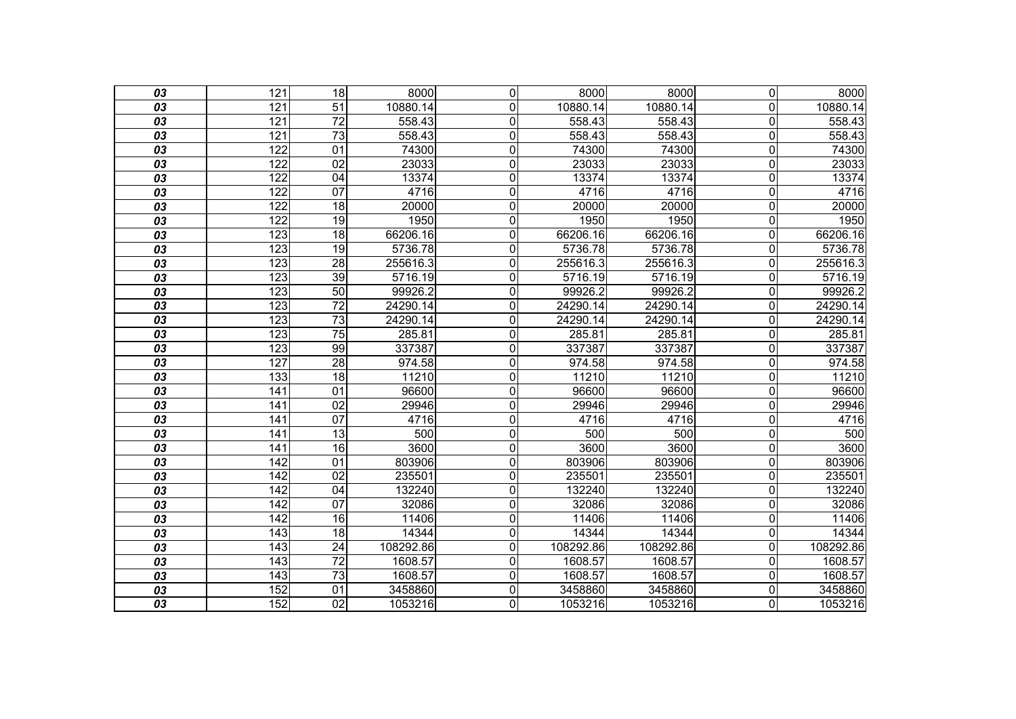| 03              | 121              | 18              | 8000      | $\mathbf 0$    | 8000      | 8000      | $\overline{0}$          | 8000      |
|-----------------|------------------|-----------------|-----------|----------------|-----------|-----------|-------------------------|-----------|
| 03              | 121              | 51              | 10880.14  | 0              | 10880.14  | 10880.14  | $\overline{0}$          | 10880.14  |
| 03              | 121              | $\overline{72}$ | 558.43    | $\overline{0}$ | 558.43    | 558.43    | $\overline{\mathsf{o}}$ | 558.43    |
| $\overline{03}$ | 121              | $\overline{73}$ | 558.43    | $\mathbf 0$    | 558.43    | 558.43    | $\overline{\mathsf{o}}$ | 558.43    |
| 03              | 122              | $\overline{01}$ | 74300     | $\mathbf 0$    | 74300     | 74300     | $\mathbf 0$             | 74300     |
| 03              | 122              | $\overline{02}$ | 23033     | $\overline{0}$ | 23033     | 23033     | $\overline{\mathsf{o}}$ | 23033     |
| 03              | 122              | 04              | 13374     | $\mathbf 0$    | 13374     | 13374     | $\mathbf 0$             | 13374     |
| 03              | 122              | $\overline{07}$ | 4716      | 0              | 4716      | 4716      | $\mathbf 0$             | 4716      |
| 03              | 122              | 18              | 20000     | $\overline{0}$ | 20000     | 20000     | $\overline{\mathsf{o}}$ | 20000     |
| 03              | 122              | 19              | 1950      | $\mathbf 0$    | 1950      | 1950      | $\mathbf 0$             | 1950      |
| 03              | 123              | 18              | 66206.16  | $\overline{0}$ | 66206.16  | 66206.16  | $\overline{\mathsf{o}}$ | 66206.16  |
| $\overline{03}$ | 123              | 19              | 5736.78   | $\mathbf 0$    | 5736.78   | 5736.78   | $\mathbf 0$             | 5736.78   |
| 03              | 123              | $\overline{28}$ | 255616.3  | $\mathbf 0$    | 255616.3  | 255616.3  | $\mathbf 0$             | 255616.3  |
| 03              | 123              | 39              | 5716.19   | $\overline{0}$ | 5716.19   | 5716.19   | $\overline{\mathsf{o}}$ | 5716.19   |
| $\overline{03}$ | $\overline{123}$ | 50              | 99926.2   | 0              | 99926.2   | 99926.2   | $\mathbf 0$             | 99926.2   |
| 03              | 123              | $\overline{72}$ | 24290.14  | $\mathbf 0$    | 24290.14  | 24290.14  | $\mathbf 0$             | 24290.14  |
| 03              | 123              | 73              | 24290.14  | $\overline{0}$ | 24290.14  | 24290.14  | $\overline{\mathsf{o}}$ | 24290.14  |
| $\overline{03}$ | 123              | $\overline{75}$ | 285.81    | $\mathbf 0$    | 285.81    | 285.81    | $\overline{\mathsf{o}}$ | 285.81    |
| 03              | 123              | 99              | 337387    | $\mathbf 0$    | 337387    | 337387    | $\overline{0}$          | 337387    |
| $\overline{03}$ | 127              | 28              | 974.58    | $\mathbf 0$    | 974.58    | 974.58    | $\overline{\mathsf{o}}$ | 974.58    |
| 03              | 133              | $\overline{18}$ | 11210     | $\mathbf 0$    | 11210     | 11210     | $\mathbf 0$             | 11210     |
| 03              | $\overline{141}$ | 01              | 96600     | $\overline{0}$ | 96600     | 96600     | $\overline{\mathsf{o}}$ | 96600     |
| 03              | 141              | $\overline{02}$ | 29946     | $\mathbf 0$    | 29946     | 29946     | $\mathbf 0$             | 29946     |
| 03              | 141              | 07              | 4716      | $\mathbf 0$    | 4716      | 4716      | $\mathbf 0$             | 4716      |
| 03              | $\overline{141}$ | 13              | 500       | $\overline{0}$ | 500       | 500       | $\overline{\mathsf{o}}$ | 500       |
| $\overline{03}$ | 141              | $\overline{16}$ | 3600      | $\overline{0}$ | 3600      | 3600      | $\overline{\mathsf{o}}$ | 3600      |
| 03              | 142              | $\overline{01}$ | 803906    | $\mathbf 0$    | 803906    | 803906    | $\mathbf 0$             | 803906    |
| 03              | 142              | $\overline{02}$ | 235501    | 0              | 235501    | 235501    | $\mathbf 0$             | 235501    |
| 03              | $\overline{142}$ | $\overline{04}$ | 132240    | $\mathbf 0$    | 132240    | 132240    | $\overline{\mathsf{o}}$ | 132240    |
| 03              | $\overline{142}$ | 07              | 32086     | $\overline{0}$ | 32086     | 32086     | $\overline{\mathsf{o}}$ | 32086     |
| 03              | $\overline{142}$ | 16              | 11406     | $\mathbf 0$    | 11406     | 11406     | $\mathbf 0$             | 11406     |
| 03              | 143              | 18              | 14344     | $\mathbf 0$    | 14344     | 14344     | $\mathbf 0$             | 14344     |
| 03              | $\overline{143}$ | $\overline{24}$ | 108292.86 | $\overline{0}$ | 108292.86 | 108292.86 | $\overline{0}$          | 108292.86 |
| $\overline{03}$ | 143              | $\overline{72}$ | 1608.57   | $\overline{0}$ | 1608.57   | 1608.57   | $\mathbf 0$             | 1608.57   |
| 03              | 143              | $\overline{73}$ | 1608.57   | $\mathbf 0$    | 1608.57   | 1608.57   | $\mathbf 0$             | 1608.57   |
| 03              | 152              | 01              | 3458860   | $\overline{0}$ | 3458860   | 3458860   | $\overline{\mathsf{o}}$ | 3458860   |
| $\overline{03}$ | 152              | $\overline{02}$ | 1053216   | $\overline{0}$ | 1053216   | 1053216   | O                       | 1053216   |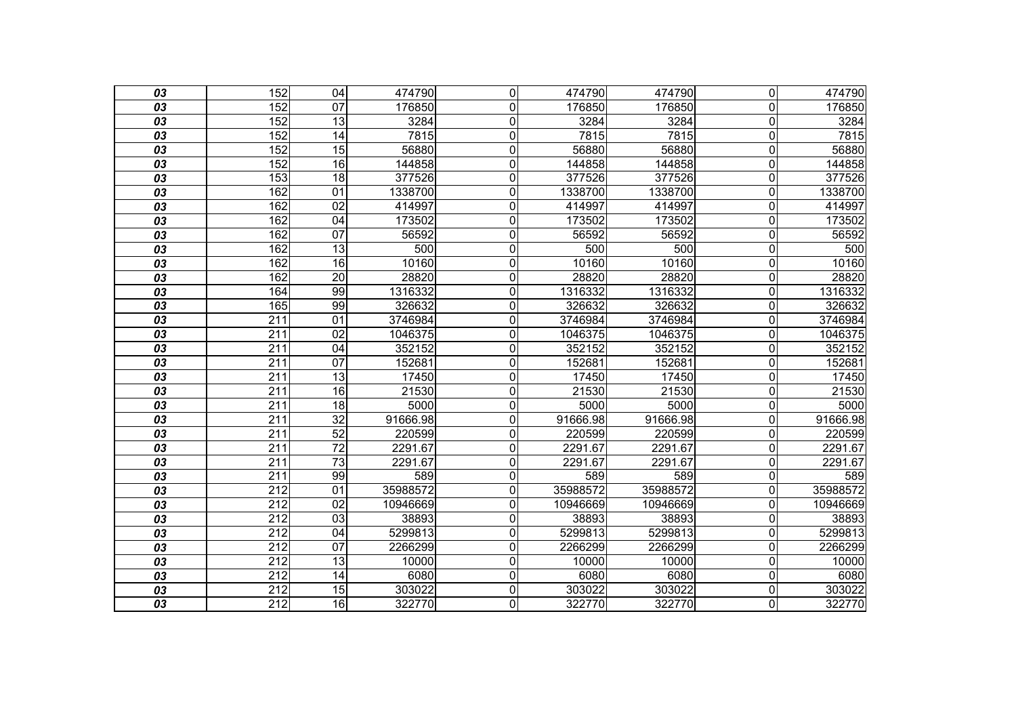| 03              | 152              | $\overline{04}$ | 474790   | $\overline{0}$ | 474790   | 474790   | $\overline{0}$          | 474790   |
|-----------------|------------------|-----------------|----------|----------------|----------|----------|-------------------------|----------|
| 03              | 152              | 07              | 176850   | 0              | 176850   | 176850   | $\overline{0}$          | 176850   |
| 03              | 152              | $\overline{13}$ | 3284     | $\mathbf 0$    | 3284     | 3284     | $\mathbf 0$             | 3284     |
| 03              | 152              | 14              | 7815     | $\mathbf 0$    | 7815     | 7815     | $\mathbf 0$             | 7815     |
| 03              | 152              | $\overline{15}$ | 56880    | $\mathbf 0$    | 56880    | 56880    | $\overline{0}$          | 56880    |
| 03              | 152              | 16              | 144858   | $\mathbf 0$    | 144858   | 144858   | $\mathbf 0$             | 144858   |
| 03              | 153              | 18              | 377526   | $\mathbf 0$    | 377526   | 377526   | $\mathbf 0$             | 377526   |
| 03              | 162              | 01              | 1338700  | $\mathbf 0$    | 1338700  | 1338700  | $\overline{0}$          | 1338700  |
| 03              | 162              | 02              | 414997   | $\mathbf 0$    | 414997   | 414997   | $\mathbf 0$             | 414997   |
| 03              | 162              | $\overline{04}$ | 173502   | $\mathbf 0$    | 173502   | 173502   | $\mathbf 0$             | 173502   |
| 03              | 162              | 07              | 56592    | $\mathbf 0$    | 56592    | 56592    | $\overline{0}$          | 56592    |
| 03              | 162              | 13              | 500      | $\mathbf 0$    | 500      | 500      | $\mathbf 0$             | 500      |
| 03              | 162              | $\overline{16}$ | 10160    | $\mathbf 0$    | 10160    | 10160    | $\mathbf 0$             | 10160    |
| 03              | 162              | $\overline{20}$ | 28820    | $\mathbf 0$    | 28820    | 28820    | $\Omega$                | 28820    |
| 03              | 164              | 99              | 1316332  | $\mathbf 0$    | 1316332  | 1316332  | $\mathbf 0$             | 1316332  |
| 03              | 165              | 99              | 326632   | $\mathbf 0$    | 326632   | 326632   | $\mathbf 0$             | 326632   |
| 03              | $\overline{211}$ | $\overline{01}$ | 3746984  | $\mathbf 0$    | 3746984  | 3746984  | $\overline{0}$          | 3746984  |
| 03              | $\overline{211}$ | $\overline{02}$ | 1046375  | $\mathbf 0$    | 1046375  | 1046375  | $\mathbf 0$             | 1046375  |
| 03              | 211              | 04              | 352152   | $\overline{0}$ | 352152   | 352152   | $\overline{\mathsf{o}}$ | 352152   |
| 03              | $\overline{211}$ | 07              | 152681   | $\mathbf{0}$   | 152681   | 152681   | $\overline{0}$          | 152681   |
| 03              | $\overline{211}$ | 13              | 17450    | $\mathbf 0$    | 17450    | 17450    | $\mathbf 0$             | 17450    |
| 03              | 211              | 16              | 21530    | $\mathbf 0$    | 21530    | 21530    | $\overline{0}$          | 21530    |
| 03              | 211              | 18              | 5000     | $\mathbf 0$    | 5000     | 5000     | $\overline{0}$          | 5000     |
| 03              | 211              | $\overline{32}$ | 91666.98 | $\mathbf 0$    | 91666.98 | 91666.98 | $\mathbf 0$             | 91666.98 |
| 03              | 211              | 52              | 220599   | $\overline{0}$ | 220599   | 220599   | $\overline{\mathsf{o}}$ | 220599   |
| 03              | $\overline{211}$ | $\overline{72}$ | 2291.67  | 0              | 2291.67  | 2291.67  | $\overline{0}$          | 2291.67  |
| 03              | $\overline{211}$ | $\overline{73}$ | 2291.67  | $\mathbf 0$    | 2291.67  | 2291.67  | $\mathbf 0$             | 2291.67  |
| 03              | $\overline{211}$ | 99              | 589      | 0              | 589      | 589      | $\mathbf 0$             | 589      |
| 03              | 212              | 01              | 35988572 | 0              | 35988572 | 35988572 | $\overline{0}$          | 35988572 |
| 03              | 212              | 02              | 10946669 | $\mathbf 0$    | 10946669 | 10946669 | $\mathbf 0$             | 10946669 |
| $\overline{03}$ | $\overline{212}$ | 03              | 38893    | $\mathbf 0$    | 38893    | 38893    | $\mathbf 0$             | 38893    |
| 03              | $\overline{212}$ | 04              | 5299813  | $\mathbf 0$    | 5299813  | 5299813  | $\mathbf 0$             | 5299813  |
| 03              | 212              | 07              | 2266299  | $\mathbf 0$    | 2266299  | 2266299  | $\mathbf 0$             | 2266299  |
| 03              | $\overline{212}$ | 13              | 10000    | $\mathbf 0$    | 10000    | 10000    | $\mathbf 0$             | 10000    |
| 03              | 212              | 14              | 6080     | $\mathbf 0$    | 6080     | 6080     | $\overline{0}$          | 6080     |
| 03              | 212              | 15              | 303022   | $\overline{0}$ | 303022   | 303022   | $\overline{\mathsf{o}}$ | 303022   |
| $\overline{03}$ | 212              | $\overline{16}$ | 322770   | $\overline{0}$ | 322770   | 322770   | O                       | 322770   |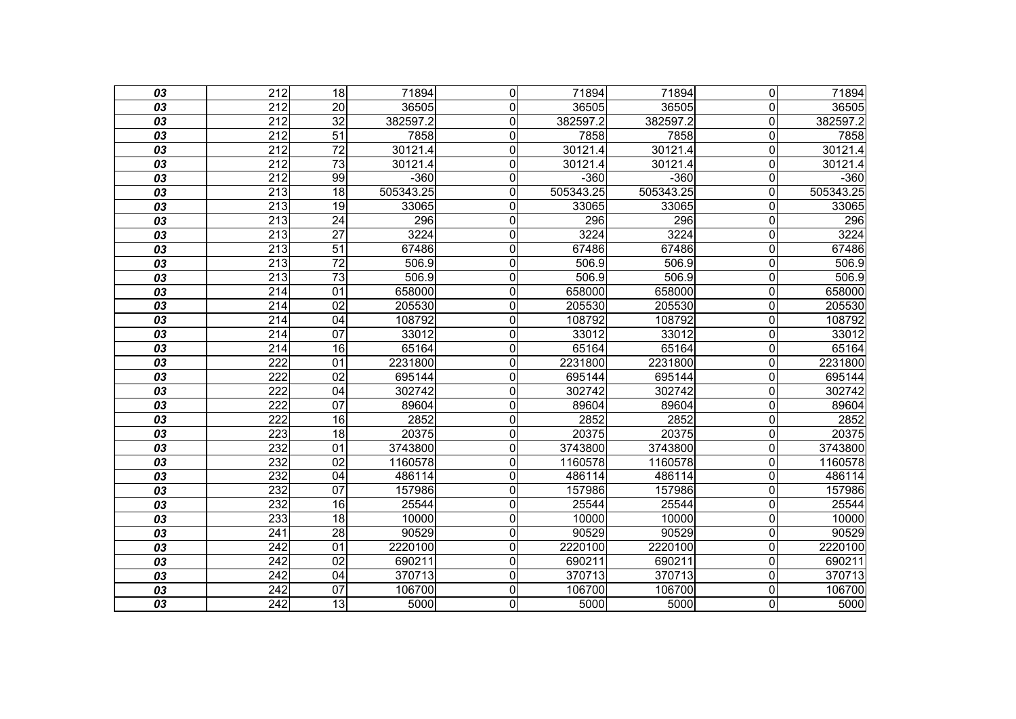| 03              | $\overline{212}$ | $\overline{18}$ | 71894     | 0              | 71894     | 71894     | $\Omega$       | 71894     |
|-----------------|------------------|-----------------|-----------|----------------|-----------|-----------|----------------|-----------|
| 03              | 212              | 20              | 36505     | $\mathbf{0}$   | 36505     | 36505     | 0              | 36505     |
| 03              | 212              | $\overline{32}$ | 382597.2  | $\mathbf 0$    | 382597.2  | 382597.2  | 0              | 382597.2  |
| $\overline{03}$ | $\overline{212}$ | 51              | 7858      | $\overline{0}$ | 7858      | 7858      | 0              | 7858      |
| 03              | $\overline{212}$ | $\overline{72}$ | 30121.4   | $\mathbf 0$    | 30121.4   | 30121.4   | 0              | 30121.4   |
| 03              | 212              | $\overline{73}$ | 30121.4   | $\mathbf 0$    | 30121.4   | 30121.4   | 0              | 30121.4   |
| 03              | $\overline{212}$ | 99              | $-360$    | $\overline{0}$ | $-360$    | $-360$    | 0              | $-360$    |
| 03              | 213              | $\overline{18}$ | 505343.25 | $\mathbf 0$    | 505343.25 | 505343.25 | 0              | 505343.25 |
| $\overline{03}$ | 213              | 19              | 33065     | $\overline{0}$ | 33065     | 33065     | 0              | 33065     |
| 03              | $\overline{213}$ | $\overline{24}$ | 296       | $\mathbf 0$    | 296       | 296       | 0              | 296       |
| 03              | 213              | $\overline{27}$ | 3224      | $\mathbf 0$    | 3224      | 3224      | 0              | 3224      |
| $\overline{03}$ | 213              | $\overline{51}$ | 67486     | $\overline{0}$ | 67486     | 67486     | 0              | 67486     |
| 03              | $\overline{213}$ | $\overline{72}$ | 506.9     | $\mathbf 0$    | 506.9     | 506.9     | 0              | 506.9     |
| 03              | 213              | $\overline{73}$ | 506.9     | $\overline{0}$ | 506.9     | 506.9     | 0              | 506.9     |
| $\overline{03}$ | $\overline{214}$ | $\overline{01}$ | 658000    | $\overline{0}$ | 658000    | 658000    | $\overline{0}$ | 658000    |
| 03              | 214              | $\overline{02}$ | 205530    | $\mathbf 0$    | 205530    | 205530    | 0              | 205530    |
| 03              | 214              | 04              | 108792    | $\mathbf 0$    | 108792    | 108792    | 0              | 108792    |
| $\overline{03}$ | $\overline{214}$ | $\overline{07}$ | 33012     | $\overline{0}$ | 33012     | 33012     | 0              | 33012     |
| 03              | $\overline{214}$ | 16              | 65164     | $\mathbf 0$    | 65164     | 65164     | 0              | 65164     |
| 03              | $\overline{222}$ | $\overline{01}$ | 2231800   | $\overline{0}$ | 2231800   | 2231800   | 0              | 2231800   |
| 03              | $\overline{222}$ | $\overline{02}$ | 695144    | $\mathbf 0$    | 695144    | 695144    | 0              | 695144    |
| 03              | 222              | $\overline{04}$ | 302742    | $\mathbf 0$    | 302742    | 302742    | 0              | 302742    |
| $\overline{03}$ | 222              | $\overline{07}$ | 89604     | $\overline{0}$ | 89604     | 89604     | 0              | 89604     |
| 03              | $\overline{222}$ | 16              | 2852      | $\mathbf 0$    | 2852      | 2852      | 0              | 2852      |
| 03              | 223              | 18              | 20375     | $\overline{0}$ | 20375     | 20375     | 0              | 20375     |
| $\overline{03}$ | 232              | $\overline{01}$ | 3743800   | $\overline{0}$ | 3743800   | 3743800   | 0              | 3743800   |
| 03              | 232              | $\overline{02}$ | 1160578   | $\mathbf 0$    | 1160578   | 1160578   | 0              | 1160578   |
| 03              | 232              | 04              | 486114    | $\mathbf 0$    | 486114    | 486114    | 0              | 486114    |
| 03              | 232              | $\overline{07}$ | 157986    | $\overline{0}$ | 157986    | 157986    | 0              | 157986    |
| 03              | 232              | 16              | 25544     | $\mathbf 0$    | 25544     | 25544     | 0              | 25544     |
| 03              | 233              | 18              | 10000     | $\mathbf 0$    | 10000     | 10000     | 0              | 10000     |
| 03              | 241              | $\overline{28}$ | 90529     | $\overline{0}$ | 90529     | 90529     | 0              | 90529     |
| 03              | 242              | 01              | 2220100   | $\mathbf 0$    | 2220100   | 2220100   | 0              | 2220100   |
| $\overline{03}$ | $\overline{242}$ | $\overline{02}$ | 690211    | $\overline{0}$ | 690211    | 690211    | 0              | 690211    |
| 03              | 242              | 04              | 370713    | $\mathbf 0$    | 370713    | 370713    | 0              | 370713    |
| 03              | $\overline{242}$ | 07              | 106700    | $\mathbf 0$    | 106700    | 106700    | 0              | 106700    |
| $\overline{03}$ | $\overline{242}$ | $\overline{13}$ | 5000      | $\overline{0}$ | 5000      | 5000      | 0              | 5000      |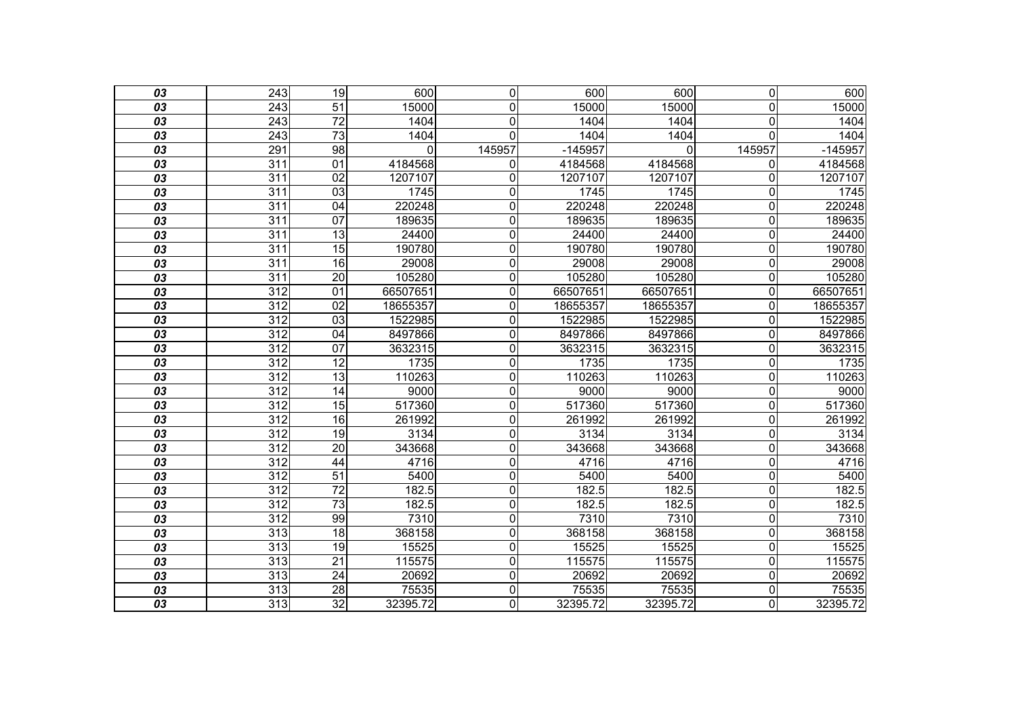| 03              | 243              | 19              | 600      | $\overline{\mathsf{o}}$ | 600       | 600      | $\overline{0}$          | 600       |
|-----------------|------------------|-----------------|----------|-------------------------|-----------|----------|-------------------------|-----------|
| 03              | 243              | 51              | 15000    | $\mathbf{0}$            | 15000     | 15000    | $\overline{0}$          | 15000     |
| 03              | 243              | $\overline{72}$ | 1404     | $\mathbf 0$             | 1404      | 1404     | $\overline{\mathsf{o}}$ | 1404      |
| $\overline{03}$ | $\overline{243}$ | $\overline{73}$ | 1404     | $\overline{0}$          | 1404      | 1404     | $\overline{0}$          | 1404      |
| 03              | 291              | 98              | 0        | 145957                  | $-145957$ | 0        | 145957                  | $-145957$ |
| 03              | 311              | 01              | 4184568  | $\mathbf 0$             | 4184568   | 4184568  | $\mathbf 0$             | 4184568   |
| 03              | $\overline{311}$ | 02              | 1207107  | $\overline{0}$          | 1207107   | 1207107  | $\overline{0}$          | 1207107   |
| 03              | $\overline{311}$ | 03              | 1745     | 0                       | 1745      | 1745     | $\overline{0}$          | 1745      |
| 03              | 311              | 04              | 220248   | $\overline{0}$          | 220248    | 220248   | $\overline{\mathsf{o}}$ | 220248    |
| 03              | 311              | 07              | 189635   | $\mathbf 0$             | 189635    | 189635   | $\overline{0}$          | 189635    |
| 03              | 311              | 13              | 24400    | $\mathbf 0$             | 24400     | 24400    | $\overline{\mathsf{o}}$ | 24400     |
| $\overline{03}$ | $\overline{311}$ | $\overline{15}$ | 190780   | $\mathbf 0$             | 190780    | 190780   | $\overline{\mathsf{o}}$ | 190780    |
| 03              | $\overline{311}$ | $\overline{16}$ | 29008    | $\mathbf 0$             | 29008     | 29008    | $\overline{0}$          | 29008     |
| 03              | 311              | $\overline{20}$ | 105280   | $\overline{0}$          | 105280    | 105280   | $\overline{\mathsf{o}}$ | 105280    |
| $\overline{03}$ | 312              | $\overline{01}$ | 66507651 | $\overline{0}$          | 66507651  | 66507651 | $\overline{0}$          | 66507651  |
| 03              | $\overline{312}$ | 02              | 18655357 | 0                       | 18655357  | 18655357 | $\overline{0}$          | 18655357  |
| 03              | 312              | $\overline{03}$ | 1522985  | $\overline{0}$          | 1522985   | 1522985  | $\overline{0}$          | 1522985   |
| $\overline{03}$ | 312              | $\overline{04}$ | 8497866  | $\mathbf 0$             | 8497866   | 8497866  | $\overline{\mathsf{o}}$ | 8497866   |
| 03              | 312              | 07              | 3632315  | $\mathbf 0$             | 3632315   | 3632315  | $\overline{\mathsf{o}}$ | 3632315   |
| 03              | 312              | $\overline{12}$ | 1735     | $\overline{0}$          | 1735      | 1735     | $\overline{0}$          | 1735      |
| 03              | $\overline{312}$ | 13              | 110263   | $\mathbf 0$             | 110263    | 110263   | $\mathbf 0$             | 110263    |
| 03              | 312              | 14              | 9000     | $\overline{0}$          | 9000      | 9000     | $\overline{\mathsf{o}}$ | 9000      |
| 03              | $\overline{312}$ | $\overline{15}$ | 517360   | $\overline{0}$          | 517360    | 517360   | $\mathbf 0$             | 517360    |
| 03              | $\overline{312}$ | 16              | 261992   | $\mathbf 0$             | 261992    | 261992   | $\mathbf 0$             | 261992    |
| 03              | 312              | 19              | 3134     | $\mathbf 0$             | 3134      | 3134     | $\overline{\mathsf{o}}$ | 3134      |
| $\overline{03}$ | $\overline{312}$ | $\overline{20}$ | 343668   | $\overline{0}$          | 343668    | 343668   | $\overline{\mathsf{o}}$ | 343668    |
| 03              | $\overline{312}$ | 44              | 4716     | $\mathbf 0$             | 4716      | 4716     | $\mathbf 0$             | 4716      |
| 03              | 312              | 51              | 5400     | $\mathbf 0$             | 5400      | 5400     | $\mathbf 0$             | 5400      |
| 03              | 312              | $\overline{72}$ | 182.5    | $\overline{0}$          | 182.5     | 182.5    | $\overline{\mathsf{o}}$ | 182.5     |
| 03              | 312              | $\overline{73}$ | 182.5    | $\overline{0}$          | 182.5     | 182.5    | $\overline{\mathsf{o}}$ | 182.5     |
| 03              | $\overline{312}$ | 99              | 7310     | $\mathbf 0$             | 7310      | 7310     | $\overline{\mathsf{o}}$ | 7310      |
| 03              | $\overline{313}$ | $\overline{18}$ | 368158   | $\mathbf 0$             | 368158    | 368158   | $\mathbf 0$             | 368158    |
| 03              | 313              | 19              | 15525    | $\overline{0}$          | 15525     | 15525    | $\overline{\mathsf{o}}$ | 15525     |
| $\overline{03}$ | 313              | $\overline{21}$ | 115575   | $\overline{0}$          | 115575    | 115575   | $\overline{\mathsf{o}}$ | 115575    |
| 03              | $\overline{313}$ | $\overline{24}$ | 20692    | $\mathbf 0$             | 20692     | 20692    | $\mathbf 0$             | 20692     |
| 03              | 313              | 28              | 75535    | $\overline{0}$          | 75535     | 75535    | $\overline{\mathsf{o}}$ | 75535     |
| $\overline{03}$ | 313              | $\overline{32}$ | 32395.72 | $\overline{0}$          | 32395.72  | 32395.72 | O                       | 32395.72  |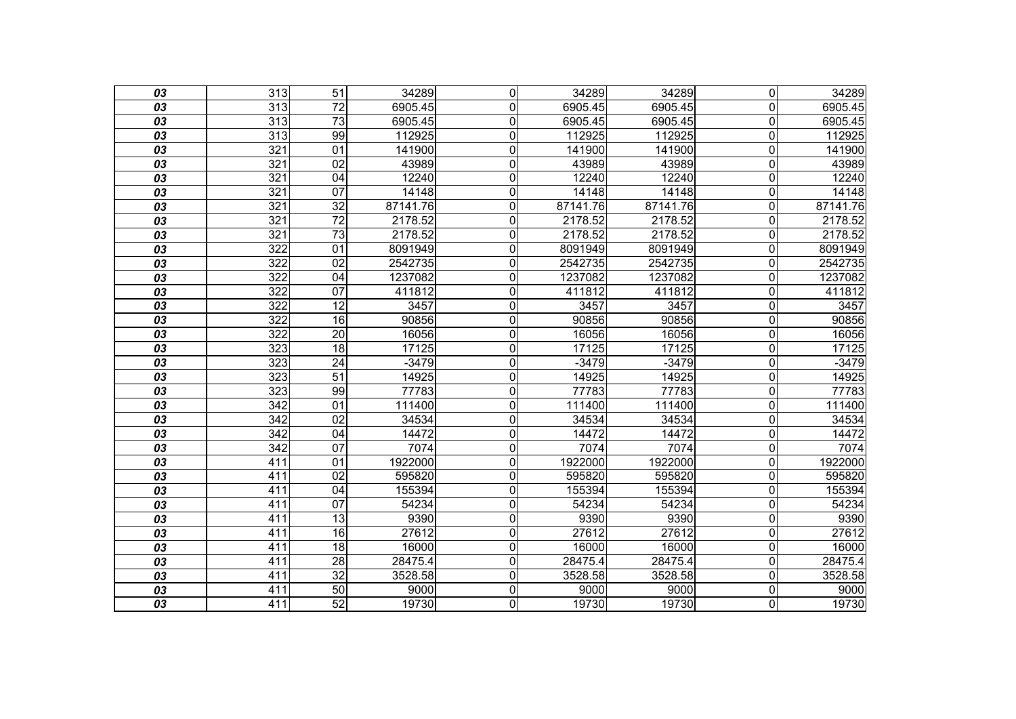| 03              | $\overline{313}$ | $\overline{51}$ | 34289    | $\mathbf 0$    | 34289    | 34289    | $\overline{\mathsf{o}}$ | 34289    |
|-----------------|------------------|-----------------|----------|----------------|----------|----------|-------------------------|----------|
| 03              | 313              | 72              | 6905.45  | $\mathbf 0$    | 6905.45  | 6905.45  | $\overline{0}$          | 6905.45  |
| 03              | 313              | $\overline{73}$ | 6905.45  | $\overline{0}$ | 6905.45  | 6905.45  | $\overline{0}$          | 6905.45  |
| $\overline{03}$ | $\overline{313}$ | 99              | 112925   | $\overline{0}$ | 112925   | 112925   | $\overline{0}$          | 112925   |
| 03              | 321              | 01              | 141900   | $\overline{0}$ | 141900   | 141900   | 0                       | 141900   |
| $\overline{03}$ | 321              | 02              | 43989    | $\overline{0}$ | 43989    | 43989    | $\overline{0}$          | 43989    |
| 03              | 321              | 04              | 12240    | $\overline{0}$ | 12240    | 12240    | $\overline{0}$          | 12240    |
| 03              | 321              | 07              | 14148    | $\overline{0}$ | 14148    | 14148    | $\mathbf 0$             | 14148    |
| $\overline{03}$ | 321              | $\overline{32}$ | 87141.76 | $\overline{0}$ | 87141.76 | 87141.76 | $\overline{\mathsf{o}}$ | 87141.76 |
| 03              | 321              | $\overline{72}$ | 2178.52  | $\overline{0}$ | 2178.52  | 2178.52  | $\mathbf 0$             | 2178.52  |
| 03              | 321              | $\overline{73}$ | 2178.52  | $\overline{0}$ | 2178.52  | 2178.52  | $\overline{0}$          | 2178.52  |
| $\overline{03}$ | $\overline{322}$ | $\overline{01}$ | 8091949  | $\overline{0}$ | 8091949  | 8091949  | $\overline{0}$          | 8091949  |
| 03              | 322              | 02              | 2542735  | $\mathbf 0$    | 2542735  | 2542735  | 0                       | 2542735  |
| $\overline{03}$ | 322              | 04              | 1237082  | $\overline{0}$ | 1237082  | 1237082  | $\overline{0}$          | 1237082  |
| $\overline{03}$ | $\overline{322}$ | $\overline{07}$ | 411812   | $\overline{0}$ | 411812   | 411812   | $\mathbf 0$             | 411812   |
| 03              | 322              | $\overline{12}$ | 3457     | $\overline{0}$ | 3457     | 3457     | $\mathbf 0$             | 3457     |
| $\overline{03}$ | 322              | 16              | 90856    | $\overline{0}$ | 90856    | 90856    | $\overline{0}$          | 90856    |
| $\overline{03}$ | $\overline{322}$ | $\overline{20}$ | 16056    | $\overline{0}$ | 16056    | 16056    | $\overline{0}$          | 16056    |
| 03              | 323              | 18              | 17125    | $\overline{0}$ | 17125    | 17125    | $\overline{0}$          | 17125    |
| $\overline{03}$ | 323              | $\overline{24}$ | $-3479$  | $\mathbf 0$    | $-3479$  | $-3479$  | $\overline{0}$          | $-3479$  |
| 03              | 323              | $\overline{51}$ | 14925    | $\overline{0}$ | 14925    | 14925    | $\mathbf 0$             | 14925    |
| 03              | 323              | 99              | 77783    | $\overline{0}$ | 77783    | 77783    | $\overline{\mathsf{o}}$ | 77783    |
| $\overline{03}$ | $\overline{342}$ | $\overline{01}$ | 111400   | $\overline{0}$ | 111400   | 111400   | $\overline{0}$          | 111400   |
| 03              | 342              | 02              | 34534    | $\mathbf 0$    | 34534    | 34534    | $\overline{0}$          | 34534    |
| $\overline{03}$ | 342              | 04              | 14472    | $\overline{0}$ | 14472    | 14472    | $\overline{0}$          | 14472    |
| $\overline{03}$ | 342              | $\overline{07}$ | 7074     | $\overline{0}$ | 7074     | 7074     | $\overline{0}$          | 7074     |
| 03              | 411              | 01              | 1922000  | $\overline{0}$ | 1922000  | 1922000  | $\mathbf 0$             | 1922000  |
| $\overline{03}$ | 411              | 02              | 595820   | $\mathbf 0$    | 595820   | 595820   | $\mathbf 0$             | 595820   |
| 03              | 411              | $\overline{04}$ | 155394   | $\overline{0}$ | 155394   | 155394   | $\mathbf 0$             | 155394   |
| 03              | 411              | $\overline{07}$ | 54234    | $\mathbf 0$    | 54234    | 54234    | 0                       | 54234    |
| $\overline{03}$ | 411              | $\overline{13}$ | 9390     | $\mathbf 0$    | 9390     | 9390     | $\mathbf 0$             | 9390     |
| 03              | 411              | 16              | 27612    | $\overline{0}$ | 27612    | 27612    | $\mathbf 0$             | 27612    |
| 03              | 411              | 18              | 16000    | $\overline{0}$ | 16000    | 16000    | $\overline{\mathsf{o}}$ | 16000    |
| $\overline{03}$ | 411              | $\overline{28}$ | 28475.4  | $\overline{0}$ | 28475.4  | 28475.4  | $\overline{0}$          | 28475.4  |
| 03              | 411              | $\overline{32}$ | 3528.58  | $\overline{0}$ | 3528.58  | 3528.58  | $\mathbf 0$             | 3528.58  |
| 03              | 411              | 50              | 9000     | $\overline{0}$ | 9000     | 9000     | $\overline{\mathsf{o}}$ | 9000     |
| $\overline{03}$ | 411              | 52              | 19730    | $\overline{0}$ | 19730    | 19730    | $\overline{\mathsf{o}}$ | 19730    |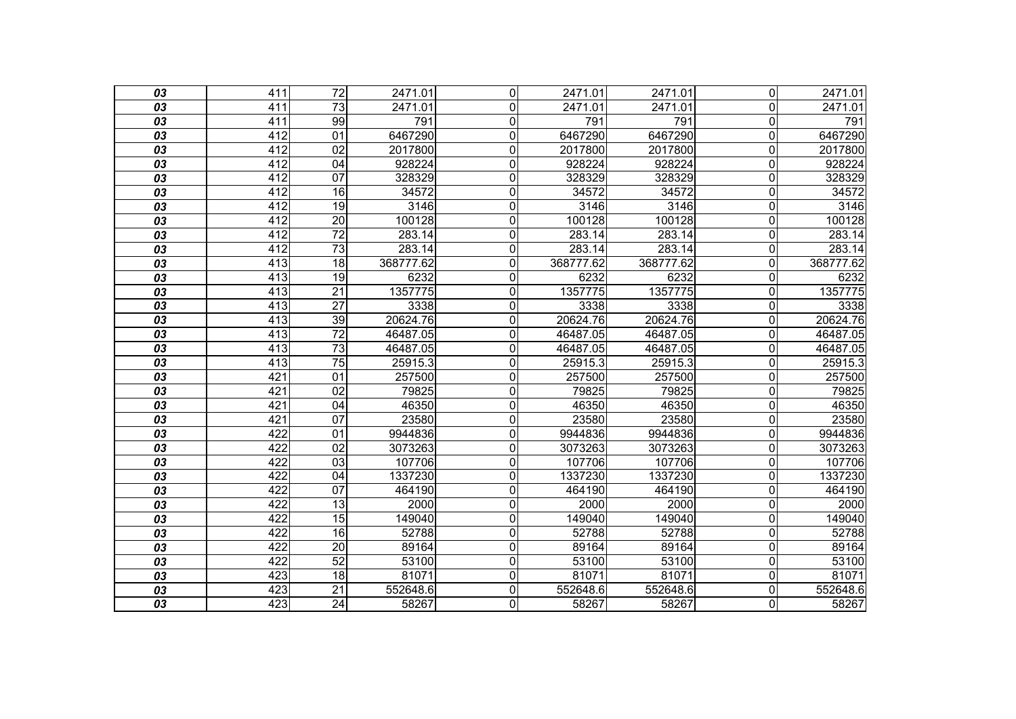| 03              | 411              | $\overline{72}$ | 2471.01   | $\Omega$     | 2471.01   | 2471.01   | $\overline{0}$          | 2471.01   |
|-----------------|------------------|-----------------|-----------|--------------|-----------|-----------|-------------------------|-----------|
| 03              | 411              | 73              | 2471.01   | $\mathbf{0}$ | 2471.01   | 2471.01   | $\Omega$                | 2471.01   |
| 03              | 411              | 99              | 791       | $\mathbf 0$  | 791       | 791       | $\overline{\mathsf{o}}$ | 791       |
| $\overline{03}$ | $\overline{412}$ | $\overline{01}$ | 6467290   | $\mathbf 0$  | 6467290   | 6467290   | $\overline{\mathsf{o}}$ | 6467290   |
| 03              | 412              | 02              | 2017800   | $\mathbf 0$  | 2017800   | 2017800   | $\mathbf 0$             | 2017800   |
| 03              | 412              | 04              | 928224    | $\mathbf 0$  | 928224    | 928224    | $\mathbf 0$             | 928224    |
| 03              | 412              | 07              | 328329    | 0            | 328329    | 328329    | $\mathbf 0$             | 328329    |
| 03              | 412              | 16              | 34572     | 0            | 34572     | 34572     | $\overline{0}$          | 34572     |
| 03              | 412              | 19              | 3146      | $\mathbf 0$  | 3146      | 3146      | $\mathbf 0$             | 3146      |
| 03              | 412              | $\overline{20}$ | 100128    | 0            | 100128    | 100128    | $\overline{0}$          | 100128    |
| 03              | $\overline{412}$ | $\overline{72}$ | 283.14    | $\mathbf 0$  | 283.14    | 283.14    | $\mathbf 0$             | 283.14    |
| 03              | $\overline{412}$ | $\overline{73}$ | 283.14    | $\mathbf 0$  | 283.14    | 283.14    | $\mathbf 0$             | 283.14    |
| 03              | 413              | 18              | 368777.62 | $\mathbf 0$  | 368777.62 | 368777.62 | $\Omega$                | 368777.62 |
| 03              | 413              | 19              | 6232      | 0            | 6232      | 6232      | $\mathbf 0$             | 6232      |
| 03              | 413              | $\overline{21}$ | 1357775   | $\mathbf 0$  | 1357775   | 1357775   | $\overline{0}$          | 1357775   |
| 03              | 413              | $\overline{27}$ | 3338      | $\mathbf 0$  | 3338      | 3338      | $\overline{0}$          | 3338      |
| 03              | 413              | 39              | 20624.76  | $\mathbf 0$  | 20624.76  | 20624.76  | $\overline{\mathsf{o}}$ | 20624.76  |
| $\overline{03}$ | $\overline{413}$ | $\overline{72}$ | 46487.05  | $\mathbf 0$  | 46487.05  | 46487.05  | $\mathbf 0$             | 46487.05  |
| 03              | 413              | 73              | 46487.05  | 0            | 46487.05  | 46487.05  | $\mathbf 0$             | 46487.05  |
| 03              | 413              | 75              | 25915.3   | $\mathbf 0$  | 25915.3   | 25915.3   | $\mathbf 0$             | 25915.3   |
| 03              | 421              | 01              | 257500    | 0            | 257500    | 257500    | $\overline{0}$          | 257500    |
| 03              | 421              | 02              | 79825     | 0            | 79825     | 79825     | $\overline{0}$          | 79825     |
| 03              | 421              | 04              | 46350     | $\mathbf 0$  | 46350     | 46350     | $\mathbf 0$             | 46350     |
| 03              | 421              | 07              | 23580     | $\mathbf 0$  | 23580     | 23580     | $\mathbf 0$             | 23580     |
| 03              | 422              | $\overline{01}$ | 9944836   | $\mathbf 0$  | 9944836   | 9944836   | $\mathbf 0$             | 9944836   |
| 03              | 422              | $\overline{02}$ | 3073263   | $\mathbf 0$  | 3073263   | 3073263   | $\mathbf 0$             | 3073263   |
| 03              | 422              | 03              | 107706    | $\mathbf 0$  | 107706    | 107706    | $\overline{0}$          | 107706    |
| 03              | 422              | 04              | 1337230   | $\mathbf 0$  | 1337230   | 1337230   | $\mathbf 0$             | 1337230   |
| 03              | 422              | $\overline{07}$ | 464190    | $\mathbf 0$  | 464190    | 464190    | $\mathbf 0$             | 464190    |
| 03              | 422              | $\overline{13}$ | 2000      | 0            | 2000      | 2000      | $\overline{0}$          | 2000      |
| 03              | 422              | $\overline{15}$ | 149040    | $\mathbf 0$  | 149040    | 149040    | $\mathbf 0$             | 149040    |
| 03              | 422              | 16              | 52788     | $\mathbf 0$  | 52788     | 52788     | $\mathbf 0$             | 52788     |
| 03              | $\overline{422}$ | $\overline{20}$ | 89164     | 0            | 89164     | 89164     | $\overline{0}$          | 89164     |
| 03              | 422              | 52              | 53100     | $\mathbf 0$  | 53100     | 53100     | $\mathbf 0$             | 53100     |
| 03              | 423              | 18              | 81071     | $\mathbf 0$  | 81071     | 81071     | $\mathbf 0$             | 81071     |
| 03              | $\overline{423}$ | $\overline{21}$ | 552648.6  | $\mathbf 0$  | 552648.6  | 552648.6  | $\mathbf 0$             | 552648.6  |
| $\overline{03}$ | 423              | $\overline{24}$ | 58267     | 0            | 58267     | 58267     | O                       | 58267     |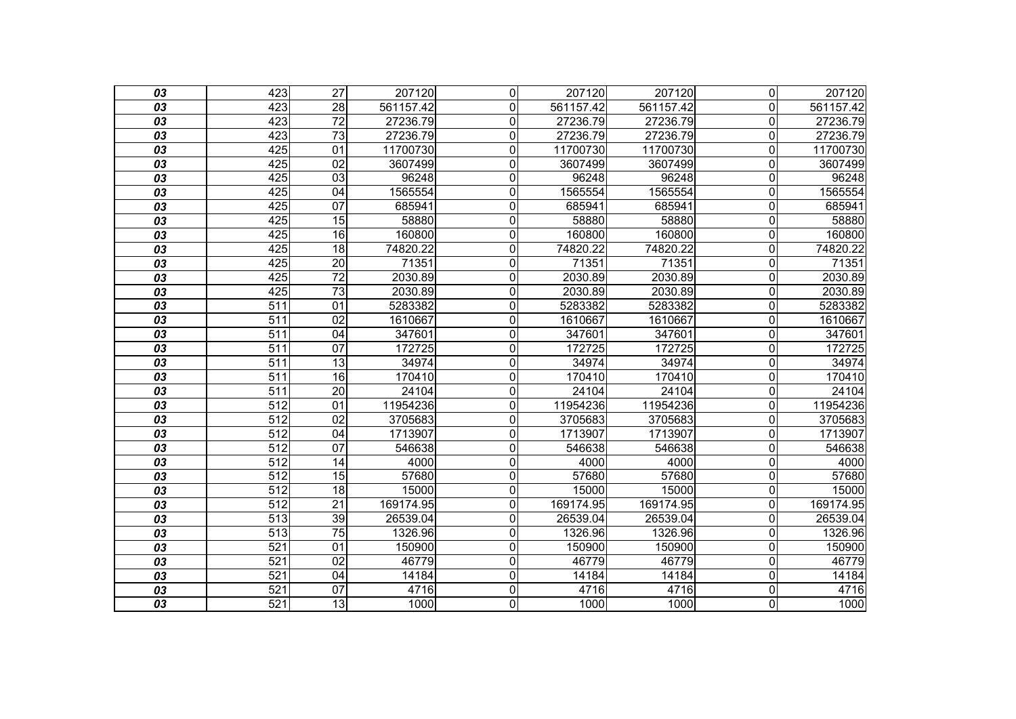| 03              | 423              | $\overline{27}$ | 207120    | $\mathbf 0$    | 207120    | 207120    | $\overline{0}$          | 207120    |
|-----------------|------------------|-----------------|-----------|----------------|-----------|-----------|-------------------------|-----------|
| 03              | 423              | 28              | 561157.42 | 0              | 561157.42 | 561157.42 | $\overline{0}$          | 561157.42 |
| 03              | 423              | $\overline{72}$ | 27236.79  | $\overline{0}$ | 27236.79  | 27236.79  | $\overline{0}$          | 27236.79  |
| $\overline{03}$ | 423              | $\overline{73}$ | 27236.79  | $\mathbf 0$    | 27236.79  | 27236.79  | $\overline{\mathsf{o}}$ | 27236.79  |
| 03              | 425              | $\overline{01}$ | 11700730  | $\mathbf 0$    | 11700730  | 11700730  | $\overline{0}$          | 11700730  |
| $\overline{03}$ | 425              | 02              | 3607499   | $\overline{0}$ | 3607499   | 3607499   | $\overline{\mathsf{o}}$ | 3607499   |
| 03              | 425              | 03              | 96248     | 0              | 96248     | 96248     | $\mathbf 0$             | 96248     |
| 03              | 425              | 04              | 1565554   | 0              | 1565554   | 1565554   | $\overline{0}$          | 1565554   |
| 03              | 425              | 07              | 685941    | $\overline{0}$ | 685941    | 685941    | $\overline{\mathsf{o}}$ | 685941    |
| 03              | 425              | 15              | 58880     | $\mathbf 0$    | 58880     | 58880     | $\overline{0}$          | 58880     |
| 03              | 425              | 16              | 160800    | $\overline{0}$ | 160800    | 160800    | $\overline{\mathsf{o}}$ | 160800    |
| $\overline{03}$ | 425              | $\overline{18}$ | 74820.22  | $\mathbf 0$    | 74820.22  | 74820.22  | $\overline{\mathsf{o}}$ | 74820.22  |
| 03              | 425              | $\overline{20}$ | 71351     | $\mathbf 0$    | 71351     | 71351     | $\mathbf 0$             | 71351     |
| 03              | 425              | $\overline{72}$ | 2030.89   | $\overline{0}$ | 2030.89   | 2030.89   | $\overline{\mathsf{o}}$ | 2030.89   |
| $\overline{03}$ | 425              | 73              | 2030.89   | $\mathbf 0$    | 2030.89   | 2030.89   | $\overline{\mathsf{o}}$ | 2030.89   |
| 03              | 511              | 01              | 5283382   | $\mathbf 0$    | 5283382   | 5283382   | $\mathbf 0$             | 5283382   |
| 03              | 511              | 02              | 1610667   | $\overline{0}$ | 1610667   | 1610667   | $\overline{\mathsf{o}}$ | 1610667   |
| $\overline{03}$ | 511              | $\overline{04}$ | 347601    | $\mathbf 0$    | 347601    | 347601    | $\overline{\mathsf{o}}$ | 347601    |
| 03              | 511              | 07              | 172725    | $\mathbf 0$    | 172725    | 172725    | $\overline{0}$          | 172725    |
| $\overline{03}$ | 511              | $\overline{13}$ | 34974     | $\mathbf 0$    | 34974     | 34974     | $\mathbf 0$             | 34974     |
| 03              | $\overline{511}$ | 16              | 170410    | $\mathbf 0$    | 170410    | 170410    | $\mathbf 0$             | 170410    |
| 03              | 511              | $\overline{20}$ | 24104     | $\overline{0}$ | 24104     | 24104     | $\overline{0}$          | 24104     |
| 03              | $\overline{512}$ | $\overline{01}$ | 11954236  | $\mathbf 0$    | 11954236  | 11954236  | $\mathbf 0$             | 11954236  |
| 03              | $\overline{512}$ | 02              | 3705683   | $\mathbf 0$    | 3705683   | 3705683   | $\mathbf 0$             | 3705683   |
| 03              | 512              | 04              | 1713907   | $\overline{0}$ | 1713907   | 1713907   | $\overline{\mathsf{o}}$ | 1713907   |
| $\overline{03}$ | $\overline{512}$ | $\overline{07}$ | 546638    | $\mathbf 0$    | 546638    | 546638    | $\mathbf 0$             | 546638    |
| 03              | $\overline{512}$ | 14              | 4000      | $\mathbf 0$    | 4000      | 4000      | $\overline{0}$          | 4000      |
| 03              | $\overline{512}$ | $\overline{15}$ | 57680     | $\mathbf 0$    | 57680     | 57680     | $\mathbf 0$             | 57680     |
| 03              | 512              | 18              | 15000     | $\mathbf 0$    | 15000     | 15000     | $\overline{\mathsf{o}}$ | 15000     |
| 03              | 512              | $\overline{21}$ | 169174.95 | $\overline{0}$ | 169174.95 | 169174.95 | $\overline{\mathsf{o}}$ | 169174.95 |
| 03              | 513              | 39              | 26539.04  | $\mathbf 0$    | 26539.04  | 26539.04  | $\mathbf 0$             | 26539.04  |
| 03              | $\overline{513}$ | $\overline{75}$ | 1326.96   | $\mathbf 0$    | 1326.96   | 1326.96   | $\mathbf 0$             | 1326.96   |
| 03              | 521              | 01              | 150900    | $\mathbf 0$    | 150900    | 150900    | $\overline{\mathsf{o}}$ | 150900    |
| $\overline{03}$ | 521              | $\overline{02}$ | 46779     | 0              | 46779     | 46779     | $\overline{\mathsf{o}}$ | 46779     |
| 03              | $\overline{521}$ | 04              | 14184     | $\mathbf 0$    | 14184     | 14184     | $\mathbf 0$             | 14184     |
| 03              | 521              | 07              | 4716      | $\overline{0}$ | 4716      | 4716      | $\overline{\mathsf{o}}$ | 4716      |
| $\overline{03}$ | 521              | $\overline{13}$ | 1000      | $\overline{0}$ | 1000      | 1000      | $\overline{\mathsf{o}}$ | 1000      |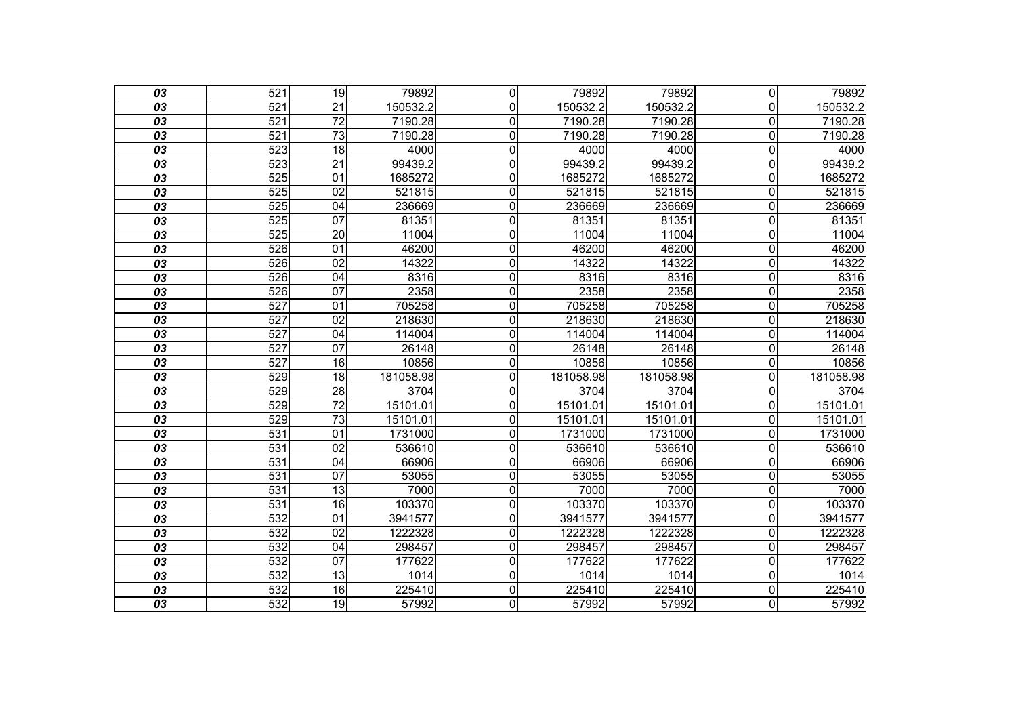| 03              | 521              | 19              | 79892     | $\mathbf 0$    | 79892     | 79892     | $\overline{0}$          | 79892     |
|-----------------|------------------|-----------------|-----------|----------------|-----------|-----------|-------------------------|-----------|
| 03              | 521              | 21              | 150532.2  | 0              | 150532.2  | 150532.2  | $\overline{0}$          | 150532.2  |
| 03              | 521              | $\overline{72}$ | 7190.28   | $\overline{0}$ | 7190.28   | 7190.28   | $\overline{\mathsf{o}}$ | 7190.28   |
| $\overline{03}$ | 521              | $\overline{73}$ | 7190.28   | $\mathbf 0$    | 7190.28   | 7190.28   | $\overline{\mathsf{o}}$ | 7190.28   |
| 03              | 523              | $\overline{18}$ | 4000      | $\mathbf 0$    | 4000      | 4000      | $\mathbf 0$             | 4000      |
| $\overline{03}$ | 523              | $\overline{21}$ | 99439.2   | $\overline{0}$ | 99439.2   | 99439.2   | $\overline{\mathsf{o}}$ | 99439.2   |
| 03              | 525              | 01              | 1685272   | $\mathbf 0$    | 1685272   | 1685272   | $\mathbf 0$             | 1685272   |
| 03              | 525              | $\overline{02}$ | 521815    | $\overline{0}$ | 521815    | 521815    | $\mathbf 0$             | 521815    |
| $\overline{03}$ | 525              | 04              | 236669    | $\overline{0}$ | 236669    | 236669    | $\overline{\mathsf{o}}$ | 236669    |
| 03              | 525              | 07              | 81351     | $\mathbf 0$    | 81351     | 81351     | $\overline{0}$          | 81351     |
| 03              | 525              | $\overline{20}$ | 11004     | $\overline{0}$ | 11004     | 11004     | $\overline{\mathsf{o}}$ | 11004     |
| $\overline{03}$ | 526              | $\overline{01}$ | 46200     | $\mathbf 0$    | 46200     | 46200     | $\overline{\mathsf{o}}$ | 46200     |
| 03              | 526              | $\overline{02}$ | 14322     | $\mathbf 0$    | 14322     | 14322     | $\mathbf 0$             | 14322     |
| 03              | 526              | 04              | 8316      | $\overline{0}$ | 8316      | 8316      | $\overline{\mathsf{o}}$ | 8316      |
| $\overline{03}$ | 526              | 07              | 2358      | $\mathbf 0$    | 2358      | 2358      | $\overline{0}$          | 2358      |
| 03              | $\overline{527}$ | 01              | 705258    | $\mathbf 0$    | 705258    | 705258    | $\mathbf 0$             | 705258    |
| 03              | 527              | $\overline{02}$ | 218630    | $\overline{0}$ | 218630    | 218630    | $\overline{\mathsf{o}}$ | 218630    |
| $\overline{03}$ | 527              | $\overline{04}$ | 114004    | $\mathbf 0$    | 114004    | 114004    | $\overline{\mathsf{o}}$ | 114004    |
| 03              | 527              | 07              | 26148     | $\mathbf 0$    | 26148     | 26148     | $\overline{0}$          | 26148     |
| $\overline{03}$ | 527              | 16              | 10856     | $\mathbf 0$    | 10856     | 10856     | $\mathbf 0$             | 10856     |
| 03              | 529              | $\overline{18}$ | 181058.98 | $\mathbf 0$    | 181058.98 | 181058.98 | $\mathbf 0$             | 181058.98 |
| 03              | 529              | $\overline{28}$ | 3704      | $\overline{0}$ | 3704      | 3704      | $\overline{0}$          | 3704      |
| $\overline{03}$ | 529              | $\overline{72}$ | 15101.01  | $\mathbf 0$    | 15101.01  | 15101.01  | $\mathbf 0$             | 15101.01  |
| 03              | 529              | $\overline{73}$ | 15101.01  | $\mathbf 0$    | 15101.01  | 15101.01  | $\mathbf 0$             | 15101.01  |
| 03              | 531              | 01              | 1731000   | $\overline{0}$ | 1731000   | 1731000   | $\overline{\mathsf{o}}$ | 1731000   |
| $\overline{03}$ | 531              | 02              | 536610    | $\mathbf 0$    | 536610    | 536610    | $\overline{0}$          | 536610    |
| 03              | 531              | 04              | 66906     | $\mathbf 0$    | 66906     | 66906     | $\overline{0}$          | 66906     |
| 03              | 531              | 07              | 53055     | $\overline{0}$ | 53055     | 53055     | $\mathbf 0$             | 53055     |
| $\overline{03}$ | 531              | $\overline{13}$ | 7000      | $\mathbf 0$    | 7000      | 7000      | $\overline{\mathsf{o}}$ | 7000      |
| 03              | 531              | 16              | 103370    | $\overline{0}$ | 103370    | 103370    | $\overline{\mathsf{o}}$ | 103370    |
| $\overline{03}$ | 532              | $\overline{01}$ | 3941577   | $\mathbf 0$    | 3941577   | 3941577   | $\mathbf 0$             | 3941577   |
| 03              | 532              | $\overline{02}$ | 1222328   | $\mathbf 0$    | 1222328   | 1222328   | $\mathbf 0$             | 1222328   |
| 03              | 532              | 04              | 298457    | $\overline{0}$ | 298457    | 298457    | $\overline{\mathsf{o}}$ | 298457    |
| $\overline{03}$ | 532              | 07              | 177622    | $\mathbf 0$    | 177622    | 177622    | $\mathbf 0$             | 177622    |
| 03              | 532              | 13              | 1014      | $\mathbf 0$    | 1014      | 1014      | $\mathbf 0$             | 1014      |
| 03              | 532              | 16              | 225410    | $\overline{0}$ | 225410    | 225410    | $\overline{\mathsf{o}}$ | 225410    |
| $\overline{03}$ | 532              | $\overline{19}$ | 57992     | $\overline{0}$ | 57992     | 57992     | $\overline{\mathsf{o}}$ | 57992     |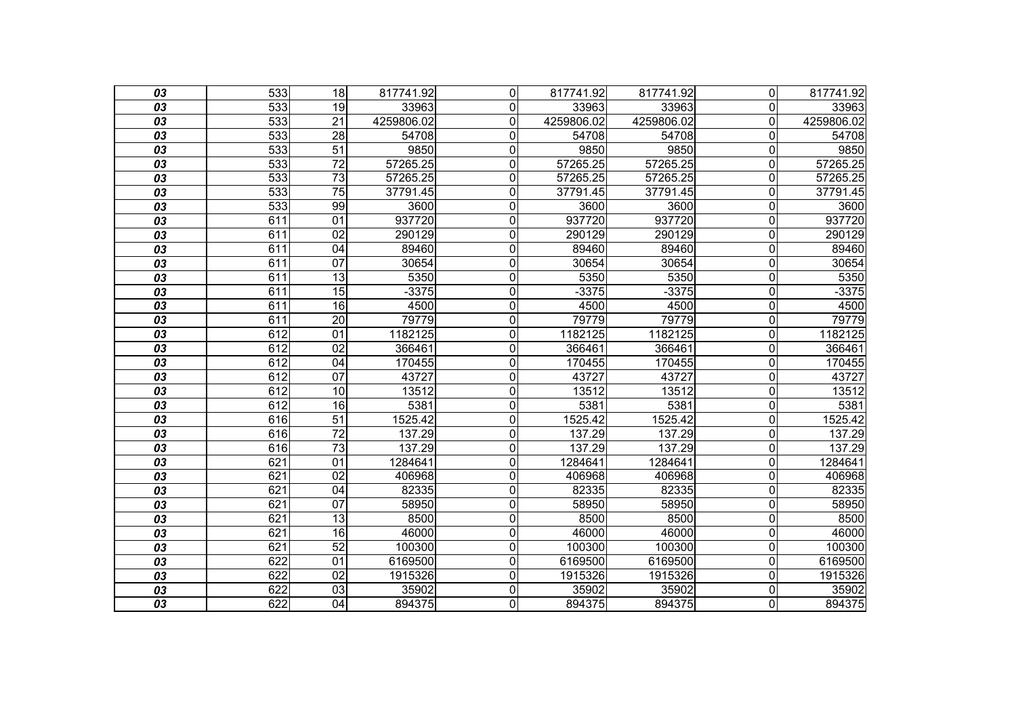| 03              | 533              | 18              | 817741.92  | $\Omega$       | 817741.92  | 817741.92  | $\Omega$ | 817741.92  |
|-----------------|------------------|-----------------|------------|----------------|------------|------------|----------|------------|
| 03              | 533              | 19              | 33963      | $\mathbf 0$    | 33963      | 33963      | $\Omega$ | 33963      |
| 03              | 533              | $\overline{21}$ | 4259806.02 | $\mathbf 0$    | 4259806.02 | 4259806.02 | 0        | 4259806.02 |
| 03              | $\overline{533}$ | $\overline{28}$ | 54708      | $\mathbf 0$    | 54708      | 54708      | 0        | 54708      |
| 03              | 533              | $\overline{51}$ | 9850       | $\mathbf 0$    | 9850       | 9850       | 0        | 9850       |
| 03              | 533              | $\overline{72}$ | 57265.25   | $\mathbf 0$    | 57265.25   | 57265.25   | 0        | 57265.25   |
| 03              | $\overline{533}$ | $\overline{73}$ | 57265.25   | $\overline{0}$ | 57265.25   | 57265.25   | 0        | 57265.25   |
| 03              | 533              | $\overline{75}$ | 37791.45   | $\mathbf 0$    | 37791.45   | 37791.45   | 0        | 37791.45   |
| 03              | 533              | 99              | 3600       | $\mathbf 0$    | 3600       | 3600       | 0        | 3600       |
| 03              | 611              | $\overline{01}$ | 937720     | $\mathbf 0$    | 937720     | 937720     | 0        | 937720     |
| 03              | 611              | $\overline{02}$ | 290129     | $\mathbf 0$    | 290129     | 290129     | 0        | 290129     |
| 03              | 611              | 04              | 89460      | $\mathbf 0$    | 89460      | 89460      | 0        | 89460      |
| 03              | 611              | $\overline{07}$ | 30654      | $\mathbf 0$    | 30654      | 30654      | 0        | 30654      |
| 03              | 611              | $\overline{13}$ | 5350       | $\mathbf 0$    | 5350       | 5350       | 0        | 5350       |
| 03              | 611              | $\overline{15}$ | $-3375$    | $\mathbf 0$    | $-3375$    | $-3375$    | 0        | $-3375$    |
| 03              | 611              | 16              | 4500       | $\mathbf 0$    | 4500       | 4500       | 0        | 4500       |
| 03              | 611              | $\overline{20}$ | 79779      | $\mathbf 0$    | 79779      | 79779      | 0        | 79779      |
| 03              | 612              | 01              | 1182125    | $\mathbf 0$    | 1182125    | 1182125    | 0        | 1182125    |
| 03              | 612              | 02              | 366461     | $\overline{0}$ | 366461     | 366461     | 0        | 366461     |
| 03              | 612              | 04              | 170455     | $\mathbf 0$    | 170455     | 170455     | 0        | 170455     |
| 03              | 612              | $\overline{07}$ | 43727      | $\mathbf 0$    | 43727      | 43727      | 0        | 43727      |
| 03              | 612              | 10              | 13512      | $\overline{0}$ | 13512      | 13512      | 0        | 13512      |
| 03              | 612              | 16              | 5381       | $\mathbf 0$    | 5381       | 5381       | 0        | 5381       |
| 03              | 616              | $\overline{51}$ | 1525.42    | $\mathbf 0$    | 1525.42    | 1525.42    | 0        | 1525.42    |
| 03              | 616              | $\overline{72}$ | 137.29     | $\overline{0}$ | 137.29     | 137.29     | 0        | 137.29     |
| 03              | 616              | $\overline{73}$ | 137.29     | $\mathbf{0}$   | 137.29     | 137.29     | 0        | 137.29     |
| 03              | 621              | 01              | 1284641    | $\mathbf 0$    | 1284641    | 1284641    | 0        | 1284641    |
| 03              | 621              | $\overline{02}$ | 406968     | $\mathbf 0$    | 406968     | 406968     | 0        | 406968     |
| 03              | 621              | 04              | 82335      | $\mathbf 0$    | 82335      | 82335      | 0        | 82335      |
| 03              | 621              | 07              | 58950      | $\mathbf 0$    | 58950      | 58950      | 0        | 58950      |
| 03              | 621              | $\overline{13}$ | 8500       | $\overline{0}$ | 8500       | 8500       | 0        | 8500       |
| 03              | 621              | 16              | 46000      | $\mathbf 0$    | 46000      | 46000      | 0        | 46000      |
| 03              | 621              | 52              | 100300     | $\mathbf 0$    | 100300     | 100300     | 0        | 100300     |
| 03              | 622              | 01              | 6169500    | $\overline{0}$ | 6169500    | 6169500    | 0        | 6169500    |
| 03              | 622              | 02              | 1915326    | $\mathbf{0}$   | 1915326    | 1915326    | 0        | 1915326    |
| 03              | 622              | $\overline{03}$ | 35902      | $\mathbf 0$    | 35902      | 35902      | 0        | 35902      |
| $\overline{03}$ | 622              | 04              | 894375     | $\overline{0}$ | 894375     | 894375     | 0        | 894375     |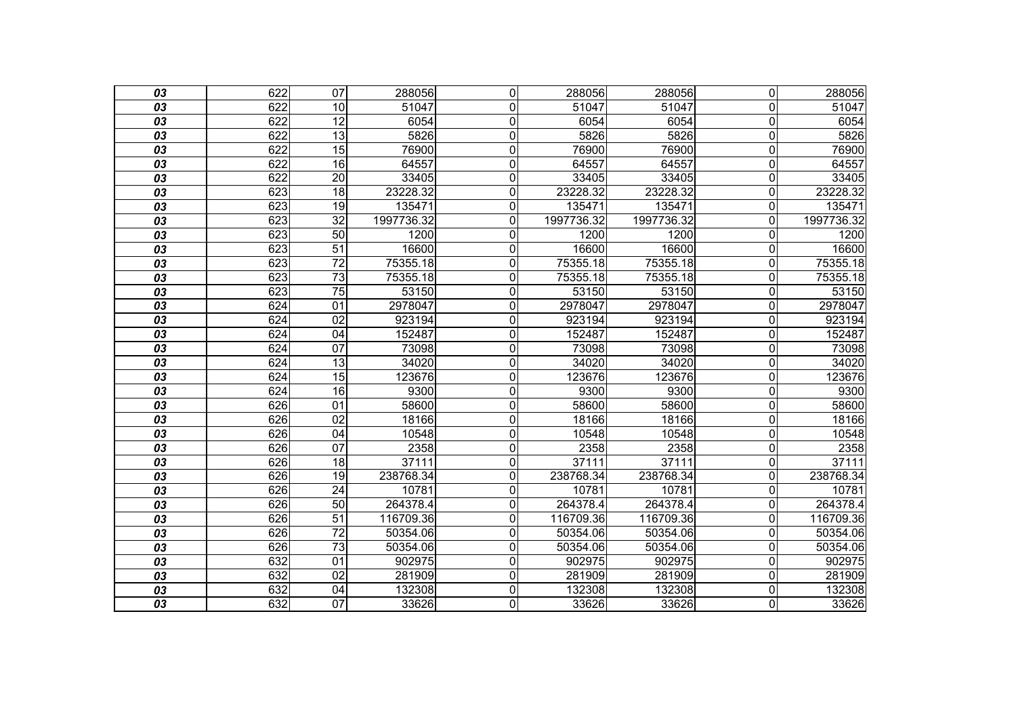| 03              | 622 | $\overline{07}$ | 288056     | $\mathbf 0$    | 288056     | 288056     | $\overline{0}$          | 288056     |
|-----------------|-----|-----------------|------------|----------------|------------|------------|-------------------------|------------|
| 03              | 622 | 10              | 51047      | $\mathbf{0}$   | 51047      | 51047      | $\overline{0}$          | 51047      |
| 03              | 622 | $\overline{12}$ | 6054       | $\mathbf 0$    | 6054       | 6054       | $\overline{\mathsf{o}}$ | 6054       |
| $\overline{03}$ | 622 | $\overline{13}$ | 5826       | $\mathbf 0$    | 5826       | 5826       | $\overline{\mathsf{o}}$ | 5826       |
| 03              | 622 | $\overline{15}$ | 76900      | $\mathbf 0$    | 76900      | 76900      | $\mathbf 0$             | 76900      |
| 03              | 622 | 16              | 64557      | $\overline{0}$ | 64557      | 64557      | $\overline{\mathsf{o}}$ | 64557      |
| 03              | 622 | $\overline{20}$ | 33405      | $\overline{0}$ | 33405      | 33405      | $\mathbf 0$             | 33405      |
| 03              | 623 | 18              | 23228.32   | 0              | 23228.32   | 23228.32   | $\overline{0}$          | 23228.32   |
| 03              | 623 | 19              | 135471     | $\overline{0}$ | 135471     | 135471     | $\mathbf 0$             | 135471     |
| 03              | 623 | $\overline{32}$ | 1997736.32 | $\mathbf 0$    | 1997736.32 | 1997736.32 | $\overline{0}$          | 1997736.32 |
| 03              | 623 | 50              | 1200       | $\overline{0}$ | 1200       | 1200       | $\mathbf 0$             | 1200       |
| $\overline{03}$ | 623 | 51              | 16600      | $\overline{0}$ | 16600      | 16600      | $\mathbf 0$             | 16600      |
| 03              | 623 | $\overline{72}$ | 75355.18   | $\mathbf 0$    | 75355.18   | 75355.18   | $\mathbf 0$             | 75355.18   |
| 03              | 623 | 73              | 75355.18   | $\overline{0}$ | 75355.18   | 75355.18   | $\overline{0}$          | 75355.18   |
| $\overline{03}$ | 623 | $\overline{75}$ | 53150      | $\overline{0}$ | 53150      | 53150      | $\overline{0}$          | 53150      |
| 03              | 624 | 01              | 2978047    | 0              | 2978047    | 2978047    | $\overline{0}$          | 2978047    |
| 03              | 624 | 02              | 923194     | $\overline{0}$ | 923194     | 923194     | $\overline{\mathsf{o}}$ | 923194     |
| $\overline{03}$ | 624 | $\overline{04}$ | 152487     | $\mathbf 0$    | 152487     | 152487     | $\overline{\mathsf{o}}$ | 152487     |
| 03              | 624 | 07              | 73098      | $\mathbf 0$    | 73098      | 73098      | $\overline{0}$          | 73098      |
| 03              | 624 | $\overline{13}$ | 34020      | $\mathbf 0$    | 34020      | 34020      | $\mathbf 0$             | 34020      |
| 03              | 624 | $\overline{15}$ | 123676     | $\mathbf 0$    | 123676     | 123676     | $\mathbf 0$             | 123676     |
| 03              | 624 | 16              | 9300       | $\overline{0}$ | 9300       | 9300       | $\overline{\mathsf{o}}$ | 9300       |
| 03              | 626 | $\overline{01}$ | 58600      | $\mathbf 0$    | 58600      | 58600      | $\mathbf 0$             | 58600      |
| 03              | 626 | 02              | 18166      | $\mathbf 0$    | 18166      | 18166      | $\mathbf 0$             | 18166      |
| 03              | 626 | 04              | 10548      | $\overline{0}$ | 10548      | 10548      | $\overline{\mathsf{o}}$ | 10548      |
| $\overline{03}$ | 626 | $\overline{07}$ | 2358       | $\mathbf 0$    | 2358       | 2358       | $\mathbf 0$             | 2358       |
| 03              | 626 | 18              | 37111      | $\mathbf 0$    | 37111      | 37111      | $\overline{0}$          | 37111      |
| 03              | 626 | 19              | 238768.34  | $\overline{0}$ | 238768.34  | 238768.34  | $\overline{0}$          | 238768.34  |
| 03              | 626 | $\overline{24}$ | 10781      | $\overline{0}$ | 10781      | 10781      | $\overline{0}$          | 10781      |
| 03              | 626 | 50              | 264378.4   | $\mathbf 0$    | 264378.4   | 264378.4   | $\overline{0}$          | 264378.4   |
| 03              | 626 | 51              | 116709.36  | $\mathbf 0$    | 116709.36  | 116709.36  | $\mathbf 0$             | 116709.36  |
| 03              | 626 | $\overline{72}$ | 50354.06   | $\mathbf 0$    | 50354.06   | 50354.06   | $\overline{0}$          | 50354.06   |
| 03              | 626 | 73              | 50354.06   | $\mathbf 0$    | 50354.06   | 50354.06   | $\mathbf 0$             | 50354.06   |
| $\overline{03}$ | 632 | $\overline{01}$ | 902975     | $\overline{0}$ | 902975     | 902975     | $\mathbf 0$             | 902975     |
| 03              | 632 | 02              | 281909     | $\mathbf 0$    | 281909     | 281909     | $\mathbf 0$             | 281909     |
| 03              | 632 | $\overline{04}$ | 132308     | $\overline{0}$ | 132308     | 132308     | $\overline{\mathsf{o}}$ | 132308     |
| $\overline{03}$ | 632 | $\overline{07}$ | 33626      | $\overline{0}$ | 33626      | 33626      | O                       | 33626      |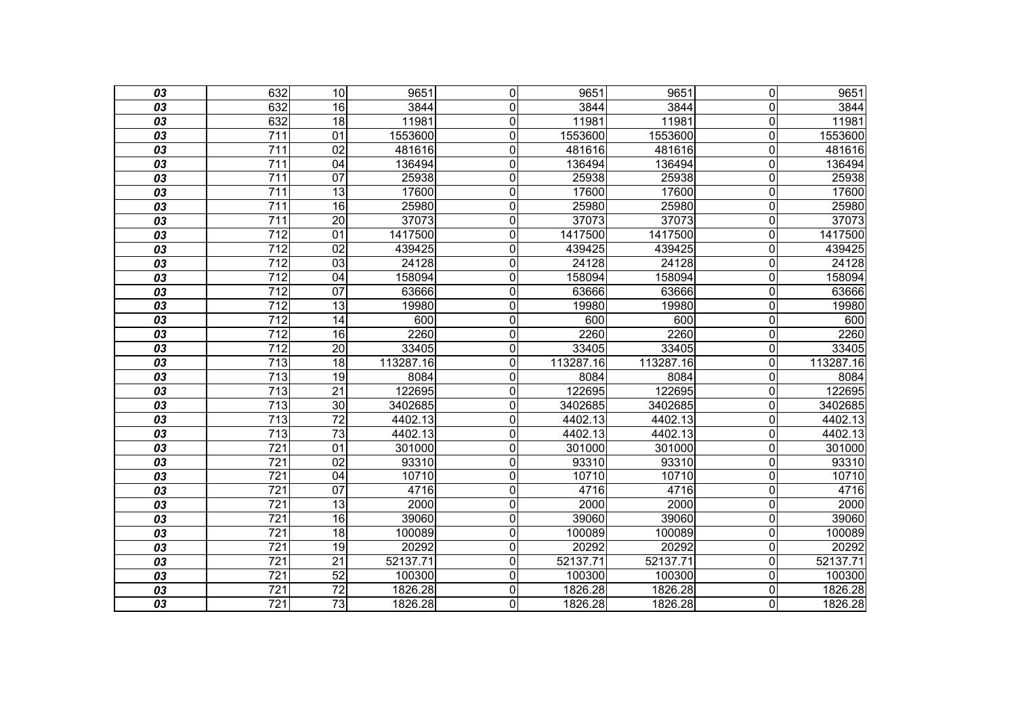| 03              | 632              | 10              | 9651      | $\mathbf 0$    | 9651      | 9651      | $\overline{0}$          | 9651      |
|-----------------|------------------|-----------------|-----------|----------------|-----------|-----------|-------------------------|-----------|
| 03              | 632              | 16              | 3844      | 0              | 3844      | 3844      | $\overline{0}$          | 3844      |
| 03              | 632              | 18              | 11981     | $\overline{0}$ | 11981     | 11981     | $\overline{\mathsf{o}}$ | 11981     |
| $\overline{03}$ | $\overline{711}$ | $\overline{01}$ | 1553600   | $\mathbf 0$    | 1553600   | 1553600   | $\overline{\mathsf{o}}$ | 1553600   |
| 03              | $\overline{711}$ | $\overline{02}$ | 481616    | $\mathbf 0$    | 481616    | 481616    | $\mathbf 0$             | 481616    |
| $\overline{03}$ | 711              | 04              | 136494    | $\overline{0}$ | 136494    | 136494    | $\overline{\mathsf{o}}$ | 136494    |
| 03              | $\overline{711}$ | 07              | 25938     | $\overline{0}$ | 25938     | 25938     | $\mathbf 0$             | 25938     |
| 03              | 711              | 13              | 17600     | 0              | 17600     | 17600     | $\mathbf 0$             | 17600     |
| 03              | 711              | 16              | 25980     | $\overline{0}$ | 25980     | 25980     | $\overline{\mathsf{o}}$ | 25980     |
| 03              | 711              | $\overline{20}$ | 37073     | $\mathbf 0$    | 37073     | 37073     | $\overline{0}$          | 37073     |
| 03              | 712              | 01              | 1417500   | $\mathbf 0$    | 1417500   | 1417500   | $\mathbf 0$             | 1417500   |
| $\overline{03}$ | $\overline{712}$ | $\overline{02}$ | 439425    | $\mathbf 0$    | 439425    | 439425    | $\mathbf 0$             | 439425    |
| 03              | $\overline{712}$ | 03              | 24128     | $\mathbf 0$    | 24128     | 24128     | $\mathbf 0$             | 24128     |
| 03              | $\overline{712}$ | 04              | 158094    | $\overline{0}$ | 158094    | 158094    | $\overline{\mathsf{o}}$ | 158094    |
| $\overline{03}$ | $\overline{712}$ | $\overline{07}$ | 63666     | $\overline{0}$ | 63666     | 63666     | $\mathbf 0$             | 63666     |
| 03              | 712              | 13              | 19980     | 0              | 19980     | 19980     | $\overline{0}$          | 19980     |
| 03              | $\overline{712}$ | 14              | 600       | $\overline{0}$ | 600       | 600       | $\overline{\mathsf{o}}$ | 600       |
| $\overline{03}$ | $\overline{712}$ | $\overline{16}$ | 2260      | $\mathbf 0$    | 2260      | 2260      | $\overline{\mathsf{o}}$ | 2260      |
| 03              | 712              | $\overline{20}$ | 33405     | $\mathbf 0$    | 33405     | 33405     | $\overline{\mathsf{o}}$ | 33405     |
| $\overline{03}$ | $\overline{713}$ | $\overline{18}$ | 113287.16 | $\overline{0}$ | 113287.16 | 113287.16 | $\mathbf 0$             | 113287.16 |
| 03              | 713              | 19              | 8084      | 0              | 8084      | 8084      | $\mathbf 0$             | 8084      |
| 03              | $\overline{713}$ | $\overline{21}$ | 122695    | $\overline{0}$ | 122695    | 122695    | $\overline{0}$          | 122695    |
| 03              | $\overline{713}$ | $\overline{30}$ | 3402685   | 0              | 3402685   | 3402685   | $\mathbf 0$             | 3402685   |
| 03              | 713              | $\overline{72}$ | 4402.13   | $\mathbf 0$    | 4402.13   | 4402.13   | $\mathbf 0$             | 4402.13   |
| 03              | 713              | 73              | 4402.13   | $\overline{0}$ | 4402.13   | 4402.13   | $\overline{\mathsf{o}}$ | 4402.13   |
| $\overline{03}$ | $\overline{721}$ | $\overline{01}$ | 301000    | $\mathbf 0$    | 301000    | 301000    | $\mathbf 0$             | 301000    |
| 03              | 721              | $\overline{02}$ | 93310     | $\mathbf 0$    | 93310     | 93310     | $\overline{0}$          | 93310     |
| 03              | $\overline{721}$ | $\overline{04}$ | 10710     | $\overline{0}$ | 10710     | 10710     | $\mathbf 0$             | 10710     |
| 03              | $\overline{721}$ | 07              | 4716      | $\overline{0}$ | 4716      | 4716      | $\overline{\mathsf{o}}$ | 4716      |
| 03              | 721              | 13              | 2000      | $\overline{0}$ | 2000      | 2000      | $\overline{\mathsf{o}}$ | 2000      |
| 03              | 721              | 16              | 39060     | $\mathbf 0$    | 39060     | 39060     | $\mathbf 0$             | 39060     |
| 03              | $\overline{721}$ | $\overline{18}$ | 100089    | $\mathbf 0$    | 100089    | 100089    | $\mathbf 0$             | 100089    |
| 03              | $\overline{721}$ | 19              | 20292     | $\overline{0}$ | 20292     | 20292     | $\overline{0}$          | 20292     |
| $\overline{03}$ | $\overline{721}$ | $\overline{21}$ | 52137.71  | $\overline{0}$ | 52137.71  | 52137.71  | $\mathbf 0$             | 52137.71  |
| 03              | 721              | $\overline{52}$ | 100300    | $\mathbf 0$    | 100300    | 100300    | $\mathbf 0$             | 100300    |
| 03              | $\overline{721}$ | $\overline{72}$ | 1826.28   | $\overline{0}$ | 1826.28   | 1826.28   | $\overline{\mathsf{o}}$ | 1826.28   |
| $\overline{03}$ | $\overline{721}$ | $\overline{73}$ | 1826.28   | $\overline{0}$ | 1826.28   | 1826.28   | O                       | 1826.28   |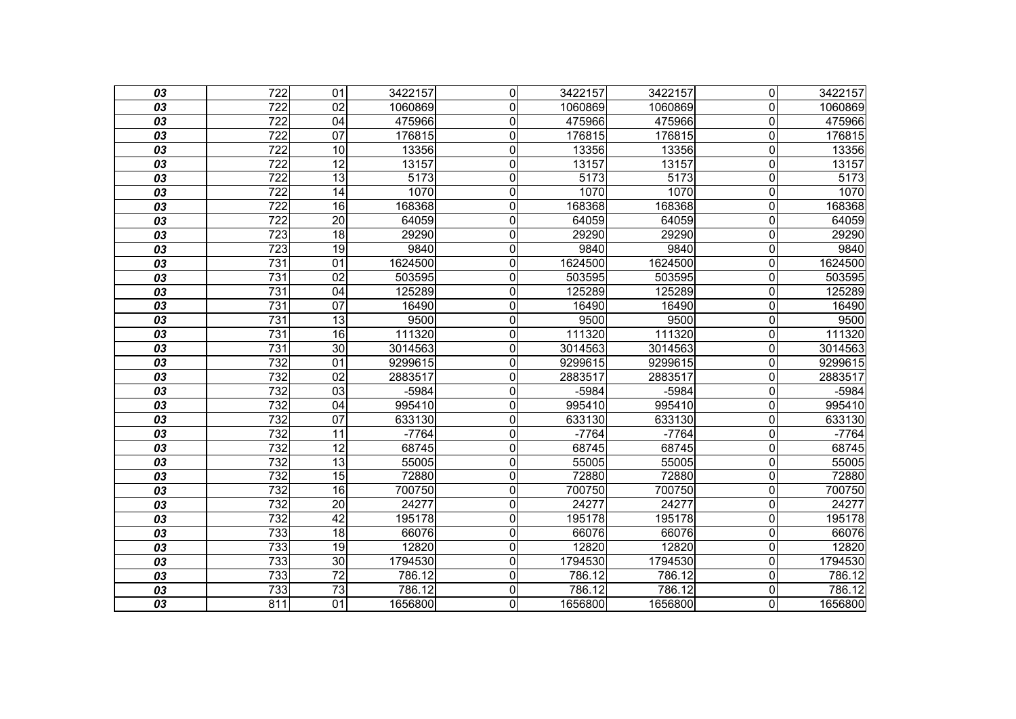| 03              | $\overline{722}$ | $\overline{01}$ | 3422157 | $\overline{0}$ | 3422157 | 3422157 | $\overline{0}$          | 3422157 |
|-----------------|------------------|-----------------|---------|----------------|---------|---------|-------------------------|---------|
| 03              | 722              | 02              | 1060869 | 0              | 1060869 | 1060869 | $\overline{0}$          | 1060869 |
| 03              | 722              | $\overline{04}$ | 475966  | $\mathbf 0$    | 475966  | 475966  | $\mathbf 0$             | 475966  |
| 03              | $\overline{722}$ | $\overline{07}$ | 176815  | $\mathbf 0$    | 176815  | 176815  | $\mathbf 0$             | 176815  |
| 03              | $\overline{722}$ | 10              | 13356   | 0              | 13356   | 13356   | $\overline{0}$          | 13356   |
| 03              | $\overline{722}$ | 12              | 13157   | $\mathbf 0$    | 13157   | 13157   | $\mathbf 0$             | 13157   |
| 03              | 722              | 13              | 5173    | $\mathbf 0$    | 5173    | 5173    | $\mathbf 0$             | 5173    |
| 03              | $\overline{722}$ | $\overline{14}$ | 1070    | $\mathbf 0$    | 1070    | 1070    | $\overline{0}$          | 1070    |
| 03              | 722              | 16              | 168368  | $\pmb{0}$      | 168368  | 168368  | $\mathbf 0$             | 168368  |
| 03              | $\overline{722}$ | $\overline{20}$ | 64059   | $\mathbf 0$    | 64059   | 64059   | $\mathbf 0$             | 64059   |
| 03              | $\overline{723}$ | $\overline{18}$ | 29290   | $\mathbf 0$    | 29290   | 29290   | $\mathbf 0$             | 29290   |
| 03              | 723              | $\overline{19}$ | 9840    | $\mathbf 0$    | 9840    | 9840    | $\mathbf 0$             | 9840    |
| 03              | 731              | $\overline{01}$ | 1624500 | $\mathbf 0$    | 1624500 | 1624500 | $\mathbf 0$             | 1624500 |
| 03              | 731              | $\overline{02}$ | 503595  | $\mathbf 0$    | 503595  | 503595  | $\overline{0}$          | 503595  |
| 03              | 731              | 04              | 125289  | $\mathbf 0$    | 125289  | 125289  | $\mathbf 0$             | 125289  |
| 03              | $\overline{731}$ | $\overline{07}$ | 16490   | $\mathbf 0$    | 16490   | 16490   | $\mathbf 0$             | 16490   |
| 03              | 731              | $\overline{13}$ | 9500    | $\mathbf 0$    | 9500    | 9500    | $\mathbf 0$             | 9500    |
| 03              | 731              | 16              | 111320  | $\mathbf 0$    | 111320  | 111320  | $\mathbf 0$             | 111320  |
| 03              | 731              | 30              | 3014563 | $\overline{0}$ | 3014563 | 3014563 | $\overline{\mathsf{o}}$ | 3014563 |
| 03              | 732              | 01              | 9299615 | 0              | 9299615 | 9299615 | $\overline{0}$          | 9299615 |
| 03              | 732              | 02              | 2883517 | $\mathbf 0$    | 2883517 | 2883517 | $\mathbf 0$             | 2883517 |
| 03              | 732              | $\overline{03}$ | $-5984$ | $\overline{0}$ | $-5984$ | $-5984$ | $\overline{\mathsf{o}}$ | $-5984$ |
| 03              | 732              | 04              | 995410  | $\mathbf 0$    | 995410  | 995410  | $\overline{0}$          | 995410  |
| 03              | 732              | $\overline{07}$ | 633130  | $\mathbf 0$    | 633130  | 633130  | $\mathbf 0$             | 633130  |
| $\overline{03}$ | 732              | 11              | $-7764$ | $\overline{0}$ | $-7764$ | $-7764$ | $\overline{\mathsf{o}}$ | $-7764$ |
| 03              | 732              | $\overline{12}$ | 68745   | $\mathbf 0$    | 68745   | 68745   | $\overline{0}$          | 68745   |
| 03              | 732              | $\overline{13}$ | 55005   | $\mathbf 0$    | 55005   | 55005   | $\mathbf 0$             | 55005   |
| $\overline{03}$ | 732              | 15              | 72880   | $\mathbf 0$    | 72880   | 72880   | $\mathbf 0$             | 72880   |
| 03              | 732              | 16              | 700750  | 0              | 700750  | 700750  | $\overline{0}$          | 700750  |
| 03              | 732              | $\overline{20}$ | 24277   | $\mathbf 0$    | 24277   | 24277   | $\mathbf 0$             | 24277   |
| $\overline{03}$ | 732              | 42              | 195178  | $\mathbf 0$    | 195178  | 195178  | $\mathbf 0$             | 195178  |
| 03              | 733              | $\overline{18}$ | 66076   | $\mathbf 0$    | 66076   | 66076   | $\mathbf 0$             | 66076   |
| 03              | 733              | 19              | 12820   | $\mathbf 0$    | 12820   | 12820   | $\mathbf 0$             | 12820   |
| $\overline{03}$ | 733              | 30              | 1794530 | $\mathbf 0$    | 1794530 | 1794530 | $\mathbf 0$             | 1794530 |
| 03              | 733              | $\overline{72}$ | 786.12  | $\mathbf 0$    | 786.12  | 786.12  | $\overline{0}$          | 786.12  |
| 03              | 733              | 73              | 786.12  | $\mathbf 0$    | 786.12  | 786.12  | $\pmb{0}$               | 786.12  |
| $\overline{03}$ | 811              | $\overline{01}$ | 1656800 | 0              | 1656800 | 1656800 | O                       | 1656800 |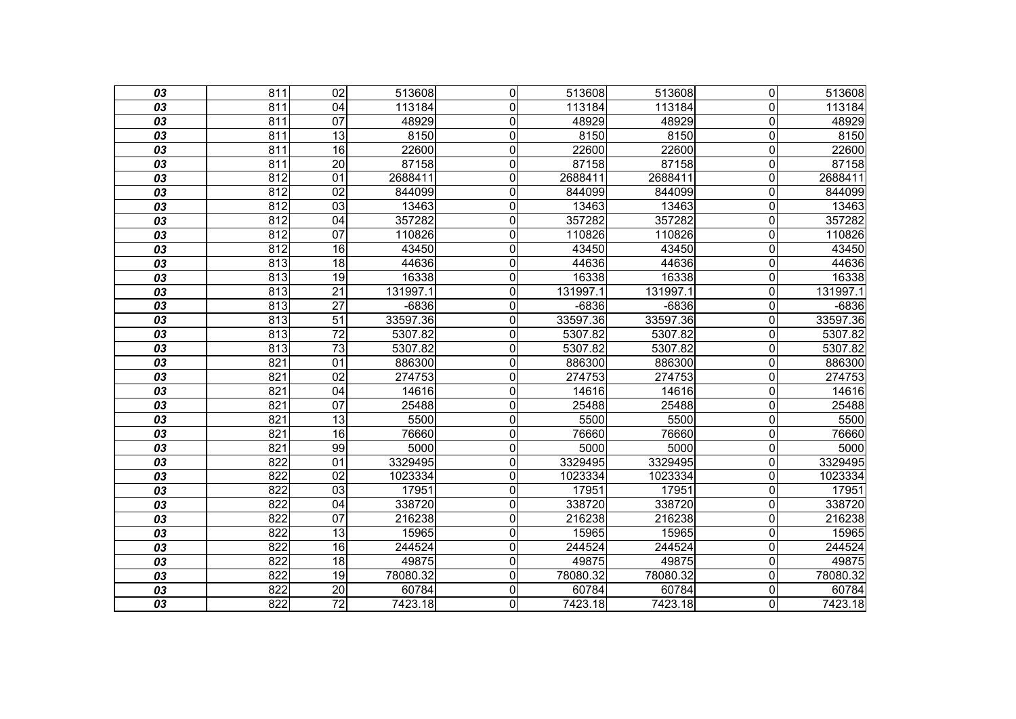| 03              | 811 | $\overline{02}$ | 513608   | $\mathbf 0$    | 513608   | 513608   | $\overline{0}$          | 513608   |
|-----------------|-----|-----------------|----------|----------------|----------|----------|-------------------------|----------|
| 03              | 811 | 04              | 113184   | $\mathbf{0}$   | 113184   | 113184   | $\Omega$                | 113184   |
| 03              | 811 | 07              | 48929    | $\mathbf 0$    | 48929    | 48929    | $\mathbf 0$             | 48929    |
| $\overline{03}$ | 811 | 13              | 8150     | $\mathbf 0$    | 8150     | 8150     | $\overline{\mathsf{o}}$ | 8150     |
| 03              | 811 | $\overline{16}$ | 22600    | $\mathbf 0$    | 22600    | 22600    | $\mathbf 0$             | 22600    |
| 03              | 811 | $\overline{20}$ | 87158    | $\overline{0}$ | 87158    | 87158    | $\overline{\mathsf{o}}$ | 87158    |
| 03              | 812 | 01              | 2688411  | $\overline{0}$ | 2688411  | 2688411  | $\mathbf 0$             | 2688411  |
| 03              | 812 | 02              | 844099   | 0              | 844099   | 844099   | $\overline{0}$          | 844099   |
| 03              | 812 | $\overline{03}$ | 13463    | 0              | 13463    | 13463    | $\mathbf 0$             | 13463    |
| 03              | 812 | 04              | 357282   | $\mathbf 0$    | 357282   | 357282   | $\mathbf 0$             | 357282   |
| 03              | 812 | 07              | 110826   | $\mathbf 0$    | 110826   | 110826   | $\mathbf 0$             | 110826   |
| $\overline{03}$ | 812 | 16              | 43450    | $\mathbf 0$    | 43450    | 43450    | $\mathbf 0$             | 43450    |
| 03              | 813 | $\overline{18}$ | 44636    | $\mathbf 0$    | 44636    | 44636    | $\overline{0}$          | 44636    |
| 03              | 813 | 19              | 16338    | $\overline{0}$ | 16338    | 16338    | $\mathbf 0$             | 16338    |
| 03              | 813 | $\overline{21}$ | 131997.1 | $\mathbf 0$    | 131997.1 | 131997.1 | $\mathbf 0$             | 131997.1 |
| 03              | 813 | $\overline{27}$ | $-6836$  | 0              | $-6836$  | $-6836$  | $\overline{0}$          | $-6836$  |
| 03              | 813 | 51              | 33597.36 | $\mathbf 0$    | 33597.36 | 33597.36 | $\mathbf 0$             | 33597.36 |
| $\overline{03}$ | 813 | $\overline{72}$ | 5307.82  | $\mathbf 0$    | 5307.82  | 5307.82  | $\mathbf 0$             | 5307.82  |
| 03              | 813 | 73              | 5307.82  | $\mathbf 0$    | 5307.82  | 5307.82  | $\overline{0}$          | 5307.82  |
| 03              | 821 | $\overline{01}$ | 886300   | $\mathbf 0$    | 886300   | 886300   | $\mathbf 0$             | 886300   |
| 03              | 821 | 02              | 274753   | $\mathbf 0$    | 274753   | 274753   | $\overline{0}$          | 274753   |
| 03              | 821 | 04              | 14616    | 0              | 14616    | 14616    | $\overline{0}$          | 14616    |
| 03              | 821 | $\overline{07}$ | 25488    | $\mathbf 0$    | 25488    | 25488    | $\mathbf 0$             | 25488    |
| 03              | 821 | 13              | 5500     | $\mathbf 0$    | 5500     | 5500     | $\mathbf 0$             | 5500     |
| 03              | 821 | 16              | 76660    | $\mathbf 0$    | 76660    | 76660    | $\overline{\mathsf{o}}$ | 76660    |
| $\overline{03}$ | 821 | 99              | 5000     | $\mathbf 0$    | 5000     | 5000     | $\mathbf 0$             | 5000     |
| 03              | 822 | 01              | 3329495  | $\mathbf 0$    | 3329495  | 3329495  | $\mathbf 0$             | 3329495  |
| 03              | 822 | $\overline{02}$ | 1023334  | 0              | 1023334  | 1023334  | $\mathbf 0$             | 1023334  |
| 03              | 822 | $\overline{03}$ | 17951    | 0              | 17951    | 17951    | $\mathbf 0$             | 17951    |
| 03              | 822 | 04              | 338720   | 0              | 338720   | 338720   | $\overline{0}$          | 338720   |
| 03              | 822 | $\overline{07}$ | 216238   | $\mathbf 0$    | 216238   | 216238   | $\mathbf 0$             | 216238   |
| 03              | 822 | 13              | 15965    | $\mathbf 0$    | 15965    | 15965    | $\mathbf 0$             | 15965    |
| 03              | 822 | 16              | 244524   | $\mathbf 0$    | 244524   | 244524   | $\overline{0}$          | 244524   |
| 03              | 822 | $\overline{18}$ | 49875    | 0              | 49875    | 49875    | $\mathbf 0$             | 49875    |
| 03              | 822 | 19              | 78080.32 | $\mathbf 0$    | 78080.32 | 78080.32 | $\mathbf 0$             | 78080.32 |
| 03              | 822 | $\overline{20}$ | 60784    | $\mathbf 0$    | 60784    | 60784    | $\mathbf 0$             | 60784    |
| $\overline{03}$ | 822 | $\overline{72}$ | 7423.18  | $\overline{0}$ | 7423.18  | 7423.18  | $\overline{0}$          | 7423.18  |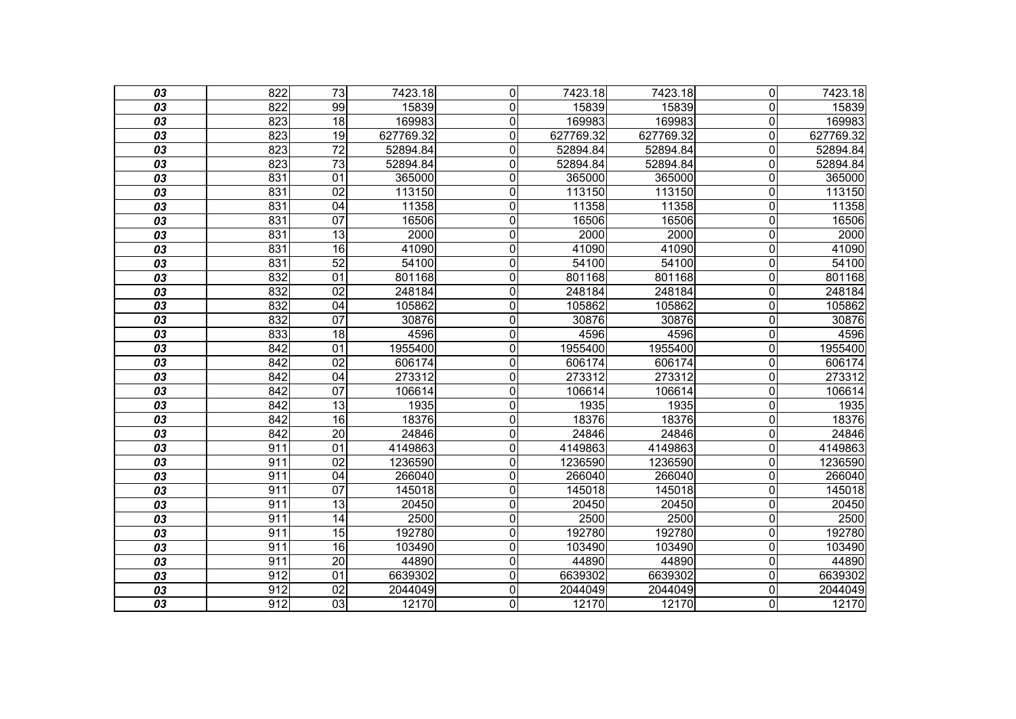| 03              | 822              | $\overline{73}$ | 7423.18   | $\overline{0}$ | 7423.18   | 7423.18   | $\overline{0}$          | 7423.18   |
|-----------------|------------------|-----------------|-----------|----------------|-----------|-----------|-------------------------|-----------|
| 03              | 822              | 99              | 15839     | 0              | 15839     | 15839     | 0                       | 15839     |
| 03              | 823              | $\overline{18}$ | 169983    | 0              | 169983    | 169983    | $\mathbf 0$             | 169983    |
| 03              | 823              | $\overline{19}$ | 627769.32 | 0              | 627769.32 | 627769.32 | $\overline{0}$          | 627769.32 |
| 03              | 823              | $\overline{72}$ | 52894.84  | 0              | 52894.84  | 52894.84  | 0                       | 52894.84  |
| 03              | 823              | 73              | 52894.84  | 0              | 52894.84  | 52894.84  | $\mathbf 0$             | 52894.84  |
| 03              | 831              | $\overline{01}$ | 365000    | 0              | 365000    | 365000    | $\overline{0}$          | 365000    |
| 03              | 831              | 02              | 113150    | 0              | 113150    | 113150    | 0                       | 113150    |
| 03              | 831              | $\overline{04}$ | 11358     | 0              | 11358     | 11358     | $\mathbf 0$             | 11358     |
| 03              | 831              | $\overline{07}$ | 16506     | 0              | 16506     | 16506     | $\mathbf 0$             | 16506     |
| 03              | 831              | $\overline{13}$ | 2000      | 0              | 2000      | 2000      | 0                       | 2000      |
| 03              | 831              | 16              | 41090     | 0              | 41090     | 41090     | $\mathbf 0$             | 41090     |
| 03              | 831              | 52              | 54100     | 0              | 54100     | 54100     | $\overline{0}$          | 54100     |
| 03              | 832              | $\overline{01}$ | 801168    | 0              | 801168    | 801168    | $\overline{0}$          | 801168    |
| 03              | 832              | $\overline{02}$ | 248184    | 0              | 248184    | 248184    | $\mathbf 0$             | 248184    |
| 03              | 832              | 04              | 105862    | 0              | 105862    | 105862    | $\overline{0}$          | 105862    |
| 03              | 832              | $\overline{07}$ | 30876     | 0              | 30876     | 30876     | 0                       | 30876     |
| 03              | 833              | 18              | 4596      | 0              | 4596      | 4596      | $\mathbf 0$             | 4596      |
| 03              | 842              | 01              | 1955400   | $\overline{0}$ | 1955400   | 1955400   | $\overline{\mathsf{o}}$ | 1955400   |
| 03              | 842              | 02              | 606174    | 0              | 606174    | 606174    | 0                       | 606174    |
| 03              | 842              | 04              | 273312    | 0              | 273312    | 273312    | $\mathbf 0$             | 273312    |
| 03              | 842              | 07              | 106614    | $\overline{0}$ | 106614    | 106614    | $\overline{0}$          | 106614    |
| 03              | 842              | 13              | 1935      | 0              | 1935      | 1935      | 0                       | 1935      |
| 03              | 842              | 16              | 18376     | 0              | 18376     | 18376     | $\mathbf 0$             | 18376     |
| 03              | 842              | $\overline{20}$ | 24846     | $\overline{0}$ | 24846     | 24846     | $\overline{\mathsf{o}}$ | 24846     |
| 03              | 911              | 01              | 4149863   | 0              | 4149863   | 4149863   | $\overline{0}$          | 4149863   |
| 03              | 911              | $\overline{02}$ | 1236590   | 0              | 1236590   | 1236590   | $\mathbf 0$             | 1236590   |
| 03              | $\overline{911}$ | 04              | 266040    | 0              | 266040    | 266040    | $\overline{0}$          | 266040    |
| 03              | 911              | 07              | 145018    | 0              | 145018    | 145018    | $\Omega$                | 145018    |
| 03              | 911              | 13              | 20450     | $\overline{0}$ | 20450     | 20450     | $\overline{0}$          | 20450     |
| 03              | $\overline{911}$ | 14              | 2500      | 0              | 2500      | 2500      | $\mathbf 0$             | 2500      |
| 03              | 911              | 15              | 192780    | 0              | 192780    | 192780    | $\mathbf 0$             | 192780    |
| 03              | $\overline{911}$ | 16              | 103490    | $\overline{0}$ | 103490    | 103490    | $\overline{\mathsf{o}}$ | 103490    |
| 03              | $\overline{911}$ | $\overline{20}$ | 44890     | 0              | 44890     | 44890     | $\mathbf 0$             | 44890     |
| 03              | 912              | 01              | 6639302   | 0              | 6639302   | 6639302   | $\mathbf 0$             | 6639302   |
| 03              | 912              | 02              | 2044049   | $\overline{0}$ | 2044049   | 2044049   | $\overline{\mathsf{o}}$ | 2044049   |
| $\overline{03}$ | 912              | 03              | 12170     | $\overline{0}$ | 12170     | 12170     | O                       | 12170     |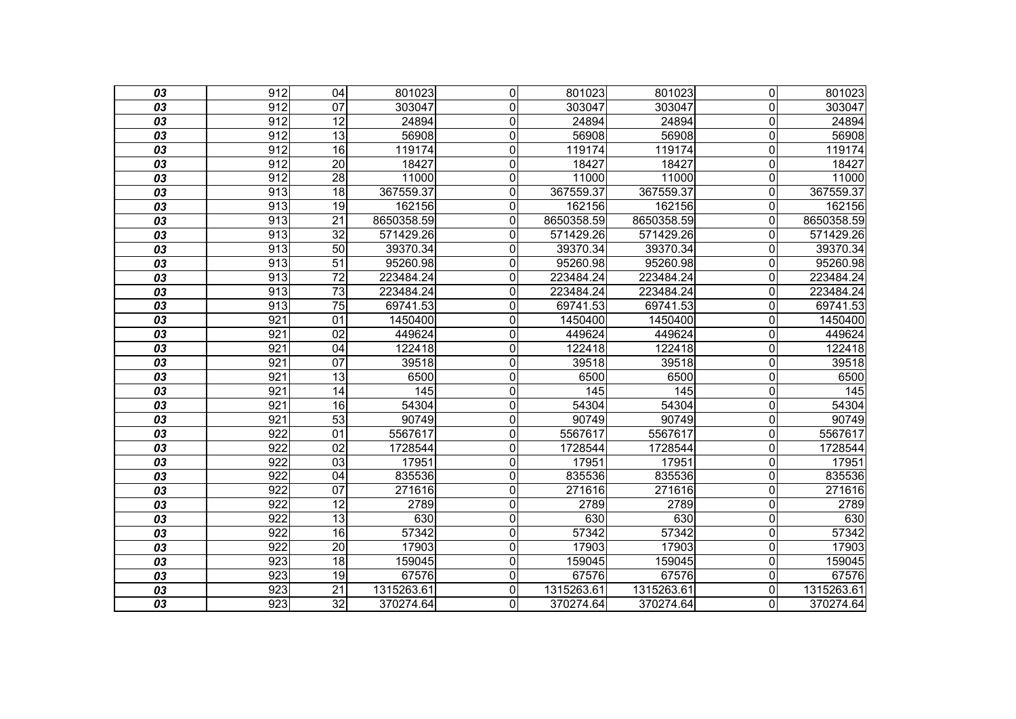| 03              | 912              | $\overline{04}$ | 801023     | $\mathbf 0$    | 801023     | 801023           | $\overline{0}$          | 801023     |
|-----------------|------------------|-----------------|------------|----------------|------------|------------------|-------------------------|------------|
| 03              | 912              | 07              | 303047     | $\mathbf{0}$   | 303047     | 303047           | $\Omega$                | 303047     |
| 03              | 912              | 12              | 24894      | $\mathbf 0$    | 24894      | 24894            | $\mathbf 0$             | 24894      |
| $\overline{03}$ | $\overline{912}$ | $\overline{13}$ | 56908      | $\mathbf 0$    | 56908      | 56908            | $\mathbf 0$             | 56908      |
| 03              | 912              | 16              | 119174     | $\mathbf 0$    | 119174     | 119174           | $\overline{0}$          | 119174     |
| 03              | 912              | $\overline{20}$ | 18427      | $\mathbf 0$    | 18427      | 18427            | $\mathbf 0$             | 18427      |
| 03              | 912              | $\overline{28}$ | 11000      | $\overline{0}$ | 11000      | 11000            | $\mathbf 0$             | 11000      |
| 03              | 913              | 18              | 367559.37  | 0              | 367559.37  | 367559.37        | $\overline{0}$          | 367559.37  |
| 03              | 913              | 19              | 162156     | 0              | 162156     | 162156           | $\mathbf 0$             | 162156     |
| 03              | 913              | 21              | 8650358.59 | $\mathbf{0}$   | 8650358.59 | 8650358.59       | $\Omega$                | 8650358.59 |
| 03              | 913              | $\overline{32}$ | 571429.26  | $\mathbf 0$    | 571429.26  | 571429.26        | 0                       | 571429.26  |
| 03              | 913              | $\overline{50}$ | 39370.34   | 0              | 39370.34   | 39370.34         | $\mathbf 0$             | 39370.34   |
| 03              | 913              | $\overline{51}$ | 95260.98   | 0              | 95260.98   | 95260.98         | $\mathbf{0}$            | 95260.98   |
| 03              | 913              | $\overline{72}$ | 223484.24  | $\overline{0}$ | 223484.24  | 223484.24        | $\mathbf 0$             | 223484.24  |
| 03              | $\overline{913}$ | $\overline{73}$ | 223484.24  | $\overline{0}$ | 223484.24  | 223484.24        | $\mathbf 0$             | 223484.24  |
| 03              | 913              | $\overline{75}$ | 69741.53   | 0              | 69741.53   | 69741.53         | $\mathbf{0}$            | 69741.53   |
| 03              | 921              | 01              | 1450400    | $\mathbf 0$    | 1450400    | 1450400          | $\mathbf 0$             | 1450400    |
| $\overline{03}$ | $\overline{921}$ | $\overline{02}$ | 449624     | $\mathbf 0$    | 449624     | 449624           | $\mathbf 0$             | 449624     |
| 03              | 921              | $\overline{04}$ | 122418     | 0              | 122418     | 122418           | $\overline{0}$          | 122418     |
| 03              | $\overline{921}$ | $\overline{07}$ | 39518      | 0              | 39518      | 39518            | $\mathbf 0$             | 39518      |
| 03              | 921              | 13              | 6500       | $\mathbf 0$    | 6500       | 6500             | $\mathbf 0$             | 6500       |
| 03              | 921              | 14              | 145        | $\overline{0}$ | 145        | $\overline{145}$ | $\overline{\mathsf{o}}$ | 145        |
| 03              | $\overline{921}$ | 16              | 54304      | $\mathbf 0$    | 54304      | 54304            | $\mathbf 0$             | 54304      |
| 03              | 921              | 53              | 90749      | $\mathbf 0$    | 90749      | 90749            | $\mathbf 0$             | 90749      |
| 03              | 922              | 01              | 5567617    | $\mathbf 0$    | 5567617    | 5567617          | $\mathbf 0$             | 5567617    |
| $\overline{03}$ | $\overline{922}$ | $\overline{02}$ | 1728544    | $\mathbf 0$    | 1728544    | 1728544          | $\mathbf 0$             | 1728544    |
| 03              | 922              | 03              | 17951      | $\mathbf 0$    | 17951      | 17951            | $\mathbf 0$             | 17951      |
| 03              | $\overline{922}$ | 04              | 835536     | $\overline{0}$ | 835536     | 835536           | $\mathbf 0$             | 835536     |
| 03              | $\overline{922}$ | $\overline{07}$ | 271616     | 0              | 271616     | 271616           | $\mathbf 0$             | 271616     |
| 03              | 922              | 12              | 2789       | 0              | 2789       | 2789             | $\overline{0}$          | 2789       |
| 03              | $\overline{922}$ | $\overline{13}$ | 630        | $\mathbf 0$    | 630        | 630              | $\mathbf 0$             | 630        |
| 03              | 922              | $\overline{16}$ | 57342      | $\mathbf 0$    | 57342      | 57342            | $\mathbf 0$             | 57342      |
| 03              | 922              | 20              | 17903      | 0              | 17903      | 17903            | $\overline{0}$          | 17903      |
| 03              | 923              | $\overline{18}$ | 159045     | $\overline{0}$ | 159045     | 159045           | $\mathbf 0$             | 159045     |
| 03              | 923              | 19              | 67576      | $\mathbf 0$    | 67576      | 67576            | $\overline{0}$          | 67576      |
| 03              | 923              | $\overline{21}$ | 1315263.61 | $\mathbf 0$    | 1315263.61 | 1315263.61       | $\mathbf 0$             | 1315263.61 |
| $\overline{03}$ | 923              | 32              | 370274.64  | 0              | 370274.64  | 370274.64        | $\Omega$                | 370274.64  |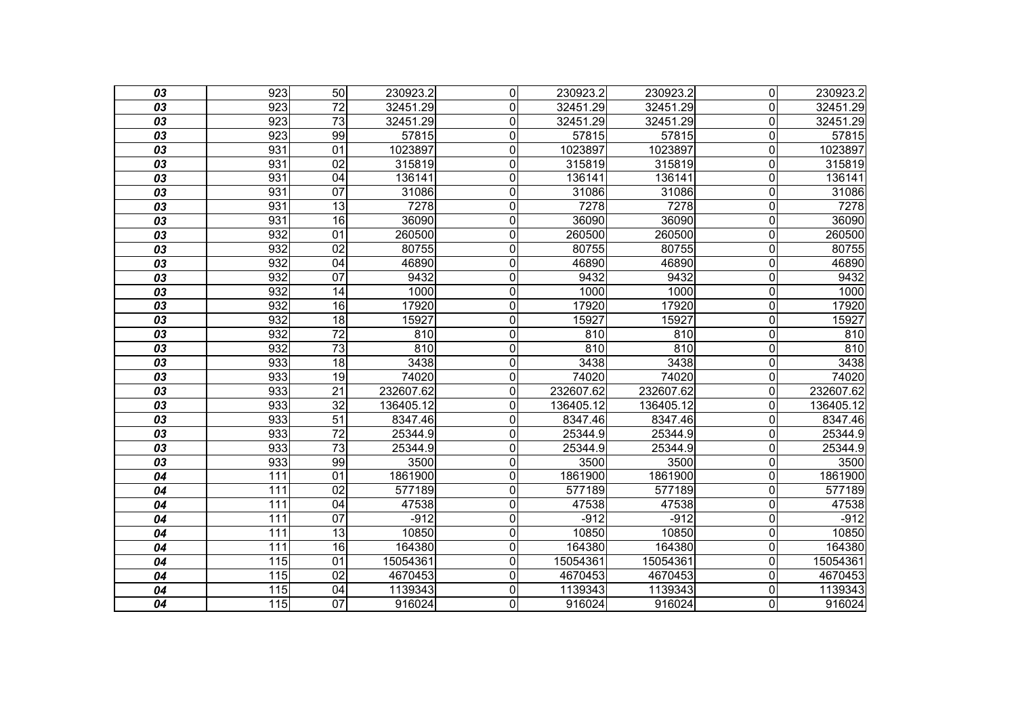| 03              | 923              | 50              | 230923.2  | $\mathbf 0$    | 230923.2  | 230923.2  | $\overline{0}$          | 230923.2  |
|-----------------|------------------|-----------------|-----------|----------------|-----------|-----------|-------------------------|-----------|
| 03              | 923              | 72              | 32451.29  | $\mathbf{0}$   | 32451.29  | 32451.29  | $\Omega$                | 32451.29  |
| 03              | 923              | 73              | 32451.29  | $\mathbf 0$    | 32451.29  | 32451.29  | $\mathbf 0$             | 32451.29  |
| $\overline{03}$ | 923              | 99              | 57815     | $\mathbf 0$    | 57815     | 57815     | $\mathbf 0$             | 57815     |
| 03              | 931              | 01              | 1023897   | $\mathbf 0$    | 1023897   | 1023897   | $\mathbf 0$             | 1023897   |
| 03              | 931              | 02              | 315819    | $\mathbf 0$    | 315819    | 315819    | $\mathbf 0$             | 315819    |
| 03              | 931              | 04              | 136141    | $\overline{0}$ | 136141    | 136141    | $\mathbf 0$             | 136141    |
| 03              | 931              | 07              | 31086     | 0              | 31086     | 31086     | $\overline{0}$          | 31086     |
| 03              | 931              | 13              | 7278      | $\overline{0}$ | 7278      | 7278      | $\overline{\mathsf{o}}$ | 7278      |
| 03              | 931              | 16              | 36090     | $\mathbf 0$    | 36090     | 36090     | $\mathbf 0$             | 36090     |
| 03              | 932              | 01              | 260500    | $\mathbf 0$    | 260500    | 260500    | $\mathbf 0$             | 260500    |
| 03              | 932              | $\overline{02}$ | 80755     | $\mathbf 0$    | 80755     | 80755     | $\mathbf 0$             | 80755     |
| 03              | 932              | 04              | 46890     | $\mathbf 0$    | 46890     | 46890     | $\mathbf 0$             | 46890     |
| 03              | 932              | 07              | 9432      | $\overline{0}$ | 9432      | 9432      | $\overline{\mathsf{o}}$ | 9432      |
| 03              | 932              | 14              | 1000      | $\overline{0}$ | 1000      | 1000      | $\mathbf 0$             | 1000      |
| 03              | 932              | 16              | 17920     | $\mathbf 0$    | 17920     | 17920     | $\overline{0}$          | 17920     |
| 03              | 932              | 18              | 15927     | $\mathbf 0$    | 15927     | 15927     | $\overline{\mathsf{o}}$ | 15927     |
| $\overline{03}$ | 932              | $\overline{72}$ | 810       | $\mathbf 0$    | 810       | 810       | $\mathbf 0$             | 810       |
| 03              | 932              | $\overline{73}$ | 810       | $\mathbf 0$    | 810       | 810       | $\overline{\mathsf{o}}$ | 810       |
| 03              | 933              | $\overline{18}$ | 3438      | $\mathbf 0$    | 3438      | 3438      | $\mathbf 0$             | 3438      |
| 03              | 933              | 19              | 74020     | $\mathbf 0$    | 74020     | 74020     | $\mathbf 0$             | 74020     |
| 03              | 933              | $\overline{21}$ | 232607.62 | $\overline{0}$ | 232607.62 | 232607.62 | $\overline{0}$          | 232607.62 |
| 03              | 933              | $\overline{32}$ | 136405.12 | $\overline{0}$ | 136405.12 | 136405.12 | $\mathbf 0$             | 136405.12 |
| 03              | 933              | 51              | 8347.46   | $\mathbf 0$    | 8347.46   | 8347.46   | $\mathbf 0$             | 8347.46   |
| 03              | 933              | $\overline{72}$ | 25344.9   | $\mathbf 0$    | 25344.9   | 25344.9   | $\mathbf 0$             | 25344.9   |
| 03              | 933              | $\overline{73}$ | 25344.9   | $\mathbf 0$    | 25344.9   | 25344.9   | $\mathbf 0$             | 25344.9   |
| 03              | 933              | 99              | 3500      | $\mathbf 0$    | 3500      | 3500      | $\mathbf 0$             | 3500      |
| 04              | 111              | $\overline{01}$ | 1861900   | $\mathbf 0$    | 1861900   | 1861900   | $\mathbf 0$             | 1861900   |
| 04              | 111              | $\overline{02}$ | 577189    | $\mathbf 0$    | 577189    | 577189    | $\mathbf 0$             | 577189    |
| 04              | 111              | 04              | 47538     | 0              | 47538     | 47538     | $\overline{0}$          | 47538     |
| 04              | 111              | $\overline{07}$ | $-912$    | $\mathbf 0$    | $-912$    | $-912$    | $\mathbf 0$             | $-912$    |
| 04              | 111              | 13              | 10850     | $\mathbf 0$    | 10850     | 10850     | $\mathbf 0$             | 10850     |
| 04              | 111              | $\overline{16}$ | 164380    | $\mathbf 0$    | 164380    | 164380    | $\mathbf 0$             | 164380    |
| 04              | 115              | $\overline{01}$ | 15054361  | $\overline{0}$ | 15054361  | 15054361  | $\mathbf 0$             | 15054361  |
| 04              | 115              | 02              | 4670453   | $\mathbf 0$    | 4670453   | 4670453   | $\mathbf 0$             | 4670453   |
| 04              | $\overline{115}$ | $\overline{04}$ | 1139343   | $\mathbf 0$    | 1139343   | 1139343   | $\mathbf 0$             | 1139343   |
| 04              | 115              | $\overline{07}$ | 916024    | $\overline{0}$ | 916024    | 916024    | $\overline{0}$          | 916024    |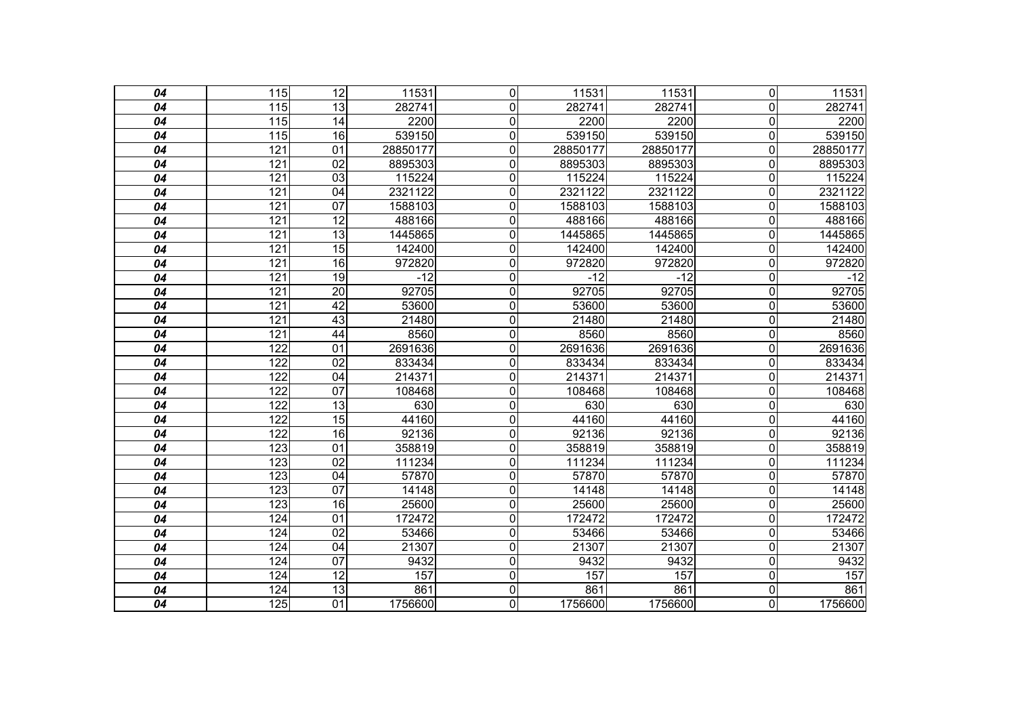| 04 | $\overline{115}$ | $\overline{12}$ | 11531    | $\mathbf 0$    | 11531    | 11531    | $\overline{0}$          | 11531    |
|----|------------------|-----------------|----------|----------------|----------|----------|-------------------------|----------|
| 04 | 115              | $\overline{13}$ | 282741   | $\mathbf 0$    | 282741   | 282741   | $\mathbf 0$             | 282741   |
| 04 | $\overline{115}$ | 14              | 2200     | $\mathbf 0$    | 2200     | 2200     | $\overline{\mathsf{o}}$ | 2200     |
| 04 | 115              | 16              | 539150   | $\mathbf 0$    | 539150   | 539150   | $\overline{\mathsf{o}}$ | 539150   |
| 04 | 121              | 01              | 28850177 | $\mathbf 0$    | 28850177 | 28850177 | $\mathbf 0$             | 28850177 |
| 04 | 121              | $\overline{02}$ | 8895303  | $\mathbf 0$    | 8895303  | 8895303  | $\mathbf 0$             | 8895303  |
| 04 | 121              | 03              | 115224   | $\mathbf 0$    | 115224   | 115224   | $\pmb{0}$               | 115224   |
| 04 | 121              | 04              | 2321122  | $\pmb{0}$      | 2321122  | 2321122  | $\mathbf 0$             | 2321122  |
| 04 | 121              | $\overline{07}$ | 1588103  | $\mathbf 0$    | 1588103  | 1588103  | $\mathbf 0$             | 1588103  |
| 04 | 121              | $\overline{12}$ | 488166   | $\mathbf 0$    | 488166   | 488166   | $\mathbf 0$             | 488166   |
| 04 | 121              | $\overline{13}$ | 1445865  | 0              | 1445865  | 1445865  | $\mathbf 0$             | 1445865  |
| 04 | 121              | $\overline{15}$ | 142400   | $\mathbf 0$    | 142400   | 142400   | $\mathbf 0$             | 142400   |
| 04 | 121              | $\overline{16}$ | 972820   | $\mathbf 0$    | 972820   | 972820   | $\overline{0}$          | 972820   |
| 04 | 121              | 19              | $-12$    | $\overline{0}$ | $-12$    | $-12$    | $\overline{\mathsf{o}}$ | $-12$    |
| 04 | 121              | $\overline{20}$ | 92705    | $\mathbf 0$    | 92705    | 92705    | $\overline{0}$          | 92705    |
| 04 | 121              | 42              | 53600    | $\mathbf 0$    | 53600    | 53600    | $\overline{0}$          | 53600    |
| 04 | 121              | 43              | 21480    | $\overline{0}$ | 21480    | 21480    | $\overline{0}$          | 21480    |
| 04 | 121              | 44              | 8560     | $\mathbf 0$    | 8560     | 8560     | $\overline{0}$          | 8560     |
| 04 | 122              | $\overline{01}$ | 2691636  | $\overline{0}$ | 2691636  | 2691636  | $\overline{0}$          | 2691636  |
| 04 | 122              | $\overline{02}$ | 833434   | $\mathbf 0$    | 833434   | 833434   | $\overline{0}$          | 833434   |
| 04 | 122              | $\overline{04}$ | 214371   | $\overline{0}$ | 214371   | 214371   | $\overline{\mathsf{o}}$ | 214371   |
| 04 | 122              | 07              | 108468   | $\overline{0}$ | 108468   | 108468   | $\overline{\mathsf{o}}$ | 108468   |
| 04 | 122              | 13              | 630      | $\mathbf 0$    | 630      | 630      | $\mathbf 0$             | 630      |
| 04 | 122              | 15              | 44160    | $\mathbf 0$    | 44160    | 44160    | $\overline{0}$          | 44160    |
| 04 | 122              | 16              | 92136    | $\mathbf 0$    | 92136    | 92136    | $\overline{0}$          | 92136    |
| 04 | 123              | 01              | 358819   | 0              | 358819   | 358819   | $\overline{0}$          | 358819   |
| 04 | 123              | 02              | 111234   | $\mathbf 0$    | 111234   | 111234   | $\mathbf 0$             | 111234   |
| 04 | 123              | 04              | 57870    | $\mathbf 0$    | 57870    | 57870    | $\mathbf 0$             | 57870    |
| 04 | 123              | $\overline{07}$ | 14148    | $\overline{0}$ | 14148    | 14148    | $\mathbf 0$             | 14148    |
| 04 | $\overline{123}$ | $\overline{16}$ | 25600    | 0              | 25600    | 25600    | $\overline{\mathsf{o}}$ | 25600    |
| 04 | 124              | 01              | 172472   | $\mathbf 0$    | 172472   | 172472   | $\mathbf 0$             | 172472   |
| 04 | 124              | 02              | 53466    | $\mathbf 0$    | 53466    | 53466    | $\mathbf 0$             | 53466    |
| 04 | 124              | $\overline{04}$ | 21307    | $\overline{0}$ | 21307    | 21307    | $\overline{\mathsf{o}}$ | 21307    |
| 04 | 124              | 07              | 9432     | $\mathbf 0$    | 9432     | 9432     | $\mathbf 0$             | 9432     |
| 04 | 124              | 12              | 157      | $\mathbf 0$    | 157      | 157      | $\mathsf{O}\xspace$     | 157      |
| 04 | 124              | $\overline{13}$ | 861      | $\mathbf 0$    | 861      | 861      | $\pmb{0}$               | 861      |
| 04 | 125              | 01              | 1756600  | $\overline{0}$ | 1756600  | 1756600  | $\overline{0}$          | 1756600  |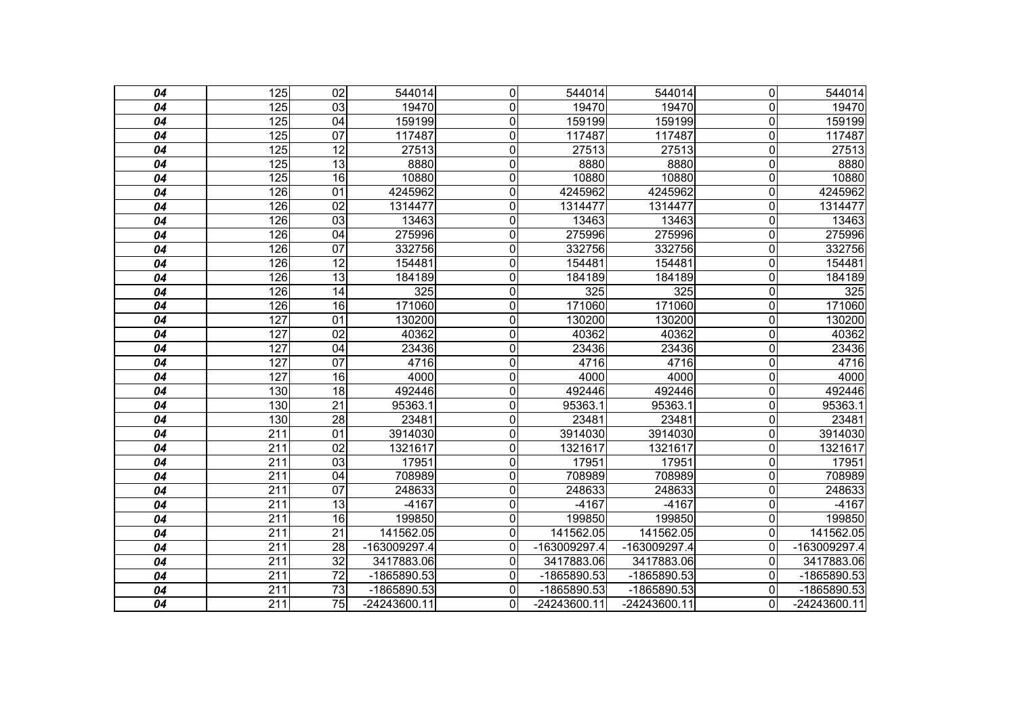| 04 | 125              | 02              | 544014       | $\overline{0}$ | 544014       | 544014       | $\overline{0}$          | 544014       |
|----|------------------|-----------------|--------------|----------------|--------------|--------------|-------------------------|--------------|
| 04 | 125              | 03              | 19470        | 0              | 19470        | 19470        | $\mathbf 0$             | 19470        |
| 04 | 125              | $\overline{04}$ | 159199       | $\overline{0}$ | 159199       | 159199       | $\overline{0}$          | 159199       |
| 04 | 125              | 07              | 117487       | 0              | 117487       | 117487       | $\mathbf 0$             | 117487       |
| 04 | 125              | 12              | 27513        | 0              | 27513        | 27513        | $\mathbf 0$             | 27513        |
| 04 | 125              | 13              | 8880         | 0              | 8880         | 8880         | $\mathbf 0$             | 8880         |
| 04 | 125              | 16              | 10880        | 0              | 10880        | 10880        | $\mathbf 0$             | 10880        |
| 04 | 126              | 01              | 4245962      | 0              | 4245962      | 4245962      | $\mathbf 0$             | 4245962      |
| 04 | 126              | $\overline{02}$ | 1314477      | 0              | 1314477      | 1314477      | 0                       | 1314477      |
| 04 | 126              | 03              | 13463        | 0              | 13463        | 13463        | $\mathbf 0$             | 13463        |
| 04 | 126              | $\overline{04}$ | 275996       | $\overline{0}$ | 275996       | 275996       | $\overline{\mathsf{o}}$ | 275996       |
| 04 | 126              | $\overline{07}$ | 332756       | 0              | 332756       | 332756       | $\pmb{0}$               | 332756       |
| 04 | 126              | 12              | 154481       | $\overline{0}$ | 154481       | 154481       | $\pmb{0}$               | 154481       |
| 04 | 126              | 13              | 184189       | 0              | 184189       | 184189       | $\mathbf 0$             | 184189       |
| 04 | 126              | $\overline{14}$ | 325          | 0              | 325          | 325          | $\mathbf 0$             | 325          |
| 04 | 126              | $\overline{16}$ | 171060       | 0              | 171060       | 171060       | $\mathbf 0$             | 171060       |
| 04 | 127              | 01              | 130200       | 0              | 130200       | 130200       | $\mathbf 0$             | 130200       |
| 04 | 127              | 02              | 40362        | 0              | 40362        | 40362        | $\overline{0}$          | 40362        |
| 04 | 127              | $\overline{04}$ | 23436        | 0              | 23436        | 23436        | $\overline{0}$          | 23436        |
| 04 | 127              | $\overline{07}$ | 4716         | 0              | 4716         | 4716         | $\overline{0}$          | 4716         |
| 04 | 127              | 16              | 4000         | 0              | 4000         | 4000         | $\overline{0}$          | 4000         |
| 04 | 130              | $\overline{18}$ | 492446       | $\overline{0}$ | 492446       | 492446       | $\overline{0}$          | 492446       |
| 04 | 130              | $\overline{21}$ | 95363.1      | 0              | 95363.1      | 95363.1      | $\overline{0}$          | 95363.1      |
| 04 | 130              | 28              | 23481        | 0              | 23481        | 23481        | $\overline{0}$          | 23481        |
| 04 | $\overline{211}$ | $\overline{01}$ | 3914030      | $\overline{0}$ | 3914030      | 3914030      | $\overline{0}$          | 3914030      |
| 04 | 211              | 02              | 1321617      | 0              | 1321617      | 1321617      | $\overline{0}$          | 1321617      |
| 04 | 211              | 03              | 17951        | 0              | 17951        | 17951        | $\Omega$                | 17951        |
| 04 | 211              | 04              | 708989       | 0              | 708989       | 708989       | $\overline{0}$          | 708989       |
| 04 | 211              | 07              | 248633       | 0              | 248633       | 248633       | $\overline{0}$          | 248633       |
| 04 | $\overline{211}$ | 13              | $-4167$      | 0              | $-4167$      | $-4167$      | $\Omega$                | $-4167$      |
| 04 | 211              | 16              | 199850       | 0              | 199850       | 199850       | $\Omega$                | 199850       |
| 04 | 211              | 21              | 141562.05    | 0              | 141562.05    | 141562.05    | $\Omega$                | 141562.05    |
| 04 | $\overline{211}$ | $\overline{28}$ | -163009297.4 | 0              | -163009297.4 | -163009297.4 | $\Omega$                | -163009297.4 |
| 04 | 211              | 32              | 3417883.06   | 0              | 3417883.06   | 3417883.06   | $\Omega$                | 3417883.06   |
| 04 | $\overline{211}$ | 72              | -1865890.53  | 0              | -1865890.53  | -1865890.53  | $\Omega$                | -1865890.53  |
| 04 | 211              | $\overline{73}$ | -1865890.53  | 0              | -1865890.53  | -1865890.53  | $\Omega$                | -1865890.53  |
| 04 | 211              | 75              | -24243600.11 | 0              | -24243600.11 | -24243600.11 | $\Omega$                | -24243600.11 |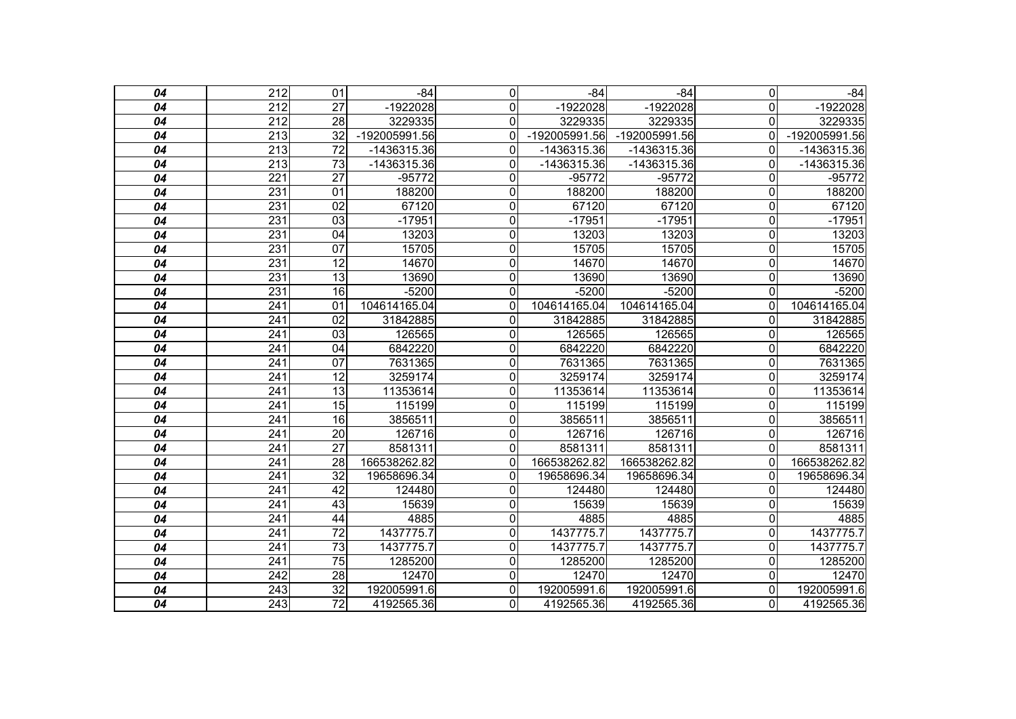| 04 | $\overline{212}$ | 01              | $-84$         | 0              | $-84$         | $-84$         | $\mathbf 0$    | $-84$         |
|----|------------------|-----------------|---------------|----------------|---------------|---------------|----------------|---------------|
| 04 | 212              | 27              | -1922028      | $\mathbf 0$    | $-1922028$    | $-1922028$    | $\Omega$       | -1922028      |
| 04 | 212              | 28              | 3229335       | $\mathbf 0$    | 3229335       | 3229335       | 0              | 3229335       |
|    |                  | $\overline{32}$ |               |                |               |               |                |               |
| 04 | $\overline{213}$ |                 | -192005991.56 | $\mathbf 0$    | -192005991.56 | -192005991.56 | $\Omega$       | -192005991.56 |
| 04 | $\overline{213}$ | $\overline{72}$ | $-1436315.36$ | $\Omega$       | -1436315.36   | -1436315.36   | $\Omega$       | $-1436315.36$ |
| 04 | 213              | $\overline{73}$ | $-1436315.36$ | $\mathbf 0$    | -1436315.36   | -1436315.36   | $\Omega$       | -1436315.36   |
| 04 | 221              | $\overline{27}$ | $-95772$      | $\mathbf 0$    | $-95772$      | $-95772$      | $\Omega$       | $-95772$      |
| 04 | 231              | $\overline{01}$ | 188200        | $\mathbf 0$    | 188200        | 188200        | 0              | 188200        |
| 04 | 231              | $\overline{02}$ | 67120         | $\overline{0}$ | 67120         | 67120         | 0              | 67120         |
| 04 | 231              | $\overline{03}$ | $-17951$      | $\overline{0}$ | $-17951$      | $-17951$      | 0              | $-17951$      |
| 04 | 231              | 04              | 13203         | $\overline{0}$ | 13203         | 13203         | 0              | 13203         |
| 04 | 231              | $\overline{07}$ | 15705         | $\mathbf 0$    | 15705         | 15705         | 0              | 15705         |
| 04 | 231              | 12              | 14670         | $\overline{0}$ | 14670         | 14670         | 0              | 14670         |
| 04 | 231              | 13              | 13690         | $\overline{0}$ | 13690         | 13690         | $\overline{0}$ | 13690         |
| 04 | 231              | $\overline{16}$ | $-5200$       | $\overline{0}$ | $-5200$       | $-5200$       | 0              | $-5200$       |
| 04 | 241              | 01              | 104614165.04  | $\mathbf 0$    | 104614165.04  | 104614165.04  | $\Omega$       | 104614165.04  |
| 04 | $\overline{241}$ | $\overline{02}$ | 31842885      | $\mathbf 0$    | 31842885      | 31842885      | 0              | 31842885      |
| 04 | 241              | 03              | 126565        | $\mathbf 0$    | 126565        | 126565        | $\Omega$       | 126565        |
| 04 | 241              | 04              | 6842220       | $\overline{0}$ | 6842220       | 6842220       | 0              | 6842220       |
| 04 | 241              | $\overline{07}$ | 7631365       | $\overline{0}$ | 7631365       | 7631365       | 0              | 7631365       |
| 04 | 241              | $\overline{12}$ | 3259174       | $\overline{0}$ | 3259174       | 3259174       | 0              | 3259174       |
| 04 | 241              | 13              | 11353614      | $\overline{0}$ | 11353614      | 11353614      | 0              | 11353614      |
| 04 | 241              | $\overline{15}$ | 115199        | $\mathbf 0$    | 115199        | 115199        | $\Omega$       | 115199        |
| 04 | $\overline{241}$ | $\overline{16}$ | 3856511       | $\overline{0}$ | 3856511       | 3856511       | 0              | 3856511       |
| 04 | 241              | $\overline{20}$ | 126716        | $\mathbf 0$    | 126716        | 126716        | 0              | 126716        |
| 04 | 241              | $\overline{27}$ | 8581311       | $\mathbf 0$    | 8581311       | 8581311       | 0              | 8581311       |
| 04 | $\overline{241}$ | $\overline{28}$ | 166538262.82  | $\overline{0}$ | 166538262.82  | 166538262.82  | $\Omega$       | 166538262.82  |
| 04 | 241              | $\overline{32}$ | 19658696.34   | $\mathbf 0$    | 19658696.34   | 19658696.34   | $\Omega$       | 19658696.34   |
| 04 | $\overline{241}$ | 42              | 124480        | $\overline{0}$ | 124480        | 124480        | 0              | 124480        |
| 04 | $\overline{241}$ | 43              | 15639         | $\mathbf 0$    | 15639         | 15639         | 0              | 15639         |
| 04 | 241              | 44              | 4885          | $\overline{0}$ | 4885          | 4885          | 0              | 4885          |
| 04 | 241              | $\overline{72}$ | 1437775.7     | $\overline{0}$ | 1437775.7     | 1437775.7     | 0              | 1437775.7     |
| 04 | $\overline{241}$ | $\overline{73}$ | 1437775.7     | $\mathbf 0$    | 1437775.7     | 1437775.7     | 0              | 1437775.7     |
| 04 | 241              | $\overline{75}$ | 1285200       | $\mathbf 0$    | 1285200       | 1285200       | 0              | 1285200       |
| 04 | $\overline{242}$ | $\overline{28}$ | 12470         | $\overline{0}$ | 12470         | 12470         | 0              | 12470         |
| 04 | $\overline{243}$ | $\overline{32}$ | 192005991.6   | $\mathbf 0$    | 192005991.6   | 192005991.6   | 0              | 192005991.6   |
| 04 | 243              | $\overline{72}$ | 4192565.36    | $\overline{0}$ | 4192565.36    | 4192565.36    | $\Omega$       | 4192565.36    |
|    |                  |                 |               |                |               |               |                |               |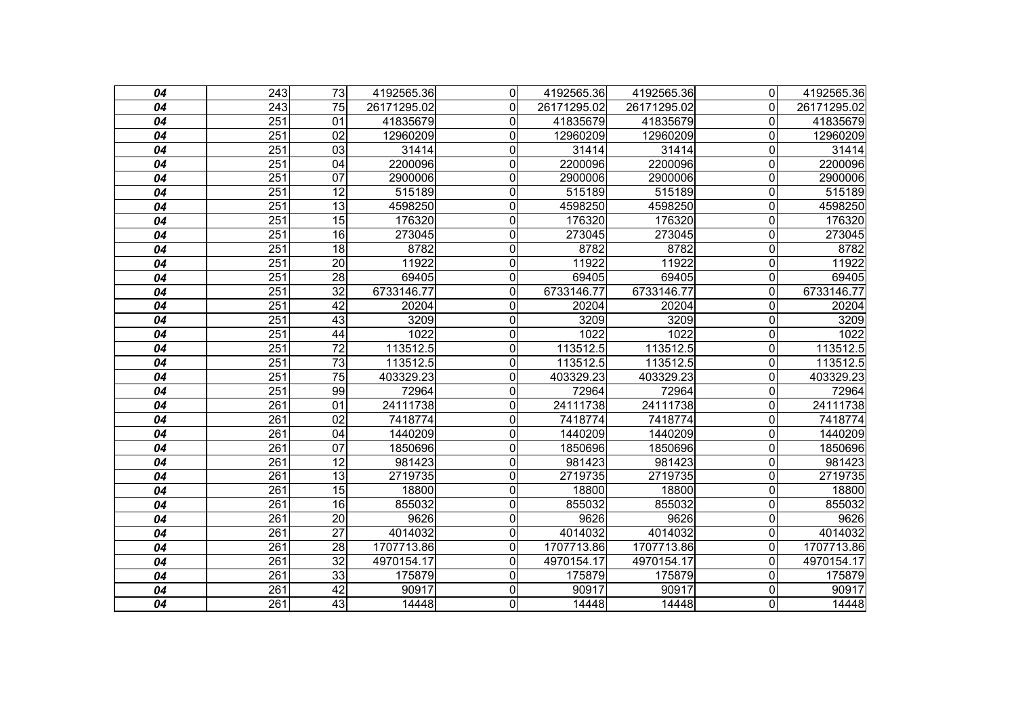| 04 | $\overline{243}$ | 73              | 4192565.36  | $\overline{0}$ | 4192565.36  | 4192565.36  | $\Omega$                | 4192565.36  |
|----|------------------|-----------------|-------------|----------------|-------------|-------------|-------------------------|-------------|
| 04 | 243              | 75              | 26171295.02 | 0              | 26171295.02 | 26171295.02 | 0                       | 26171295.02 |
| 04 | 251              | $\overline{01}$ | 41835679    | $\overline{0}$ | 41835679    | 41835679    | $\mathbf 0$             | 41835679    |
| 04 | $\overline{251}$ | $\overline{02}$ | 12960209    | 0              | 12960209    | 12960209    | 0                       | 12960209    |
| 04 | $\overline{251}$ | 03              | 31414       | 0              | 31414       | 31414       | 0                       | 31414       |
| 04 | 251              | $\overline{04}$ | 2200096     | 0              | 2200096     | 2200096     | $\mathbf 0$             | 2200096     |
| 04 | 251              | $\overline{07}$ | 2900006     | 0              | 2900006     | 2900006     | $\overline{0}$          | 2900006     |
| 04 | 251              | $\overline{12}$ | 515189      | 0              | 515189      | 515189      | 0                       | 515189      |
| 04 | 251              | $\overline{13}$ | 4598250     | 0              | 4598250     | 4598250     | $\overline{\mathsf{o}}$ | 4598250     |
| 04 | $\overline{251}$ | 15              | 176320      | 0              | 176320      | 176320      | $\overline{0}$          | 176320      |
| 04 | $\overline{251}$ | $\overline{16}$ | 273045      | 0              | 273045      | 273045      | 0                       | 273045      |
| 04 | 251              | 18              | 8782        | 0              | 8782        | 8782        | $\overline{0}$          | 8782        |
| 04 | 251              | $\overline{20}$ | 11922       | 0              | 11922       | 11922       | $\overline{0}$          | 11922       |
| 04 | $\overline{251}$ | $\overline{28}$ | 69405       | 0              | 69405       | 69405       | $\overline{0}$          | 69405       |
| 04 | $\overline{251}$ | $\overline{32}$ | 6733146.77  | 0              | 6733146.77  | 6733146.77  | $\mathbf 0$             | 6733146.77  |
| 04 | $\overline{251}$ | $\overline{42}$ | 20204       | 0              | 20204       | 20204       | $\overline{0}$          | 20204       |
| 04 | $\overline{251}$ | 43              | 3209        | 0              | 3209        | 3209        | 0                       | 3209        |
| 04 | 251              | 44              | 1022        | 0              | 1022        | 1022        | $\mathbf 0$             | 1022        |
| 04 | 251              | $\overline{72}$ | 113512.5    | $\overline{0}$ | 113512.5    | 113512.5    | $\overline{\mathsf{o}}$ | 113512.5    |
| 04 | 251              | $\overline{73}$ | 113512.5    | 0              | 113512.5    | 113512.5    | 0                       | 113512.5    |
| 04 | 251              | $\overline{75}$ | 403329.23   | 0              | 403329.23   | 403329.23   | $\mathbf 0$             | 403329.23   |
| 04 | 251              | 99              | 72964       | $\overline{0}$ | 72964       | 72964       | $\overline{0}$          | 72964       |
| 04 | 261              | 01              | 24111738    | 0              | 24111738    | 24111738    | $\Omega$                | 24111738    |
| 04 | 261              | 02              | 7418774     | 0              | 7418774     | 7418774     | $\mathbf 0$             | 7418774     |
| 04 | 261              | 04              | 1440209     | $\overline{0}$ | 1440209     | 1440209     | $\overline{0}$          | 1440209     |
| 04 | 261              | 07              | 1850696     | 0              | 1850696     | 1850696     | 0                       | 1850696     |
| 04 | $\overline{261}$ | $\overline{12}$ | 981423      | 0              | 981423      | 981423      | $\mathbf 0$             | 981423      |
| 04 | $\overline{261}$ | $\overline{13}$ | 2719735     | 0              | 2719735     | 2719735     | $\overline{0}$          | 2719735     |
| 04 | 261              | $\overline{15}$ | 18800       | 0              | 18800       | 18800       | 0                       | 18800       |
| 04 | 261              | 16              | 855032      | $\overline{0}$ | 855032      | 855032      | $\overline{\mathsf{o}}$ | 855032      |
| 04 | $\overline{261}$ | $\overline{20}$ | 9626        | 0              | 9626        | 9626        | $\mathbf 0$             | 9626        |
| 04 | 261              | $\overline{27}$ | 4014032     | 0              | 4014032     | 4014032     | $\overline{0}$          | 4014032     |
| 04 | 261              | $\overline{28}$ | 1707713.86  | $\overline{0}$ | 1707713.86  | 1707713.86  | $\mathbf 0$             | 1707713.86  |
| 04 | $\overline{261}$ | $\overline{32}$ | 4970154.17  | 0              | 4970154.17  | 4970154.17  | 0                       | 4970154.17  |
| 04 | 261              | 33              | 175879      | 0              | 175879      | 175879      | $\Omega$                | 175879      |
| 04 | 261              | 42              | 90917       | $\overline{0}$ | 90917       | 90917       | $\overline{\mathsf{o}}$ | 90917       |
| 04 | $\overline{261}$ | $\overline{43}$ | 14448       | $\overline{0}$ | 14448       | 14448       | O                       | 14448       |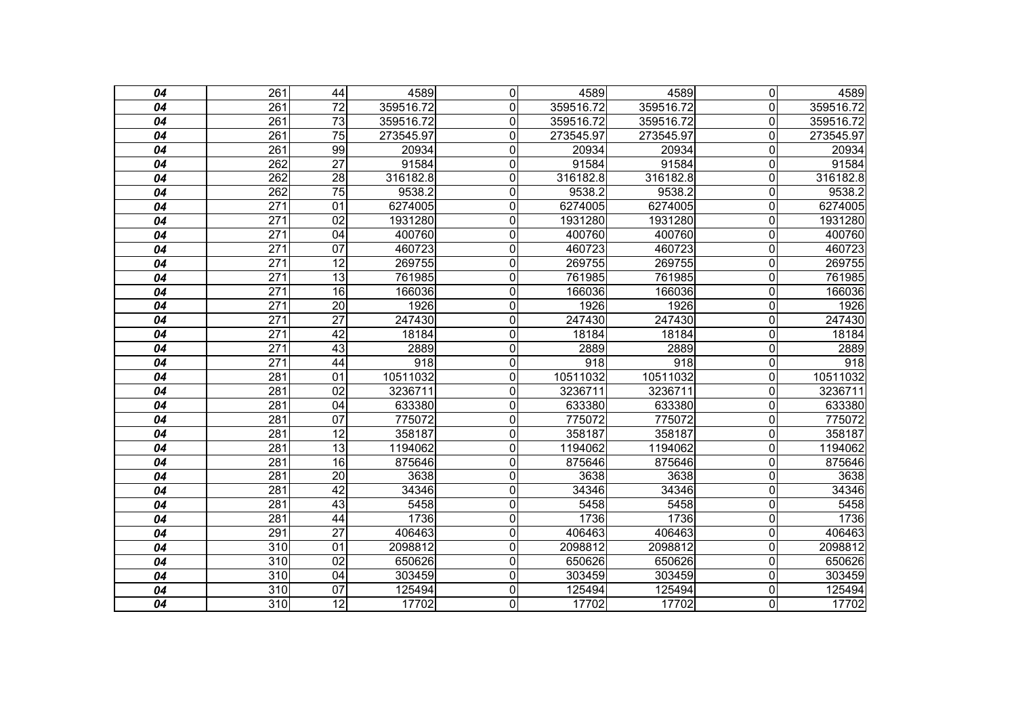| 04              | $\overline{261}$ | 44              | 4589      | $\overline{0}$ | 4589      | 4589      | $\overline{\mathsf{o}}$ | 4589      |
|-----------------|------------------|-----------------|-----------|----------------|-----------|-----------|-------------------------|-----------|
| 04              | 261              | $\overline{72}$ | 359516.72 | 0              | 359516.72 | 359516.72 | $\overline{0}$          | 359516.72 |
| 04              | 261              | $\overline{73}$ | 359516.72 | $\overline{0}$ | 359516.72 | 359516.72 | $\overline{0}$          | 359516.72 |
| 04              | 261              | $\overline{75}$ | 273545.97 | $\overline{0}$ | 273545.97 | 273545.97 | $\overline{0}$          | 273545.97 |
| 04              | 261              | 99              | 20934     | 0              | 20934     | 20934     | 0                       | 20934     |
| 04              | 262              | $\overline{27}$ | 91584     | $\overline{0}$ | 91584     | 91584     | $\overline{0}$          | 91584     |
| 04              | 262              | $\overline{28}$ | 316182.8  | 0              | 316182.8  | 316182.8  | $\mathbf 0$             | 316182.8  |
| 04              | 262              | $\overline{75}$ | 9538.2    | 0              | 9538.2    | 9538.2    | $\overline{0}$          | 9538.2    |
| 04              | 271              | 01              | 6274005   | $\overline{0}$ | 6274005   | 6274005   | $\overline{\mathsf{o}}$ | 6274005   |
| 04              | $\overline{271}$ | $\overline{02}$ | 1931280   | 0              | 1931280   | 1931280   | $\mathbf 0$             | 1931280   |
| 04              | 271              | 04              | 400760    | $\overline{0}$ | 400760    | 400760    | $\overline{0}$          | 400760    |
| 04              | 271              | 07              | 460723    | $\overline{0}$ | 460723    | 460723    | $\overline{0}$          | 460723    |
| 04              | 271              | 12              | 269755    | 0              | 269755    | 269755    | $\overline{0}$          | 269755    |
| 04              | 271              | 13              | 761985    | $\overline{0}$ | 761985    | 761985    | $\overline{0}$          | 761985    |
| 04              | $\overline{271}$ | 16              | 166036    | $\overline{0}$ | 166036    | 166036    | $\mathbf 0$             | 166036    |
| 04              | $\overline{271}$ | $\overline{20}$ | 1926      | 0              | 1926      | 1926      | $\overline{0}$          | 1926      |
| 04              | 271              | $\overline{27}$ | 247430    | $\overline{0}$ | 247430    | 247430    | $\overline{\mathsf{o}}$ | 247430    |
| 04              | 271              | 42              | 18184     | $\overline{0}$ | 18184     | 18184     | $\overline{0}$          | 18184     |
| 04              | 271              | 43              | 2889      | $\overline{0}$ | 2889      | 2889      | $\overline{0}$          | 2889      |
| 04              | $\overline{271}$ | 44              | 918       | $\overline{0}$ | 918       | 918       | $\overline{0}$          | 918       |
| 04              | 281              | 01              | 10511032  | 0              | 10511032  | 10511032  | $\mathbf 0$             | 10511032  |
| 04              | 281              | $\overline{02}$ | 3236711   | $\overline{0}$ | 3236711   | 3236711   | $\overline{0}$          | 3236711   |
| 04              | 281              | $\overline{04}$ | 633380    | $\overline{0}$ | 633380    | 633380    | $\overline{0}$          | 633380    |
| 04              | 281              | 07              | 775072    | 0              | 775072    | 775072    | $\overline{0}$          | 775072    |
| 04              | 281              | $\overline{12}$ | 358187    | $\overline{0}$ | 358187    | 358187    | $\overline{0}$          | 358187    |
| 04              | 281              | $\overline{13}$ | 1194062   | $\overline{0}$ | 1194062   | 1194062   | $\mathbf 0$             | 1194062   |
| 04              | 281              | 16              | 875646    | 0              | 875646    | 875646    | $\overline{0}$          | 875646    |
| 04              | 281              | $\overline{20}$ | 3638      | 0              | 3638      | 3638      | $\mathbf 0$             | 3638      |
| 04              | 281              | 42              | 34346     | $\overline{0}$ | 34346     | 34346     | $\overline{0}$          | 34346     |
| 04              | 281              | 43              | 5458      | $\overline{0}$ | 5458      | 5458      | $\overline{0}$          | 5458      |
| 04              | 281              | 44              | 1736      | 0              | 1736      | 1736      | $\overline{0}$          | 1736      |
| 04              | 291              | $\overline{27}$ | 406463    | 0              | 406463    | 406463    | $\mathbf 0$             | 406463    |
| 04              | 310              | 01              | 2098812   | $\overline{0}$ | 2098812   | 2098812   | $\overline{0}$          | 2098812   |
| 04              | $\overline{310}$ | $\overline{02}$ | 650626    | $\overline{0}$ | 650626    | 650626    | $\overline{0}$          | 650626    |
| 04              | $\overline{310}$ | 04              | 303459    | 0              | 303459    | 303459    | $\mathbf 0$             | 303459    |
| 04              | 310              | 07              | 125494    | $\overline{0}$ | 125494    | 125494    | $\overline{\mathsf{o}}$ | 125494    |
| $\overline{04}$ | $\overline{310}$ | $\overline{12}$ | 17702     | $\overline{0}$ | 17702     | 17702     | O                       | 17702     |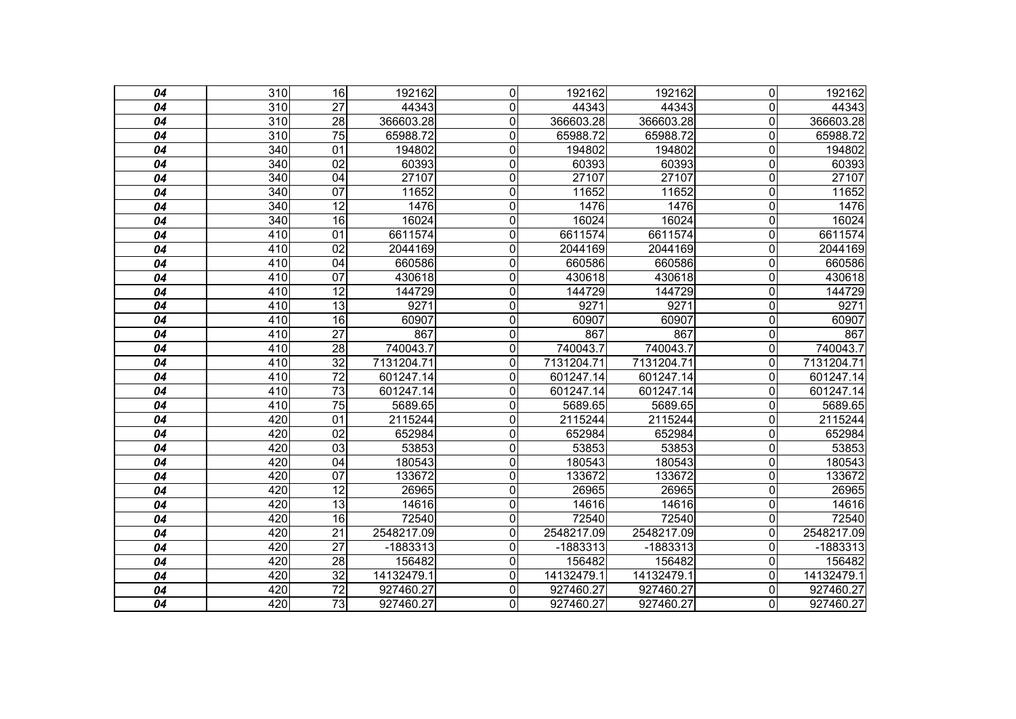| 04 | 310              | 16              | 192162     | $\Omega$     | 192162     | 192162     | $\overline{0}$ | 192162     |
|----|------------------|-----------------|------------|--------------|------------|------------|----------------|------------|
| 04 | $\overline{310}$ | $\overline{27}$ | 44343      | 0            | 44343      | 44343      | $\Omega$       | 44343      |
| 04 | 310              | 28              | 366603.28  | 0            | 366603.28  | 366603.28  | $\mathbf 0$    | 366603.28  |
| 04 | 310              | $\overline{75}$ | 65988.72   | 0            | 65988.72   | 65988.72   | $\mathbf{0}$   | 65988.72   |
| 04 | 340              | 01              | 194802     | $\mathbf 0$  | 194802     | 194802     | 0              | 194802     |
| 04 | $\overline{340}$ | 02              | 60393      | $\mathbf{0}$ | 60393      | 60393      | 0              | 60393      |
| 04 | 340              | 04              | 27107      | $\mathbf 0$  | 27107      | 27107      | 0              | 27107      |
| 04 | 340              | $\overline{07}$ | 11652      | 0            | 11652      | 11652      | 0              | 11652      |
| 04 | $\overline{340}$ | 12              | 1476       | $\mathbf 0$  | 1476       | 1476       | 0              | 1476       |
| 04 | 340              | $\overline{16}$ | 16024      | 0            | 16024      | 16024      | $\mathbf 0$    | 16024      |
| 04 | 410              | $\overline{01}$ | 6611574    | 0            | 6611574    | 6611574    | 0              | 6611574    |
| 04 | 410              | $\overline{02}$ | 2044169    | $\mathbf 0$  | 2044169    | 2044169    | $\mathbf 0$    | 2044169    |
| 04 | 410              | 04              | 660586     | $\mathbf 0$  | 660586     | 660586     | $\mathbf{0}$   | 660586     |
| 04 | 410              | $\overline{07}$ | 430618     | 0            | 430618     | 430618     | $\Omega$       | 430618     |
| 04 | 410              | $\overline{12}$ | 144729     | 0            | 144729     | 144729     | 0              | 144729     |
| 04 | 410              | $\overline{13}$ | 9271       | 0            | 9271       | 9271       | $\mathbf 0$    | 9271       |
| 04 | 410              | 16              | 60907      | 0            | 60907      | 60907      | $\mathbf 0$    | 60907      |
| 04 | 410              | $\overline{27}$ | 867        | $\mathbf 0$  | 867        | 867        | $\mathbf 0$    | 867        |
| 04 | 410              | 28              | 740043.7   | 0            | 740043.7   | 740043.7   | 0              | 740043.7   |
| 04 | 410              | $\overline{32}$ | 7131204.71 | $\mathbf 0$  | 7131204.71 | 7131204.71 | 0              | 7131204.71 |
| 04 | 410              | $\overline{72}$ | 601247.14  | $\mathbf 0$  | 601247.14  | 601247.14  | $\Omega$       | 601247.14  |
| 04 | 410              | $\overline{73}$ | 601247.14  | 0            | 601247.14  | 601247.14  | $\Omega$       | 601247.14  |
| 04 | 410              | $\overline{75}$ | 5689.65    | $\mathbf 0$  | 5689.65    | 5689.65    | $\mathbf{0}$   | 5689.65    |
| 04 | 420              | 01              | 2115244    | 0            | 2115244    | 2115244    | $\Omega$       | 2115244    |
| 04 | 420              | $\overline{02}$ | 652984     | $\mathbf 0$  | 652984     | 652984     | $\mathbf{0}$   | 652984     |
| 04 | 420              | 03              | 53853      | 0            | 53853      | 53853      | $\mathbf{0}$   | 53853      |
| 04 | 420              | 04              | 180543     | 0            | 180543     | 180543     | 0              | 180543     |
| 04 | 420              | 07              | 133672     | 0            | 133672     | 133672     | 0              | 133672     |
| 04 | 420              | 12              | 26965      | 0            | 26965      | 26965      | 0              | 26965      |
| 04 | 420              | $\overline{13}$ | 14616      | 0            | 14616      | 14616      | 0              | 14616      |
| 04 | 420              | 16              | 72540      | 0            | 72540      | 72540      | $\mathbf{0}$   | 72540      |
| 04 | 420              | 21              | 2548217.09 | 0            | 2548217.09 | 2548217.09 | 0              | 2548217.09 |
| 04 | 420              | $\overline{27}$ | $-1883313$ | 0            | $-1883313$ | -1883313   | 0              | -1883313   |
| 04 | 420              | 28              | 156482     | 0            | 156482     | 156482     | 0              | 156482     |
| 04 | 420              | 32              | 14132479.1 | 0            | 14132479.1 | 14132479.1 | 0              | 14132479.1 |
| 04 | 420              | $\overline{72}$ | 927460.27  | 0            | 927460.27  | 927460.27  | 0              | 927460.27  |
| 04 | 420              | 73              | 927460.27  | 0            | 927460.27  | 927460.27  | 0              | 927460.27  |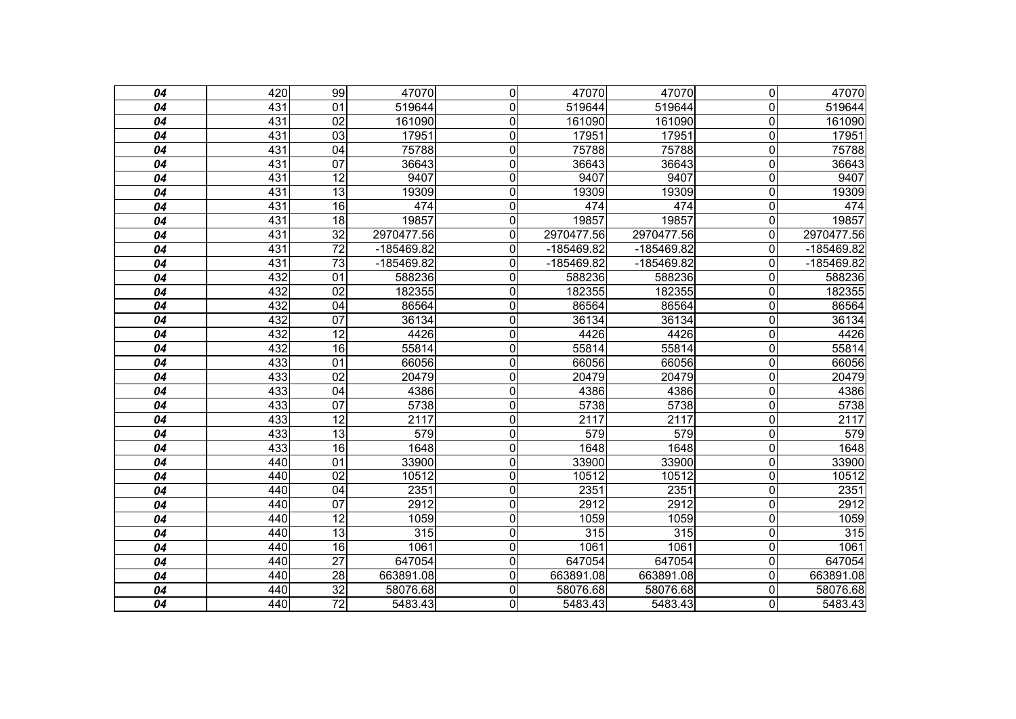| 04              | 420 | 99              | 47070      | $\overline{0}$ | 47070      | 47070      | $\overline{0}$          | 47070        |
|-----------------|-----|-----------------|------------|----------------|------------|------------|-------------------------|--------------|
| 04              | 431 | 01              | 519644     | 0              | 519644     | 519644     | $\overline{0}$          | 519644       |
| 04              | 431 | $\overline{02}$ | 161090     | $\mathbf 0$    | 161090     | 161090     | $\mathbf 0$             | 161090       |
| $\overline{04}$ | 431 | $\overline{03}$ | 17951      | 0              | 17951      | 17951      | $\mathbf 0$             | 17951        |
| 04              | 431 | 04              | 75788      | $\mathbf 0$    | 75788      | 75788      | $\mathbf 0$             | 75788        |
| 04              | 431 | 07              | 36643      | $\mathbf 0$    | 36643      | 36643      | $\mathbf 0$             | 36643        |
| 04              | 431 | 12              | 9407       | $\mathbf 0$    | 9407       | 9407       | $\mathbf 0$             | 9407         |
| 04              | 431 | $\overline{13}$ | 19309      | $\mathbf 0$    | 19309      | 19309      | $\overline{0}$          | 19309        |
| 04              | 431 | 16              | 474        | $\mathbf 0$    | 474        | 474        | $\mathbf 0$             | 474          |
| 04              | 431 | $\overline{18}$ | 19857      | $\mathbf 0$    | 19857      | 19857      | $\mathbf 0$             | 19857        |
| 04              | 431 | $\overline{32}$ | 2970477.56 | $\mathbf 0$    | 2970477.56 | 2970477.56 | $\Omega$                | 2970477.56   |
| 04              | 431 | $\overline{72}$ | -185469.82 | 0              | -185469.82 | -185469.82 | 0                       | -185469.82   |
| 04              | 431 | $\overline{73}$ | -185469.82 | 0              | -185469.82 | -185469.82 | 0                       | $-185469.82$ |
| 04              | 432 | $\overline{01}$ | 588236     | 0              | 588236     | 588236     | $\mathbf{0}$            | 588236       |
| 04              | 432 | 02              | 182355     | 0              | 182355     | 182355     | $\mathbf 0$             | 182355       |
| 04              | 432 | 04              | 86564      | $\mathbf 0$    | 86564      | 86564      | $\mathbf 0$             | 86564        |
| 04              | 432 | 07              | 36134      | $\mathbf 0$    | 36134      | 36134      | $\mathbf 0$             | 36134        |
| 04              | 432 | $\overline{12}$ | 4426       | $\mathbf 0$    | 4426       | 4426       | $\mathbf 0$             | 4426         |
| 04              | 432 | 16              | 55814      | $\overline{0}$ | 55814      | 55814      | $\overline{\mathsf{o}}$ | 55814        |
| 04              | 433 | 01              | 66056      | 0              | 66056      | 66056      | $\overline{0}$          | 66056        |
| 04              | 433 | $\overline{02}$ | 20479      | $\mathbf 0$    | 20479      | 20479      | $\mathbf 0$             | 20479        |
| 04              | 433 | 04              | 4386       | $\overline{0}$ | 4386       | 4386       | $\overline{\mathsf{o}}$ | 4386         |
| 04              | 433 | 07              | 5738       | $\mathbf 0$    | 5738       | 5738       | $\mathbf 0$             | 5738         |
| 04              | 433 | $\overline{12}$ | 2117       | $\mathbf 0$    | 2117       | 2117       | $\mathbf 0$             | 2117         |
| 04              | 433 | 13              | 579        | $\overline{0}$ | 579        | 579        | $\overline{\mathsf{o}}$ | 579          |
| 04              | 433 | 16              | 1648       | 0              | 1648       | 1648       | $\mathbf 0$             | 1648         |
| 04              | 440 | $\overline{01}$ | 33900      | $\mathbf 0$    | 33900      | 33900      | $\mathbf 0$             | 33900        |
| 04              | 440 | $\overline{02}$ | 10512      | $\overline{0}$ | 10512      | 10512      | $\mathbf 0$             | 10512        |
| 04              | 440 | 04              | 2351       | $\mathbf 0$    | 2351       | 2351       | $\overline{0}$          | 2351         |
| 04              | 440 | 07              | 2912       | $\overline{0}$ | 2912       | 2912       | $\overline{\mathsf{o}}$ | 2912         |
| 04              | 440 | $\overline{12}$ | 1059       | $\mathbf 0$    | 1059       | 1059       | $\overline{\mathsf{o}}$ | 1059         |
| 04              | 440 | $\overline{13}$ | 315        | $\mathbf 0$    | 315        | 315        | $\mathbf 0$             | 315          |
| 04              | 440 | 16              | 1061       | $\overline{0}$ | 1061       | 1061       | $\overline{\mathsf{o}}$ | 1061         |
| 04              | 440 | $\overline{27}$ | 647054     | $\mathbf 0$    | 647054     | 647054     | $\mathbf 0$             | 647054       |
| 04              | 440 | 28              | 663891.08  | $\mathbf 0$    | 663891.08  | 663891.08  | $\overline{0}$          | 663891.08    |
| 04              | 440 | $\overline{32}$ | 58076.68   | $\mathbf 0$    | 58076.68   | 58076.68   | $\mathbf 0$             | 58076.68     |
| 04              | 440 | $\overline{72}$ | 5483.43    | $\overline{0}$ | 5483.43    | 5483.43    | $\overline{0}$          | 5483.43      |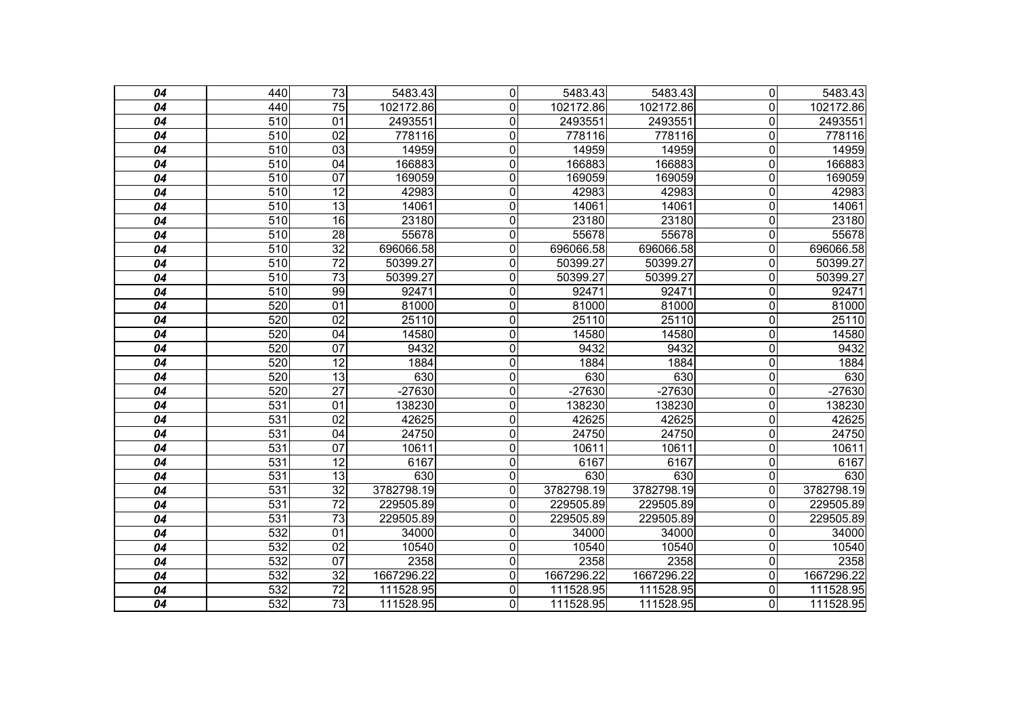| 04 | 440              | $\overline{73}$ | 5483.43    | 0              | 5483.43    | 5483.43    | $\overline{0}$          | 5483.43    |
|----|------------------|-----------------|------------|----------------|------------|------------|-------------------------|------------|
| 04 | 440              | $\overline{75}$ | 102172.86  | $\mathbf 0$    | 102172.86  | 102172.86  | $\mathbf 0$             | 102172.86  |
| 04 | 510              | 01              | 2493551    | $\mathbf 0$    | 2493551    | 2493551    | $\mathbf 0$             | 2493551    |
| 04 | 510              | 02              | 778116     | $\mathbf 0$    | 778116     | 778116     | $\mathbf 0$             | 778116     |
| 04 | 510              | 03              | 14959      | $\mathbf 0$    | 14959      | 14959      | $\mathbf 0$             | 14959      |
| 04 | 510              | $\overline{04}$ | 166883     | $\mathbf 0$    | 166883     | 166883     | $\mathbf 0$             | 166883     |
| 04 | 510              | $\overline{07}$ | 169059     | $\mathbf 0$    | 169059     | 169059     | $\mathbf 0$             | 169059     |
| 04 | 510              | $\overline{12}$ | 42983      | $\mathbf 0$    | 42983      | 42983      | $\mathbf 0$             | 42983      |
| 04 | 510              | 13              | 14061      | $\overline{0}$ | 14061      | 14061      | $\overline{\mathsf{o}}$ | 14061      |
| 04 | 510              | 16              | 23180      | $\mathbf 0$    | 23180      | 23180      | $\mathbf 0$             | 23180      |
| 04 | 510              | 28              | 55678      | $\mathbf 0$    | 55678      | 55678      | $\mathbf 0$             | 55678      |
| 04 | 510              | $\overline{32}$ | 696066.58  | $\mathbf 0$    | 696066.58  | 696066.58  | $\mathbf 0$             | 696066.58  |
| 04 | 510              | $\overline{72}$ | 50399.27   | 0              | 50399.27   | 50399.27   | $\mathbf 0$             | 50399.27   |
| 04 | 510              | $\overline{73}$ | 50399.27   | 0              | 50399.27   | 50399.27   | $\mathbf 0$             | 50399.27   |
| 04 | 510              | 99              | 92471      | 0              | 92471      | 92471      | $\mathbf 0$             | 92471      |
| 04 | 520              | 01              | 81000      | $\mathbf 0$    | 81000      | 81000      | $\mathbf 0$             | 81000      |
| 04 | 520              | $\overline{02}$ | 25110      | $\mathbf 0$    | 25110      | 25110      | $\overline{\mathsf{o}}$ | 25110      |
| 04 | 520              | 04              | 14580      | $\mathbf 0$    | 14580      | 14580      | $\mathbf 0$             | 14580      |
| 04 | 520              | $\overline{07}$ | 9432       | $\overline{0}$ | 9432       | 9432       | $\overline{0}$          | 9432       |
| 04 | 520              | $\overline{12}$ | 1884       | $\mathbf 0$    | 1884       | 1884       | $\overline{0}$          | 1884       |
| 04 | 520              | $\overline{13}$ | 630        | $\overline{0}$ | 630        | 630        | $\overline{0}$          | 630        |
| 04 | 520              | $\overline{27}$ | $-27630$   | $\overline{0}$ | $-27630$   | $-27630$   | $\overline{0}$          | $-27630$   |
| 04 | 531              | 01              | 138230     | $\mathbf 0$    | 138230     | 138230     | $\mathbf 0$             | 138230     |
| 04 | 531              | $\overline{02}$ | 42625      | $\mathbf 0$    | 42625      | 42625      | $\mathbf 0$             | 42625      |
| 04 | 531              | $\overline{04}$ | 24750      | $\overline{0}$ | 24750      | 24750      | $\overline{\mathsf{o}}$ | 24750      |
| 04 | $\overline{531}$ | $\overline{07}$ | 10611      | $\overline{0}$ | 10611      | 10611      | $\mathbf 0$             | 10611      |
| 04 | 531              | 12              | 6167       | $\overline{0}$ | 6167       | 6167       | $\overline{0}$          | 6167       |
| 04 | 531              | 13              | 630        | 0              | 630        | 630        | $\mathbf 0$             | 630        |
| 04 | 531              | 32              | 3782798.19 | 0              | 3782798.19 | 3782798.19 | $\Omega$                | 3782798.19 |
| 04 | 531              | $\overline{72}$ | 229505.89  | 0              | 229505.89  | 229505.89  | $\mathbf{0}$            | 229505.89  |
| 04 | 531              | 73              | 229505.89  | $\mathbf 0$    | 229505.89  | 229505.89  | $\mathbf 0$             | 229505.89  |
| 04 | 532              | 01              | 34000      | 0              | 34000      | 34000      | 0                       | 34000      |
| 04 | 532              | $\overline{02}$ | 10540      | 0              | 10540      | 10540      | $\mathbf 0$             | 10540      |
| 04 | 532              | $\overline{07}$ | 2358       | $\mathbf 0$    | 2358       | 2358       | $\mathbf 0$             | 2358       |
| 04 | 532              | $\overline{32}$ | 1667296.22 | $\mathbf 0$    | 1667296.22 | 1667296.22 | $\mathbf 0$             | 1667296.22 |
| 04 | 532              | $\overline{72}$ | 111528.95  | $\mathbf 0$    | 111528.95  | 111528.95  | $\mathbf 0$             | 111528.95  |
| 04 | 532              | 73              | 111528.95  | 0              | 111528.95  | 111528.95  | 0                       | 111528.95  |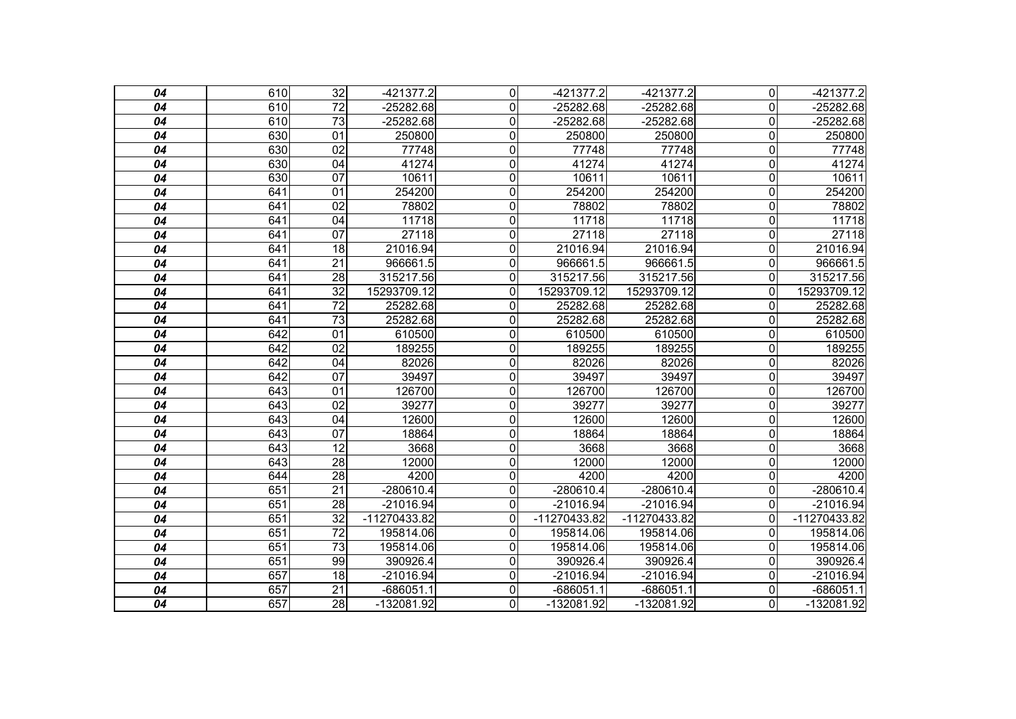| 04 | 610 | $\overline{32}$ | $-421377.2$  | $\overline{0}$   | $-421377.2$  | $-421377.2$  | $\overline{0}$ | $-421377.2$  |
|----|-----|-----------------|--------------|------------------|--------------|--------------|----------------|--------------|
| 04 | 610 | $\overline{72}$ | $-25282.68$  | 0                | $-25282.68$  | $-25282.68$  | $\overline{0}$ | $-25282.68$  |
| 04 | 610 | 73              | $-25282.68$  | $\mathbf 0$      | $-25282.68$  | $-25282.68$  | $\mathbf 0$    | $-25282.68$  |
| 04 | 630 | 01              | 250800       | $\mathbf 0$      | 250800       | 250800       | $\mathbf 0$    | 250800       |
| 04 | 630 | $\overline{02}$ | 77748        | $\mathbf 0$      | 77748        | 77748        | 0              | 77748        |
| 04 | 630 | $\overline{04}$ | 41274        | $\mathbf 0$      | 41274        | 41274        | $\mathbf 0$    | 41274        |
| 04 | 630 | 07              | 10611        | $\mathbf 0$      | 10611        | 10611        | $\mathbf 0$    | 10611        |
| 04 | 641 | $\overline{01}$ | 254200       | $\mathbf 0$      | 254200       | 254200       | $\mathbf 0$    | 254200       |
| 04 | 641 | 02              | 78802        | $\mathbf 0$      | 78802        | 78802        | $\mathbf 0$    | 78802        |
| 04 | 641 | 04              | 11718        | $\mathbf 0$      | 11718        | 11718        | $\mathbf 0$    | 11718        |
| 04 | 641 | 07              | 27118        | 0                | 27118        | 27118        | $\Omega$       | 27118        |
| 04 | 641 | $\overline{18}$ | 21016.94     | $\mathbf 0$      | 21016.94     | 21016.94     | $\mathbf 0$    | 21016.94     |
| 04 | 641 | $\overline{21}$ | 966661.5     | 0                | 966661.5     | 966661.5     | $\Omega$       | 966661.5     |
| 04 | 641 | 28              | 315217.56    | 0                | 315217.56    | 315217.56    | $\Omega$       | 315217.56    |
| 04 | 641 | $\overline{32}$ | 15293709.12  | 0                | 15293709.12  | 15293709.12  | $\Omega$       | 15293709.12  |
| 04 | 641 | 72              | 25282.68     | $\mathbf{0}$     | 25282.68     | 25282.68     | $\Omega$       | 25282.68     |
| 04 | 641 | $\overline{73}$ | 25282.68     | $\mathbf{0}$     | 25282.68     | 25282.68     | $\Omega$       | 25282.68     |
| 04 | 642 | $\overline{01}$ | 610500       | $\mathbf 0$      | 610500       | 610500       | $\overline{0}$ | 610500       |
| 04 | 642 | $\overline{02}$ | 189255       | $\mathbf 0$      | 189255       | 189255       | $\overline{0}$ | 189255       |
| 04 | 642 | 04              | 82026        | $\mathbf 0$      | 82026        | 82026        | $\overline{0}$ | 82026        |
| 04 | 642 | $\overline{07}$ | 39497        | $\mathbf 0$      | 39497        | 39497        | $\overline{0}$ | 39497        |
| 04 | 643 | $\overline{01}$ | 126700       | $\overline{0}$   | 126700       | 126700       | $\overline{0}$ | 126700       |
| 04 | 643 | 02              | 39277        | $\mathbf 0$      | 39277        | 39277        | $\overline{0}$ | 39277        |
| 04 | 643 | 04              | 12600        | $\mathbf 0$      | 12600        | 12600        | $\mathbf 0$    | 12600        |
| 04 | 643 | 07              | 18864        | $\mathbf 0$      | 18864        | 18864        | $\mathbf 0$    | 18864        |
| 04 | 643 | $\overline{12}$ | 3668         | 0                | 3668         | 3668         | $\mathbf 0$    | 3668         |
| 04 | 643 | 28              | 12000        | 0                | 12000        | 12000        | $\mathbf 0$    | 12000        |
| 04 | 644 | 28              | 4200         | 0                | 4200         | 4200         | $\overline{0}$ | 4200         |
| 04 | 651 | 21              | -280610.4    | 0                | $-280610.4$  | -280610.4    | $\Omega$       | -280610.4    |
| 04 | 651 | $\overline{28}$ | $-21016.94$  | $\mathbf{0}$     | $-21016.94$  | $-21016.94$  | $\Omega$       | $-21016.94$  |
| 04 | 651 | 32              | -11270433.82 | $\mathbf{0}$     | -11270433.82 | -11270433.82 | $\mathbf{0}$   | -11270433.82 |
| 04 | 651 | $\overline{72}$ | 195814.06    | $\mathbf 0$      | 195814.06    | 195814.06    | $\mathbf{0}$   | 195814.06    |
| 04 | 651 | $\overline{73}$ | 195814.06    | $\mathbf{0}$     | 195814.06    | 195814.06    | $\Omega$       | 195814.06    |
| 04 | 651 | 99              | 390926.4     | $\mathbf 0$      | 390926.4     | 390926.4     | 0              | 390926.4     |
| 04 | 657 | 18              | -21016.94    | $\boldsymbol{0}$ | $-21016.94$  | -21016.94    | $\mathbf 0$    | $-21016.94$  |
| 04 | 657 | $\overline{21}$ | $-686051.1$  | $\mathbf 0$      | $-686051.1$  | $-686051.1$  | $\mathbf 0$    | $-686051.1$  |
| 04 | 657 | 28              | -132081.92   | 0                | -132081.92   | -132081.92   | 0              | -132081.92   |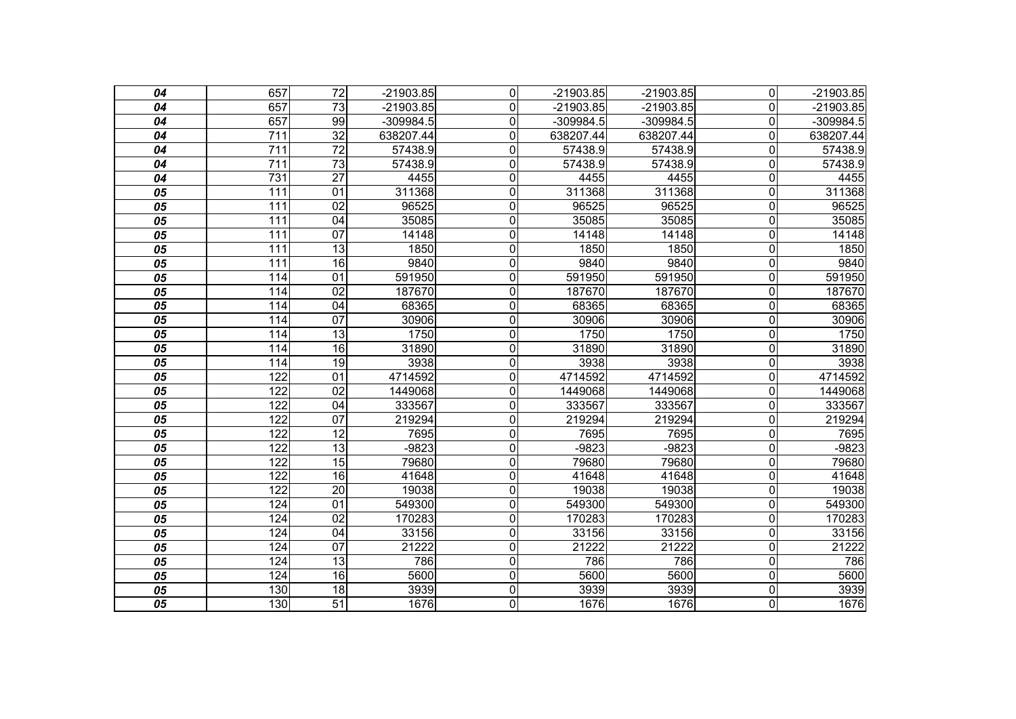| 04                         | 657              | $\overline{72}$ | $-21903.85$ | $\overline{0}$ | $-21903.85$ | $-21903.85$ | $\overline{0}$          | $-21903.85$ |
|----------------------------|------------------|-----------------|-------------|----------------|-------------|-------------|-------------------------|-------------|
| 04                         | 657              | 73              | $-21903.85$ | $\mathbf 0$    | $-21903.85$ | $-21903.85$ | $\overline{0}$          | $-21903.85$ |
| 04                         | 657              | 99              | $-309984.5$ | $\overline{0}$ | $-309984.5$ | $-309984.5$ | $\overline{\mathsf{o}}$ | $-309984.5$ |
| 04                         | $\overline{711}$ | $\overline{32}$ | 638207.44   | $\mathbf 0$    | 638207.44   | 638207.44   | $\mathbf 0$             | 638207.44   |
| 04                         | $\overline{711}$ | $\overline{72}$ | 57438.9     | $\mathbf 0$    | 57438.9     | 57438.9     | $\overline{0}$          | 57438.9     |
| 04                         | 711              | 73              | 57438.9     | $\overline{0}$ | 57438.9     | 57438.9     | $\mathbf 0$             | 57438.9     |
| 04                         | 731              | $\overline{27}$ | 4455        | $\mathbf 0$    | 4455        | 4455        | $\mathbf 0$             | 4455        |
| 05                         | 111              | 01              | 311368      | 0              | 311368      | 311368      | $\overline{0}$          | 311368      |
| 05                         | $\overline{111}$ | 02              | 96525       | $\overline{0}$ | 96525       | 96525       | $\overline{\mathsf{o}}$ | 96525       |
| 05                         | 111              | 04              | 35085       | $\mathbf 0$    | 35085       | 35085       | $\mathbf 0$             | 35085       |
| 05                         | $\overline{111}$ | 07              | 14148       | $\overline{0}$ | 14148       | 14148       | $\overline{\mathsf{o}}$ | 14148       |
| $\overline{05}$            | 111              | $\overline{13}$ | 1850        | $\mathbf 0$    | 1850        | 1850        | $\overline{\mathsf{o}}$ | 1850        |
| 05                         | 111              | $\overline{16}$ | 9840        | $\mathbf 0$    | 9840        | 9840        | $\mathbf 0$             | 9840        |
| 05                         | 114              | 01              | 591950      | $\overline{0}$ | 591950      | 591950      | $\overline{\mathsf{o}}$ | 591950      |
| $\overline{05}$            | 114              | $\overline{02}$ | 187670      | $\mathbf 0$    | 187670      | 187670      | $\mathbf 0$             | 187670      |
| 05                         | 114              | 04              | 68365       | 0              | 68365       | 68365       | $\overline{0}$          | 68365       |
| 05                         | 114              | 07              | 30906       | $\overline{0}$ | 30906       | 30906       | $\overline{\mathsf{o}}$ | 30906       |
| $\overline{05}$            | 114              | $\overline{13}$ | 1750        | $\mathbf 0$    | 1750        | 1750        | $\overline{\mathsf{o}}$ | 1750        |
| 05                         | 114              | 16              | 31890       | $\mathbf 0$    | 31890       | 31890       | $\overline{\mathsf{o}}$ | 31890       |
| 05                         | 114              | $\overline{19}$ | 3938        | $\mathbf 0$    | 3938        | 3938        | $\overline{\mathsf{o}}$ | 3938        |
| 05                         | 122              | 01              | 4714592     | $\mathbf 0$    | 4714592     | 4714592     | $\mathbf 0$             | 4714592     |
| 05                         | 122              | $\overline{02}$ | 1449068     | $\overline{0}$ | 1449068     | 1449068     | $\overline{0}$          | 1449068     |
| 05                         | $\overline{122}$ | 04              | 333567      | 0              | 333567      | 333567      | $\mathbf 0$             | 333567      |
| 05                         | 122              | 07              | 219294      | $\mathbf 0$    | 219294      | 219294      | $\mathbf 0$             | 219294      |
| 05                         | 122              | $\overline{12}$ | 7695        | $\overline{0}$ | 7695        | 7695        | $\overline{\mathsf{o}}$ | 7695        |
| $\overline{\overline{05}}$ | 122              | $\overline{13}$ | $-9823$     | $\mathbf 0$    | $-9823$     | $-9823$     | $\overline{\mathsf{o}}$ | $-9823$     |
| 05                         | 122              | $\overline{15}$ | 79680       | $\mathbf 0$    | 79680       | 79680       | $\mathbf 0$             | 79680       |
| 05                         | $\overline{122}$ | 16              | 41648       | $\mathbf 0$    | 41648       | 41648       | $\mathbf 0$             | 41648       |
| 05                         | $\overline{122}$ | $\overline{20}$ | 19038       | $\mathbf 0$    | 19038       | 19038       | $\overline{\mathsf{o}}$ | 19038       |
| 05                         | 124              | $\overline{01}$ | 549300      | $\overline{0}$ | 549300      | 549300      | $\overline{\mathsf{o}}$ | 549300      |
| 05                         | 124              | $\overline{02}$ | 170283      | $\mathbf 0$    | 170283      | 170283      | $\mathbf 0$             | 170283      |
| 05                         | 124              | 04              | 33156       | $\mathbf 0$    | 33156       | 33156       | $\mathbf 0$             | 33156       |
| 05                         | 124              | 07              | 21222       | $\overline{0}$ | 21222       | 21222       | $\overline{\mathsf{o}}$ | 21222       |
| $\overline{\overline{05}}$ | 124              | 13              | 786         | $\overline{0}$ | 786         | 786         | $\overline{\mathsf{o}}$ | 786         |
| 05                         | 124              | 16              | 5600        | $\mathbf 0$    | 5600        | 5600        | $\mathbf 0$             | 5600        |
| 05                         | 130              | 18              | 3939        | $\overline{0}$ | 3939        | 3939        | $\overline{\mathsf{o}}$ | 3939        |
| $\overline{05}$            | 130              | $\overline{51}$ | 1676        | $\overline{0}$ | 1676        | 1676        | $\overline{\mathsf{o}}$ | 1676        |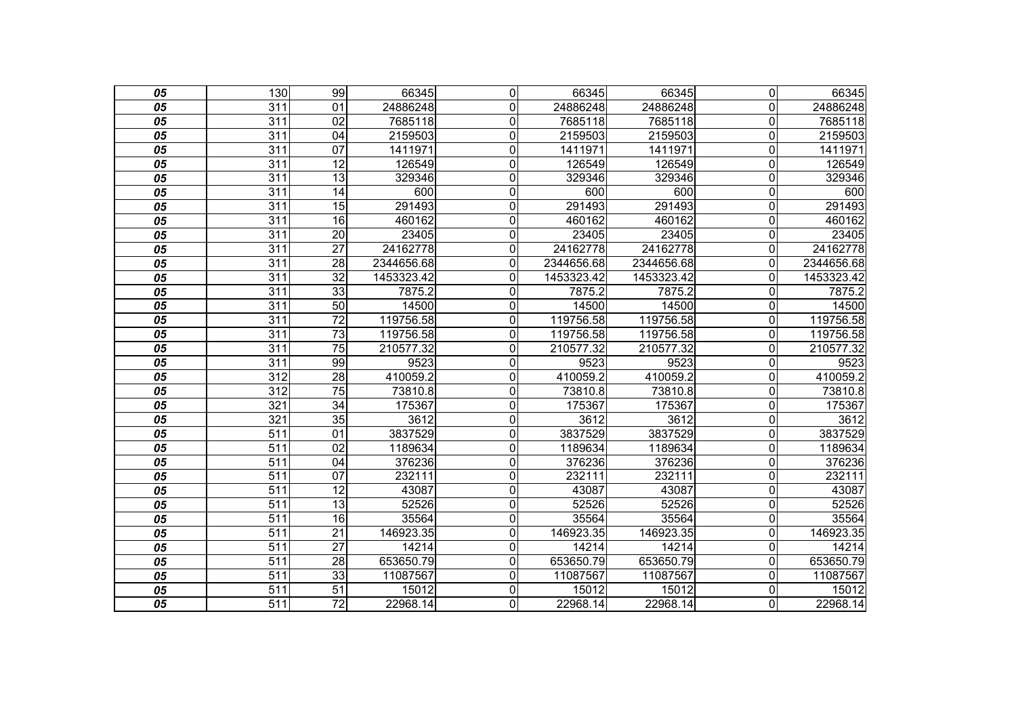| 05                         | 130              | 99              | 66345      | $\mathbf 0$    | 66345      | 66345      | $\overline{0}$          | 66345      |
|----------------------------|------------------|-----------------|------------|----------------|------------|------------|-------------------------|------------|
| 05                         | 311              | 01              | 24886248   | $\mathbf{0}$   | 24886248   | 24886248   | $\overline{0}$          | 24886248   |
| 05                         | 311              | 02              | 7685118    | $\mathbf 0$    | 7685118    | 7685118    | $\overline{\mathsf{o}}$ | 7685118    |
| $\overline{05}$            | $\overline{311}$ | 04              | 2159503    | $\mathbf 0$    | 2159503    | 2159503    | $\overline{\mathsf{o}}$ | 2159503    |
| 05                         | $\overline{311}$ | 07              | 1411971    | $\mathbf 0$    | 1411971    | 1411971    | $\overline{0}$          | 1411971    |
| 05                         | 311              | 12              | 126549     | $\overline{0}$ | 126549     | 126549     | $\overline{\mathsf{o}}$ | 126549     |
| 05                         | $\overline{311}$ | $\overline{13}$ | 329346     | $\overline{0}$ | 329346     | 329346     | $\mathbf 0$             | 329346     |
| 05                         | $\overline{311}$ | 14              | 600        | 0              | 600        | 600        | $\mathbf 0$             | 600        |
| 05                         | 311              | 15              | 291493     | $\overline{0}$ | 291493     | 291493     | $\overline{\mathsf{o}}$ | 291493     |
| 05                         | $\overline{311}$ | 16              | 460162     | 0              | 460162     | 460162     | $\overline{0}$          | 460162     |
| 05                         | 311              | $\overline{20}$ | 23405      | $\mathbf 0$    | 23405      | 23405      | $\mathbf 0$             | 23405      |
| $\overline{05}$            | 311              | $\overline{27}$ | 24162778   | $\mathbf 0$    | 24162778   | 24162778   | $\mathbf 0$             | 24162778   |
| 05                         | $\overline{311}$ | $\overline{28}$ | 2344656.68 | $\mathbf 0$    | 2344656.68 | 2344656.68 | $\mathbf 0$             | 2344656.68 |
| 05                         | 311              | $\overline{32}$ | 1453323.42 | $\overline{0}$ | 1453323.42 | 1453323.42 | $\mathbf 0$             | 1453323.42 |
| $\overline{05}$            | 311              | 33              | 7875.2     | 0              | 7875.2     | 7875.2     | $\mathbf 0$             | 7875.2     |
| 05                         | $\overline{311}$ | $\overline{50}$ | 14500      | 0              | 14500      | 14500      | $\overline{0}$          | 14500      |
| 05                         | 311              | $\overline{72}$ | 119756.58  | $\overline{0}$ | 119756.58  | 119756.58  | $\overline{\mathsf{o}}$ | 119756.58  |
| $\overline{05}$            | 311              | $\overline{73}$ | 119756.58  | $\mathbf 0$    | 119756.58  | 119756.58  | $\mathbf 0$             | 119756.58  |
| 05                         | 311              | $\overline{75}$ | 210577.32  | 0              | 210577.32  | 210577.32  | $\mathbf 0$             | 210577.32  |
| $\overline{\overline{05}}$ | 311              | 99              | 9523       | $\overline{0}$ | 9523       | 9523       | $\overline{0}$          | 9523       |
| 05                         | $\overline{312}$ | $\overline{28}$ | 410059.2   | $\mathbf 0$    | 410059.2   | 410059.2   | $\overline{0}$          | 410059.2   |
| 05                         | 312              | $\overline{75}$ | 73810.8    | 0              | 73810.8    | 73810.8    | $\mathbf 0$             | 73810.8    |
| 05                         | 321              | $\overline{34}$ | 175367     | 0              | 175367     | 175367     | $\mathbf 0$             | 175367     |
| 05                         | 321              | $\overline{35}$ | 3612       | $\mathbf 0$    | 3612       | 3612       | $\mathbf 0$             | 3612       |
| 05                         | 511              | 01              | 3837529    | $\overline{0}$ | 3837529    | 3837529    | $\overline{\mathsf{o}}$ | 3837529    |
| $\overline{\overline{05}}$ | 511              | $\overline{02}$ | 1189634    | $\mathbf 0$    | 1189634    | 1189634    | $\overline{\mathsf{o}}$ | 1189634    |
| 05                         | $\overline{511}$ | 04              | 376236     | $\mathbf 0$    | 376236     | 376236     | $\overline{0}$          | 376236     |
| 05                         | 511              | $\overline{07}$ | 232111     | 0              | 232111     | 232111     | $\mathbf 0$             | 232111     |
| 05                         | 511              | 12              | 43087      | $\mathbf 0$    | 43087      | 43087      | $\overline{\mathsf{o}}$ | 43087      |
| 05                         | 511              | $\overline{13}$ | 52526      | 0              | 52526      | 52526      | $\overline{\mathsf{o}}$ | 52526      |
| 05                         | $\overline{511}$ | 16              | 35564      | $\mathbf 0$    | 35564      | 35564      | $\overline{\mathsf{o}}$ | 35564      |
| 05                         | $\overline{511}$ | $\overline{21}$ | 146923.35  | $\mathbf 0$    | 146923.35  | 146923.35  | $\mathbf 0$             | 146923.35  |
| 05                         | 511              | $\overline{27}$ | 14214      | $\overline{0}$ | 14214      | 14214      | $\overline{0}$          | 14214      |
| $\overline{05}$            | 511              | 28              | 653650.79  | $\overline{0}$ | 653650.79  | 653650.79  | $\overline{0}$          | 653650.79  |
| 05                         | $\overline{511}$ | 33              | 11087567   | 0              | 11087567   | 11087567   | $\mathbf 0$             | 11087567   |
| 05                         | 511              | 51              | 15012      | $\mathbf 0$    | 15012      | 15012      | $\mathbf 0$             | 15012      |
| $\overline{05}$            | $\overline{511}$ | $\overline{72}$ | 22968.14   | $\overline{0}$ | 22968.14   | 22968.14   | $\overline{0}$          | 22968.14   |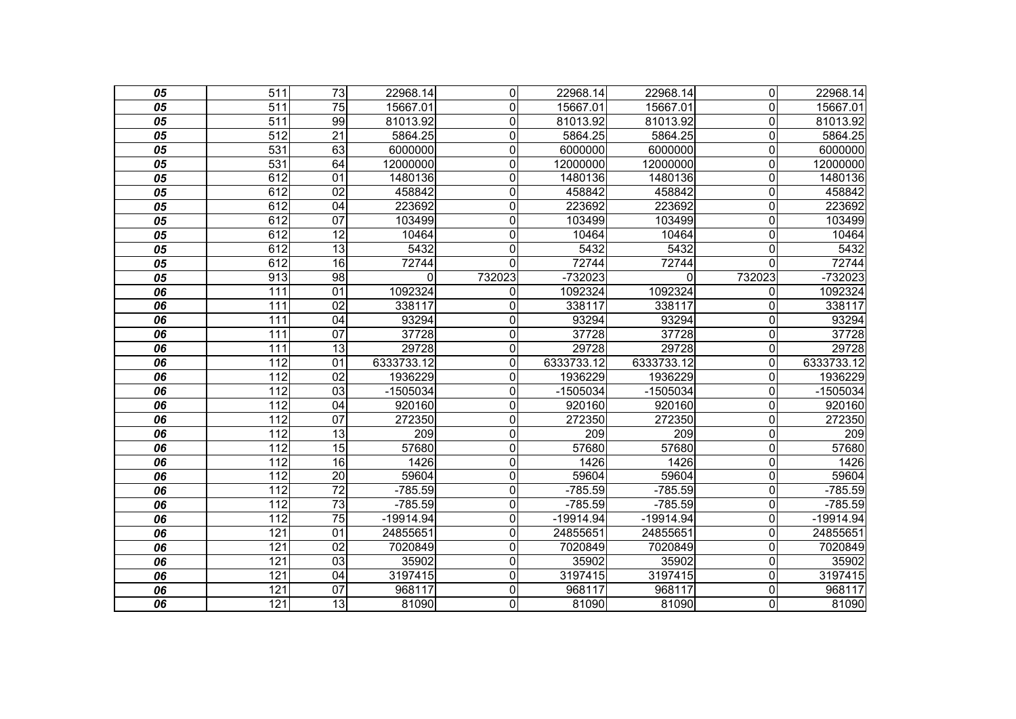| 05 | $\overline{511}$ | $\overline{73}$ | 22968.14   | 0                | 22968.14    | 22968.14    | $\overline{0}$          | 22968.14   |
|----|------------------|-----------------|------------|------------------|-------------|-------------|-------------------------|------------|
| 05 | $\overline{511}$ | $\overline{75}$ | 15667.01   | 0                | 15667.01    | 15667.01    | $\mathbf 0$             | 15667.01   |
| 05 | $\overline{511}$ | 99              | 81013.92   | $\mathbf 0$      | 81013.92    | 81013.92    | $\overline{0}$          | 81013.92   |
| 05 | 512              | $\overline{21}$ | 5864.25    | $\mathbf 0$      | 5864.25     | 5864.25     | $\mathbf 0$             | 5864.25    |
| 05 | 531              | 63              | 6000000    | 0                | 6000000     | 6000000     | $\mathbf 0$             | 6000000    |
| 05 | 531              | 64              | 12000000   | $\mathbf 0$      | 12000000    | 12000000    | $\mathbf 0$             | 12000000   |
| 05 | 612              | $\overline{01}$ | 1480136    | $\mathbf 0$      | 1480136     | 1480136     | $\mathbf 0$             | 1480136    |
| 05 | 612              | $\overline{02}$ | 458842     | $\mathbf 0$      | 458842      | 458842      | $\mathbf 0$             | 458842     |
| 05 | 612              | 04              | 223692     | $\overline{0}$   | 223692      | 223692      | $\overline{\mathsf{o}}$ | 223692     |
| 05 | 612              | $\overline{07}$ | 103499     | $\mathbf 0$      | 103499      | 103499      | $\mathsf{O}\xspace$     | 103499     |
| 05 | 612              | 12              | 10464      | $\boldsymbol{0}$ | 10464       | 10464       | $\mathbf 0$             | 10464      |
| 05 | 612              | $\overline{13}$ | 5432       | 0                | 5432        | 5432        | 0                       | 5432       |
| 05 | 612              | $\overline{16}$ | 72744      | 0                | 72744       | 72744       | $\Omega$                | 72744      |
| 05 | 913              | $\overline{98}$ | 0          | 732023           | $-732023$   | 0           | 732023                  | -732023    |
| 06 | 111              | 01              | 1092324    | $\Omega$         | 1092324     | 1092324     | $\Omega$                | 1092324    |
| 06 | 111              | 02              | 338117     | $\mathbf{0}$     | 338117      | 338117      | $\Omega$                | 338117     |
| 06 | 111              | $\overline{04}$ | 93294      | 0                | 93294       | 93294       | $\overline{0}$          | 93294      |
| 06 | 111              | $\overline{07}$ | 37728      | $\mathbf 0$      | 37728       | 37728       | $\overline{0}$          | 37728      |
| 06 | $\overline{111}$ | 13              | 29728      | $\overline{0}$   | 29728       | 29728       | $\overline{0}$          | 29728      |
| 06 | 112              | $\overline{01}$ | 6333733.12 | $\mathbf 0$      | 6333733.12  | 6333733.12  | $\mathbf 0$             | 6333733.12 |
| 06 | 112              | 02              | 1936229    | $\mathbf 0$      | 1936229     | 1936229     | $\overline{0}$          | 1936229    |
| 06 | 112              | $\overline{03}$ | -1505034   | $\boldsymbol{0}$ | -1505034    | -1505034    | $\Omega$                | $-1505034$ |
| 06 | 112              | 04              | 920160     | $\mathbf 0$      | 920160      | 920160      | $\overline{0}$          | 920160     |
| 06 | 112              | $\overline{07}$ | 272350     | $\mathbf 0$      | 272350      | 272350      | $\overline{0}$          | 272350     |
| 06 | 112              | 13              | 209        | $\overline{0}$   | 209         | 209         | $\overline{0}$          | 209        |
| 06 | 112              | $\overline{15}$ | 57680      | $\mathbf 0$      | 57680       | 57680       | $\mathbf 0$             | 57680      |
| 06 | 112              | 16              | 1426       | $\mathbf 0$      | 1426        | 1426        | $\mathbf 0$             | 1426       |
| 06 | 112              | $\overline{20}$ | 59604      | 0                | 59604       | 59604       | $\mathbf 0$             | 59604      |
| 06 | 112              | $\overline{72}$ | $-785.59$  | $\mathbf 0$      | $-785.59$   | $-785.59$   | $\mathbf 0$             | $-785.59$  |
| 06 | 112              | $\overline{73}$ | $-785.59$  | 0                | $-785.59$   | $-785.59$   | $\overline{0}$          | $-785.59$  |
| 06 | 112              | 75              | -19914.94  | 0                | $-19914.94$ | $-19914.94$ | 0                       | -19914.94  |
| 06 | 121              | 01              | 24855651   | $\mathbf 0$      | 24855651    | 24855651    | 0                       | 24855651   |
| 06 | $\overline{121}$ | $\overline{02}$ | 7020849    | 0                | 7020849     | 7020849     | 0                       | 7020849    |
| 06 | 121              | 03              | 35902      | 0                | 35902       | 35902       | $\mathbf 0$             | 35902      |
| 06 | 121              | 04              | 3197415    | $\overline{0}$   | 3197415     | 3197415     | $\mathbf 0$             | 3197415    |
| 06 | 121              | 07              | 968117     | 0                | 968117      | 968117      | $\mathbf 0$             | 968117     |
| 06 | 121              | 13              | 81090      | 0                | 81090       | 81090       | $\overline{0}$          | 81090      |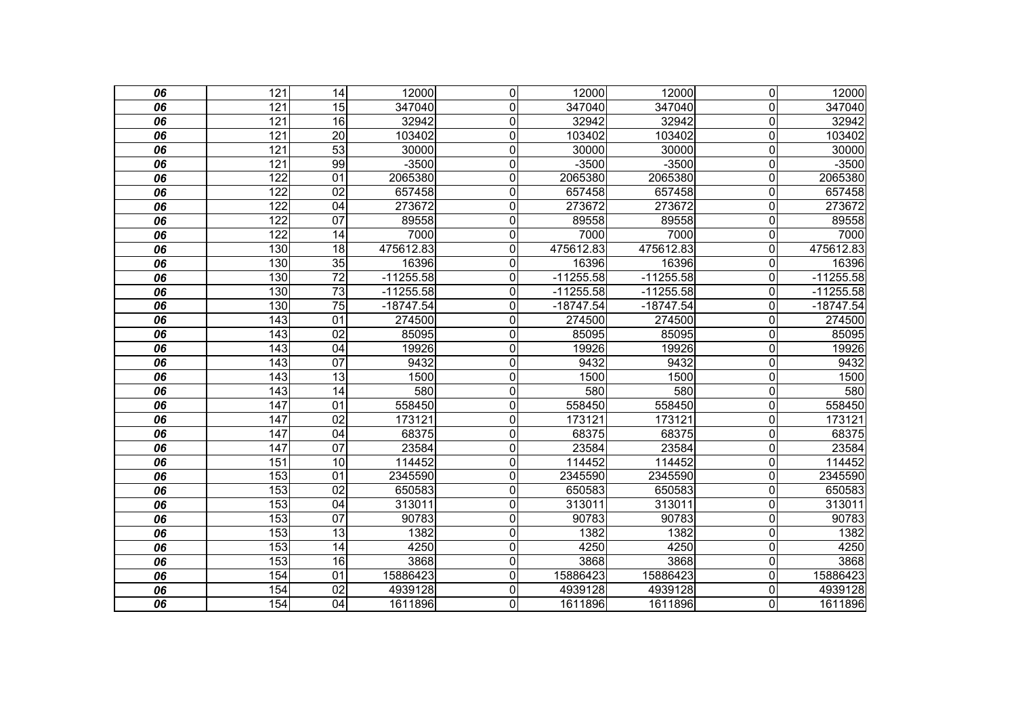| 06              | 121              | $\overline{14}$ | 12000       | $\mathbf 0$      | 12000       | 12000       | $\overline{0}$          | 12000       |
|-----------------|------------------|-----------------|-------------|------------------|-------------|-------------|-------------------------|-------------|
| 06              | 121              | 15              | 347040      | $\mathbf 0$      | 347040      | 347040      | $\mathbf 0$             | 347040      |
| $\overline{06}$ | 121              | $\overline{16}$ | 32942       | $\mathbf 0$      | 32942       | 32942       | $\overline{0}$          | 32942       |
| 06              | 121              | $\overline{20}$ | 103402      | $\mathbf 0$      | 103402      | 103402      | $\mathbf 0$             | 103402      |
| 06              | 121              | 53              | 30000       | $\mathbf 0$      | 30000       | 30000       | $\mathbf 0$             | 30000       |
| 06              | 121              | 99              | $-3500$     | $\boldsymbol{0}$ | $-3500$     | $-3500$     | $\mathbf 0$             | $-3500$     |
| 06              | 122              | $\overline{01}$ | 2065380     | $\mathbf 0$      | 2065380     | 2065380     | $\mathbf 0$             | 2065380     |
| 06              | 122              | $\overline{02}$ | 657458      | $\mathbf 0$      | 657458      | 657458      | $\mathbf 0$             | 657458      |
| 06              | 122              | 04              | 273672      | $\overline{0}$   | 273672      | 273672      | $\overline{\mathsf{o}}$ | 273672      |
| 06              | 122              | $\overline{07}$ | 89558       | $\mathbf 0$      | 89558       | 89558       | $\mathbf 0$             | 89558       |
| 06              | 122              | $\overline{14}$ | 7000        | $\boldsymbol{0}$ | 7000        | 7000        | $\pmb{0}$               | 7000        |
| 06              | 130              | $\overline{18}$ | 475612.83   | $\mathbf 0$      | 475612.83   | 475612.83   | $\mathbf 0$             | 475612.83   |
| 06              | 130              | $\overline{35}$ | 16396       | 0                | 16396       | 16396       | $\Omega$                | 16396       |
| 06              | 130              | $\overline{72}$ | $-11255.58$ | 0                | $-11255.58$ | $-11255.58$ | $\Omega$                | $-11255.58$ |
| 06              | 130              | 73              | $-11255.58$ | 0                | $-11255.58$ | $-11255.58$ | $\Omega$                | $-11255.58$ |
| 06              | 130              | $\overline{75}$ | $-18747.54$ | 0                | $-18747.54$ | $-18747.54$ | $\Omega$                | $-18747.54$ |
| 06              | $\overline{143}$ | 01              | 274500      | $\overline{0}$   | 274500      | 274500      | $\overline{0}$          | 274500      |
| 06              | $\overline{143}$ | $\overline{02}$ | 85095       | 0                | 85095       | 85095       | $\mathbf 0$             | 85095       |
| 06              | $\overline{143}$ | 04              | 19926       | $\overline{0}$   | 19926       | 19926       | $\overline{\mathsf{o}}$ | 19926       |
| 06              | 143              | $\overline{07}$ | 9432        | $\mathbf 0$      | 9432        | 9432        | $\mathbf 0$             | 9432        |
| 06              | 143              | $\overline{13}$ | 1500        | $\mathbf 0$      | 1500        | 1500        | $\mathbf 0$             | 1500        |
| 06              | 143              | $\overline{14}$ | 580         | $\overline{0}$   | 580         | 580         | $\overline{0}$          | 580         |
| 06              | 147              | 01              | 558450      | $\mathbf 0$      | 558450      | 558450      | $\mathbf 0$             | 558450      |
| 06              | 147              | 02              | 173121      | $\mathbf 0$      | 173121      | 173121      | $\mathbf 0$             | 173121      |
| 06              | 147              | $\overline{04}$ | 68375       | $\overline{0}$   | 68375       | 68375       | $\overline{\mathsf{o}}$ | 68375       |
| 06              | 147              | $\overline{07}$ | 23584       | $\mathbf 0$      | 23584       | 23584       | $\mathbf 0$             | 23584       |
| 06              | 151              | 10              | 114452      | $\mathbf 0$      | 114452      | 114452      | $\mathbf 0$             | 114452      |
| 06              | 153              | 01              | 2345590     | 0                | 2345590     | 2345590     | $\mathbf 0$             | 2345590     |
| 06              | 153              | $\overline{02}$ | 650583      | $\overline{0}$   | 650583      | 650583      | $\overline{0}$          | 650583      |
| 06              | 153              | 04              | 313011      | 0                | 313011      | 313011      | $\overline{0}$          | 313011      |
| 06              | 153              | 07              | 90783       | 0                | 90783       | 90783       | $\overline{0}$          | 90783       |
| 06              | 153              | 13              | 1382        | 0                | 1382        | 1382        | 0                       | 1382        |
| 06              | 153              | 14              | 4250        | $\overline{0}$   | 4250        | 4250        | $\overline{0}$          | 4250        |
| 06              | 153              | 16              | 3868        | $\mathbf 0$      | 3868        | 3868        | $\mathbf 0$             | 3868        |
| 06              | 154              | 01              | 15886423    | $\overline{0}$   | 15886423    | 15886423    | $\mathbf 0$             | 15886423    |
| 06              | 154              | $\overline{02}$ | 4939128     | 0                | 4939128     | 4939128     | $\mathbf 0$             | 4939128     |
| 06              | 154              | 04              | 1611896     | $\overline{0}$   | 1611896     | 1611896     | $\mathbf 0$             | 1611896     |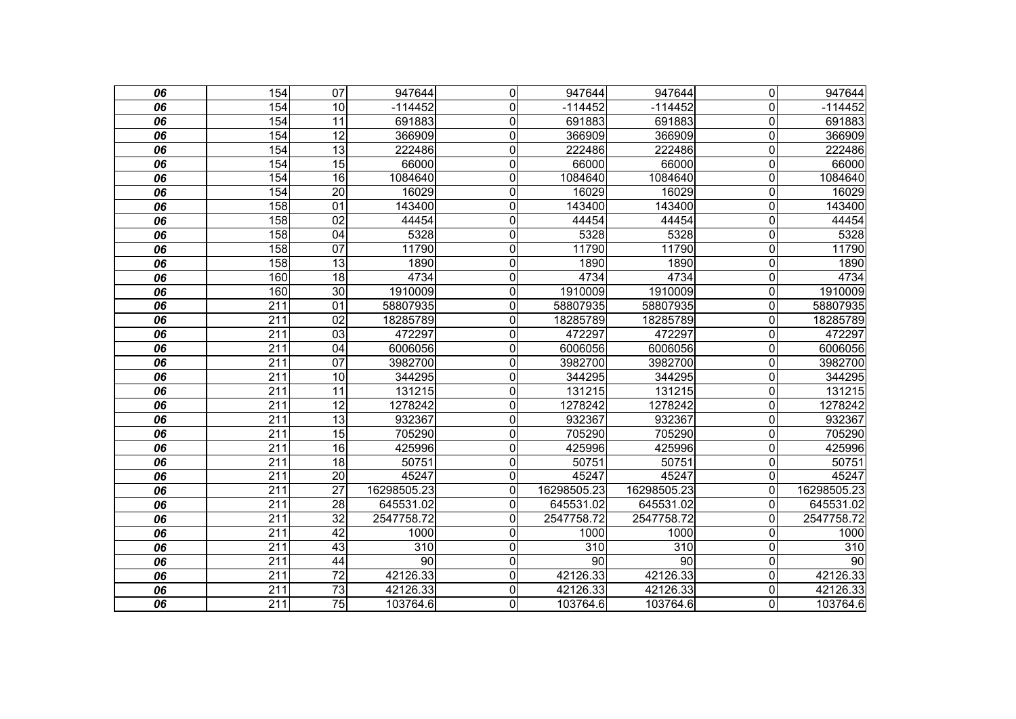| 06 | 154              | $\overline{07}$ | 947644      | 0                | 947644          | 947644      | $\overline{0}$          | 947644      |
|----|------------------|-----------------|-------------|------------------|-----------------|-------------|-------------------------|-------------|
| 06 | 154              | 10              | $-114452$   | 0                | $-114452$       | $-114452$   | $\overline{0}$          | $-114452$   |
| 06 | 154              | 11              | 691883      | $\mathbf 0$      | 691883          | 691883      | $\overline{\mathsf{o}}$ | 691883      |
| 06 | 154              | $\overline{12}$ | 366909      | $\mathbf 0$      | 366909          | 366909      | $\mathbf 0$             | 366909      |
| 06 | 154              | $\overline{13}$ | 222486      | $\mathbf 0$      | 222486          | 222486      | $\mathbf 0$             | 222486      |
| 06 | 154              | 15              | 66000       | $\boldsymbol{0}$ | 66000           | 66000       | $\mathbf 0$             | 66000       |
| 06 | 154              | 16              | 1084640     | $\mathbf 0$      | 1084640         | 1084640     | $\mathbf 0$             | 1084640     |
| 06 | 154              | $\overline{20}$ | 16029       | $\mathbf 0$      | 16029           | 16029       | $\mathbf 0$             | 16029       |
| 06 | 158              | 01              | 143400      | $\mathbf 0$      | 143400          | 143400      | $\overline{\mathsf{o}}$ | 143400      |
| 06 | 158              | $\overline{02}$ | 44454       | $\mathbf 0$      | 44454           | 44454       | $\mathbf 0$             | 44454       |
| 06 | 158              | 04              | 5328        | $\mathbf 0$      | 5328            | 5328        | $\mathbf 0$             | 5328        |
| 06 | 158              | 07              | 11790       | $\mathbf 0$      | 11790           | 11790       | $\mathbf 0$             | 11790       |
| 06 | 158              | $\overline{13}$ | 1890        | $\mathbf 0$      | 1890            | 1890        | $\mathbf 0$             | 1890        |
| 06 | 160              | 18              | 4734        | 0                | 4734            | 4734        | $\overline{\mathsf{o}}$ | 4734        |
| 06 | 160              | 30              | 1910009     | 0                | 1910009         | 1910009     | $\overline{0}$          | 1910009     |
| 06 | 211              | 01              | 58807935    | $\mathbf 0$      | 58807935        | 58807935    | $\overline{0}$          | 58807935    |
| 06 | $\overline{211}$ | $\overline{02}$ | 18285789    | $\mathbf 0$      | 18285789        | 18285789    | $\overline{0}$          | 18285789    |
| 06 | 211              | 03              | 472297      | $\mathbf 0$      | 472297          | 472297      | $\overline{0}$          | 472297      |
| 06 | $\overline{211}$ | $\overline{04}$ | 6006056     | $\mathbf 0$      | 6006056         | 6006056     | $\overline{0}$          | 6006056     |
| 06 | 211              | $\overline{07}$ | 3982700     | $\mathbf 0$      | 3982700         | 3982700     | $\overline{0}$          | 3982700     |
| 06 | 211              | 10              | 344295      | $\mathbf 0$      | 344295          | 344295      | $\overline{0}$          | 344295      |
| 06 | 211              | 11              | 131215      | $\overline{0}$   | 131215          | 131215      | $\overline{0}$          | 131215      |
| 06 | 211              | $\overline{12}$ | 1278242     | $\mathbf 0$      | 1278242         | 1278242     | $\overline{0}$          | 1278242     |
| 06 | 211              | $\overline{13}$ | 932367      | $\mathbf 0$      | 932367          | 932367      | $\mathbf 0$             | 932367      |
| 06 | $\overline{211}$ | $\overline{15}$ | 705290      | $\mathbf 0$      | 705290          | 705290      | $\mathbf 0$             | 705290      |
| 06 | $\overline{211}$ | 16              | 425996      | $\overline{0}$   | 425996          | 425996      | $\mathbf 0$             | 425996      |
| 06 | 211              | 18              | 50751       | 0                | 50751           | 50751       | $\overline{0}$          | 50751       |
| 06 | 211              | 20              | 45247       | 0                | 45247           | 45247       | $\Omega$                | 45247       |
| 06 | 211              | 27              | 16298505.23 | $\mathbf{0}$     | 16298505.23     | 16298505.23 | $\Omega$                | 16298505.23 |
| 06 | 211              | $\overline{28}$ | 645531.02   | $\mathbf 0$      | 645531.02       | 645531.02   | $\mathbf{0}$            | 645531.02   |
| 06 | 211              | 32              | 2547758.72  | $\mathbf 0$      | 2547758.72      | 2547758.72  | $\mathbf{0}$            | 2547758.72  |
| 06 | $\overline{211}$ | 42              | 1000        | 0                | 1000            | 1000        | 0                       | 1000        |
| 06 | 211              | 43              | 310         | 0                | 310             | 310         | $\mathbf 0$             | 310         |
| 06 | $\overline{211}$ | $\overline{44}$ | 90          | $\mathbf 0$      | $\overline{90}$ | 90          | $\mathbf 0$             | 90          |
| 06 | $\overline{211}$ | $\overline{72}$ | 42126.33    | $\mathbf 0$      | 42126.33        | 42126.33    | $\mathbf 0$             | 42126.33    |
| 06 | 211              | $\overline{73}$ | 42126.33    | $\mathbf 0$      | 42126.33        | 42126.33    | O                       | 42126.33    |
| 06 | 211              | 75              | 103764.6    | $\overline{0}$   | 103764.6        | 103764.6    | 0                       | 103764.6    |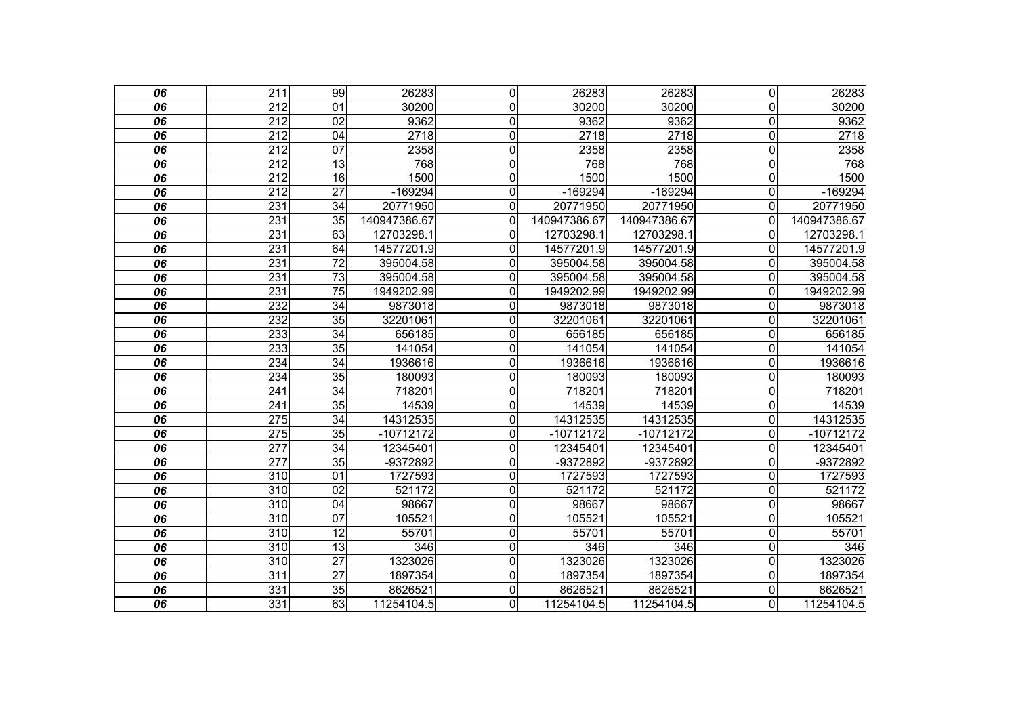| 06              | $\overline{211}$ | 99              | 26283        | $\overline{0}$ | 26283        | 26283        | $\overline{0}$          | 26283        |
|-----------------|------------------|-----------------|--------------|----------------|--------------|--------------|-------------------------|--------------|
| 06              | 212              | 01              | 30200        | 0              | 30200        | 30200        | $\overline{0}$          | 30200        |
| 06              | $\overline{212}$ | 02              | 9362         | $\mathbf 0$    | 9362         | 9362         | $\mathbf 0$             | 9362         |
| 06              | $\overline{212}$ | $\overline{04}$ | 2718         | $\mathbf 0$    | 2718         | 2718         | $\mathbf 0$             | 2718         |
| 06              | 212              | $\overline{07}$ | 2358         | $\mathbf 0$    | 2358         | 2358         | $\overline{0}$          | 2358         |
| 06              | 212              | 13              | 768          | $\overline{0}$ | 768          | 768          | $\mathbf 0$             | 768          |
| 06              | $\overline{212}$ | $\overline{16}$ | 1500         | $\mathbf 0$    | 1500         | 1500         | $\mathbf 0$             | 1500         |
| 06              | 212              | $\overline{27}$ | $-169294$    | $\mathbf 0$    | -169294      | $-169294$    | $\overline{0}$          | -169294      |
| 06              | 231              | $\overline{34}$ | 20771950     | $\mathbf 0$    | 20771950     | 20771950     | $\mathbf 0$             | 20771950     |
| 06              | 231              | $\overline{35}$ | 140947386.67 | $\mathbf 0$    | 140947386.67 | 140947386.67 | $\mathbf 0$             | 140947386.67 |
| 06              | 231              | 63              | 12703298.1   | 0              | 12703298.1   | 12703298.1   | 0                       | 12703298.1   |
| 06              | 231              | 64              | 14577201.9   | 0              | 14577201.9   | 14577201.9   | $\mathbf{0}$            | 14577201.9   |
| 06              | 231              | $\overline{72}$ | 395004.58    | 0              | 395004.58    | 395004.58    | $\mathbf 0$             | 395004.58    |
| 06              | $\overline{231}$ | $\overline{73}$ | 395004.58    | 0              | 395004.58    | 395004.58    | $\mathbf{0}$            | 395004.58    |
| 06              | 231              | $\overline{75}$ | 1949202.99   | $\mathbf 0$    | 1949202.99   | 1949202.99   | $\mathbf{0}$            | 1949202.99   |
| 06              | 232              | $\overline{34}$ | 9873018      | $\mathbf 0$    | 9873018      | 9873018      | $\mathbf 0$             | 9873018      |
| 06              | 232              | 35              | 32201061     | $\mathbf 0$    | 32201061     | 32201061     | $\Omega$                | 32201061     |
| 06              | 233              | $\overline{34}$ | 656185       | $\mathbf 0$    | 656185       | 656185       | $\mathbf 0$             | 656185       |
| 06              | 233              | 35              | 141054       | $\overline{0}$ | 141054       | 141054       | $\overline{\mathsf{o}}$ | 141054       |
| 06              | 234              | $\overline{34}$ | 1936616      | $\mathbf 0$    | 1936616      | 1936616      | $\mathbf 0$             | 1936616      |
| 06              | 234              | $\overline{35}$ | 180093       | $\mathbf 0$    | 180093       | 180093       | $\mathbf 0$             | 180093       |
| 06              | 241              | 34              | 718201       | $\overline{0}$ | 718201       | 718201       | $\overline{0}$          | 718201       |
| 06              | 241              | $\overline{35}$ | 14539        | $\mathbf 0$    | 14539        | 14539        | $\overline{0}$          | 14539        |
| 06              | 275              | $\overline{34}$ | 14312535     | $\mathbf 0$    | 14312535     | 14312535     | $\mathbf 0$             | 14312535     |
| 06              | 275              | 35              | $-10712172$  | $\overline{0}$ | $-10712172$  | $-10712172$  | $\overline{0}$          | $-10712172$  |
| 06              | $\overline{277}$ | $\overline{34}$ | 12345401     | 0              | 12345401     | 12345401     | $\mathbf{0}$            | 12345401     |
| 06              | $\overline{277}$ | $\overline{35}$ | -9372892     | $\mathbf 0$    | -9372892     | -9372892     | $\mathbf 0$             | -9372892     |
| 06              | $\overline{310}$ | $\overline{01}$ | 1727593      | $\overline{0}$ | 1727593      | 1727593      | $\mathbf 0$             | 1727593      |
| 06              | 310              | 02              | 521172       | 0              | 521172       | 521172       | $\overline{0}$          | 521172       |
| 06              | 310              | 04              | 98667        | $\mathbf 0$    | 98667        | 98667        | $\overline{\mathsf{o}}$ | 98667        |
| $\overline{06}$ | $\overline{310}$ | $\overline{07}$ | 105521       | $\mathbf 0$    | 105521       | 105521       | $\mathbf 0$             | 105521       |
| 06              | 310              | $\overline{12}$ | 55701        | $\mathbf 0$    | 55701        | 55701        | $\mathbf 0$             | 55701        |
| 06              | 310              | 13              | 346          | $\overline{0}$ | 346          | 346          | $\overline{\mathsf{o}}$ | 346          |
| 06              | $\overline{310}$ | $\overline{27}$ | 1323026      | $\overline{0}$ | 1323026      | 1323026      | $\overline{\mathsf{o}}$ | 1323026      |
| 06              | 311              | $\overline{27}$ | 1897354      | 0              | 1897354      | 1897354      | $\overline{0}$          | 1897354      |
| 06              | 331              | 35              | 8626521      | $\mathbf 0$    | 8626521      | 8626521      | $\mathbf 0$             | 8626521      |
| $\overline{06}$ | 331              | 63              | 11254104.5   | $\overline{0}$ | 11254104.5   | 11254104.5   | $\overline{0}$          | 11254104.5   |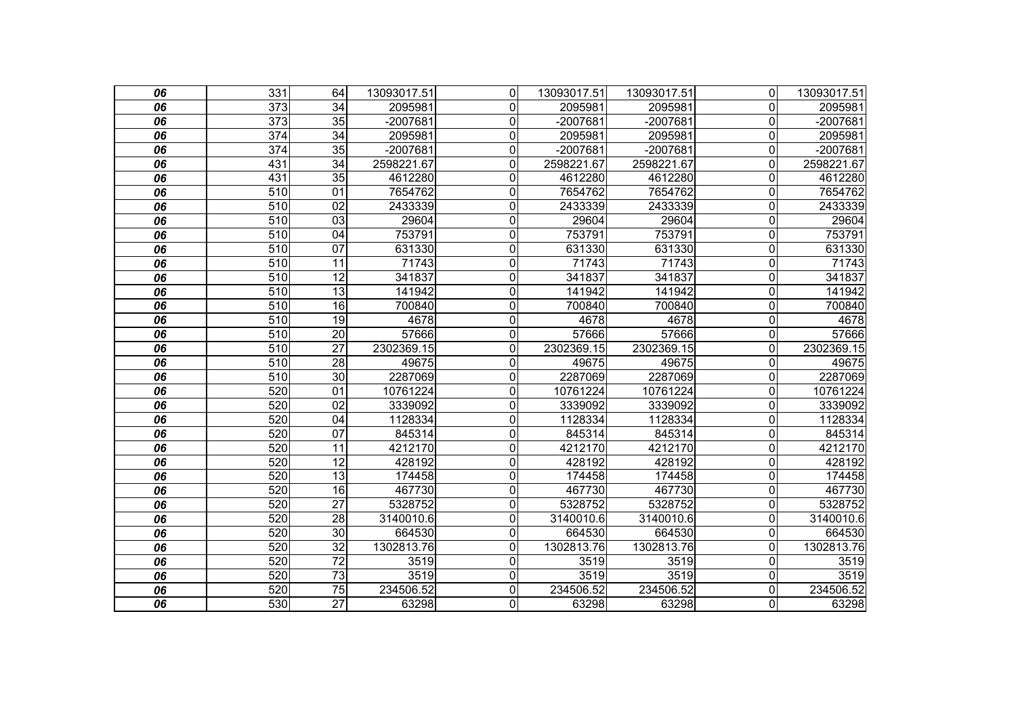| 06 | 331              | 64              | 13093017.51 | 0l             | 13093017.51 | 13093017.51 | $\overline{0}$          | 13093017.51 |
|----|------------------|-----------------|-------------|----------------|-------------|-------------|-------------------------|-------------|
| 06 | 373              | 34              | 2095981     | 0              | 2095981     | 2095981     | $\Omega$                | 2095981     |
| 06 | $\overline{373}$ | 35              | $-2007681$  | 0              | $-2007681$  | $-2007681$  | 0                       | $-2007681$  |
| 06 | $\overline{374}$ | $\overline{34}$ | 2095981     | 0              | 2095981     | 2095981     | 0                       | 2095981     |
| 06 | 374              | $\overline{35}$ | -2007681    | 0              | -2007681    | -2007681    | $\Omega$                | -2007681    |
| 06 | 431              | 34              | 2598221.67  | $\overline{0}$ | 2598221.67  | 2598221.67  | 0                       | 2598221.67  |
| 06 | 431              | $\overline{35}$ | 4612280     | $\overline{0}$ | 4612280     | 4612280     | 0                       | 4612280     |
| 06 | 510              | 01              | 7654762     | 0              | 7654762     | 7654762     | 0                       | 7654762     |
| 06 | 510              | 02              | 2433339     | $\overline{0}$ | 2433339     | 2433339     | $\overline{0}$          | 2433339     |
| 06 | 510              | 03              | 29604       | 0              | 29604       | 29604       | 0                       | 29604       |
| 06 | 510              | $\overline{04}$ | 753791      | $\overline{0}$ | 753791      | 753791      | $\mathbf 0$             | 753791      |
| 06 | 510              | $\overline{07}$ | 631330      | 0              | 631330      | 631330      | $\overline{0}$          | 631330      |
| 06 | 510              | 11              | 71743       | 0              | 71743       | 71743       | 0                       | 71743       |
| 06 | 510              | 12              | 341837      | $\overline{0}$ | 341837      | 341837      | $\overline{0}$          | 341837      |
| 06 | 510              | $\overline{13}$ | 141942      | 0              | 141942      | 141942      | $\overline{0}$          | 141942      |
| 06 | 510              | 16              | 700840      | 0              | 700840      | 700840      | $\Omega$                | 700840      |
| 06 | 510              | 19              | 4678        | $\overline{0}$ | 4678        | 4678        | $\mathbf 0$             | 4678        |
| 06 | 510              | $\overline{20}$ | 57666       | 0              | 57666       | 57666       | $\mathbf 0$             | 57666       |
| 06 | 510              | $\overline{27}$ | 2302369.15  | $\overline{0}$ | 2302369.15  | 2302369.15  | 0                       | 2302369.15  |
| 06 | 510              | $\overline{28}$ | 49675       | 0              | 49675       | 49675       | 0                       | 49675       |
| 06 | 510              | 30              | 2287069     | 0              | 2287069     | 2287069     | $\Omega$                | 2287069     |
| 06 | 520              | $\overline{01}$ | 10761224    | 0              | 10761224    | 10761224    | 0                       | 10761224    |
| 06 | 520              | $\overline{02}$ | 3339092     | $\overline{0}$ | 3339092     | 3339092     | 0                       | 3339092     |
| 06 | 520              | 04              | 1128334     | 0              | 1128334     | 1128334     | 0                       | 1128334     |
| 06 | 520              | 07              | 845314      | 0              | 845314      | 845314      | $\mathbf 0$             | 845314      |
| 06 | 520              | 11              | 4212170     | 0              | 4212170     | 4212170     | $\overline{0}$          | 4212170     |
| 06 | 520              | $\overline{12}$ | 428192      | 0              | 428192      | 428192      | 0                       | 428192      |
| 06 | 520              | $\overline{13}$ | 174458      | 0              | 174458      | 174458      | $\mathbf 0$             | 174458      |
| 06 | 520              | $\overline{16}$ | 467730      | 0              | 467730      | 467730      | 0                       | 467730      |
| 06 | 520              | $\overline{27}$ | 5328752     | 0              | 5328752     | 5328752     | 0                       | 5328752     |
| 06 | 520              | $\overline{28}$ | 3140010.6   | 0              | 3140010.6   | 3140010.6   | 0                       | 3140010.6   |
| 06 | 520              | 30              | 664530      | 0              | 664530      | 664530      | 0                       | 664530      |
| 06 | 520              | $\overline{32}$ | 1302813.76  | 0              | 1302813.76  | 1302813.76  | $\Omega$                | 1302813.76  |
| 06 | 520              | $\overline{72}$ | 3519        | 0              | 3519        | 3519        | 0                       | 3519        |
| 06 | 520              | $\overline{73}$ | 3519        | 0              | 3519        | 3519        | $\mathbf 0$             | 3519        |
| 06 | 520              | $\overline{75}$ | 234506.52   | $\overline{0}$ | 234506.52   | 234506.52   | $\overline{\mathsf{o}}$ | 234506.52   |
| 06 | $\overline{530}$ | $\overline{27}$ | 63298       | $\overline{0}$ | 63298       | 63298       | 0                       | 63298       |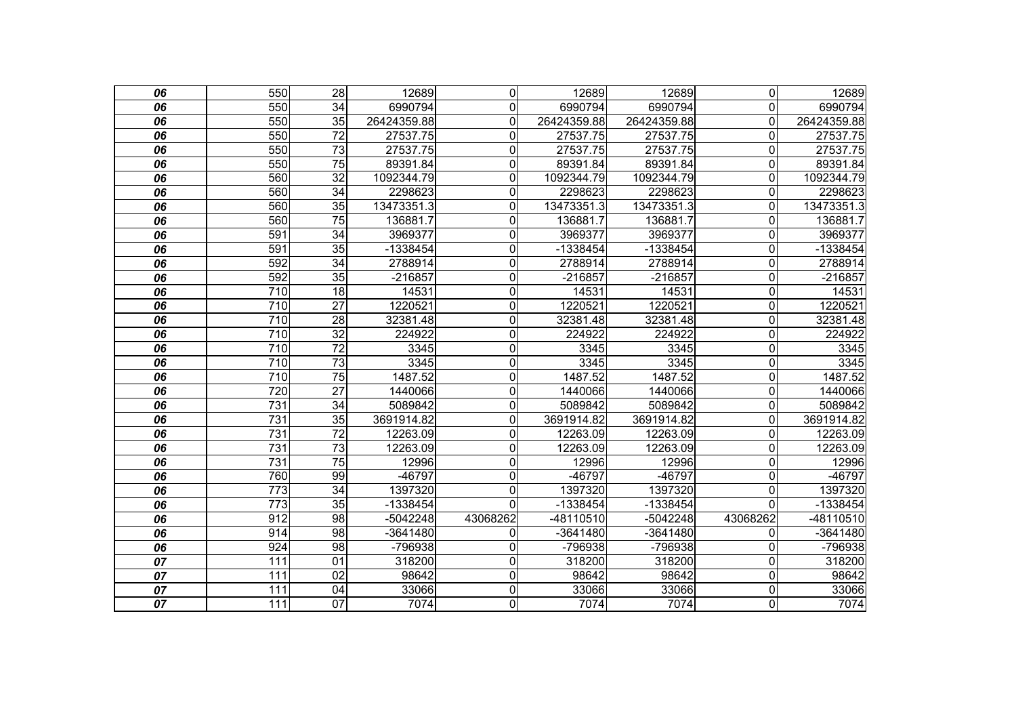| 06              | 550              | $\overline{28}$ | 12689       | $\mathbf 0$    | 12689       | 12689       | $\mathbf 0$ | 12689       |
|-----------------|------------------|-----------------|-------------|----------------|-------------|-------------|-------------|-------------|
| 06              | 550              | 34              | 6990794     | $\mathbf{0}$   | 6990794     | 6990794     | $\Omega$    | 6990794     |
| 06              | 550              | 35              | 26424359.88 | $\mathbf 0$    | 26424359.88 | 26424359.88 | 0           | 26424359.88 |
| $\overline{06}$ | 550              | $\overline{72}$ | 27537.75    | $\overline{0}$ | 27537.75    | 27537.75    | 0           | 27537.75    |
| 06              | 550              | $\overline{73}$ | 27537.75    | $\mathbf 0$    | 27537.75    | 27537.75    | 0           | 27537.75    |
| 06              | 550              | $\overline{75}$ | 89391.84    | $\overline{0}$ | 89391.84    | 89391.84    | 0           | 89391.84    |
| 06              | 560              | $\overline{32}$ | 1092344.79  | $\overline{0}$ | 1092344.79  | 1092344.79  | $\Omega$    | 1092344.79  |
| 06              | 560              | $\overline{34}$ | 2298623     | $\mathbf 0$    | 2298623     | 2298623     | $\Omega$    | 2298623     |
| 06              | 560              | 35              | 13473351.3  | $\overline{0}$ | 13473351.3  | 13473351.3  | 0           | 13473351.3  |
| 06              | 560              | $\overline{75}$ | 136881.7    | $\mathbf 0$    | 136881.7    | 136881.7    | 0           | 136881.7    |
| 06              | 591              | 34              | 3969377     | $\mathbf 0$    | 3969377     | 3969377     | 0           | 3969377     |
| 06              | 591              | 35              | -1338454    | $\overline{0}$ | -1338454    | -1338454    | 0           | $-1338454$  |
| 06              | 592              | $\overline{34}$ | 2788914     | $\mathbf 0$    | 2788914     | 2788914     | 0           | 2788914     |
| 06              | 592              | 35              | $-216857$   | $\overline{0}$ | $-216857$   | $-216857$   | 0           | $-216857$   |
| $\overline{06}$ | $\overline{710}$ | $\overline{18}$ | 14531       | $\overline{0}$ | 14531       | 14531       | 0           | 14531       |
| 06              | $\overline{710}$ | $\overline{27}$ | 1220521     | $\overline{0}$ | 1220521     | 1220521     | 0           | 1220521     |
| 06              | 710              | 28              | 32381.48    | $\overline{0}$ | 32381.48    | 32381.48    | 0           | 32381.48    |
| $\overline{06}$ | 710              | $\overline{32}$ | 224922      | $\overline{0}$ | 224922      | 224922      | 0           | 224922      |
| 06              | $\overline{710}$ | $\overline{72}$ | 3345        | $\mathbf 0$    | 3345        | 3345        | 0           | 3345        |
| 06              | 710              | 73              | 3345        | $\overline{0}$ | 3345        | 3345        | 0           | 3345        |
| 06              | 710              | $\overline{75}$ | 1487.52     | $\mathbf 0$    | 1487.52     | 1487.52     | 0           | 1487.52     |
| 06              | 720              | $\overline{27}$ | 1440066     | $\mathbf 0$    | 1440066     | 1440066     | 0           | 1440066     |
| $\overline{06}$ | 731              | $\overline{34}$ | 5089842     | $\overline{0}$ | 5089842     | 5089842     | 0           | 5089842     |
| 06              | 731              | $\overline{35}$ | 3691914.82  | $\mathbf 0$    | 3691914.82  | 3691914.82  | 0           | 3691914.82  |
| 06              | 731              | $\overline{72}$ | 12263.09    | $\overline{0}$ | 12263.09    | 12263.09    | 0           | 12263.09    |
| $\overline{06}$ | 731              | $\overline{73}$ | 12263.09    | $\overline{0}$ | 12263.09    | 12263.09    | 0           | 12263.09    |
| 06              | 731              | $\overline{75}$ | 12996       | $\overline{0}$ | 12996       | 12996       | 0           | 12996       |
| 06              | 760              | 99              | -46797      | $\mathbf 0$    | -46797      | -46797      | 0           | -46797      |
| 06              | $\overline{773}$ | $\overline{34}$ | 1397320     | $\overline{0}$ | 1397320     | 1397320     | 0           | 1397320     |
| 06              | $\overline{773}$ | 35              | -1338454    | $\Omega$       | $-1338454$  | $-1338454$  | $\Omega$    | $-1338454$  |
| 06              | 912              | $\overline{98}$ | -5042248    | 43068262       | -48110510   | $-5042248$  | 43068262    | -48110510   |
| 06              | 914              | $\overline{98}$ | -3641480    | $\mathbf 0$    | $-3641480$  | $-3641480$  | 0           | $-3641480$  |
| 06              | 924              | 98              | -796938     | $\mathbf 0$    | -796938     | -796938     | $\Omega$    | -796938     |
| $\overline{07}$ | 111              | 01              | 318200      | $\overline{0}$ | 318200      | 318200      | 0           | 318200      |
| 07              | 111              | 02              | 98642       | $\mathbf 0$    | 98642       | 98642       | 0           | 98642       |
| 07              | 111              | $\overline{04}$ | 33066       | $\overline{0}$ | 33066       | 33066       | 0           | 33066       |
| $\overline{07}$ | 111              | $\overline{07}$ | 7074        | $\overline{0}$ | 7074        | 7074        | 0           | 7074        |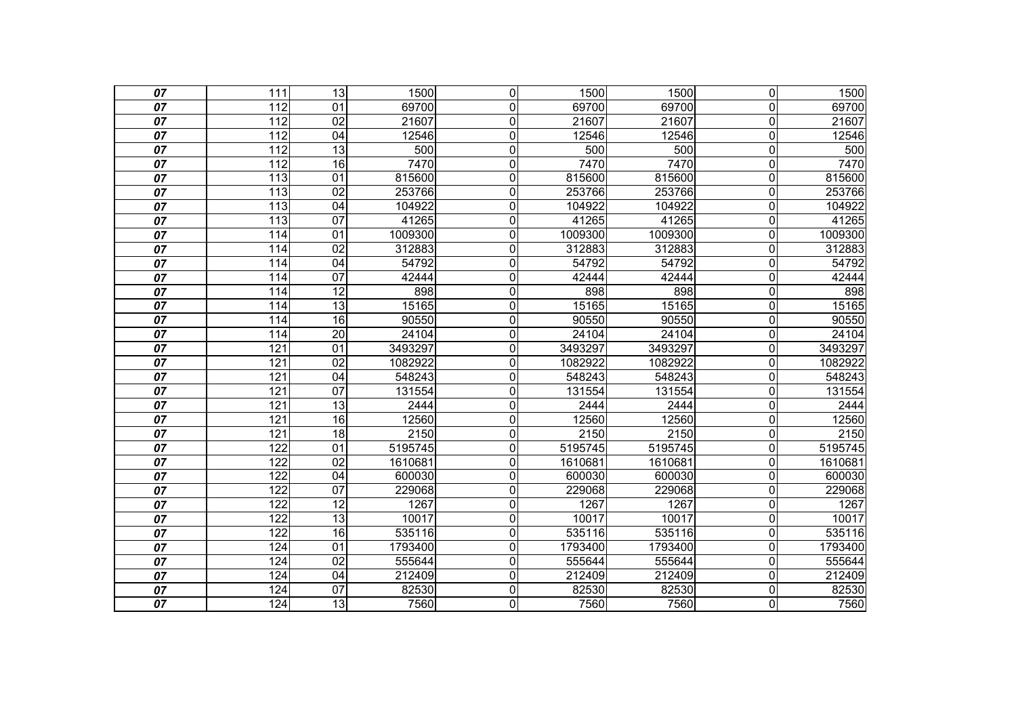| 07              | 111              | $\overline{13}$ | 1500    | $\mathbf 0$    | 1500             | 1500    | $\overline{0}$          | 1500    |
|-----------------|------------------|-----------------|---------|----------------|------------------|---------|-------------------------|---------|
| $\overline{07}$ | 112              | 01              | 69700   | $\mathbf 0$    | 69700            | 69700   | $\mathbf 0$             | 69700   |
| $\overline{07}$ | $\overline{112}$ | $\overline{02}$ | 21607   | $\overline{0}$ | 21607            | 21607   | $\overline{\mathsf{o}}$ | 21607   |
| 07              | 112              | 04              | 12546   | $\mathbf 0$    | 12546            | 12546   | $\mathbf 0$             | 12546   |
| 07              | 112              | $\overline{13}$ | 500     | $\mathbf 0$    | $\overline{500}$ | 500     | $\mathbf 0$             | 500     |
| 07              | $\overline{112}$ | 16              | 7470    | $\overline{0}$ | 7470             | 7470    | $\overline{0}$          | 7470    |
| 07              | 113              | $\overline{01}$ | 815600  | $\mathbf 0$    | 815600           | 815600  | $\mathbf 0$             | 815600  |
| 07              | 113              | $\overline{02}$ | 253766  | $\mathbf 0$    | 253766           | 253766  | $\overline{\mathsf{o}}$ | 253766  |
| $\overline{07}$ | 113              | 04              | 104922  | $\overline{0}$ | 104922           | 104922  | $\overline{\mathsf{o}}$ | 104922  |
| $\overline{07}$ | 113              | $\overline{07}$ | 41265   | $\mathbf 0$    | 41265            | 41265   | $\mathsf{O}\xspace$     | 41265   |
| 07              | 114              | 01              | 1009300 | $\overline{0}$ | 1009300          | 1009300 | $\overline{\mathsf{o}}$ | 1009300 |
| 07              | 114              | $\overline{02}$ | 312883  | $\mathbf 0$    | 312883           | 312883  | $\mathbf 0$             | 312883  |
| 07              | 114              | 04              | 54792   | 0              | 54792            | 54792   | $\mathbf 0$             | 54792   |
| 07              | 114              | 07              | 42444   | $\mathbf 0$    | 42444            | 42444   | $\mathbf 0$             | 42444   |
| 07              | 114              | $\overline{12}$ | 898     | $\mathbf 0$    | 898              | 898     | $\mathbf 0$             | 898     |
| 07              | 114              | $\overline{13}$ | 15165   | $\mathbf 0$    | 15165            | 15165   | $\mathbf 0$             | 15165   |
| 07              | 114              | 16              | 90550   | $\overline{0}$ | 90550            | 90550   | $\overline{\mathsf{o}}$ | 90550   |
| 07              | 114              | $\overline{20}$ | 24104   | $\mathbf 0$    | 24104            | 24104   | $\overline{\mathsf{o}}$ | 24104   |
| 07              | 121              | $\overline{01}$ | 3493297 | $\overline{0}$ | 3493297          | 3493297 | $\overline{\mathsf{o}}$ | 3493297 |
| 07              | 121              | $\overline{02}$ | 1082922 | $\mathbf 0$    | 1082922          | 1082922 | $\mathbf 0$             | 1082922 |
| 07              | 121              | 04              | 548243  | $\mathbf 0$    | 548243           | 548243  | $\mathbf 0$             | 548243  |
| 07              | 121              | 07              | 131554  | $\overline{0}$ | 131554           | 131554  | $\overline{0}$          | 131554  |
| 07              | 121              | 13              | 2444    | $\mathbf 0$    | 2444             | 2444    | $\overline{0}$          | 2444    |
| 07              | 121              | 16              | 12560   | $\mathbf 0$    | 12560            | 12560   | $\mathbf 0$             | 12560   |
| 07              | 121              | 18              | 2150    | $\overline{0}$ | 2150             | 2150    | $\overline{0}$          | 2150    |
| $\overline{07}$ | 122              | $\overline{01}$ | 5195745 | $\mathbf 0$    | 5195745          | 5195745 | $\mathbf 0$             | 5195745 |
| 07              | 122              | $\overline{02}$ | 1610681 | $\mathbf 0$    | 1610681          | 1610681 | $\mathbf 0$             | 1610681 |
| 07              | 122              | 04              | 600030  | $\mathbf 0$    | 600030           | 600030  | $\mathbf 0$             | 600030  |
| 07              | 122              | $\overline{07}$ | 229068  | 0              | 229068           | 229068  | $\mathbf 0$             | 229068  |
| 07              | 122              | $\overline{12}$ | 1267    | $\mathbf 0$    | 1267             | 1267    | $\overline{0}$          | 1267    |
| 07              | 122              | 13              | 10017   | 0              | 10017            | 10017   | $\overline{0}$          | 10017   |
| 07              | 122              | 16              | 535116  | $\mathbf 0$    | 535116           | 535116  | $\mathbf 0$             | 535116  |
| $\overline{07}$ | 124              | 01              | 1793400 | $\overline{0}$ | 1793400          | 1793400 | $\overline{0}$          | 1793400 |
| 07              | 124              | 02              | 555644  | 0              | 555644           | 555644  | $\overline{0}$          | 555644  |
| 07              | 124              | 04              | 212409  | $\overline{0}$ | 212409           | 212409  | $\mathbf 0$             | 212409  |
| $\overline{07}$ | 124              | 07              | 82530   | $\mathbf 0$    | 82530            | 82530   | $\overline{0}$          | 82530   |
| $\overline{07}$ | 124              | 13              | 7560    | 0              | 7560             | 7560    | $\mathbf 0$             | 7560    |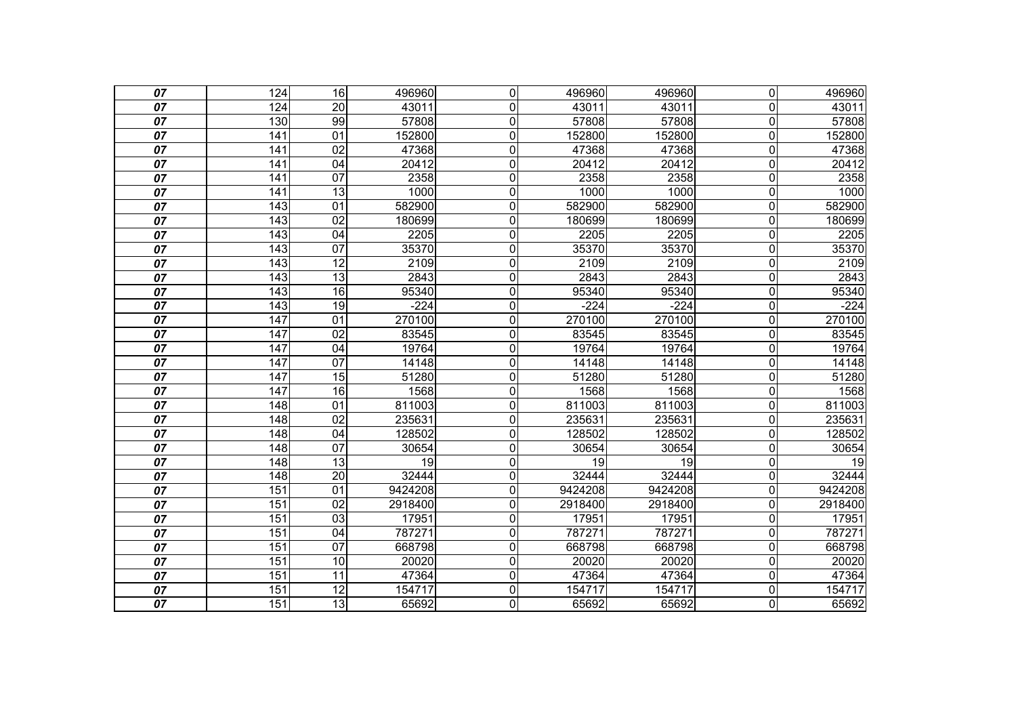| 07              | 124              | 16              | 496960  | $\overline{0}$ | 496960  | 496960  | $\overline{0}$          | 496960  |
|-----------------|------------------|-----------------|---------|----------------|---------|---------|-------------------------|---------|
| 07              | 124              | 20              | 43011   | 0              | 43011   | 43011   | $\overline{0}$          | 43011   |
| 07              | 130              | 99              | 57808   | $\overline{0}$ | 57808   | 57808   | $\overline{\mathsf{o}}$ | 57808   |
| 07              | 141              | 01              | 152800  | 0              | 152800  | 152800  | $\overline{0}$          | 152800  |
| 07              | 141              | $\overline{02}$ | 47368   | 0              | 47368   | 47368   | $\pmb{0}$               | 47368   |
| 07              | $\overline{141}$ | $\overline{04}$ | 20412   | 0              | 20412   | 20412   | $\overline{\mathsf{o}}$ | 20412   |
| 07              | 141              | $\overline{07}$ | 2358    | 0              | 2358    | 2358    | $\overline{0}$          | 2358    |
| 07              | 141              | $\overline{13}$ | 1000    | $\overline{0}$ | 1000    | 1000    | $\overline{0}$          | 1000    |
| 07              | $\overline{143}$ | 01              | 582900  | $\overline{0}$ | 582900  | 582900  | $\overline{0}$          | 582900  |
| 07              | 143              | $\overline{02}$ | 180699  | $\overline{0}$ | 180699  | 180699  | $\overline{0}$          | 180699  |
| 07              | 143              | 04              | 2205    | $\overline{0}$ | 2205    | 2205    | $\overline{0}$          | 2205    |
| 07              | 143              | 07              | 35370   | $\overline{0}$ | 35370   | 35370   | $\overline{0}$          | 35370   |
| 07              | 143              | $\overline{12}$ | 2109    | 0              | 2109    | 2109    | $\overline{0}$          | 2109    |
| 07              | $\overline{143}$ | 13              | 2843    | $\overline{0}$ | 2843    | 2843    | $\overline{0}$          | 2843    |
| 07              | 143              | 16              | 95340   | 0              | 95340   | 95340   | $\overline{0}$          | 95340   |
| 07              | 143              | 19              | $-224$  | 0              | $-224$  | $-224$  | $\overline{0}$          | $-224$  |
| 07              | $\overline{147}$ | $\overline{01}$ | 270100  | 0              | 270100  | 270100  | $\overline{0}$          | 270100  |
| 07              | 147              | $\overline{02}$ | 83545   | 0              | 83545   | 83545   | $\overline{0}$          | 83545   |
| 07              | 147              | $\overline{04}$ | 19764   | $\overline{0}$ | 19764   | 19764   | $\overline{0}$          | 19764   |
| 07              | 147              | $\overline{07}$ | 14148   | 0              | 14148   | 14148   | $\overline{0}$          | 14148   |
| 07              | 147              | 15              | 51280   | 0              | 51280   | 51280   | $\overline{0}$          | 51280   |
| 07              | $\overline{147}$ | 16              | 1568    | $\overline{0}$ | 1568    | 1568    | $\overline{0}$          | 1568    |
| 07              | 148              | 01              | 811003  | 0              | 811003  | 811003  | $\overline{0}$          | 811003  |
| 07              | 148              | $\overline{02}$ | 235631  | 0              | 235631  | 235631  | $\overline{0}$          | 235631  |
| 07              | 148              | $\overline{04}$ | 128502  | $\overline{0}$ | 128502  | 128502  | $\overline{0}$          | 128502  |
| 07              | 148              | $\overline{07}$ | 30654   | 0              | 30654   | 30654   | $\mathbf 0$             | 30654   |
| 07              | 148              | 13              | 19      | 0              | 19      | 19      | $\mathbf 0$             | 19      |
| 07              | 148              | 20              | 32444   | 0              | 32444   | 32444   | $\overline{0}$          | 32444   |
| 07              | 151              | 01              | 9424208 | 0              | 9424208 | 9424208 | $\mathbf 0$             | 9424208 |
| 07              | 151              | $\overline{02}$ | 2918400 | 0              | 2918400 | 2918400 | $\mathbf 0$             | 2918400 |
| 07              | 151              | 03              | 17951   | 0              | 17951   | 17951   | $\mathbf 0$             | 17951   |
| 07              | 151              | 04              | 787271  | 0              | 787271  | 787271  | $\mathbf 0$             | 787271  |
| 07              | 151              | 07              | 668798  | $\overline{0}$ | 668798  | 668798  | $\mathbf 0$             | 668798  |
| 07              | 151              | 10              | 20020   | 0              | 20020   | 20020   | $\mathbf 0$             | 20020   |
| 07              | 151              | $\overline{11}$ | 47364   | $\overline{0}$ | 47364   | 47364   | $\pmb{0}$               | 47364   |
| $\overline{07}$ | 151              | 12              | 154717  | $\overline{0}$ | 154717  | 154717  | O                       | 154717  |
| $\overline{07}$ | 151              | 13              | 65692   | $\overline{0}$ | 65692   | 65692   | $\overline{0}$          | 65692   |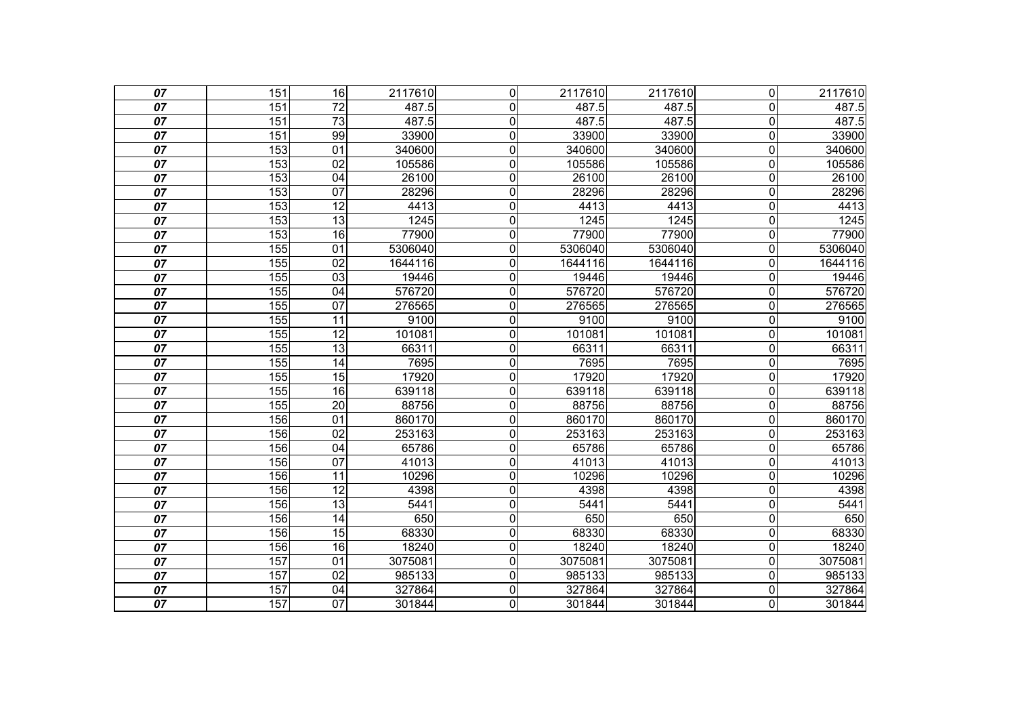| 07              | 151              | 16              | 2117610 | $\overline{0}$ | 2117610 | 2117610 | $\overline{0}$          | 2117610 |
|-----------------|------------------|-----------------|---------|----------------|---------|---------|-------------------------|---------|
| $\overline{07}$ | 151              | $\overline{72}$ | 487.5   | 0              | 487.5   | 487.5   | $\overline{0}$          | 487.5   |
| 07              | 151              | $\overline{73}$ | 487.5   | $\overline{0}$ | 487.5   | 487.5   | $\overline{0}$          | 487.5   |
| 07              | 151              | 99              | 33900   | 0              | 33900   | 33900   | $\overline{0}$          | 33900   |
| 07              | 153              | 01              | 340600  | 0              | 340600  | 340600  | $\mathbf 0$             | 340600  |
| 07              | 153              | 02              | 105586  | 0              | 105586  | 105586  | $\mathbf 0$             | 105586  |
| 07              | 153              | 04              | 26100   | 0              | 26100   | 26100   | $\mathbf 0$             | 26100   |
| 07              | $\overline{153}$ | $\overline{07}$ | 28296   | 0              | 28296   | 28296   | $\mathbf 0$             | 28296   |
| 07              | 153              | 12              | 4413    | $\overline{0}$ | 4413    | 4413    | $\overline{\mathsf{o}}$ | 4413    |
| 07              | 153              | $\overline{13}$ | 1245    | 0              | 1245    | 1245    | $\mathbf 0$             | 1245    |
| 07              | 153              | 16              | 77900   | $\overline{0}$ | 77900   | 77900   | $\overline{0}$          | 77900   |
| 07              | 155              | 01              | 5306040 | $\overline{0}$ | 5306040 | 5306040 | $\overline{0}$          | 5306040 |
| 07              | 155              | $\overline{02}$ | 1644116 | $\overline{0}$ | 1644116 | 1644116 | $\pmb{0}$               | 1644116 |
| 07              | 155              | $\overline{03}$ | 19446   | 0              | 19446   | 19446   | $\mathbf 0$             | 19446   |
| 07              | 155              | 04              | 576720  | 0              | 576720  | 576720  | $\mathbf 0$             | 576720  |
| 07              | 155              | 07              | 276565  | $\overline{0}$ | 276565  | 276565  | $\overline{0}$          | 276565  |
| 07              | 155              | 11              | 9100    | 0              | 9100    | 9100    | $\overline{0}$          | 9100    |
| 07              | 155              | 12              | 101081  | 0              | 101081  | 101081  | $\overline{0}$          | 101081  |
| 07              | 155              | $\overline{13}$ | 66311   | 0              | 66311   | 66311   | $\overline{0}$          | 66311   |
| 07              | 155              | $\overline{14}$ | 7695    | 0              | 7695    | 7695    | $\overline{0}$          | 7695    |
| 07              | 155              | 15              | 17920   | 0              | 17920   | 17920   | $\overline{0}$          | 17920   |
| 07              | 155              | 16              | 639118  | $\overline{0}$ | 639118  | 639118  | $\overline{0}$          | 639118  |
| 07              | 155              | 20              | 88756   | 0              | 88756   | 88756   | $\overline{0}$          | 88756   |
| 07              | 156              | 01              | 860170  | 0              | 860170  | 860170  | $\overline{0}$          | 860170  |
| 07              | 156              | $\overline{02}$ | 253163  | $\overline{0}$ | 253163  | 253163  | $\overline{0}$          | 253163  |
| 07              | 156              | 04              | 65786   | 0              | 65786   | 65786   | $\overline{0}$          | 65786   |
| 07              | 156              | 07              | 41013   | 0              | 41013   | 41013   | $\overline{0}$          | 41013   |
| 07              | 156              | 11              | 10296   | 0              | 10296   | 10296   | $\overline{0}$          | 10296   |
| 07              | 156              | 12              | 4398    | 0              | 4398    | 4398    | $\overline{0}$          | 4398    |
| 07              | 156              | $\overline{13}$ | 5441    | 0              | 5441    | 5441    | $\overline{0}$          | 5441    |
| 07              | 156              | 14              | 650     | 0              | 650     | 650     | $\mathbf 0$             | 650     |
| 07              | 156              | 15              | 68330   | 0              | 68330   | 68330   | $\overline{0}$          | 68330   |
| 07              | 156              | $\overline{16}$ | 18240   | $\overline{0}$ | 18240   | 18240   | O                       | 18240   |
| 07              | 157              | 01              | 3075081 | 0              | 3075081 | 3075081 | $\mathbf 0$             | 3075081 |
| 07              | 157              | 02              | 985133  | 0              | 985133  | 985133  | $\mathbf 0$             | 985133  |
| 07              | 157              | 04              | 327864  | $\overline{0}$ | 327864  | 327864  | O                       | 327864  |
| 07              | 157              | 07              | 301844  | 0              | 301844  | 301844  | $\overline{0}$          | 301844  |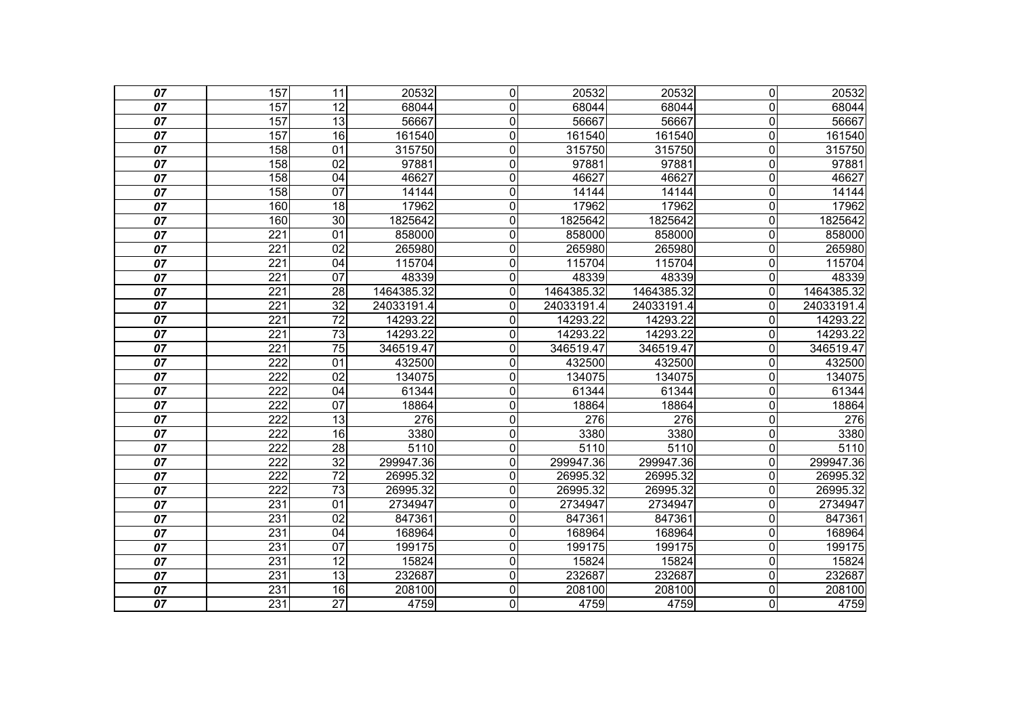| 07              | 157              | $\overline{11}$ | 20532      | $\overline{0}$   | 20532      | 20532      | $\overline{0}$          | 20532      |
|-----------------|------------------|-----------------|------------|------------------|------------|------------|-------------------------|------------|
| 07              | 157              | 12              | 68044      | $\mathbf 0$      | 68044      | 68044      | $\overline{0}$          | 68044      |
| 07              | 157              | 13              | 56667      | $\boldsymbol{0}$ | 56667      | 56667      | $\mathbf 0$             | 56667      |
| $\overline{07}$ | 157              | 16              | 161540     | $\mathbf 0$      | 161540     | 161540     | $\mathbf 0$             | 161540     |
| 07              | 158              | 01              | 315750     | $\mathbf 0$      | 315750     | 315750     | $\overline{0}$          | 315750     |
| 07              | 158              | 02              | 97881      | 0                | 97881      | 97881      | $\mathbf 0$             | 97881      |
| $\overline{07}$ | 158              | $\overline{04}$ | 46627      | $\mathbf 0$      | 46627      | 46627      | $\mathbf 0$             | 46627      |
| 07              | 158              | 07              | 14144      | $\mathbf 0$      | 14144      | 14144      | $\overline{0}$          | 14144      |
| 07              | 160              | $\overline{18}$ | 17962      | $\pmb{0}$        | 17962      | 17962      | $\mathbf 0$             | 17962      |
| 07              | 160              | 30              | 1825642    | $\mathbf 0$      | 1825642    | 1825642    | $\mathbf 0$             | 1825642    |
| 07              | $\overline{221}$ | $\overline{01}$ | 858000     | $\mathbf 0$      | 858000     | 858000     | $\overline{0}$          | 858000     |
| 07              | $\overline{221}$ | $\overline{02}$ | 265980     | $\mathbf 0$      | 265980     | 265980     | $\mathbf 0$             | 265980     |
| 07              | $\overline{221}$ | 04              | 115704     | 0                | 115704     | 115704     | $\mathbf 0$             | 115704     |
| 07              | $\overline{221}$ | $\overline{07}$ | 48339      | $\mathbf 0$      | 48339      | 48339      | $\Omega$                | 48339      |
| 07              | 221              | 28              | 1464385.32 | $\mathbf 0$      | 1464385.32 | 1464385.32 | $\mathbf 0$             | 1464385.32 |
| 07              | $\overline{221}$ | $\overline{32}$ | 24033191.4 | $\mathbf 0$      | 24033191.4 | 24033191.4 | $\overline{0}$          | 24033191.4 |
| 07              | $\overline{221}$ | $\overline{72}$ | 14293.22   | 0                | 14293.22   | 14293.22   | $\Omega$                | 14293.22   |
| 07              | 221              | $\overline{73}$ | 14293.22   | $\mathbf 0$      | 14293.22   | 14293.22   | $\mathbf 0$             | 14293.22   |
| 07              | 221              | $\overline{75}$ | 346519.47  | $\overline{0}$   | 346519.47  | 346519.47  | $\overline{0}$          | 346519.47  |
| 07              | 222              | 01              | 432500     | 0                | 432500     | 432500     | $\mathbf{0}$            | 432500     |
| 07              | 222              | 02              | 134075     | $\mathbf 0$      | 134075     | 134075     | $\mathbf 0$             | 134075     |
| 07              | 222              | 04              | 61344      | $\overline{0}$   | 61344      | 61344      | $\overline{\mathsf{o}}$ | 61344      |
| 07              | 222              | 07              | 18864      | $\mathbf 0$      | 18864      | 18864      | $\overline{0}$          | 18864      |
| 07              | 222              | 13              | 276        | $\mathbf 0$      | 276        | 276        | $\mathbf 0$             | 276        |
| 07              | 222              | 16              | 3380       | $\overline{0}$   | 3380       | 3380       | $\overline{\mathsf{o}}$ | 3380       |
| 07              | 222              | $\overline{28}$ | 5110       | $\mathbf 0$      | 5110       | 5110       | $\overline{0}$          | 5110       |
| 07              | 222              | $\overline{32}$ | 299947.36  | $\mathbf 0$      | 299947.36  | 299947.36  | $\mathbf 0$             | 299947.36  |
| 07              | $\overline{222}$ | $\overline{72}$ | 26995.32   | $\overline{0}$   | 26995.32   | 26995.32   | $\mathbf 0$             | 26995.32   |
| 07              | 222              | $\overline{73}$ | 26995.32   | $\mathbf{0}$     | 26995.32   | 26995.32   | $\Omega$                | 26995.32   |
| 07              | 231              | 01              | 2734947    | $\mathbf 0$      | 2734947    | 2734947    | $\mathbf 0$             | 2734947    |
| 07              | 231              | $\overline{02}$ | 847361     | $\mathbf 0$      | 847361     | 847361     | $\mathbf 0$             | 847361     |
| 07              | 231              | 04              | 168964     | $\mathbf 0$      | 168964     | 168964     | $\mathbf 0$             | 168964     |
| 07              | 231              | 07              | 199175     | $\overline{0}$   | 199175     | 199175     | $\overline{\mathsf{o}}$ | 199175     |
| $\overline{07}$ | 231              | $\overline{12}$ | 15824      | $\mathbf 0$      | 15824      | 15824      | $\mathbf 0$             | 15824      |
| 07              | 231              | 13              | 232687     | $\mathbf 0$      | 232687     | 232687     | $\overline{0}$          | 232687     |
| 07              | 231              | 16              | 208100     | O                | 208100     | 208100     | $\overline{\mathsf{o}}$ | 208100     |
| $\overline{07}$ | 231              | $\overline{27}$ | 4759       | $\overline{0}$   | 4759       | 4759       | O                       | 4759       |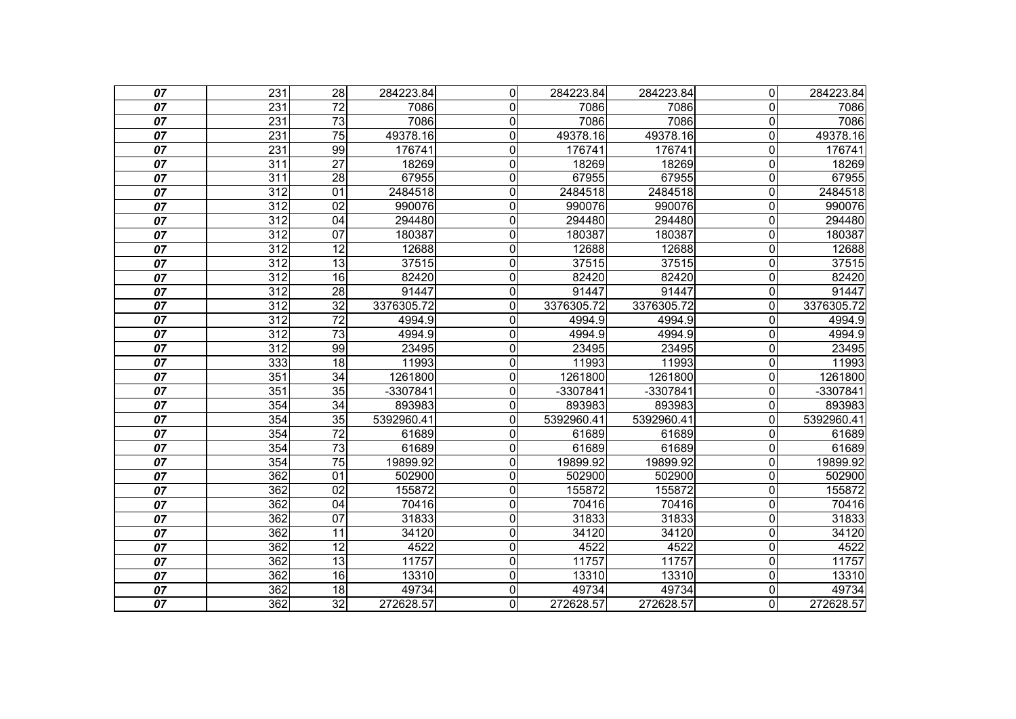| 07              | 231              | 28              | 284223.84  | $\Omega$     | 284223.84  | 284223.84  | $\overline{0}$ | 284223.84  |
|-----------------|------------------|-----------------|------------|--------------|------------|------------|----------------|------------|
| 07              | 231              | $\overline{72}$ | 7086       | 0            | 7086       | 7086       | $\mathbf{0}$   | 7086       |
| 07              | 231              | $\overline{73}$ | 7086       | 0            | 7086       | 7086       | $\mathbf 0$    | 7086       |
| 07              | 231              | 75              | 49378.16   | $\mathbf{0}$ | 49378.16   | 49378.16   | $\mathbf 0$    | 49378.16   |
| 07              | 231              | 99              | 176741     | 0            | 176741     | 176741     | 0              | 176741     |
| 07              | 311              | $\overline{27}$ | 18269      | 0            | 18269      | 18269      | 0              | 18269      |
| 07              | 311              | $\overline{28}$ | 67955      | 0            | 67955      | 67955      | $\mathbf 0$    | 67955      |
| 07              | 312              | $\overline{01}$ | 2484518    | $\mathbf 0$  | 2484518    | 2484518    | $\mathbf 0$    | 2484518    |
| 07              | 312              | 02              | 990076     | $\mathbf 0$  | 990076     | 990076     | $\mathbf 0$    | 990076     |
| 07              | $\overline{312}$ | 04              | 294480     | $\mathbf 0$  | 294480     | 294480     | $\mathbf 0$    | 294480     |
| 07              | $\overline{312}$ | 07              | 180387     | 0            | 180387     | 180387     | 0              | 180387     |
| 07              | 312              | $\overline{12}$ | 12688      | 0            | 12688      | 12688      | $\Omega$       | 12688      |
| 07              | 312              | $\overline{13}$ | 37515      | 0            | 37515      | 37515      | $\mathbf 0$    | 37515      |
| 07              | 312              | 16              | 82420      | 0            | 82420      | 82420      | 0              | 82420      |
| 07              | 312              | $\overline{28}$ | 91447      | $\mathbf 0$  | 91447      | 91447      | $\mathbf 0$    | 91447      |
| 07              | $\overline{312}$ | 32              | 3376305.72 | 0            | 3376305.72 | 3376305.72 | 0              | 3376305.72 |
| 07              | $\overline{312}$ | $\overline{72}$ | 4994.9     | 0            | 4994.9     | 4994.9     | $\Omega$       | 4994.9     |
| 07              | 312              | $\overline{73}$ | 4994.9     | 0            | 4994.9     | 4994.9     | $\Omega$       | 4994.9     |
| 07              | $\overline{312}$ | 99              | 23495      | $\mathbf 0$  | 23495      | 23495      | 0              | 23495      |
| 07              | 333              | $\overline{18}$ | 11993      | $\mathbf 0$  | 11993      | 11993      | $\mathbf 0$    | 11993      |
| 07              | 351              | 34              | 1261800    | $\mathbf 0$  | 1261800    | 1261800    | 0              | 1261800    |
| 07              | 351              | $\overline{35}$ | -3307841   | 0            | $-3307841$ | -3307841   | $\mathbf{0}$   | $-3307841$ |
| 07              | 354              | 34              | 893983     | 0            | 893983     | 893983     | 0              | 893983     |
| 07              | 354              | 35              | 5392960.41 | $\Omega$     | 5392960.41 | 5392960.41 | 0              | 5392960.41 |
| 07              | 354              | $\overline{72}$ | 61689      | 0            | 61689      | 61689      | 0              | 61689      |
| 07              | 354              | $\overline{73}$ | 61689      | 0            | 61689      | 61689      | $\mathbf{0}$   | 61689      |
| 07              | 354              | 75              | 19899.92   | 0            | 19899.92   | 19899.92   | $\mathbf{0}$   | 19899.92   |
| 07              | 362              | 01              | 502900     | 0            | 502900     | 502900     | 0              | 502900     |
| 07              | 362              | $\overline{02}$ | 155872     | 0            | 155872     | 155872     | 0              | 155872     |
| $\overline{07}$ | 362              | $\overline{04}$ | 70416      | 0            | 70416      | 70416      | 0              | 70416      |
| $\overline{07}$ | 362              | $\overline{07}$ | 31833      | 0            | 31833      | 31833      | $\pmb{0}$      | 31833      |
| 07              | 362              | $\overline{11}$ | 34120      | 0            | 34120      | 34120      | 0              | 34120      |
| 07              | 362              | 12              | 4522       | 0            | 4522       | 4522       | 0              | 4522       |
| $\overline{07}$ | 362              | $\overline{13}$ | 11757      | 0            | 11757      | 11757      | $\mathbf 0$    | 11757      |
| 07              | 362              | 16              | 13310      | 0            | 13310      | 13310      | 0              | 13310      |
| $\overline{07}$ | 362              | 18              | 49734      | 0            | 49734      | 49734      | $\mathbf 0$    | 49734      |
| $\overline{07}$ | 362              | 32              | 272628.57  | 0            | 272628.57  | 272628.57  | $\overline{0}$ | 272628.57  |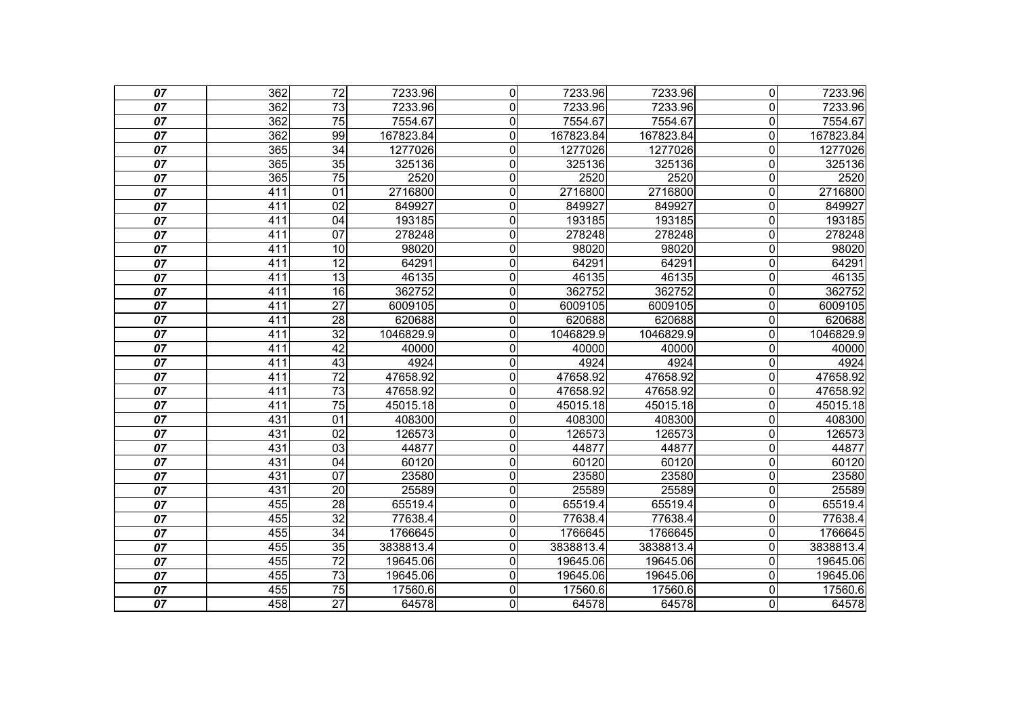| 07              | 362 | $\overline{72}$ | 7233.96   | $\mathbf 0$    | 7233.96   | 7233.96   | $\overline{0}$          | 7233.96   |
|-----------------|-----|-----------------|-----------|----------------|-----------|-----------|-------------------------|-----------|
| 07              | 362 | 73              | 7233.96   | $\mathbf{0}$   | 7233.96   | 7233.96   | $\Omega$                | 7233.96   |
| 07              | 362 | $\overline{75}$ | 7554.67   | $\mathbf 0$    | 7554.67   | 7554.67   | $\mathbf 0$             | 7554.67   |
| $\overline{07}$ | 362 | 99              | 167823.84 | $\mathbf 0$    | 167823.84 | 167823.84 | $\mathbf 0$             | 167823.84 |
| 07              | 365 | $\overline{34}$ | 1277026   | $\mathbf 0$    | 1277026   | 1277026   | $\mathbf 0$             | 1277026   |
| 07              | 365 | 35              | 325136    | $\mathbf 0$    | 325136    | 325136    | $\mathbf 0$             | 325136    |
| 07              | 365 | $\overline{75}$ | 2520      | $\overline{0}$ | 2520      | 2520      | $\mathbf 0$             | 2520      |
| 07              | 411 | 01              | 2716800   | 0              | 2716800   | 2716800   | $\overline{0}$          | 2716800   |
| 07              | 411 | 02              | 849927    | 0              | 849927    | 849927    | $\overline{\mathsf{o}}$ | 849927    |
| 07              | 411 | 04              | 193185    | 0              | 193185    | 193185    | $\overline{0}$          | 193185    |
| 07              | 411 | 07              | 278248    | $\mathbf 0$    | 278248    | 278248    | $\mathbf 0$             | 278248    |
| 07              | 411 | 10              | 98020     | $\mathbf 0$    | 98020     | 98020     | $\mathbf 0$             | 98020     |
| 07              | 411 | $\overline{12}$ | 64291     | $\mathbf 0$    | 64291     | 64291     | $\overline{0}$          | 64291     |
| 07              | 411 | 13              | 46135     | $\overline{0}$ | 46135     | 46135     | $\mathbf 0$             | 46135     |
| $\overline{07}$ | 411 | $\overline{16}$ | 362752    | 0              | 362752    | 362752    | $\mathbf 0$             | 362752    |
| 07              | 411 | $\overline{27}$ | 6009105   | 0              | 6009105   | 6009105   | $\overline{0}$          | 6009105   |
| 07              | 411 | 28              | 620688    | $\mathbf 0$    | 620688    | 620688    | $\mathbf 0$             | 620688    |
| $\overline{07}$ | 411 | $\overline{32}$ | 1046829.9 | $\mathbf 0$    | 1046829.9 | 1046829.9 | $\mathbf 0$             | 1046829.9 |
| 07              | 411 | 42              | 40000     | 0              | 40000     | 40000     | $\overline{0}$          | 40000     |
| 07              | 411 | 43              | 4924      | 0              | 4924      | 4924      | $\mathbf 0$             | 4924      |
| 07              | 411 | $\overline{72}$ | 47658.92  | $\mathbf 0$    | 47658.92  | 47658.92  | $\mathbf 0$             | 47658.92  |
| 07              | 411 | $\overline{73}$ | 47658.92  | 0              | 47658.92  | 47658.92  | $\mathbf 0$             | 47658.92  |
| 07              | 411 | $\overline{75}$ | 45015.18  | 0              | 45015.18  | 45015.18  | $\overline{0}$          | 45015.18  |
| 07              | 431 | 01              | 408300    | 0              | 408300    | 408300    | $\overline{0}$          | 408300    |
| 07              | 431 | 02              | 126573    | $\mathbf 0$    | 126573    | 126573    | $\mathbf 0$             | 126573    |
| $\overline{07}$ | 431 | $\overline{03}$ | 44877     | $\mathbf 0$    | 44877     | 44877     | $\mathbf 0$             | 44877     |
| 07              | 431 | 04              | 60120     | $\mathbf 0$    | 60120     | 60120     | $\overline{0}$          | 60120     |
| 07              | 431 | $\overline{07}$ | 23580     | $\mathbf 0$    | 23580     | 23580     | $\mathbf 0$             | 23580     |
| 07              | 431 | $\overline{20}$ | 25589     | $\mathbf 0$    | 25589     | 25589     | $\overline{\mathsf{o}}$ | 25589     |
| 07              | 455 | $\overline{28}$ | 65519.4   | 0              | 65519.4   | 65519.4   | $\overline{0}$          | 65519.4   |
| 07              | 455 | $\overline{32}$ | 77638.4   | $\mathbf 0$    | 77638.4   | 77638.4   | $\mathbf 0$             | 77638.4   |
| 07              | 455 | $\overline{34}$ | 1766645   | $\mathbf 0$    | 1766645   | 1766645   | $\mathbf 0$             | 1766645   |
| 07              | 455 | 35              | 3838813.4 | 0              | 3838813.4 | 3838813.4 | $\overline{0}$          | 3838813.4 |
| $\overline{07}$ | 455 | $\overline{72}$ | 19645.06  | $\overline{0}$ | 19645.06  | 19645.06  | $\mathbf 0$             | 19645.06  |
| 07              | 455 | $\overline{73}$ | 19645.06  | $\mathbf{0}$   | 19645.06  | 19645.06  | $\overline{0}$          | 19645.06  |
| 07              | 455 | $\overline{75}$ | 17560.6   | $\mathbf 0$    | 17560.6   | 17560.6   | $\mathbf 0$             | 17560.6   |
| $\overline{07}$ | 458 | $\overline{27}$ | 64578     | $\overline{0}$ | 64578     | 64578     | O                       | 64578     |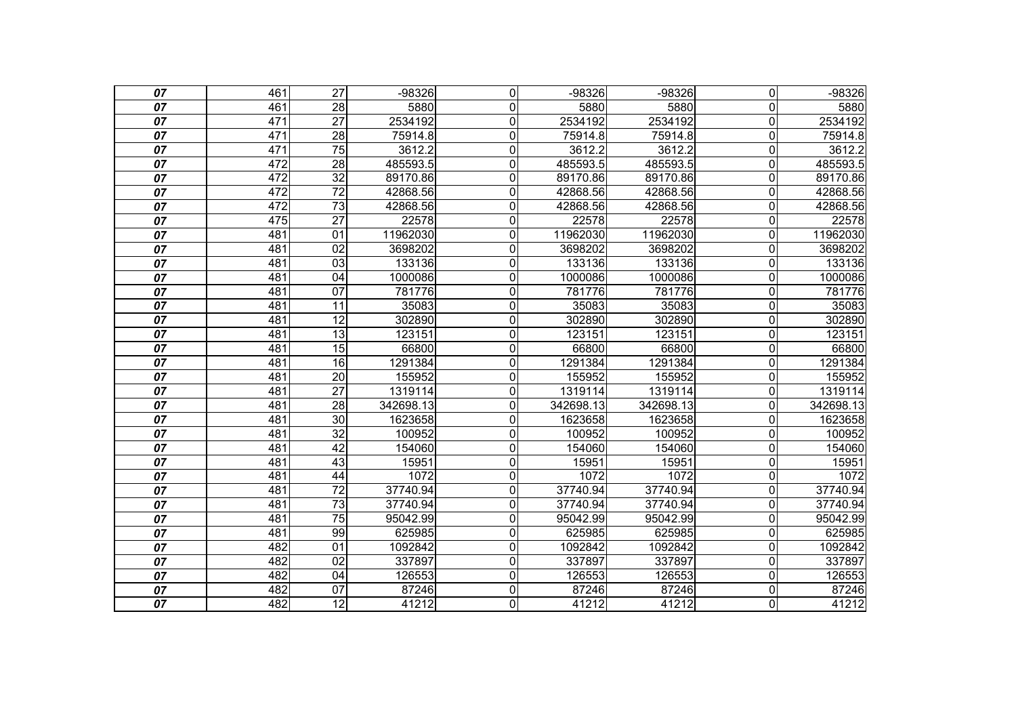| 07              | 461 | $\overline{27}$ | $-98326$  | $\overline{0}$ | $-98326$  | $-98326$  | $\overline{0}$          | $-98326$  |
|-----------------|-----|-----------------|-----------|----------------|-----------|-----------|-------------------------|-----------|
| 07              | 461 | 28              | 5880      | 0              | 5880      | 5880      | $\overline{0}$          | 5880      |
| 07              | 471 | $\overline{27}$ | 2534192   | $\overline{0}$ | 2534192   | 2534192   | $\overline{\mathsf{o}}$ | 2534192   |
| $\overline{07}$ | 471 | 28              | 75914.8   | 0              | 75914.8   | 75914.8   | $\overline{0}$          | 75914.8   |
| 07              | 471 | $\overline{75}$ | 3612.2    | 0              | 3612.2    | 3612.2    | 0                       | 3612.2    |
| 07              | 472 | 28              | 485593.5  | $\overline{0}$ | 485593.5  | 485593.5  | $\overline{0}$          | 485593.5  |
| 07              | 472 | $\overline{32}$ | 89170.86  | 0              | 89170.86  | 89170.86  | $\overline{0}$          | 89170.86  |
| 07              | 472 | $\overline{72}$ | 42868.56  | 0              | 42868.56  | 42868.56  | 0                       | 42868.56  |
| 07              | 472 | 73              | 42868.56  | $\overline{0}$ | 42868.56  | 42868.56  | $\overline{0}$          | 42868.56  |
| 07              | 475 | $\overline{27}$ | 22578     | 0              | 22578     | 22578     | $\mathbf 0$             | 22578     |
| 07              | 481 | 01              | 11962030  | $\overline{0}$ | 11962030  | 11962030  | $\mathbf 0$             | 11962030  |
| $\overline{07}$ | 481 | $\overline{02}$ | 3698202   | 0              | 3698202   | 3698202   | $\overline{0}$          | 3698202   |
| 07              | 481 | 03              | 133136    | 0              | 133136    | 133136    | $\overline{0}$          | 133136    |
| 07              | 481 | 04              | 1000086   | $\overline{0}$ | 1000086   | 1000086   | $\overline{0}$          | 1000086   |
| $\overline{07}$ | 481 | $\overline{07}$ | 781776    | 0              | 781776    | 781776    | $\overline{0}$          | 781776    |
| 07              | 481 | 11              | 35083     | 0              | 35083     | 35083     | 0                       | 35083     |
| 07              | 481 | 12              | 302890    | $\overline{0}$ | 302890    | 302890    | $\overline{\mathsf{o}}$ | 302890    |
| $\overline{07}$ | 481 | 13              | 123151    | $\overline{0}$ | 123151    | 123151    | $\mathbf 0$             | 123151    |
| 07              | 481 | $\overline{15}$ | 66800     | $\overline{0}$ | 66800     | 66800     | $\overline{0}$          | 66800     |
| 07              | 481 | 16              | 1291384   | 0              | 1291384   | 1291384   | $\mathbf 0$             | 1291384   |
| 07              | 481 | $\overline{20}$ | 155952    | 0              | 155952    | 155952    | $\mathbf 0$             | 155952    |
| 07              | 481 | $\overline{27}$ | 1319114   | $\overline{0}$ | 1319114   | 1319114   | 0                       | 1319114   |
| $\overline{07}$ | 481 | 28              | 342698.13 | $\overline{0}$ | 342698.13 | 342698.13 | $\overline{0}$          | 342698.13 |
| 07              | 481 | $\overline{30}$ | 1623658   | 0              | 1623658   | 1623658   | $\Omega$                | 1623658   |
| 07              | 481 | $\overline{32}$ | 100952    | $\overline{0}$ | 100952    | 100952    | $\mathbf 0$             | 100952    |
| $\overline{07}$ | 481 | 42              | 154060    | 0              | 154060    | 154060    | $\mathbf 0$             | 154060    |
| 07              | 481 | $\overline{43}$ | 15951     | 0              | 15951     | 15951     | 0                       | 15951     |
| 07              | 481 | 44              | 1072      | 0              | 1072      | 1072      | $\mathbf 0$             | 1072      |
| 07              | 481 | $\overline{72}$ | 37740.94  | $\overline{0}$ | 37740.94  | 37740.94  | $\overline{0}$          | 37740.94  |
| 07              | 481 | $\overline{73}$ | 37740.94  | $\overline{0}$ | 37740.94  | 37740.94  | 0                       | 37740.94  |
| 07              | 481 | $\overline{75}$ | 95042.99  | 0              | 95042.99  | 95042.99  | $\overline{0}$          | 95042.99  |
| 07              | 481 | 99              | 625985    | 0              | 625985    | 625985    | $\mathbf 0$             | 625985    |
| 07              | 482 | 01              | 1092842   | $\overline{0}$ | 1092842   | 1092842   | $\overline{0}$          | 1092842   |
| $\overline{07}$ | 482 | $\overline{02}$ | 337897    | $\overline{0}$ | 337897    | 337897    | $\mathbf 0$             | 337897    |
| 07              | 482 | 04              | 126553    | 0              | 126553    | 126553    | $\mathbf 0$             | 126553    |
| 07              | 482 | 07              | 87246     | $\overline{0}$ | 87246     | 87246     | $\overline{\mathsf{o}}$ | 87246     |
| $\overline{07}$ | 482 | $\overline{12}$ | 41212     | $\overline{0}$ | 41212     | 41212     | O                       | 41212     |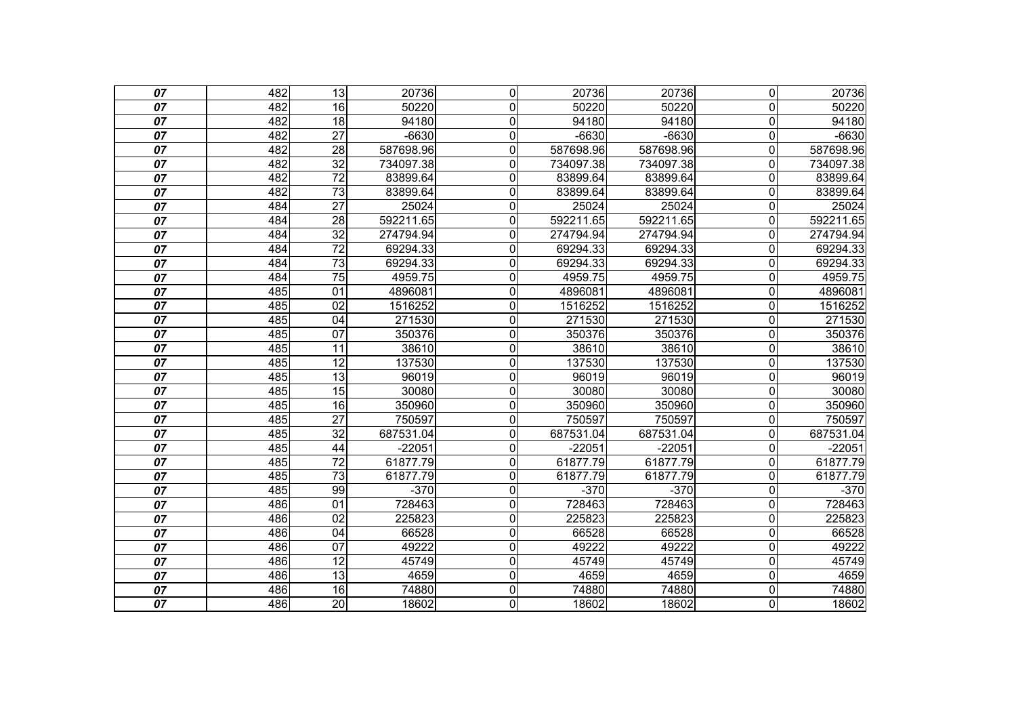| 07              | 482 | $\overline{13}$ | 20736     | $\overline{0}$ | 20736     | 20736     | $\overline{0}$          | 20736     |
|-----------------|-----|-----------------|-----------|----------------|-----------|-----------|-------------------------|-----------|
| 07              | 482 | 16              | 50220     | 0              | 50220     | 50220     | $\Omega$                | 50220     |
| 07              | 482 | 18              | 94180     | $\overline{0}$ | 94180     | 94180     | $\overline{\mathsf{o}}$ | 94180     |
| $\overline{07}$ | 482 | $\overline{27}$ | $-6630$   | $\overline{0}$ | $-6630$   | $-6630$   | $\overline{\mathsf{o}}$ | $-6630$   |
| 07              | 482 | $\overline{28}$ | 587698.96 | 0              | 587698.96 | 587698.96 | $\mathbf 0$             | 587698.96 |
| 07              | 482 | $\overline{32}$ | 734097.38 | $\overline{0}$ | 734097.38 | 734097.38 | $\overline{\mathsf{o}}$ | 734097.38 |
| 07              | 482 | $\overline{72}$ | 83899.64  | $\overline{0}$ | 83899.64  | 83899.64  | $\overline{0}$          | 83899.64  |
| 07              | 482 | $\overline{73}$ | 83899.64  | 0              | 83899.64  | 83899.64  | $\overline{0}$          | 83899.64  |
| 07              | 484 | $\overline{27}$ | 25024     | $\overline{0}$ | 25024     | 25024     | $\overline{\mathsf{o}}$ | 25024     |
| 07              | 484 | 28              | 592211.65 | 0              | 592211.65 | 592211.65 | $\overline{0}$          | 592211.65 |
| 07              | 484 | $\overline{32}$ | 274794.94 | $\overline{0}$ | 274794.94 | 274794.94 | $\overline{\mathsf{o}}$ | 274794.94 |
| $\overline{07}$ | 484 | $\overline{72}$ | 69294.33  | $\overline{0}$ | 69294.33  | 69294.33  | $\overline{0}$          | 69294.33  |
| 07              | 484 | $\overline{73}$ | 69294.33  | 0              | 69294.33  | 69294.33  | $\overline{0}$          | 69294.33  |
| 07              | 484 | $\overline{75}$ | 4959.75   | $\overline{0}$ | 4959.75   | 4959.75   | $\overline{\mathsf{o}}$ | 4959.75   |
| $\overline{07}$ | 485 | $\overline{01}$ | 4896081   | 0              | 4896081   | 4896081   | $\overline{0}$          | 4896081   |
| 07              | 485 | 02              | 1516252   | 0              | 1516252   | 1516252   | $\overline{0}$          | 1516252   |
| 07              | 485 | $\overline{04}$ | 271530    | $\overline{0}$ | 271530    | 271530    | $\overline{\mathsf{o}}$ | 271530    |
| $\overline{07}$ | 485 | $\overline{07}$ | 350376    | 0              | 350376    | 350376    | $\overline{\mathsf{o}}$ | 350376    |
| 07              | 485 | $\overline{11}$ | 38610     | $\overline{0}$ | 38610     | 38610     | $\overline{0}$          | 38610     |
| 07              | 485 | 12              | 137530    | $\overline{0}$ | 137530    | 137530    | $\overline{\mathsf{o}}$ | 137530    |
| 07              | 485 | $\overline{13}$ | 96019     | 0              | 96019     | 96019     | $\overline{0}$          | 96019     |
| 07              | 485 | 15              | 30080     | $\overline{0}$ | 30080     | 30080     | $\overline{0}$          | 30080     |
| 07              | 485 | 16              | 350960    | 0              | 350960    | 350960    | $\mathbf 0$             | 350960    |
| 07              | 485 | $\overline{27}$ | 750597    | 0              | 750597    | 750597    | $\overline{0}$          | 750597    |
| 07              | 485 | $\overline{32}$ | 687531.04 | $\overline{0}$ | 687531.04 | 687531.04 | $\overline{\mathsf{o}}$ | 687531.04 |
| $\overline{07}$ | 485 | $\overline{44}$ | $-22051$  | $\overline{0}$ | $-22051$  | $-22051$  | $\overline{0}$          | $-22051$  |
| 07              | 485 | $\overline{72}$ | 61877.79  | 0              | 61877.79  | 61877.79  | $\overline{0}$          | 61877.79  |
| 07              | 485 | 73              | 61877.79  | 0              | 61877.79  | 61877.79  | $\mathbf 0$             | 61877.79  |
| 07              | 485 | 99              | $-370$    | $\overline{0}$ | $-370$    | $-370$    | $\overline{\mathsf{o}}$ | $-370$    |
| 07              | 486 | 01              | 728463    | $\overline{0}$ | 728463    | 728463    | $\overline{0}$          | 728463    |
| 07              | 486 | $\overline{02}$ | 225823    | 0              | 225823    | 225823    | $\mathbf 0$             | 225823    |
| 07              | 486 | 04              | 66528     | 0              | 66528     | 66528     | $\mathbf 0$             | 66528     |
| 07              | 486 | $\overline{07}$ | 49222     | $\overline{0}$ | 49222     | 49222     | $\overline{0}$          | 49222     |
| $\overline{07}$ | 486 | $\overline{12}$ | 45749     | $\overline{0}$ | 45749     | 45749     | $\overline{\mathsf{o}}$ | 45749     |
| 07              | 486 | 13              | 4659      | 0              | 4659      | 4659      | $\mathbf 0$             | 4659      |
| 07              | 486 | 16              | 74880     | $\overline{0}$ | 74880     | 74880     | $\overline{0}$          | 74880     |
| $\overline{07}$ | 486 | $\overline{20}$ | 18602     | $\overline{0}$ | 18602     | 18602     | O                       | 18602     |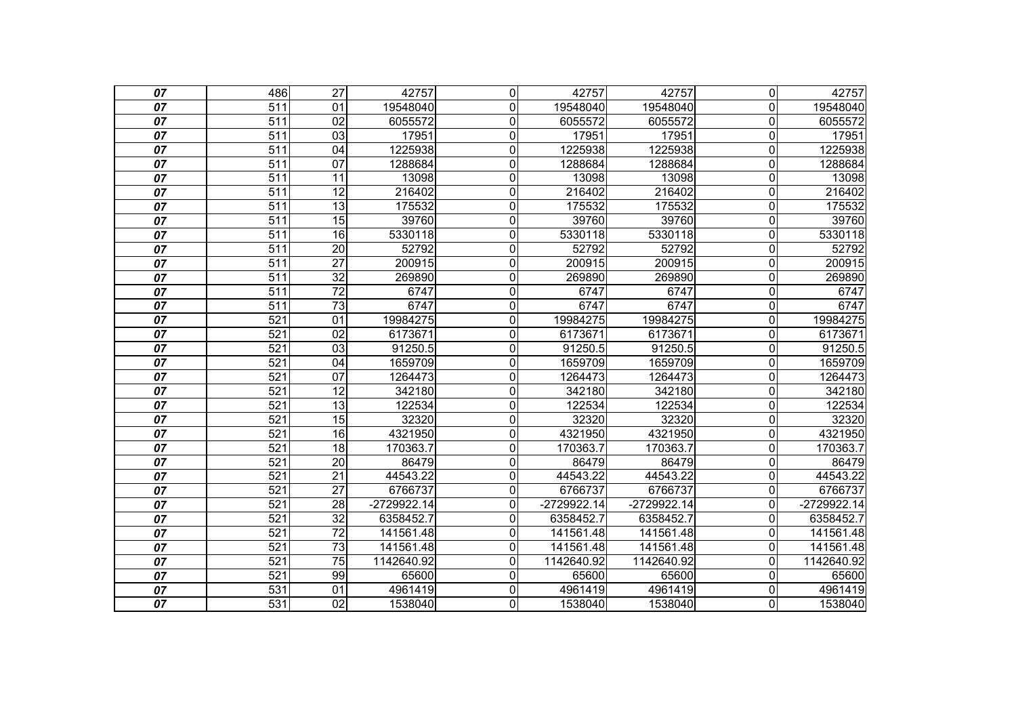| 07              | 486              | $\overline{27}$ | 42757         | $\overline{0}$ | 42757       | 42757       | $\overline{0}$          | 42757         |
|-----------------|------------------|-----------------|---------------|----------------|-------------|-------------|-------------------------|---------------|
| 07              | 511              | 01              | 19548040      | 0              | 19548040    | 19548040    | $\Omega$                | 19548040      |
| 07              | 511              | 02              | 6055572       | $\overline{0}$ | 6055572     | 6055572     | $\overline{\mathsf{o}}$ | 6055572       |
| $\overline{07}$ | $\overline{511}$ | 03              | 17951         | 0              | 17951       | 17951       | $\overline{\mathsf{o}}$ | 17951         |
| 07              | $\overline{511}$ | 04              | 1225938       | 0              | 1225938     | 1225938     | $\mathbf 0$             | 1225938       |
| 07              | 511              | 07              | 1288684       | $\overline{0}$ | 1288684     | 1288684     | $\overline{\mathsf{o}}$ | 1288684       |
| 07              | $\overline{511}$ | 11              | 13098         | 0              | 13098       | 13098       | $\overline{0}$          | 13098         |
| 07              | $\overline{511}$ | $\overline{12}$ | 216402        | 0              | 216402      | 216402      | $\overline{0}$          | 216402        |
| 07              | 511              | 13              | 175532        | $\overline{0}$ | 175532      | 175532      | $\overline{\mathsf{o}}$ | 175532        |
| 07              | $\overline{511}$ | 15              | 39760         | 0              | 39760       | 39760       | $\mathbf 0$             | 39760         |
| 07              | 511              | 16              | 5330118       | $\overline{0}$ | 5330118     | 5330118     | $\overline{\mathsf{o}}$ | 5330118       |
| 07              | $\overline{511}$ | $\overline{20}$ | 52792         | $\overline{0}$ | 52792       | 52792       | $\overline{\mathsf{o}}$ | 52792         |
| 07              | $\overline{511}$ | $\overline{27}$ | 200915        | 0              | 200915      | 200915      | $\mathbf 0$             | 200915        |
| 07              | 511              | 32              | 269890        | $\overline{0}$ | 269890      | 269890      | $\overline{\mathsf{o}}$ | 269890        |
| $\overline{07}$ | $\overline{511}$ | $\overline{72}$ | 6747          | 0              | 6747        | 6747        | $\overline{0}$          | 6747          |
| 07              | $\overline{511}$ | $\overline{73}$ | 6747          | 0              | 6747        | 6747        | $\overline{0}$          | 6747          |
| 07              | 521              | 01              | 19984275      | $\overline{0}$ | 19984275    | 19984275    | $\overline{\mathsf{o}}$ | 19984275      |
| $\overline{07}$ | $\overline{521}$ | $\overline{02}$ | 6173671       | $\overline{0}$ | 6173671     | 6173671     | $\overline{\mathsf{o}}$ | 6173671       |
| 07              | 521              | $\overline{03}$ | 91250.5       | $\overline{0}$ | 91250.5     | 91250.5     | $\overline{0}$          | 91250.5       |
| 07              | $\overline{521}$ | $\overline{04}$ | 1659709       | $\overline{0}$ | 1659709     | 1659709     | $\overline{\mathsf{o}}$ | 1659709       |
| 07              | $\overline{521}$ | 07              | 1264473       | 0              | 1264473     | 1264473     | $\mathbf 0$             | 1264473       |
| 07              | 521              | 12              | 342180        | $\overline{0}$ | 342180      | 342180      | $\overline{0}$          | 342180        |
| 07              | $\overline{521}$ | $\overline{13}$ | 122534        | 0              | 122534      | 122534      | $\mathbf 0$             | 122534        |
| 07              | $\overline{521}$ | $\overline{15}$ | 32320         | 0              | 32320       | 32320       | $\overline{0}$          | 32320         |
| 07              | 521              | 16              | 4321950       | $\overline{0}$ | 4321950     | 4321950     | $\overline{0}$          | 4321950       |
| $\overline{07}$ | 521              | $\overline{18}$ | 170363.7      | 0              | 170363.7    | 170363.7    | $\overline{\mathsf{o}}$ | 170363.7      |
| 07              | $\overline{521}$ | 20              | 86479         | 0              | 86479       | 86479       | $\overline{0}$          | 86479         |
| 07              | $\overline{521}$ | $\overline{21}$ | 44543.22      | 0              | 44543.22    | 44543.22    | $\mathbf 0$             | 44543.22      |
| 07              | 521              | $\overline{27}$ | 6766737       | $\overline{0}$ | 6766737     | 6766737     | $\overline{0}$          | 6766737       |
| 07              | 521              | 28              | $-2729922.14$ | $\overline{0}$ | -2729922.14 | -2729922.14 | $\overline{0}$          | $-2729922.14$ |
| 07              | $\overline{521}$ | $\overline{32}$ | 6358452.7     | 0              | 6358452.7   | 6358452.7   | $\overline{0}$          | 6358452.7     |
| 07              | $\overline{521}$ | $\overline{72}$ | 141561.48     | 0              | 141561.48   | 141561.48   | $\overline{0}$          | 141561.48     |
| 07              | 521              | $\overline{73}$ | 141561.48     | $\overline{0}$ | 141561.48   | 141561.48   | $\overline{0}$          | 141561.48     |
| $\overline{07}$ | 521              | $\overline{75}$ | 1142640.92    | $\overline{0}$ | 1142640.92  | 1142640.92  | $\overline{0}$          | 1142640.92    |
| 07              | 521              | 99              | 65600         | 0              | 65600       | 65600       | $\overline{0}$          | 65600         |
| 07              | 531              | $\overline{01}$ | 4961419       | $\overline{0}$ | 4961419     | 4961419     | $\mathbf 0$             | 4961419       |
| $\overline{07}$ | $\overline{531}$ | $\overline{02}$ | 1538040       | $\overline{0}$ | 1538040     | 1538040     | $\overline{0}$          | 1538040       |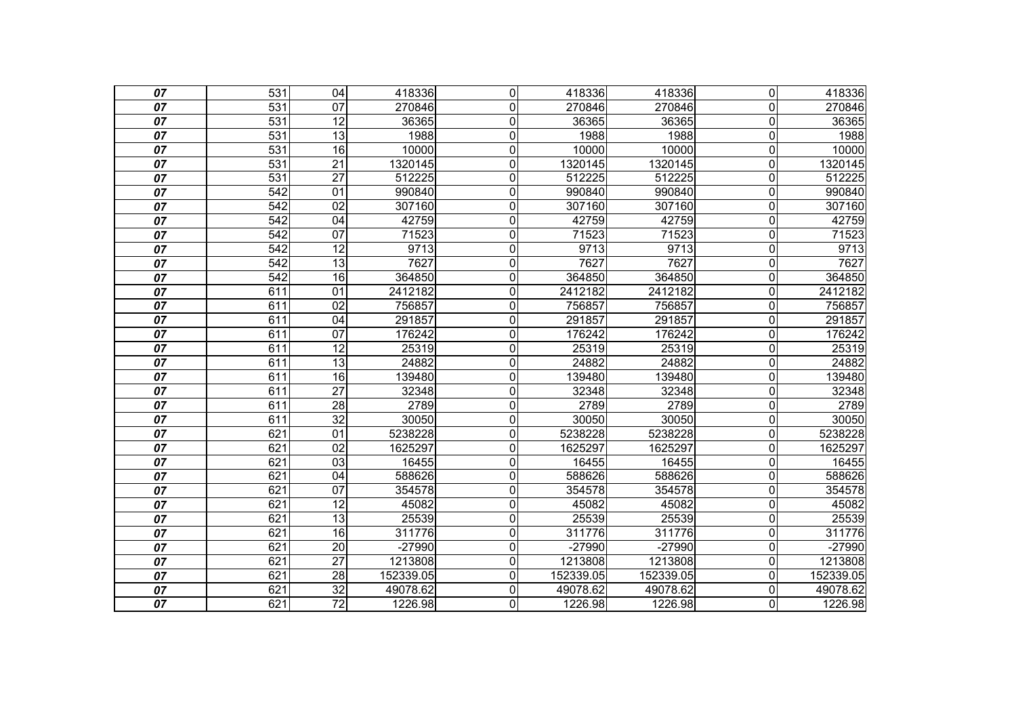| 07              | 531              | 04              | 418336    | $\mathbf 0$    | 418336    | 418336    | $\overline{0}$          | 418336    |
|-----------------|------------------|-----------------|-----------|----------------|-----------|-----------|-------------------------|-----------|
| 07              | 531              | 07              | 270846    | 0              | 270846    | 270846    | $\overline{0}$          | 270846    |
| 07              | 531              | $\overline{12}$ | 36365     | $\mathbf 0$    | 36365     | 36365     | $\mathbf 0$             | 36365     |
| 07              | 531              | $\overline{13}$ | 1988      | $\mathbf 0$    | 1988      | 1988      | $\mathbf 0$             | 1988      |
| 07              | 531              | 16              | 10000     | $\mathbf 0$    | 10000     | 10000     | $\mathbf 0$             | 10000     |
| 07              | 531              | $\overline{21}$ | 1320145   | $\mathbf 0$    | 1320145   | 1320145   | $\mathbf 0$             | 1320145   |
| 07              | 531              | $\overline{27}$ | 512225    | $\mathbf 0$    | 512225    | 512225    | $\mathbf 0$             | 512225    |
| 07              | 542              | $\overline{01}$ | 990840    | $\mathbf 0$    | 990840    | 990840    | $\mathbf 0$             | 990840    |
| 07              | 542              | 02              | 307160    | $\overline{0}$ | 307160    | 307160    | $\overline{\mathsf{o}}$ | 307160    |
| 07              | 542              | 04              | 42759     | $\mathbf 0$    | 42759     | 42759     | $\mathsf{O}\xspace$     | 42759     |
| 07              | 542              | 07              | 71523     | $\mathbf 0$    | 71523     | 71523     | $\pmb{0}$               | 71523     |
| 07              | 542              | $\overline{12}$ | 9713      | $\mathbf 0$    | 9713      | 9713      | $\mathbf 0$             | 9713      |
| 07              | 542              | $\overline{13}$ | 7627      | $\mathbf 0$    | 7627      | 7627      | $\mathbf 0$             | 7627      |
| 07              | $\overline{542}$ | $\overline{16}$ | 364850    | 0              | 364850    | 364850    | $\mathbf 0$             | 364850    |
| 07              | 611              | 01              | 2412182   | 0              | 2412182   | 2412182   | $\mathbf 0$             | 2412182   |
| 07              | 611              | 02              | 756857    | $\mathbf 0$    | 756857    | 756857    | $\overline{0}$          | 756857    |
| 07              | 611              | $\overline{04}$ | 291857    | $\overline{0}$ | 291857    | 291857    | $\overline{\mathsf{o}}$ | 291857    |
| 07              | 611              | $\overline{07}$ | 176242    | $\mathbf 0$    | 176242    | 176242    | $\mathbf 0$             | 176242    |
| 07              | 611              | 12              | 25319     | $\overline{0}$ | 25319     | 25319     | $\overline{\mathsf{o}}$ | 25319     |
| 07              | 611              | $\overline{13}$ | 24882     | $\mathbf 0$    | 24882     | 24882     | $\mathbf 0$             | 24882     |
| 07              | 611              | 16              | 139480    | $\mathbf 0$    | 139480    | 139480    | $\overline{0}$          | 139480    |
| 07              | 611              | $\overline{27}$ | 32348     | $\overline{0}$ | 32348     | 32348     | $\overline{0}$          | 32348     |
| 07              | 611              | $\overline{28}$ | 2789      | $\mathbf 0$    | 2789      | 2789      | $\overline{0}$          | 2789      |
| 07              | 611              | $\overline{32}$ | 30050     | $\mathbf 0$    | 30050     | 30050     | $\overline{0}$          | 30050     |
| 07              | 621              | $\overline{01}$ | 5238228   | $\overline{0}$ | 5238228   | 5238228   | $\overline{0}$          | 5238228   |
| 07              | 621              | $\overline{02}$ | 1625297   | $\mathbf 0$    | 1625297   | 1625297   | $\overline{0}$          | 1625297   |
| 07              | 621              | 03              | 16455     | $\mathbf 0$    | 16455     | 16455     | $\mathbf 0$             | 16455     |
| 07              | 621              | 04              | 588626    | $\mathbf 0$    | 588626    | 588626    | $\mathbf 0$             | 588626    |
| 07              | 621              | $\overline{07}$ | 354578    | $\mathbf 0$    | 354578    | 354578    | $\mathbf 0$             | 354578    |
| 07              | 621              | $\overline{12}$ | 45082     | $\mathbf 0$    | 45082     | 45082     | $\overline{0}$          | 45082     |
| 07              | 621              | 13              | 25539     | 0              | 25539     | 25539     | $\mathbf 0$             | 25539     |
| 07              | 621              | 16              | 311776    | 0              | 311776    | 311776    | $\mathbf 0$             | 311776    |
| 07              | 621              | $\overline{20}$ | $-27990$  | $\mathbf 0$    | $-27990$  | $-27990$  | 0                       | $-27990$  |
| 07              | 621              | $\overline{27}$ | 1213808   | $\mathbf 0$    | 1213808   | 1213808   | $\mathbf 0$             | 1213808   |
| 07              | 621              | 28              | 152339.05 | $\mathbf 0$    | 152339.05 | 152339.05 | $\mathbf 0$             | 152339.05 |
| 07              | 621              | $\overline{32}$ | 49078.62  | $\mathbf 0$    | 49078.62  | 49078.62  | $\mathbf 0$             | 49078.62  |
| $\overline{07}$ | 621              | $\overline{72}$ | 1226.98   | 0              | 1226.98   | 1226.98   | 0                       | 1226.98   |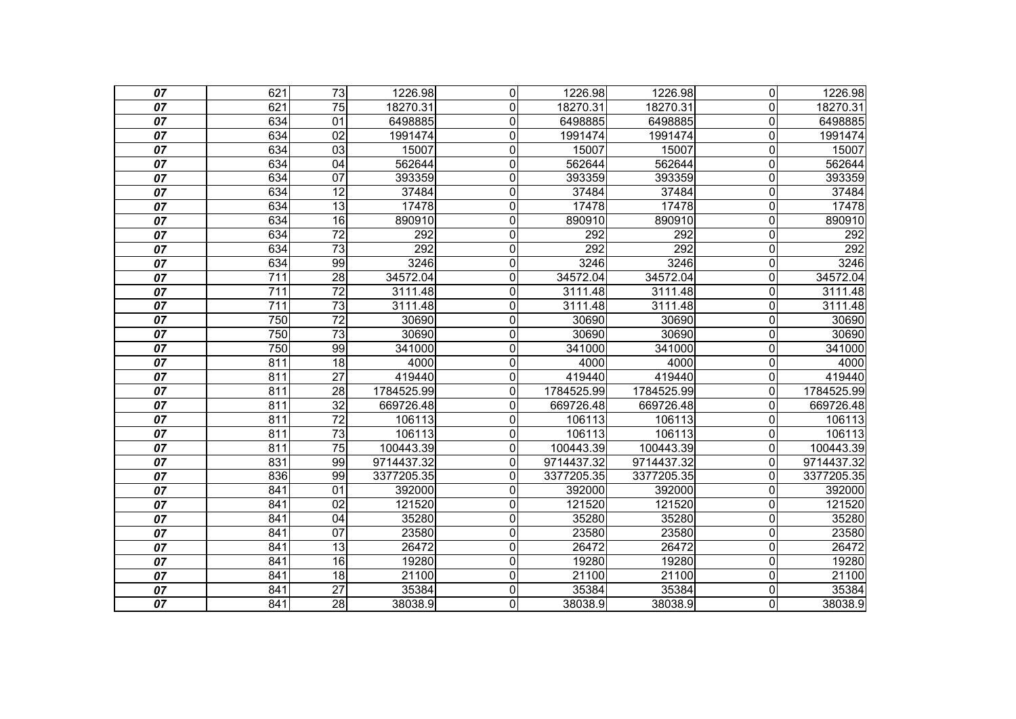| 07              | 621              | $\overline{73}$ | 1226.98    | 0              | 1226.98    | 1226.98    | $\overline{0}$          | 1226.98    |
|-----------------|------------------|-----------------|------------|----------------|------------|------------|-------------------------|------------|
| 07              | 621              | 75              | 18270.31   | $\mathbf{0}$   | 18270.31   | 18270.31   | $\Omega$                | 18270.31   |
| 07              | 634              | 01              | 6498885    | $\mathbf 0$    | 6498885    | 6498885    | $\mathbf 0$             | 6498885    |
| 07              | 634              | $\overline{02}$ | 1991474    | $\mathbf 0$    | 1991474    | 1991474    | $\mathbf 0$             | 1991474    |
| 07              | 634              | 03              | 15007      | $\mathbf 0$    | 15007      | 15007      | $\mathbf 0$             | 15007      |
| 07              | 634              | 04              | 562644     | $\overline{0}$ | 562644     | 562644     | $\overline{\mathsf{o}}$ | 562644     |
| 07              | 634              | 07              | 393359     | $\overline{0}$ | 393359     | 393359     | $\mathbf 0$             | 393359     |
| 07              | 634              | 12              | 37484      | 0              | 37484      | 37484      | $\overline{0}$          | 37484      |
| 07              | 634              | 13              | 17478      | $\mathbf 0$    | 17478      | 17478      | $\overline{\mathsf{o}}$ | 17478      |
| 07              | 634              | 16              | 890910     | $\mathbf 0$    | 890910     | 890910     | $\overline{0}$          | 890910     |
| 07              | 634              | $\overline{72}$ | 292        | $\mathbf 0$    | 292        | 292        | $\mathbf 0$             | 292        |
| 07              | 634              | $\overline{73}$ | 292        | $\mathbf 0$    | 292        | 292        | $\overline{\mathsf{o}}$ | 292        |
| 07              | 634              | 99              | 3246       | $\mathbf 0$    | 3246       | 3246       | $\mathbf 0$             | 3246       |
| 07              | 711              | 28              | 34572.04   | $\overline{0}$ | 34572.04   | 34572.04   | $\overline{\mathsf{o}}$ | 34572.04   |
| $\overline{07}$ | $\overline{711}$ | $\overline{72}$ | 3111.48    | $\overline{0}$ | 3111.48    | 3111.48    | $\overline{0}$          | 3111.48    |
| 07              | 711              | $\overline{73}$ | 3111.48    | 0              | 3111.48    | 3111.48    | $\overline{0}$          | 3111.48    |
| 07              | 750              | $\overline{72}$ | 30690      | $\mathbf 0$    | 30690      | 30690      | $\mathbf 0$             | 30690      |
| $\overline{07}$ | 750              | $\overline{73}$ | 30690      | $\mathbf 0$    | 30690      | 30690      | $\mathbf 0$             | 30690      |
| 07              | 750              | 99              | 341000     | $\mathbf 0$    | 341000     | 341000     | $\overline{0}$          | 341000     |
| 07              | 811              | $\overline{18}$ | 4000       | 0              | 4000       | 4000       | $\mathbf 0$             | 4000       |
| 07              | 811              | $\overline{27}$ | 419440     | $\mathbf 0$    | 419440     | 419440     | $\mathbf 0$             | 419440     |
| 07              | 811              | 28              | 1784525.99 | 0              | 1784525.99 | 1784525.99 | $\overline{0}$          | 1784525.99 |
| 07              | 811              | 32              | 669726.48  | 0              | 669726.48  | 669726.48  | $\mathbf 0$             | 669726.48  |
| 07              | 811              | $\overline{72}$ | 106113     | $\mathbf{0}$   | 106113     | 106113     | $\Omega$                | 106113     |
| 07              | 811              | 73              | 106113     | $\mathbf 0$    | 106113     | 106113     | $\mathbf 0$             | 106113     |
| $\overline{07}$ | 811              | $\overline{75}$ | 100443.39  | $\overline{0}$ | 100443.39  | 100443.39  | $\mathbf 0$             | 100443.39  |
| 07              | 831              | 99              | 9714437.32 | 0              | 9714437.32 | 9714437.32 | $\mathbf{0}$            | 9714437.32 |
| 07              | 836              | 99              | 3377205.35 | 0              | 3377205.35 | 3377205.35 | $\mathbf{0}$            | 3377205.35 |
| 07              | 841              | $\overline{01}$ | 392000     | 0              | 392000     | 392000     | $\mathbf 0$             | 392000     |
| 07              | 841              | 02              | 121520     | 0              | 121520     | 121520     | $\overline{0}$          | 121520     |
| 07              | 841              | 04              | 35280      | $\mathbf 0$    | 35280      | 35280      | $\mathbf 0$             | 35280      |
| 07              | 841              | $\overline{07}$ | 23580      | $\mathbf 0$    | 23580      | 23580      | $\mathbf 0$             | 23580      |
| 07              | 841              | 13              | 26472      | $\overline{0}$ | 26472      | 26472      | $\overline{\mathsf{o}}$ | 26472      |
| 07              | 841              | 16              | 19280      | $\overline{0}$ | 19280      | 19280      | $\overline{\mathsf{o}}$ | 19280      |
| 07              | 841              | 18              | 21100      | $\mathbf 0$    | 21100      | 21100      | $\mathbf 0$             | 21100      |
| 07              | 841              | $\overline{27}$ | 35384      | $\overline{0}$ | 35384      | 35384      | $\overline{\mathsf{o}}$ | 35384      |
| $\overline{07}$ | 841              | $\overline{28}$ | 38038.9    | $\overline{0}$ | 38038.9    | 38038.9    | O                       | 38038.9    |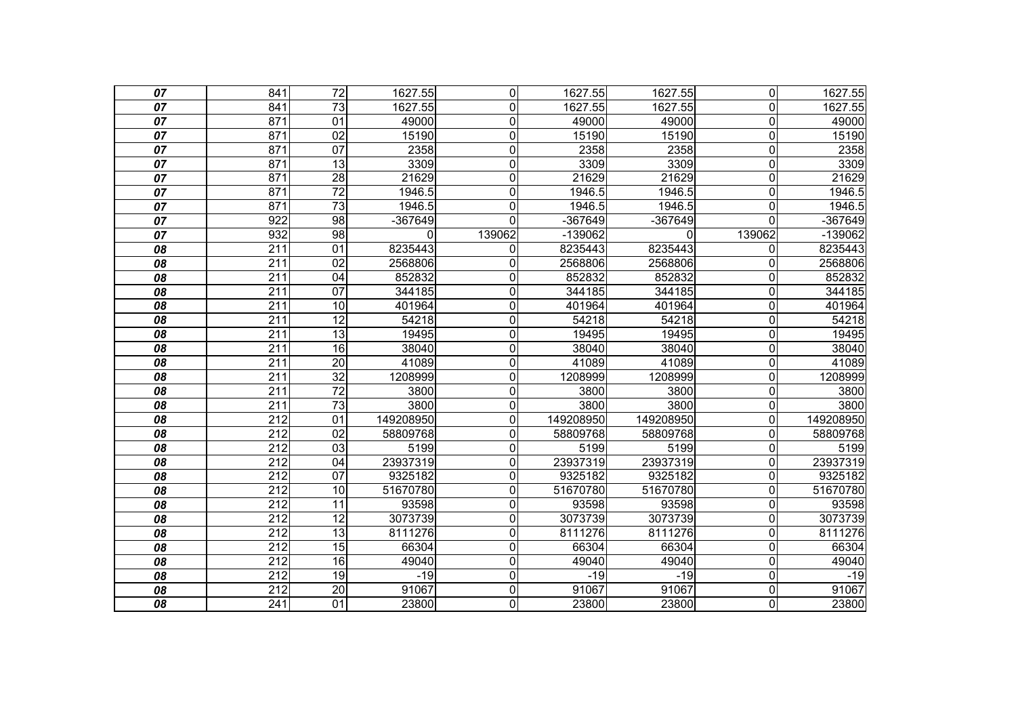| 07              | 841              | $\overline{72}$ | 1627.55   | $\overline{0}$ | 1627.55   | 1627.55   | $\overline{0}$          | 1627.55   |
|-----------------|------------------|-----------------|-----------|----------------|-----------|-----------|-------------------------|-----------|
| 07              | 841              | 73              | 1627.55   | 0              | 1627.55   | 1627.55   | $\overline{0}$          | 1627.55   |
| 07              | 871              | $\overline{01}$ | 49000     | $\mathbf 0$    | 49000     | 49000     | $\mathbf 0$             | 49000     |
| $\overline{07}$ | 871              | $\overline{02}$ | 15190     | 0              | 15190     | 15190     | $\mathbf 0$             | 15190     |
| 07              | 871              | $\overline{07}$ | 2358      | 0              | 2358      | 2358      | $\overline{0}$          | 2358      |
| 07              | 871              | 13              | 3309      | $\mathbf 0$    | 3309      | 3309      | $\mathbf 0$             | 3309      |
| 07              | 871              | 28              | 21629     | $\mathbf 0$    | 21629     | 21629     | $\mathbf 0$             | 21629     |
| 07              | 871              | $\overline{72}$ | 1946.5    | $\mathbf 0$    | 1946.5    | 1946.5    | $\overline{0}$          | 1946.5    |
| 07              | 871              | 73              | 1946.5    | $\mathbf 0$    | 1946.5    | 1946.5    | $\mathbf 0$             | 1946.5    |
| 07              | $\overline{922}$ | 98              | $-367649$ | $\mathbf 0$    | -367649   | $-367649$ | $\overline{0}$          | $-367649$ |
| 07              | 932              | $\overline{98}$ | 0         | 139062         | -139062   | 0         | 139062                  | $-139062$ |
| 08              | 211              | 01              | 8235443   | 0              | 8235443   | 8235443   | $\overline{0}$          | 8235443   |
| 08              | $\overline{211}$ | $\overline{02}$ | 2568806   | 0              | 2568806   | 2568806   | 0                       | 2568806   |
| 08              | $\overline{211}$ | $\overline{04}$ | 852832    | 0              | 852832    | 852832    | $\Omega$                | 852832    |
| 08              | 211              | 07              | 344185    | $\mathbf 0$    | 344185    | 344185    | $\mathbf 0$             | 344185    |
| 08              | $\overline{211}$ | 10              | 401964    | $\mathbf 0$    | 401964    | 401964    | $\mathbf 0$             | 401964    |
| 08              | $\overline{211}$ | 12              | 54218     | $\mathbf 0$    | 54218     | 54218     | $\overline{0}$          | 54218     |
| 08              | $\overline{211}$ | $\overline{13}$ | 19495     | $\mathbf 0$    | 19495     | 19495     | $\mathbf 0$             | 19495     |
| 08              | 211              | 16              | 38040     | $\overline{0}$ | 38040     | 38040     | $\overline{\mathsf{o}}$ | 38040     |
| 08              | $\overline{211}$ | $\overline{20}$ | 41089     | 0              | 41089     | 41089     | $\overline{0}$          | 41089     |
| 08              | $\overline{211}$ | $\overline{32}$ | 1208999   | $\mathbf 0$    | 1208999   | 1208999   | $\mathbf 0$             | 1208999   |
| 08              | 211              | $\overline{72}$ | 3800      | $\mathbf 0$    | 3800      | 3800      | $\overline{0}$          | 3800      |
| 08              | 211              | $\overline{73}$ | 3800      | 0              | 3800      | 3800      | $\overline{0}$          | 3800      |
| 08              | 212              | 01              | 149208950 | $\mathbf 0$    | 149208950 | 149208950 | $\mathbf 0$             | 149208950 |
| 08              | 212              | 02              | 58809768  | $\overline{0}$ | 58809768  | 58809768  | $\overline{0}$          | 58809768  |
| 08              | $\overline{212}$ | 03              | 5199      | 0              | 5199      | 5199      | $\mathbf{0}$            | 5199      |
| 08              | $\overline{212}$ | 04              | 23937319  | $\mathbf 0$    | 23937319  | 23937319  | $\mathbf 0$             | 23937319  |
| 08              | $\overline{212}$ | $\overline{07}$ | 9325182   | 0              | 9325182   | 9325182   | $\mathbf 0$             | 9325182   |
| 08              | 212              | 10              | 51670780  | $\mathbf{0}$   | 51670780  | 51670780  | $\Omega$                | 51670780  |
| 08              | 212              | 11              | 93598     | 0              | 93598     | 93598     | $\mathbf 0$             | 93598     |
| 08              | $\overline{212}$ | $\overline{12}$ | 3073739   | $\mathbf 0$    | 3073739   | 3073739   | $\mathbf 0$             | 3073739   |
| 08              | 212              | $\overline{13}$ | 8111276   | $\mathbf 0$    | 8111276   | 8111276   | $\overline{0}$          | 8111276   |
| 08              | 212              | 15              | 66304     | $\mathbf 0$    | 66304     | 66304     | $\mathbf 0$             | 66304     |
| 08              | $\overline{212}$ | 16              | 49040     | 0              | 49040     | 49040     | $\mathbf 0$             | 49040     |
| 08              | 212              | 19              | $-19$     | $\mathbf 0$    | $-19$     | $-19$     | $\overline{0}$          | $-19$     |
| 08              | 212              | $\overline{20}$ | 91067     | $\overline{0}$ | 91067     | 91067     | $\overline{\mathsf{o}}$ | 91067     |
| 08              | 241              | $\overline{01}$ | 23800     | $\overline{0}$ | 23800     | 23800     | O                       | 23800     |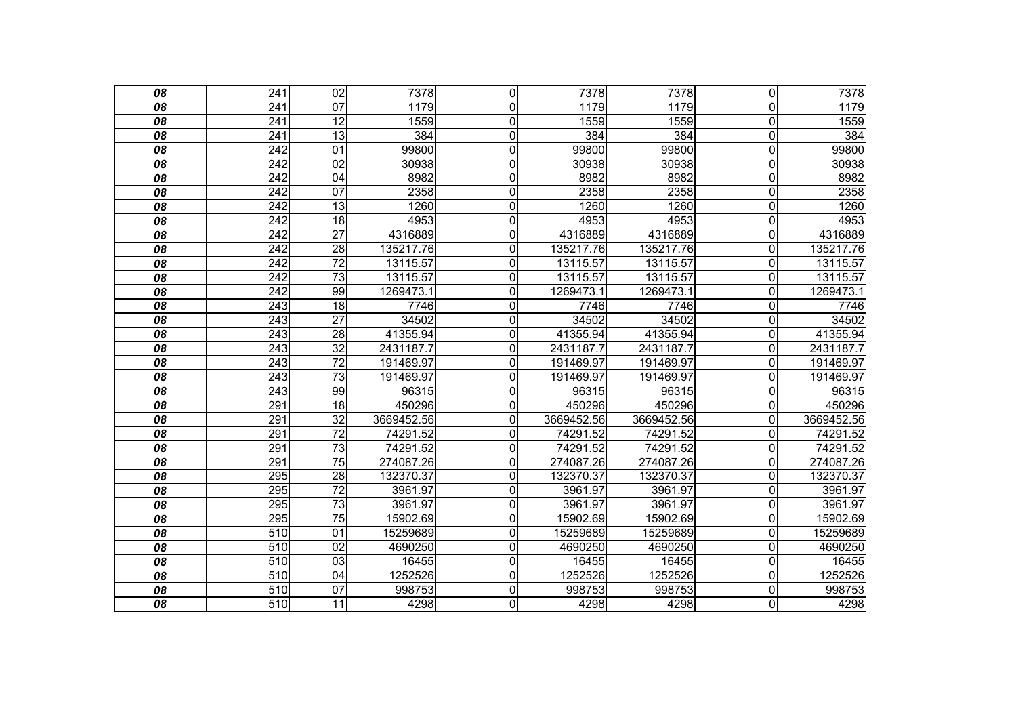| 08 | 241              | $\overline{02}$ | 7378       | $\overline{0}$ | 7378       | 7378       | $\overline{0}$          | 7378       |
|----|------------------|-----------------|------------|----------------|------------|------------|-------------------------|------------|
| 08 | 241              | 07              | 1179       | 0              | 1179       | 1179       | $\overline{0}$          | 1179       |
| 08 | $\overline{241}$ | 12              | 1559       | $\mathbf 0$    | 1559       | 1559       | $\mathbf 0$             | 1559       |
| 08 | $\overline{241}$ | 13              | 384        | $\mathbf 0$    | 384        | 384        | $\mathbf 0$             | 384        |
| 08 | 242              | $\overline{01}$ | 99800      | $\mathbf 0$    | 99800      | 99800      | $\mathbf 0$             | 99800      |
| 08 | 242              | 02              | 30938      | $\mathbf 0$    | 30938      | 30938      | $\mathbf 0$             | 30938      |
| 08 | $\overline{242}$ | $\overline{04}$ | 8982       | $\mathbf 0$    | 8982       | 8982       | $\mathbf 0$             | 8982       |
| 08 | 242              | 07              | 2358       | $\mathbf 0$    | 2358       | 2358       | $\mathbf 0$             | 2358       |
| 08 | $\overline{242}$ | $\overline{13}$ | 1260       | $\overline{0}$ | 1260       | 1260       | $\mathbf 0$             | 1260       |
| 08 | $\overline{242}$ | $\overline{18}$ | 4953       | $\mathbf 0$    | 4953       | 4953       | $\mathbf 0$             | 4953       |
| 08 | $\overline{242}$ | $\overline{27}$ | 4316889    | $\mathbf 0$    | 4316889    | 4316889    | $\mathbf 0$             | 4316889    |
| 08 | 242              | $\overline{28}$ | 135217.76  | $\mathbf 0$    | 135217.76  | 135217.76  | $\mathbf 0$             | 135217.76  |
| 08 | $\overline{242}$ | $\overline{72}$ | 13115.57   | 0              | 13115.57   | 13115.57   | $\mathbf 0$             | 13115.57   |
| 08 | $\overline{242}$ | $\overline{73}$ | 13115.57   | $\mathbf 0$    | 13115.57   | 13115.57   | $\overline{0}$          | 13115.57   |
| 08 | 242              | 99              | 1269473.1  | $\mathbf 0$    | 1269473.1  | 1269473.1  | $\mathbf 0$             | 1269473.1  |
| 08 | $\overline{243}$ | $\overline{18}$ | 7746       | $\mathbf 0$    | 7746       | 7746       | $\mathbf 0$             | 7746       |
| 08 | $\sqrt{243}$     | $\overline{27}$ | 34502      | $\mathbf 0$    | 34502      | 34502      | $\overline{0}$          | 34502      |
| 08 | 243              | 28              | 41355.94   | $\mathbf 0$    | 41355.94   | 41355.94   | $\mathbf 0$             | 41355.94   |
| 08 | 243              | $\overline{32}$ | 2431187.7  | $\overline{0}$ | 2431187.7  | 2431187.7  | $\overline{\mathsf{o}}$ | 2431187.7  |
| 08 | 243              | $\overline{72}$ | 191469.97  | $\mathbf 0$    | 191469.97  | 191469.97  | $\mathbf 0$             | 191469.97  |
| 08 | 243              | $\overline{73}$ | 191469.97  | $\mathbf 0$    | 191469.97  | 191469.97  | $\mathbf 0$             | 191469.97  |
| 08 | 243              | 99              | 96315      | 0              | 96315      | 96315      | $\mathbf 0$             | 96315      |
| 08 | 291              | 18              | 450296     | 0              | 450296     | 450296     | $\overline{0}$          | 450296     |
| 08 | 291              | $\overline{32}$ | 3669452.56 | $\mathbf 0$    | 3669452.56 | 3669452.56 | $\mathbf 0$             | 3669452.56 |
| 08 | 291              | $\overline{72}$ | 74291.52   | $\overline{0}$ | 74291.52   | 74291.52   | $\overline{0}$          | 74291.52   |
| 08 | 291              | $\overline{73}$ | 74291.52   | 0              | 74291.52   | 74291.52   | $\mathbf 0$             | 74291.52   |
| 08 | 291              | $\overline{75}$ | 274087.26  | $\mathbf 0$    | 274087.26  | 274087.26  | $\mathbf 0$             | 274087.26  |
| 08 | 295              | 28              | 132370.37  | $\overline{0}$ | 132370.37  | 132370.37  | $\overline{0}$          | 132370.37  |
| 08 | 295              | $\overline{72}$ | 3961.97    | 0              | 3961.97    | 3961.97    | $\Omega$                | 3961.97    |
| 08 | 295              | 73              | 3961.97    | $\mathbf 0$    | 3961.97    | 3961.97    | $\overline{\mathsf{o}}$ | 3961.97    |
| 08 | 295              | $\overline{75}$ | 15902.69   | $\mathbf 0$    | 15902.69   | 15902.69   | $\mathbf 0$             | 15902.69   |
| 08 | 510              | 01              | 15259689   | $\mathbf 0$    | 15259689   | 15259689   | $\mathbf 0$             | 15259689   |
| 08 | 510              | 02              | 4690250    | $\mathbf 0$    | 4690250    | 4690250    | $\mathbf 0$             | 4690250    |
| 08 | 510              | 03              | 16455      | $\overline{0}$ | 16455      | 16455      | $\mathbf 0$             | 16455      |
| 08 | 510              | 04              | 1252526    | $\mathbf 0$    | 1252526    | 1252526    | $\mathbf 0$             | 1252526    |
| 08 | 510              | 07              | 998753     | $\overline{0}$ | 998753     | 998753     | $\overline{\mathsf{o}}$ | 998753     |
| 08 | 510              | 11              | 4298       | $\overline{0}$ | 4298       | 4298       | O                       | 4298       |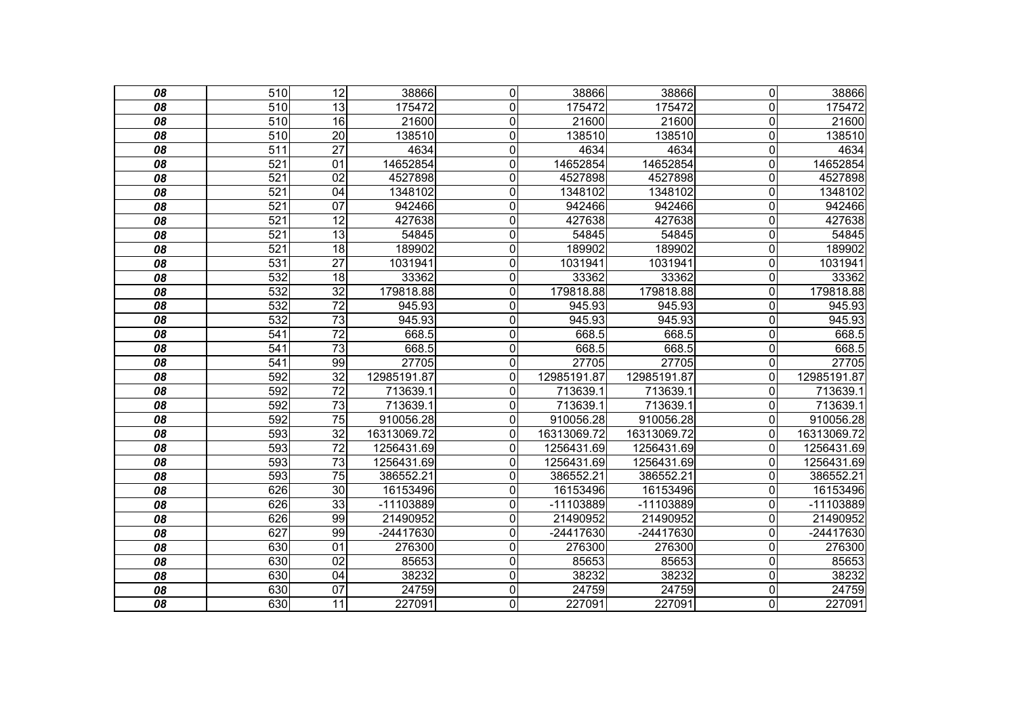| 08              | 510              | 12              | 38866       | $\mathbf 0$    | 38866       | 38866       | $\overline{0}$          | 38866       |
|-----------------|------------------|-----------------|-------------|----------------|-------------|-------------|-------------------------|-------------|
| 08              | 510              | 13              | 175472      | $\mathbf{0}$   | 175472      | 175472      | $\overline{0}$          | 175472      |
| 08              | 510              | 16              | 21600       | $\mathbf 0$    | 21600       | 21600       | $\overline{\mathsf{o}}$ | 21600       |
| $\overline{08}$ | 510              | $\overline{20}$ | 138510      | $\mathbf 0$    | 138510      | 138510      | $\overline{\mathsf{o}}$ | 138510      |
| 08              | $\overline{511}$ | $\overline{27}$ | 4634        | 0              | 4634        | 4634        | $\overline{0}$          | 4634        |
| 08              | 521              | 01              | 14652854    | $\overline{0}$ | 14652854    | 14652854    | $\overline{\mathsf{o}}$ | 14652854    |
| 08              | 521              | 02              | 4527898     | $\overline{0}$ | 4527898     | 4527898     | $\overline{0}$          | 4527898     |
| 08              | $\overline{521}$ | 04              | 1348102     | 0              | 1348102     | 1348102     | $\overline{0}$          | 1348102     |
| 08              | 521              | 07              | 942466      | $\overline{0}$ | 942466      | 942466      | $\overline{0}$          | 942466      |
| 08              | 521              | 12              | 427638      | 0              | 427638      | 427638      | $\overline{0}$          | 427638      |
| 08              | 521              | $\overline{13}$ | 54845       | 0              | 54845       | 54845       | $\overline{\mathsf{o}}$ | 54845       |
| 08              | 521              | $\overline{18}$ | 189902      | $\mathbf 0$    | 189902      | 189902      | $\overline{\mathsf{o}}$ | 189902      |
| 08              | 531              | $\overline{27}$ | 1031941     | $\mathbf 0$    | 1031941     | 1031941     | $\overline{0}$          | 1031941     |
| 08              | 532              | 18              | 33362       | $\overline{0}$ | 33362       | 33362       | $\overline{\mathsf{o}}$ | 33362       |
| 08              | 532              | $\overline{32}$ | 179818.88   | $\overline{0}$ | 179818.88   | 179818.88   | $\overline{0}$          | 179818.88   |
| 08              | 532              | $\overline{72}$ | 945.93      | 0              | 945.93      | 945.93      | $\overline{0}$          | 945.93      |
| 08              | 532              | 73              | 945.93      | 0              | 945.93      | 945.93      | $\mathbf 0$             | 945.93      |
| $\overline{08}$ | 541              | $\overline{72}$ | 668.5       | $\mathbf 0$    | 668.5       | 668.5       | $\overline{\mathsf{o}}$ | 668.5       |
| 08              | 541              | $\overline{73}$ | 668.5       | $\mathbf 0$    | 668.5       | 668.5       | $\overline{0}$          | 668.5       |
| 08              | 541              | 99              | 27705       | $\mathbf 0$    | 27705       | 27705       | $\mathbf 0$             | 27705       |
| 08              | 592              | $\overline{32}$ | 12985191.87 | $\mathbf 0$    | 12985191.87 | 12985191.87 | $\overline{0}$          | 12985191.87 |
| 08              | 592              | $\overline{72}$ | 713639.1    | $\mathbf 0$    | 713639.1    | 713639.1    | $\mathbf 0$             | 713639.1    |
| 08              | 592              | $\overline{73}$ | 713639.1    | 0              | 713639.1    | 713639.1    | $\mathbf 0$             | 713639.1    |
| 08              | 592              | $\overline{75}$ | 910056.28   | 0              | 910056.28   | 910056.28   | $\overline{0}$          | 910056.28   |
| 08              | 593              | $\overline{32}$ | 16313069.72 | $\mathbf 0$    | 16313069.72 | 16313069.72 | $\mathbf 0$             | 16313069.72 |
| 08              | 593              | $\overline{72}$ | 1256431.69  | $\overline{0}$ | 1256431.69  | 1256431.69  | $\mathbf 0$             | 1256431.69  |
| 08              | 593              | $\overline{73}$ | 1256431.69  | $\mathbf 0$    | 1256431.69  | 1256431.69  | $\mathbf{0}$            | 1256431.69  |
| 08              | 593              | $\overline{75}$ | 386552.21   | $\overline{0}$ | 386552.21   | 386552.21   | $\mathbf 0$             | 386552.21   |
| 08              | 626              | $\overline{30}$ | 16153496    | $\overline{0}$ | 16153496    | 16153496    | $\mathbf 0$             | 16153496    |
| 08              | 626              | 33              | -11103889   | $\mathbf 0$    | -11103889   | -11103889   | $\mathbf 0$             | $-11103889$ |
| 08              | 626              | 99              | 21490952    | $\overline{0}$ | 21490952    | 21490952    | $\overline{0}$          | 21490952    |
| 08              | 627              | 99              | $-24417630$ | $\overline{0}$ | -24417630   | $-24417630$ | $\overline{0}$          | -24417630   |
| 08              | 630              | $\overline{01}$ | 276300      | $\mathbf 0$    | 276300      | 276300      | $\mathbf 0$             | 276300      |
| 08              | 630              | $\overline{02}$ | 85653       | $\overline{0}$ | 85653       | 85653       | $\mathbf 0$             | 85653       |
| 08              | 630              | 04              | 38232       | $\mathbf 0$    | 38232       | 38232       | $\mathbf 0$             | 38232       |
| 08              | 630              | 07              | 24759       | $\overline{0}$ | 24759       | 24759       | $\overline{\mathsf{o}}$ | 24759       |
| $\overline{08}$ | 630              | $\overline{11}$ | 227091      | $\overline{0}$ | 227091      | 227091      | O                       | 227091      |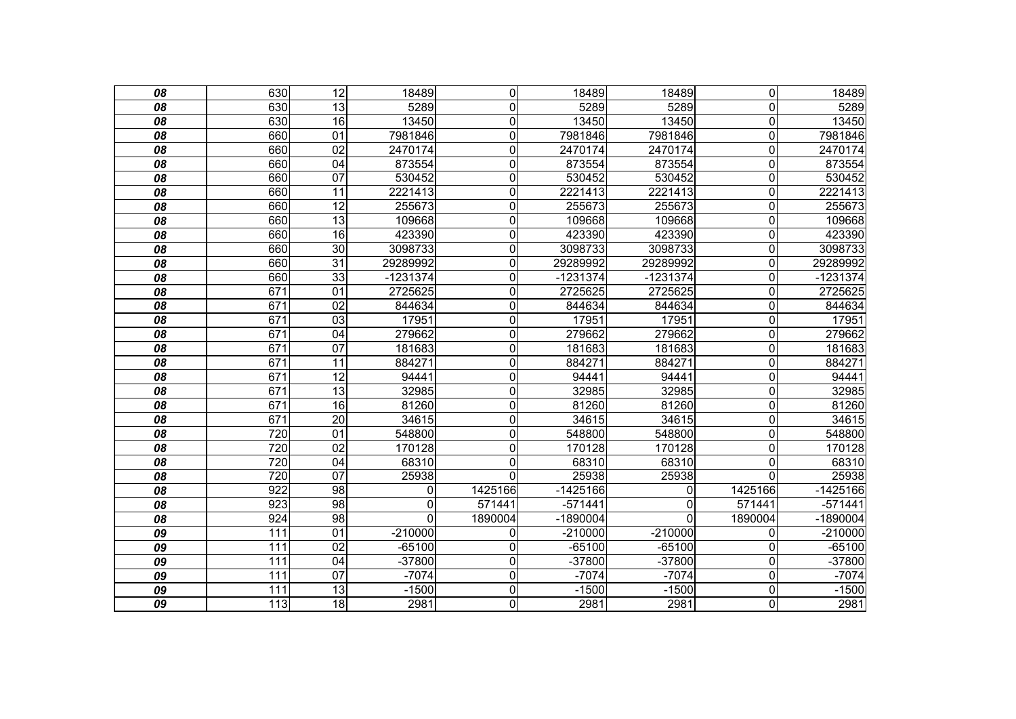| 08              | 630              | 12              | 18489       | $\mathbf 0$    | 18489      | 18489      | $\overline{0}$          | 18489      |
|-----------------|------------------|-----------------|-------------|----------------|------------|------------|-------------------------|------------|
| 08              | 630              | 13              | 5289        | 0              | 5289       | 5289       | $\overline{0}$          | 5289       |
| 08              | 630              | 16              | 13450       | $\overline{0}$ | 13450      | 13450      | $\overline{\mathsf{o}}$ | 13450      |
| $\overline{08}$ | 660              | $\overline{01}$ | 7981846     | $\mathbf 0$    | 7981846    | 7981846    | $\overline{\mathsf{o}}$ | 7981846    |
| 08              | 660              | 02              | 2470174     | $\mathbf 0$    | 2470174    | 2470174    | $\mathbf 0$             | 2470174    |
| 08              | 660              | 04              | 873554      | $\overline{0}$ | 873554     | 873554     | $\overline{\mathsf{o}}$ | 873554     |
| 08              | 660              | 07              | 530452      | $\overline{0}$ | 530452     | 530452     | $\mathbf 0$             | 530452     |
| 08              | 660              | 11              | 2221413     | 0              | 2221413    | 2221413    | $\overline{0}$          | 2221413    |
| 08              | 660              | $\overline{12}$ | 255673      | $\overline{0}$ | 255673     | 255673     | $\overline{0}$          | 255673     |
| 08              | 660              | 13              | 109668      | $\mathbf 0$    | 109668     | 109668     | $\overline{0}$          | 109668     |
| 08              | 660              | 16              | 423390      | $\mathbf 0$    | 423390     | 423390     | $\overline{\mathsf{o}}$ | 423390     |
| $\overline{08}$ | 660              | 30              | 3098733     | $\mathbf 0$    | 3098733    | 3098733    | $\overline{\mathsf{o}}$ | 3098733    |
| 08              | 660              | $\overline{31}$ | 29289992    | 0              | 29289992   | 29289992   | $\mathbf 0$             | 29289992   |
| 08              | 660              | $\overline{33}$ | $-1231374$  | $\overline{0}$ | $-1231374$ | $-1231374$ | $\overline{0}$          | $-1231374$ |
| $\overline{08}$ | 671              | $\overline{01}$ | 2725625     | $\overline{0}$ | 2725625    | 2725625    | $\overline{0}$          | 2725625    |
| 08              | 671              | 02              | 844634      | 0              | 844634     | 844634     | $\overline{0}$          | 844634     |
| 08              | 671              | 03              | 17951       | $\overline{0}$ | 17951      | 17951      | $\overline{\mathsf{o}}$ | 17951      |
| $\overline{08}$ | 671              | $\overline{04}$ | 279662      | $\mathbf 0$    | 279662     | 279662     | $\overline{\mathsf{o}}$ | 279662     |
| 08              | 671              | 07              | 181683      | $\mathbf 0$    | 181683     | 181683     | $\overline{0}$          | 181683     |
| 08              | 671              | $\overline{11}$ | 884271      | $\mathbf 0$    | 884271     | 884271     | $\mathbf 0$             | 884271     |
| 08              | $\overline{671}$ | $\overline{12}$ | 94441       | $\mathbf 0$    | 94441      | 94441      | $\overline{0}$          | 94441      |
| 08              | 671              | $\overline{13}$ | 32985       | $\overline{0}$ | 32985      | 32985      | $\overline{\mathsf{o}}$ | 32985      |
| 08              | 671              | 16              | 81260       | $\mathbf 0$    | 81260      | 81260      | $\mathbf 0$             | 81260      |
| 08              | $\overline{671}$ | $\overline{20}$ | 34615       | $\mathbf 0$    | 34615      | 34615      | $\mathbf 0$             | 34615      |
| 08              | 720              | 01              | 548800      | $\overline{0}$ | 548800     | 548800     | $\overline{\mathsf{o}}$ | 548800     |
| $\overline{08}$ | 720              | $\overline{02}$ | 170128      | $\mathbf 0$    | 170128     | 170128     | $\overline{0}$          | 170128     |
| 08              | 720              | 04              | 68310       | 0              | 68310      | 68310      | $\mathbf 0$             | 68310      |
| 08              | 720              | $\overline{07}$ | 25938       | $\overline{0}$ | 25938      | 25938      | 0                       | 25938      |
| 08              | $\overline{922}$ | 98              | 0           | 1425166        | $-1425166$ | 0          | 1425166                 | $-1425166$ |
| 08              | 923              | 98              | 0           | 571441         | $-571441$  | $\Omega$   | 571441                  | $-571441$  |
| 08              | $\overline{924}$ | 98              | $\mathbf 0$ | 1890004        | $-1890004$ | 0          | 1890004                 | $-1890004$ |
| 09              | 111              | 01              | $-210000$   | 0              | $-210000$  | $-210000$  | 0                       | $-210000$  |
| 09              | 111              | $\overline{02}$ | $-65100$    | 0              | $-65100$   | $-65100$   | $\mathbf{0}$            | $-65100$   |
| $\overline{09}$ | 111              | $\overline{04}$ | $-37800$    | $\overline{0}$ | $-37800$   | -37800     | $\mathbf 0$             | $-37800$   |
| 09              | 111              | 07              | $-7074$     | $\mathbf 0$    | $-7074$    | $-7074$    | $\overline{0}$          | $-7074$    |
| 09              | $\overline{111}$ | 13              | $-1500$     | $\overline{0}$ | $-1500$    | $-1500$    | $\overline{\mathsf{o}}$ | $-1500$    |
| $\overline{09}$ | 113              | $\overline{18}$ | 2981        | $\overline{0}$ | 2981       | 2981       | $\overline{\mathsf{o}}$ | 2981       |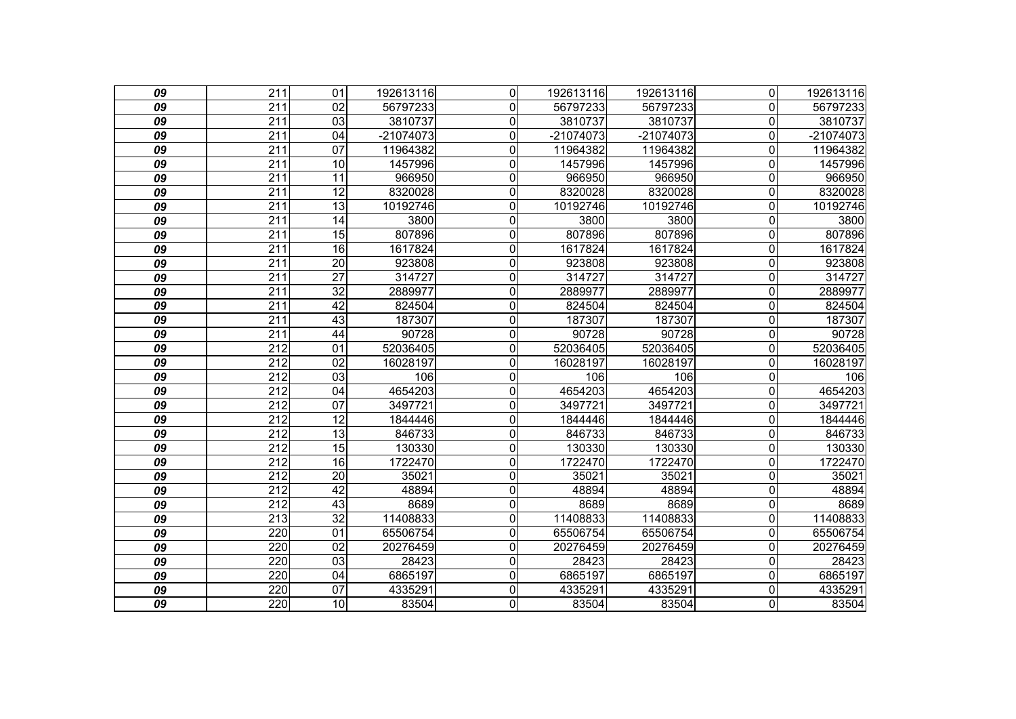| 09              | $\overline{211}$ | 01              | 192613116   | $\mathbf 0$    | 192613116 | 192613116   | $\overline{0}$ | 192613116 |
|-----------------|------------------|-----------------|-------------|----------------|-----------|-------------|----------------|-----------|
| 09              | 211              | 02              | 56797233    | $\mathbf{0}$   | 56797233  | 56797233    | $\Omega$       | 56797233  |
| 09              | 211              | $\overline{03}$ | 3810737     | 0              | 3810737   | 3810737     | $\mathbf 0$    | 3810737   |
| 09              | $\overline{211}$ | 04              | $-21074073$ | $\mathbf 0$    | -21074073 | $-21074073$ | $\overline{0}$ | -21074073 |
| 09              | 211              | 07              | 11964382    | 0              | 11964382  | 11964382    | $\mathbf 0$    | 11964382  |
| 09              | 211              | $\overline{10}$ | 1457996     | $\mathbf 0$    | 1457996   | 1457996     | $\mathbf 0$    | 1457996   |
| 09              | 211              | 11              | 966950      | $\overline{0}$ | 966950    | 966950      | $\mathbf 0$    | 966950    |
| 09              | 211              | $\overline{12}$ | 8320028     | 0              | 8320028   | 8320028     | $\overline{0}$ | 8320028   |
| 09              | 211              | 13              | 10192746    | $\mathbf 0$    | 10192746  | 10192746    | $\mathbf 0$    | 10192746  |
| 09              | 211              | 14              | 3800        | 0              | 3800      | 3800        | $\overline{0}$ | 3800      |
| 09              | 211              | 15              | 807896      | $\mathbf 0$    | 807896    | 807896      | $\mathbf 0$    | 807896    |
| 09              | $\overline{211}$ | 16              | 1617824     | $\mathbf 0$    | 1617824   | 1617824     | $\mathbf 0$    | 1617824   |
| 09              | 211              | $\overline{20}$ | 923808      | $\mathbf 0$    | 923808    | 923808      | $\mathbf 0$    | 923808    |
| 09              | 211              | $\overline{27}$ | 314727      | 0              | 314727    | 314727      | $\mathbf 0$    | 314727    |
| 09              | $\overline{211}$ | $\overline{32}$ | 2889977     | 0              | 2889977   | 2889977     | $\overline{0}$ | 2889977   |
| 09              | 211              | $\overline{42}$ | 824504      | 0              | 824504    | 824504      | $\overline{0}$ | 824504    |
| 09              | 211              | 43              | 187307      | $\mathbf 0$    | 187307    | 187307      | $\mathbf 0$    | 187307    |
| $\overline{09}$ | $\overline{211}$ | 44              | 90728       | $\mathbf 0$    | 90728     | 90728       | $\mathbf 0$    | 90728     |
| 09              | 212              | $\overline{01}$ | 52036405    | $\mathbf 0$    | 52036405  | 52036405    | $\overline{0}$ | 52036405  |
| 09              | $\overline{212}$ | $\overline{02}$ | 16028197    | $\overline{0}$ | 16028197  | 16028197    | $\overline{0}$ | 16028197  |
| 09              | 212              | 03              | 106         | $\mathbf 0$    | 106       | 106         | $\overline{0}$ | 106       |
| 09              | 212              | 04              | 4654203     | 0              | 4654203   | 4654203     | $\overline{0}$ | 4654203   |
| 09              | $\overline{212}$ | $\overline{07}$ | 3497721     | 0              | 3497721   | 3497721     | $\overline{0}$ | 3497721   |
| 09              | 212              | 12              | 1844446     | 0              | 1844446   | 1844446     | $\overline{0}$ | 1844446   |
| 09              | 212              | 13              | 846733      | $\mathbf 0$    | 846733    | 846733      | $\mathbf 0$    | 846733    |
| 09              | $\overline{212}$ | $\overline{15}$ | 130330      | $\mathbf 0$    | 130330    | 130330      | $\mathbf 0$    | 130330    |
| 09              | 212              | 16              | 1722470     | 0              | 1722470   | 1722470     | $\overline{0}$ | 1722470   |
| 09              | $\overline{212}$ | $\overline{20}$ | 35021       | 0              | 35021     | 35021       | $\mathbf 0$    | 35021     |
| 09              | $\overline{212}$ | 42              | 48894       | $\mathbf 0$    | 48894     | 48894       | $\mathbf 0$    | 48894     |
| 09              | 212              | 43              | 8689        | 0              | 8689      | 8689        | $\overline{0}$ | 8689      |
| 09              | $\overline{213}$ | $\overline{32}$ | 11408833    | $\mathbf 0$    | 11408833  | 11408833    | $\mathbf 0$    | 11408833  |
| 09              | 220              | 01              | 65506754    | $\mathbf 0$    | 65506754  | 65506754    | $\overline{0}$ | 65506754  |
| 09              | 220              | $\overline{02}$ | 20276459    | 0              | 20276459  | 20276459    | $\mathbf 0$    | 20276459  |
| 09              | 220              | 03              | 28423       | $\overline{0}$ | 28423     | 28423       | $\mathbf 0$    | 28423     |
| 09              | 220              | 04              | 6865197     | $\mathbf 0$    | 6865197   | 6865197     | $\mathbf 0$    | 6865197   |
| 09              | 220              | 07              | 4335291     | $\mathbf 0$    | 4335291   | 4335291     | $\mathbf 0$    | 4335291   |
| 09              | 220              | 10              | 83504       | $\overline{0}$ | 83504     | 83504       | O              | 83504     |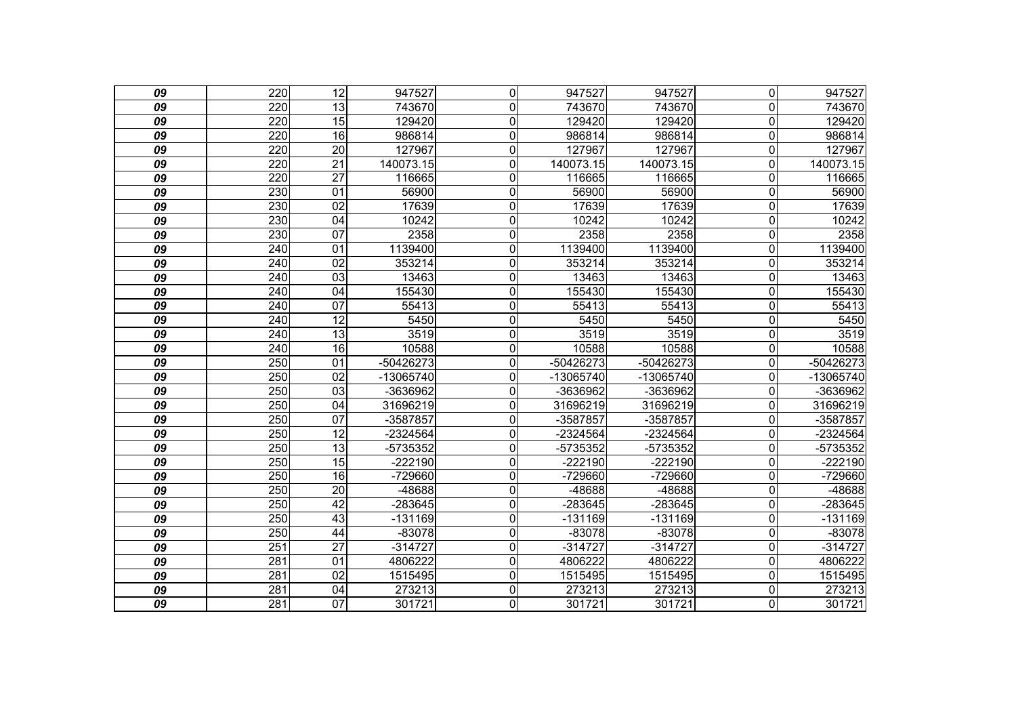| 09              | 220              | $\overline{12}$ | 947527      | $\overline{0}$   | 947527    | 947527      | $\overline{0}$          | 947527      |
|-----------------|------------------|-----------------|-------------|------------------|-----------|-------------|-------------------------|-------------|
| 09              | 220              | 13              | 743670      | 0                | 743670    | 743670      | $\overline{0}$          | 743670      |
| 09              | 220              | 15              | 129420      | $\boldsymbol{0}$ | 129420    | 129420      | $\mathbf 0$             | 129420      |
| 09              | 220              | $\overline{16}$ | 986814      | 0                | 986814    | 986814      | $\mathbf 0$             | 986814      |
| 09              | 220              | $\overline{20}$ | 127967      | 0                | 127967    | 127967      | $\overline{0}$          | 127967      |
| 09              | 220              | $\overline{21}$ | 140073.15   | $\mathbf 0$      | 140073.15 | 140073.15   | $\mathbf 0$             | 140073.15   |
| 09              | 220              | $\overline{27}$ | 116665      | 0                | 116665    | 116665      | $\mathbf 0$             | 116665      |
| 09              | 230              | 01              | 56900       | $\mathbf 0$      | 56900     | 56900       | $\overline{0}$          | 56900       |
| 09              | 230              | 02              | 17639       | $\boldsymbol{0}$ | 17639     | 17639       | $\mathbf 0$             | 17639       |
| 09              | 230              | $\overline{04}$ | 10242       | $\mathbf 0$      | 10242     | 10242       | $\mathbf 0$             | 10242       |
| 09              | 230              | 07              | 2358        | $\mathbf 0$      | 2358      | 2358        | $\overline{0}$          | 2358        |
| 09              | 240              | 01              | 1139400     | $\mathbf 0$      | 1139400   | 1139400     | $\mathbf 0$             | 1139400     |
| 09              | 240              | $\overline{02}$ | 353214      | 0                | 353214    | 353214      | $\mathbf 0$             | 353214      |
| 09              | 240              | $\overline{03}$ | 13463       | $\mathbf 0$      | 13463     | 13463       | $\Omega$                | 13463       |
| 09              | 240              | 04              | 155430      | $\mathbf 0$      | 155430    | 155430      | $\mathbf 0$             | 155430      |
| 09              | 240              | $\overline{07}$ | 55413       | $\mathbf 0$      | 55413     | 55413       | $\mathbf 0$             | 55413       |
| 09              | 240              | $\overline{12}$ | 5450        | $\mathbf 0$      | 5450      | 5450        | $\overline{0}$          | 5450        |
| 09              | 240              | $\overline{13}$ | 3519        | $\mathbf 0$      | 3519      | 3519        | $\mathbf 0$             | 3519        |
| 09              | 240              | 16              | 10588       | $\overline{0}$   | 10588     | 10588       | $\overline{\mathsf{o}}$ | 10588       |
| 09              | $\overline{250}$ | 01              | -50426273   | 0                | -50426273 | -50426273   | $\mathbf 0$             | -50426273   |
| 09              | 250              | 02              | $-13065740$ | $\mathbf 0$      | -13065740 | $-13065740$ | $\mathbf{0}$            | $-13065740$ |
| 09              | 250              | $\overline{03}$ | -3636962    | 0                | -3636962  | -3636962    | $\mathbf 0$             | -3636962    |
| 09              | 250              | 04              | 31696219    | 0                | 31696219  | 31696219    | $\Omega$                | 31696219    |
| 09              | 250              | 07              | -3587857    | $\mathbf 0$      | -3587857  | -3587857    | $\mathbf 0$             | -3587857    |
| 09              | 250              | 12              | -2324564    | $\mathbf 0$      | -2324564  | $-2324564$  | $\mathbf 0$             | $-2324564$  |
| 09              | $\overline{250}$ | $\overline{13}$ | -5735352    | 0                | -5735352  | -5735352    | $\mathbf 0$             | -5735352    |
| 09              | 250              | $\overline{15}$ | $-222190$   | 0                | $-222190$ | -222190     | $\mathbf 0$             | $-222190$   |
| 09              | 250              | $\overline{16}$ | -729660     | 0                | -729660   | -729660     | $\mathbf 0$             | $-729660$   |
| 09              | 250              | 20              | -48688      | $\mathbf{0}$     | -48688    | -48688      | $\overline{0}$          | -48688      |
| 09              | 250              | 42              | -283645     | 0                | -283645   | $-283645$   | $\mathbf 0$             | -283645     |
| 09              | 250              | 43              | $-131169$   | $\mathbf 0$      | $-131169$ | $-131169$   | $\mathbf 0$             | $-131169$   |
| 09              | 250              | 44              | $-83078$    | 0                | $-83078$  | $-83078$    | $\mathbf 0$             | $-83078$    |
| 09              | 251              | $\overline{27}$ | $-314727$   | $\mathbf 0$      | $-314727$ | $-314727$   | $\mathbf 0$             | $-314727$   |
| 09              | 281              | $\overline{01}$ | 4806222     | $\overline{0}$   | 4806222   | 4806222     | $\mathbf 0$             | 4806222     |
| 09              | 281              | 02              | 1515495     | 0                | 1515495   | 1515495     | $\overline{0}$          | 1515495     |
| 09              | 281              | $\overline{04}$ | 273213      | 0                | 273213    | 273213      | $\mathbf 0$             | 273213      |
| $\overline{09}$ | 281              | $\overline{07}$ | 301721      | $\overline{0}$   | 301721    | 301721      | O                       | 301721      |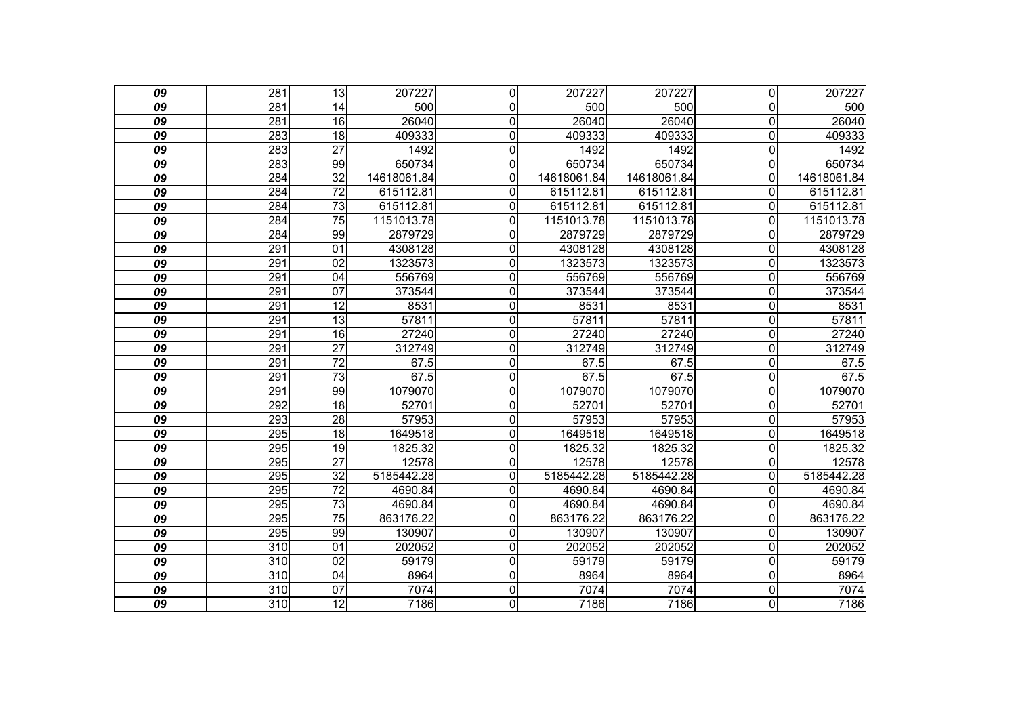| 09              | $\overline{281}$ | $\overline{13}$ | 207227      | $\mathbf 0$    | 207227      | 207227      | $\overline{0}$          | 207227      |
|-----------------|------------------|-----------------|-------------|----------------|-------------|-------------|-------------------------|-------------|
| 09              | 281              | 14              | 500         | $\mathbf{0}$   | 500         | 500         | $\Omega$                | 500         |
| 09              | 281              | 16              | 26040       | $\mathbf 0$    | 26040       | 26040       | $\overline{\mathsf{o}}$ | 26040       |
| $\overline{09}$ | 283              | $\overline{18}$ | 409333      | $\mathbf 0$    | 409333      | 409333      | $\mathbf 0$             | 409333      |
| 09              | 283              | $\overline{27}$ | 1492        | 0              | 1492        | 1492        | $\overline{0}$          | 1492        |
| 09              | 283              | 99              | 650734      | $\mathbf 0$    | 650734      | 650734      | $\overline{\mathsf{o}}$ | 650734      |
| 09              | 284              | $\overline{32}$ | 14618061.84 | $\overline{0}$ | 14618061.84 | 14618061.84 | $\mathbf 0$             | 14618061.84 |
| 09              | 284              | $\overline{72}$ | 615112.81   | 0              | 615112.81   | 615112.81   | $\Omega$                | 615112.81   |
| 09              | 284              | $\overline{73}$ | 615112.81   | 0              | 615112.81   | 615112.81   | $\mathbf 0$             | 615112.81   |
| 09              | 284              | $\overline{75}$ | 1151013.78  | 0              | 1151013.78  | 1151013.78  | $\Omega$                | 1151013.78  |
| 09              | 284              | 99              | 2879729     | $\mathbf 0$    | 2879729     | 2879729     | $\mathbf 0$             | 2879729     |
| 09              | 291              | $\overline{01}$ | 4308128     | $\mathbf 0$    | 4308128     | 4308128     | $\overline{0}$          | 4308128     |
| 09              | 291              | 02              | 1323573     | $\mathbf 0$    | 1323573     | 1323573     | $\mathbf 0$             | 1323573     |
| 09              | 291              | 04              | 556769      | $\overline{0}$ | 556769      | 556769      | $\overline{\mathsf{o}}$ | 556769      |
| 09              | 291              | $\overline{07}$ | 373544      | 0              | 373544      | 373544      | $\mathbf 0$             | 373544      |
| 09              | 291              | 12              | 8531        | 0              | 8531        | 8531        | $\overline{0}$          | 8531        |
| 09              | 291              | 13              | 57811       | $\overline{0}$ | 57811       | 57811       | $\overline{\mathsf{o}}$ | 57811       |
| $\overline{09}$ | 291              | $\overline{16}$ | 27240       | $\mathbf 0$    | 27240       | 27240       | $\overline{\mathsf{o}}$ | 27240       |
| 09              | 291              | $\overline{27}$ | 312749      | 0              | 312749      | 312749      | $\overline{0}$          | 312749      |
| 09              | 291              | $\overline{72}$ | 67.5        | 0              | 67.5        | 67.5        | $\mathbf 0$             | 67.5        |
| 09              | 291              | $\overline{73}$ | 67.5        | $\mathbf 0$    | 67.5        | 67.5        | $\mathbf 0$             | 67.5        |
| 09              | 291              | 99              | 1079070     | $\overline{0}$ | 1079070     | 1079070     | $\overline{\mathsf{o}}$ | 1079070     |
| 09              | 292              | 18              | 52701       | 0              | 52701       | 52701       | $\overline{0}$          | 52701       |
| 09              | 293              | $\overline{28}$ | 57953       | $\mathbf 0$    | 57953       | 57953       | $\mathbf 0$             | 57953       |
| 09              | 295              | 18              | 1649518     | $\mathbf 0$    | 1649518     | 1649518     | $\mathbf 0$             | 1649518     |
| 09              | 295              | 19              | 1825.32     | $\mathbf 0$    | 1825.32     | 1825.32     | $\mathbf 0$             | 1825.32     |
| 09              | 295              | $\overline{27}$ | 12578       | 0              | 12578       | 12578       | $\overline{0}$          | 12578       |
| 09              | 295              | $\overline{32}$ | 5185442.28  | $\mathbf 0$    | 5185442.28  | 5185442.28  | $\mathbf 0$             | 5185442.28  |
| 09              | 295              | $\overline{72}$ | 4690.84     | $\overline{0}$ | 4690.84     | 4690.84     | $\overline{0}$          | 4690.84     |
| 09              | 295              | $\overline{73}$ | 4690.84     | 0              | 4690.84     | 4690.84     | $\overline{0}$          | 4690.84     |
| 09              | 295              | $\overline{75}$ | 863176.22   | $\mathbf 0$    | 863176.22   | 863176.22   | $\overline{0}$          | 863176.22   |
| 09              | 295              | 99              | 130907      | $\overline{0}$ | 130907      | 130907      | $\overline{0}$          | 130907      |
| 09              | 310              | $\overline{01}$ | 202052      | 0              | 202052      | 202052      | $\overline{0}$          | 202052      |
| 09              | 310              | $\overline{02}$ | 59179       | 0              | 59179       | 59179       | $\mathbf 0$             | 59179       |
| 09              | 310              | 04              | 8964        | $\mathbf 0$    | 8964        | 8964        | $\mathbf 0$             | 8964        |
| 09              | 310              | 07              | 7074        | $\overline{0}$ | 7074        | 7074        | $\overline{\mathsf{o}}$ | 7074        |
| $\overline{09}$ | 310              | $\overline{12}$ | 7186        | $\overline{0}$ | 7186        | 7186        | $\overline{\mathsf{o}}$ | 7186        |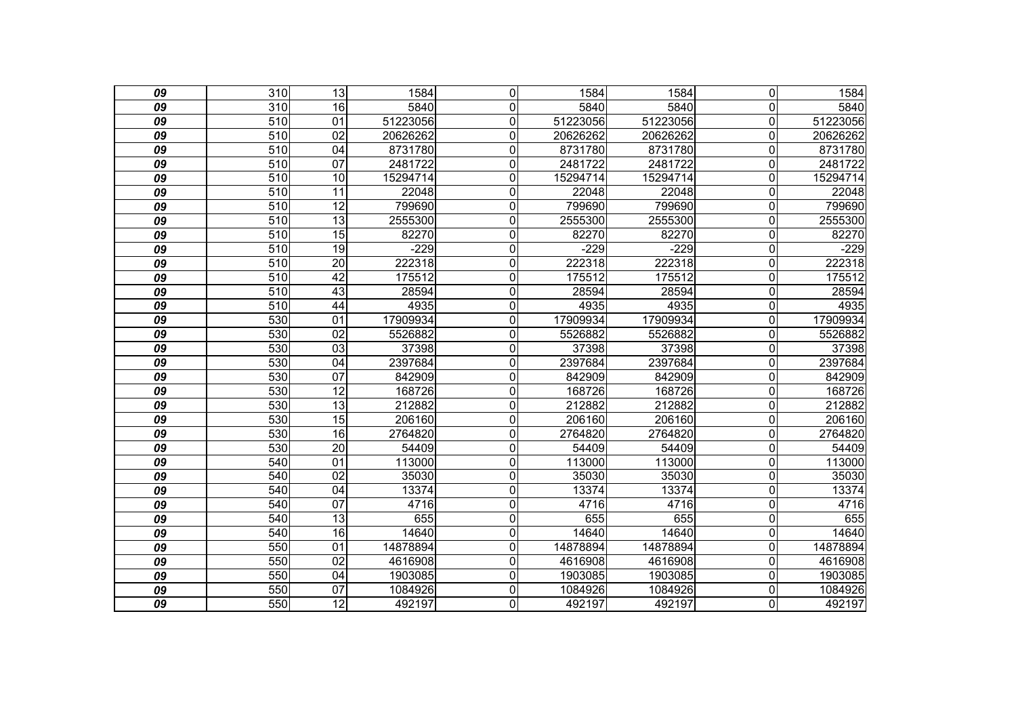| 09              | $\overline{310}$ | $\overline{13}$ | 1584     | $\overline{0}$ | 1584     | 1584     | $\mathbf 0$    | 1584     |
|-----------------|------------------|-----------------|----------|----------------|----------|----------|----------------|----------|
| 09              | 310              | 16              | 5840     | $\mathbf 0$    | 5840     | 5840     | 0              | 5840     |
| 09              | 510              | $\overline{01}$ | 51223056 | $\overline{0}$ | 51223056 | 51223056 | 0              | 51223056 |
| $\overline{09}$ | 510              | $\overline{02}$ | 20626262 | $\overline{0}$ | 20626262 | 20626262 | 0              | 20626262 |
| 09              | 510              | 04              | 8731780  | $\overline{0}$ | 8731780  | 8731780  | 0              | 8731780  |
| $\overline{09}$ | 510              | 07              | 2481722  | $\overline{0}$ | 2481722  | 2481722  | 0              | 2481722  |
| 09              | 510              | 10              | 15294714 | $\overline{0}$ | 15294714 | 15294714 | 0              | 15294714 |
| 09              | 510              | 11              | 22048    | $\overline{0}$ | 22048    | 22048    | 0              | 22048    |
| $\overline{09}$ | 510              | 12              | 799690   | $\overline{0}$ | 799690   | 799690   | $\overline{0}$ | 799690   |
| 09              | 510              | 13              | 2555300  | $\mathbf 0$    | 2555300  | 2555300  | 0              | 2555300  |
| 09              | 510              | $\overline{15}$ | 82270    | $\mathbf 0$    | 82270    | 82270    | 0              | 82270    |
| $\overline{09}$ | 510              | $\overline{19}$ | $-229$   | $\overline{0}$ | $-229$   | $-229$   | 0              | $-229$   |
| 09              | 510              | 20              | 222318   | $\mathbf 0$    | 222318   | 222318   | 0              | 222318   |
| 09              | 510              | 42              | 175512   | $\mathbf 0$    | 175512   | 175512   | 0              | 175512   |
| $\overline{09}$ | 510              | 43              | 28594    | $\overline{0}$ | 28594    | 28594    | 0              | 28594    |
| 09              | 510              | $\overline{44}$ | 4935     | $\overline{0}$ | 4935     | 4935     | 0              | 4935     |
| $\overline{09}$ | 530              | 01              | 17909934 | $\overline{0}$ | 17909934 | 17909934 | $\overline{0}$ | 17909934 |
| $\overline{09}$ | 530              | 02              | 5526882  | $\overline{0}$ | 5526882  | 5526882  | 0              | 5526882  |
| 09              | 530              | 03              | 37398    | $\mathbf 0$    | 37398    | 37398    | 0              | 37398    |
| $\overline{09}$ | 530              | $\overline{04}$ | 2397684  | $\overline{0}$ | 2397684  | 2397684  | 0              | 2397684  |
| 09              | 530              | 07              | 842909   | $\mathbf 0$    | 842909   | 842909   | 0              | 842909   |
| 09              | 530              | 12              | 168726   | $\mathbf 0$    | 168726   | 168726   | 0              | 168726   |
| $\overline{09}$ | 530              | 13              | 212882   | $\overline{0}$ | 212882   | 212882   | 0              | 212882   |
| 09              | 530              | $\overline{15}$ | 206160   | $\mathbf 0$    | 206160   | 206160   | 0              | 206160   |
| 09              | 530              | 16              | 2764820  | $\overline{0}$ | 2764820  | 2764820  | 0              | 2764820  |
| $\overline{09}$ | 530              | $\overline{20}$ | 54409    | $\overline{0}$ | 54409    | 54409    | 0              | 54409    |
| 09              | 540              | $\overline{01}$ | 113000   | $\overline{0}$ | 113000   | 113000   | 0              | 113000   |
| 09              | 540              | $\overline{02}$ | 35030    | $\mathbf 0$    | 35030    | 35030    | 0              | 35030    |
| 09              | 540              | $\overline{04}$ | 13374    | $\overline{0}$ | 13374    | 13374    | $\mathbf 0$    | 13374    |
| 09              | 540              | $\overline{07}$ | 4716     | $\mathbf 0$    | 4716     | 4716     | 0              | 4716     |
| $\overline{09}$ | 540              | $\overline{13}$ | 655      | $\overline{0}$ | 655      | 655      | 0              | 655      |
| 09              | 540              | 16              | 14640    | $\overline{0}$ | 14640    | 14640    | 0              | 14640    |
| 09              | 550              | $\overline{01}$ | 14878894 | $\mathbf 0$    | 14878894 | 14878894 | 0              | 14878894 |
| $\overline{09}$ | 550              | $\overline{02}$ | 4616908  | $\overline{0}$ | 4616908  | 4616908  | 0              | 4616908  |
| 09              | 550              | 04              | 1903085  | $\mathbf 0$    | 1903085  | 1903085  | 0              | 1903085  |
| 09              | 550              | 07              | 1084926  | $\overline{0}$ | 1084926  | 1084926  | 0              | 1084926  |
| $\overline{09}$ | 550              | $\overline{12}$ | 492197   | $\overline{0}$ | 492197   | 492197   | 0              | 492197   |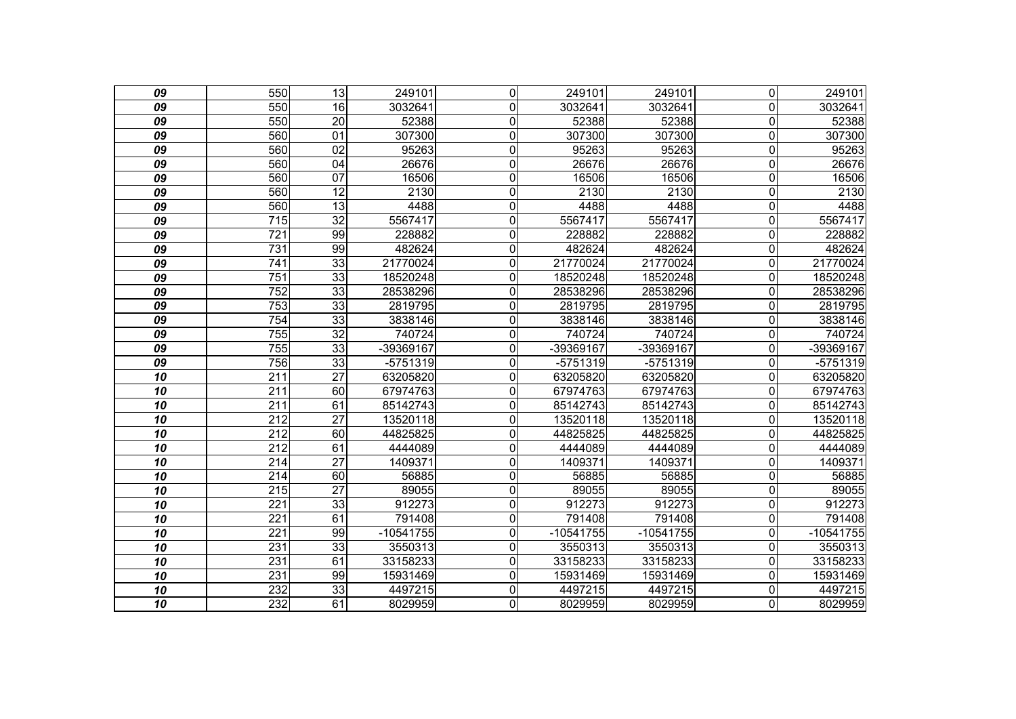| 09 | 550              | $\overline{13}$ | 249101      | $\mathbf 0$    | 249101      | 249101    | $\overline{0}$          | 249101      |
|----|------------------|-----------------|-------------|----------------|-------------|-----------|-------------------------|-------------|
| 09 | 550              | 16              | 3032641     | $\mathbf 0$    | 3032641     | 3032641   | $\mathbf 0$             | 3032641     |
| 09 | 550              | $\overline{20}$ | 52388       | $\mathbf 0$    | 52388       | 52388     | $\overline{0}$          | 52388       |
| 09 | 560              | 01              | 307300      | $\mathbf 0$    | 307300      | 307300    | $\mathbf 0$             | 307300      |
| 09 | 560              | $\overline{02}$ | 95263       | $\mathbf 0$    | 95263       | 95263     | $\mathbf 0$             | 95263       |
| 09 | 560              | $\overline{04}$ | 26676       | $\mathbf 0$    | 26676       | 26676     | $\mathbf 0$             | 26676       |
| 09 | 560              | 07              | 16506       | $\mathbf 0$    | 16506       | 16506     | $\mathbf 0$             | 16506       |
| 09 | 560              | $\overline{12}$ | 2130        | $\mathbf 0$    | 2130        | 2130      | $\mathbf 0$             | 2130        |
| 09 | 560              | 13              | 4488        | $\overline{0}$ | 4488        | 4488      | $\overline{\mathsf{o}}$ | 4488        |
| 09 | 715              | 32              | 5567417     | $\mathbf 0$    | 5567417     | 5567417   | $\mathsf{O}\xspace$     | 5567417     |
| 09 | 721              | 99              | 228882      | $\mathbf 0$    | 228882      | 228882    | $\mathbf 0$             | 228882      |
| 09 | 731              | 99              | 482624      | 0              | 482624      | 482624    | $\mathbf 0$             | 482624      |
| 09 | 741              | 33              | 21770024    | 0              | 21770024    | 21770024  | $\mathbf 0$             | 21770024    |
| 09 | $\overline{751}$ | 33              | 18520248    | 0              | 18520248    | 18520248  | $\overline{0}$          | 18520248    |
| 09 | 752              | 33              | 28538296    | $\mathbf 0$    | 28538296    | 28538296  | $\overline{0}$          | 28538296    |
| 09 | 753              | 33              | 2819795     | $\mathbf 0$    | 2819795     | 2819795   | $\overline{0}$          | 2819795     |
| 09 | 754              | $\overline{33}$ | 3838146     | $\overline{0}$ | 3838146     | 3838146   | $\overline{\mathsf{o}}$ | 3838146     |
| 09 | 755              | 32              | 740724      | $\mathbf 0$    | 740724      | 740724    | $\mathbf 0$             | 740724      |
| 09 | 755              | 33              | -39369167   | $\overline{0}$ | -39369167   | -39369167 | $\overline{0}$          | -39369167   |
| 09 | 756              | 33              | -5751319    | $\overline{0}$ | -5751319    | -5751319  | $\overline{0}$          | $-5751319$  |
| 10 | 211              | $\overline{27}$ | 63205820    | $\mathbf 0$    | 63205820    | 63205820  | $\overline{0}$          | 63205820    |
| 10 | $\overline{211}$ | 60              | 67974763    | $\overline{0}$ | 67974763    | 67974763  | $\overline{0}$          | 67974763    |
| 10 | 211              | 61              | 85142743    | $\mathbf 0$    | 85142743    | 85142743  | $\overline{0}$          | 85142743    |
| 10 | 212              | $\overline{27}$ | 13520118    | $\mathbf 0$    | 13520118    | 13520118  | $\overline{0}$          | 13520118    |
| 10 | $\overline{212}$ | 60              | 44825825    | $\overline{0}$ | 44825825    | 44825825  | $\overline{0}$          | 44825825    |
| 10 | $\overline{212}$ | 61              | 4444089     | $\mathbf 0$    | 4444089     | 4444089   | $\overline{0}$          | 4444089     |
| 10 | 214              | $\overline{27}$ | 1409371     | $\mathbf 0$    | 1409371     | 1409371   | $\overline{0}$          | 1409371     |
| 10 | 214              | 60              | 56885       | $\mathbf 0$    | 56885       | 56885     | $\mathbf 0$             | 56885       |
| 10 | $\overline{215}$ | $\overline{27}$ | 89055       | 0              | 89055       | 89055     | $\mathbf 0$             | 89055       |
| 10 | $\overline{221}$ | 33              | 912273      | 0              | 912273      | 912273    | $\overline{0}$          | 912273      |
| 10 | 221              | 61              | 791408      | 0              | 791408      | 791408    | $\mathbf 0$             | 791408      |
| 10 | 221              | 99              | $-10541755$ | 0              | $-10541755$ | -10541755 | $\Omega$                | $-10541755$ |
| 10 | 231              | $\overline{33}$ | 3550313     | 0              | 3550313     | 3550313   | 0                       | 3550313     |
| 10 | 231              | 61              | 33158233    | $\mathbf 0$    | 33158233    | 33158233  | $\mathbf 0$             | 33158233    |
| 10 | 231              | 99              | 15931469    | $\overline{0}$ | 15931469    | 15931469  | $\mathbf 0$             | 15931469    |
| 10 | 232              | $\overline{33}$ | 4497215     | $\mathbf 0$    | 4497215     | 4497215   | 0                       | 4497215     |
| 10 | 232              | 61              | 8029959     | $\overline{0}$ | 8029959     | 8029959   | $\overline{0}$          | 8029959     |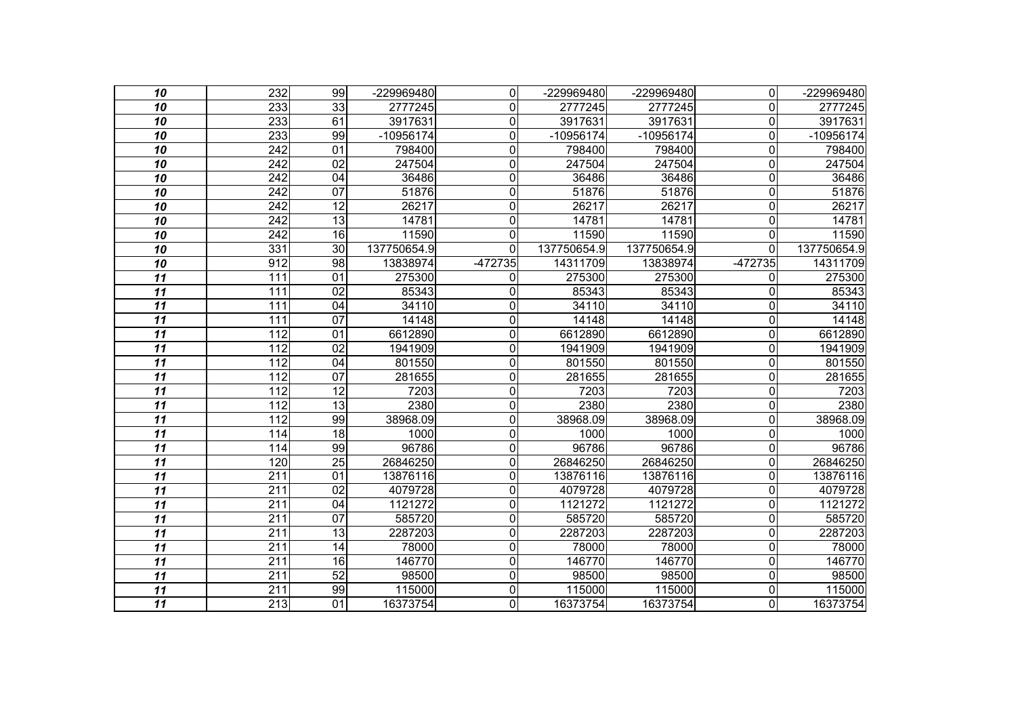| 10              | 232              | 99              | -229969480  | $\overline{0}$ | -229969480  | -229969480  | $\overline{0}$ | -229969480  |
|-----------------|------------------|-----------------|-------------|----------------|-------------|-------------|----------------|-------------|
| 10              | 233              | 33              | 2777245     | $\mathbf{0}$   | 2777245     | 2777245     | $\Omega$       | 2777245     |
| 10              | 233              | 61              | 3917631     | 0              | 3917631     | 3917631     | $\mathbf 0$    | 3917631     |
| $\overline{10}$ | 233              | 99              | -10956174   | $\mathbf 0$    | $-10956174$ | -10956174   | $\mathbf 0$    | $-10956174$ |
| 10              | 242              | 01              | 798400      | $\mathbf{0}$   | 798400      | 798400      | $\mathbf{0}$   | 798400      |
| 10              | 242              | 02              | 247504      | $\mathbf 0$    | 247504      | 247504      | $\mathbf 0$    | 247504      |
| 10              | 242              | 04              | 36486       | 0              | 36486       | 36486       | $\mathbf 0$    | 36486       |
| 10              | 242              | 07              | 51876       | 0              | 51876       | 51876       | $\overline{0}$ | 51876       |
| 10              | 242              | $\overline{12}$ | 26217       | $\mathbf 0$    | 26217       | 26217       | $\overline{0}$ | 26217       |
| 10              | 242              | 13              | 14781       | $\mathbf{0}$   | 14781       | 14781       | $\overline{0}$ | 14781       |
| 10              | 242              | 16              | 11590       | $\mathbf 0$    | 11590       | 11590       | $\Omega$       | 11590       |
| 10              | 331              | $\overline{30}$ | 137750654.9 | 0              | 137750654.9 | 137750654.9 | $\overline{0}$ | 137750654.9 |
| 10              | 912              | 98              | 13838974    | -472735        | 14311709    | 13838974    | -472735        | 14311709    |
| 11              | 111              | $\overline{01}$ | 275300      | 0              | 275300      | 275300      | $\Omega$       | 275300      |
| $\overline{11}$ | 111              | $\overline{02}$ | 85343       | 0              | 85343       | 85343       | $\overline{0}$ | 85343       |
| 11              | 111              | 04              | 34110       | $\mathbf{0}$   | 34110       | 34110       | $\Omega$       | 34110       |
| 11              | $\overline{111}$ | 07              | 14148       | $\mathbf 0$    | 14148       | 14148       | $\mathbf 0$    | 14148       |
| $\overline{11}$ | 112              | 01              | 6612890     | $\mathbf 0$    | 6612890     | 6612890     | $\mathbf 0$    | 6612890     |
| 11              | $\overline{112}$ | 02              | 1941909     | 0              | 1941909     | 1941909     | $\overline{0}$ | 1941909     |
| $\overline{11}$ | 112              | 04              | 801550      | 0              | 801550      | 801550      | $\mathbf 0$    | 801550      |
| 11              | 112              | 07              | 281655      | $\mathbf{0}$   | 281655      | 281655      | $\overline{0}$ | 281655      |
| 11              | $\overline{112}$ | 12              | 7203        | 0              | 7203        | 7203        | $\overline{0}$ | 7203        |
| $\overline{11}$ | 112              | $\overline{13}$ | 2380        | $\mathbf 0$    | 2380        | 2380        | $\mathbf 0$    | 2380        |
| 11              | 112              | 99              | 38968.09    | 0              | 38968.09    | 38968.09    | $\mathbf 0$    | 38968.09    |
| 11              | 114              | 18              | 1000        | $\mathbf 0$    | 1000        | 1000        | $\mathbf 0$    | 1000        |
| $\overline{11}$ | 114              | 99              | 96786       | $\mathbf 0$    | 96786       | 96786       | $\mathbf 0$    | 96786       |
| 11              | 120              | $\overline{25}$ | 26846250    | 0              | 26846250    | 26846250    | $\overline{0}$ | 26846250    |
| 11              | 211              | 01              | 13876116    | 0              | 13876116    | 13876116    | $\mathbf 0$    | 13876116    |
| 11              | $\overline{211}$ | $\overline{02}$ | 4079728     | 0              | 4079728     | 4079728     | $\overline{0}$ | 4079728     |
| 11              | 211              | $\overline{04}$ | 1121272     | 0              | 1121272     | 1121272     | $\overline{0}$ | 1121272     |
| $\overline{11}$ | 211              | $\overline{07}$ | 585720      | $\mathbf 0$    | 585720      | 585720      | $\mathbf 0$    | 585720      |
| 11              | 211              | 13              | 2287203     | $\mathbf 0$    | 2287203     | 2287203     | $\mathbf 0$    | 2287203     |
| 11              | $\overline{211}$ | 14              | 78000       | 0              | 78000       | 78000       | $\overline{0}$ | 78000       |
| $\overline{11}$ | $\overline{211}$ | 16              | 146770      | $\mathbf 0$    | 146770      | 146770      | $\mathbf 0$    | 146770      |
| 11              | 211              | $\overline{52}$ | 98500       | $\mathbf 0$    | 98500       | 98500       | $\overline{0}$ | 98500       |
| 11              | 211              | 99              | 115000      | $\mathbf 0$    | 115000      | 115000      | $\overline{0}$ | 115000      |
| $\overline{11}$ | $\overline{213}$ | 01              | 16373754    | $\overline{0}$ | 16373754    | 16373754    | O              | 16373754    |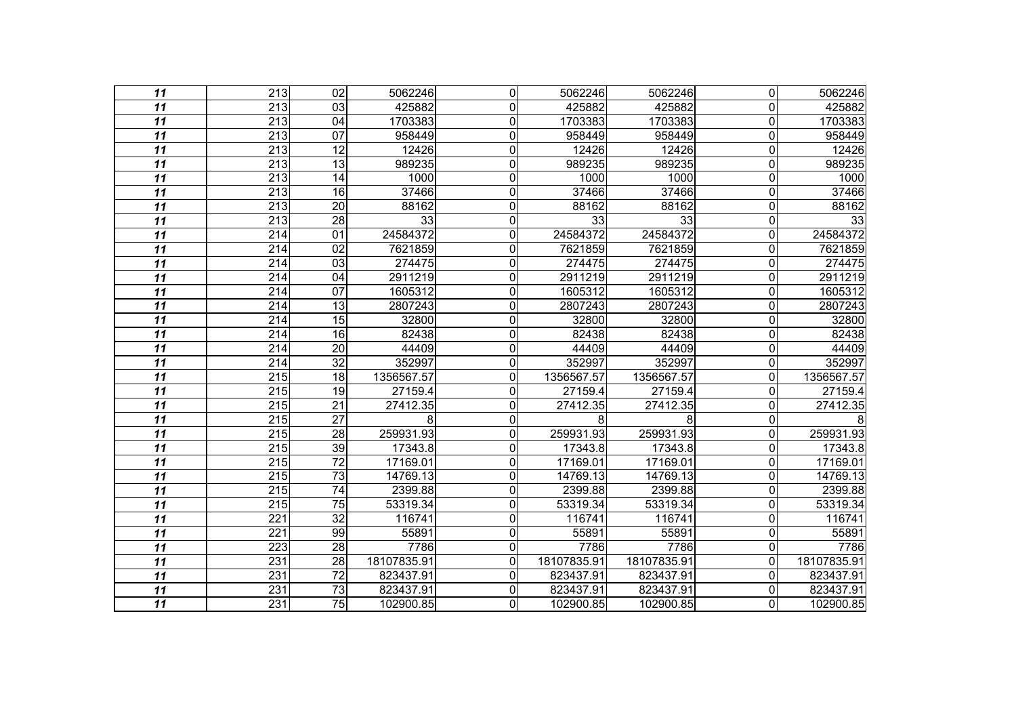| 11              | 213              | $\overline{02}$ | 5062246     | $\Omega$     | 5062246     | 5062246     | $\overline{0}$ | 5062246     |
|-----------------|------------------|-----------------|-------------|--------------|-------------|-------------|----------------|-------------|
| 11              | 213              | 03              | 425882      | 0            | 425882      | 425882      | $\Omega$       | 425882      |
| $\overline{11}$ | $\overline{213}$ | $\overline{04}$ | 1703383     | 0            | 1703383     | 1703383     | $\mathbf 0$    | 1703383     |
| $\overline{11}$ | 213              | $\overline{07}$ | 958449      | 0            | 958449      | 958449      | $\overline{0}$ | 958449      |
| 11              | 213              | 12              | 12426       | $\mathbf{0}$ | 12426       | 12426       | 0              | 12426       |
| $\overline{11}$ | 213              | 13              | 989235      | 0            | 989235      | 989235      | $\mathbf 0$    | 989235      |
| 11              | 213              | $\overline{14}$ | 1000        | $\mathbf 0$  | 1000        | 1000        | $\overline{0}$ | 1000        |
| 11              | 213              | $\overline{16}$ | 37466       | $\mathbf{0}$ | 37466       | 37466       | 0              | 37466       |
| $\overline{11}$ | 213              | $\overline{20}$ | 88162       | $\mathbf 0$  | 88162       | 88162       | $\mathbf 0$    | 88162       |
| 11              | 213              | 28              | 33          | 0            | 33          | 33          | $\mathbf 0$    | 33          |
| $\overline{11}$ | $\overline{214}$ | 01              | 24584372    | 0            | 24584372    | 24584372    | $\mathbf 0$    | 24584372    |
| $\overline{11}$ | 214              | $\overline{02}$ | 7621859     | $\mathbf 0$  | 7621859     | 7621859     | 0              | 7621859     |
| 11              | 214              | 03              | 274475      | 0            | 274475      | 274475      | $\Omega$       | 274475      |
| 11              | $\overline{214}$ | 04              | 2911219     | $\mathbf 0$  | 2911219     | 2911219     | $\mathbf 0$    | 2911219     |
| $\overline{11}$ | 214              | $\overline{07}$ | 1605312     | $\mathbf 0$  | 1605312     | 1605312     | $\overline{0}$ | 1605312     |
| 11              | 214              | 13              | 2807243     | $\mathbf{0}$ | 2807243     | 2807243     | 0              | 2807243     |
| $\overline{11}$ | $\overline{214}$ | 15              | 32800       | 0            | 32800       | 32800       | $\mathbf 0$    | 32800       |
| $\overline{11}$ | $\overline{214}$ | 16              | 82438       | $\mathbf 0$  | 82438       | 82438       | $\mathbf 0$    | 82438       |
| 11              | $\overline{214}$ | $\overline{20}$ | 44409       | 0            | 44409       | 44409       | 0              | 44409       |
| $\overline{11}$ | 214              | $\overline{32}$ | 352997      | 0            | 352997      | 352997      | $\mathbf 0$    | 352997      |
| 11              | 215              | 18              | 1356567.57  | 0            | 1356567.57  | 1356567.57  | $\Omega$       | 1356567.57  |
| 11              | $\overline{215}$ | $\overline{19}$ | 27159.4     | $\mathbf{0}$ | 27159.4     | 27159.4     | $\Omega$       | 27159.4     |
| $\overline{11}$ | 215              | $\overline{21}$ | 27412.35    | 0            | 27412.35    | 27412.35    | 0              | 27412.35    |
| 11              | 215              | $\overline{27}$ | 8           | $\mathbf 0$  | 8           | 8           | $\overline{0}$ |             |
| $\overline{11}$ | $\overline{215}$ | 28              | 259931.93   | $\mathbf 0$  | 259931.93   | 259931.93   | 0              | 259931.93   |
| $\overline{11}$ | $\overline{215}$ | 39              | 17343.8     | $\mathbf 0$  | 17343.8     | 17343.8     | 0              | 17343.8     |
| 11              | 215              | $\overline{72}$ | 17169.01    | $\mathbf{0}$ | 17169.01    | 17169.01    | $\Omega$       | 17169.01    |
| $\overline{11}$ | 215              | $\overline{73}$ | 14769.13    | 0            | 14769.13    | 14769.13    | 0              | 14769.13    |
| 11              | $\overline{215}$ | $\overline{74}$ | 2399.88     | $\mathbf 0$  | 2399.88     | 2399.88     | 0              | 2399.88     |
| $\overline{11}$ | $\overline{215}$ | $\overline{75}$ | 53319.34    | $\mathbf{0}$ | 53319.34    | 53319.34    | 0              | 53319.34    |
| $\overline{11}$ | 221              | $\overline{32}$ | 116741      | 0            | 116741      | 116741      | 0              | 116741      |
| 11              | 221              | 99              | 55891       | $\mathbf 0$  | 55891       | 55891       | $\overline{0}$ | 55891       |
| $\overline{11}$ | $\overline{223}$ | $\overline{28}$ | 7786        | 0            | 7786        | 7786        | $\overline{0}$ | 7786        |
| $\overline{11}$ | 231              | $\overline{28}$ | 18107835.91 | $\mathbf 0$  | 18107835.91 | 18107835.91 | $\mathbf 0$    | 18107835.91 |
| 11              | 231              | 72              | 823437.91   | 0            | 823437.91   | 823437.91   | $\Omega$       | 823437.91   |
| $\overline{11}$ | 231              | $\overline{73}$ | 823437.91   | 0            | 823437.91   | 823437.91   | 0              | 823437.91   |
| $\overline{11}$ | 231              | $\overline{75}$ | 102900.85   | $\Omega$     | 102900.85   | 102900.85   | $\Omega$       | 102900.85   |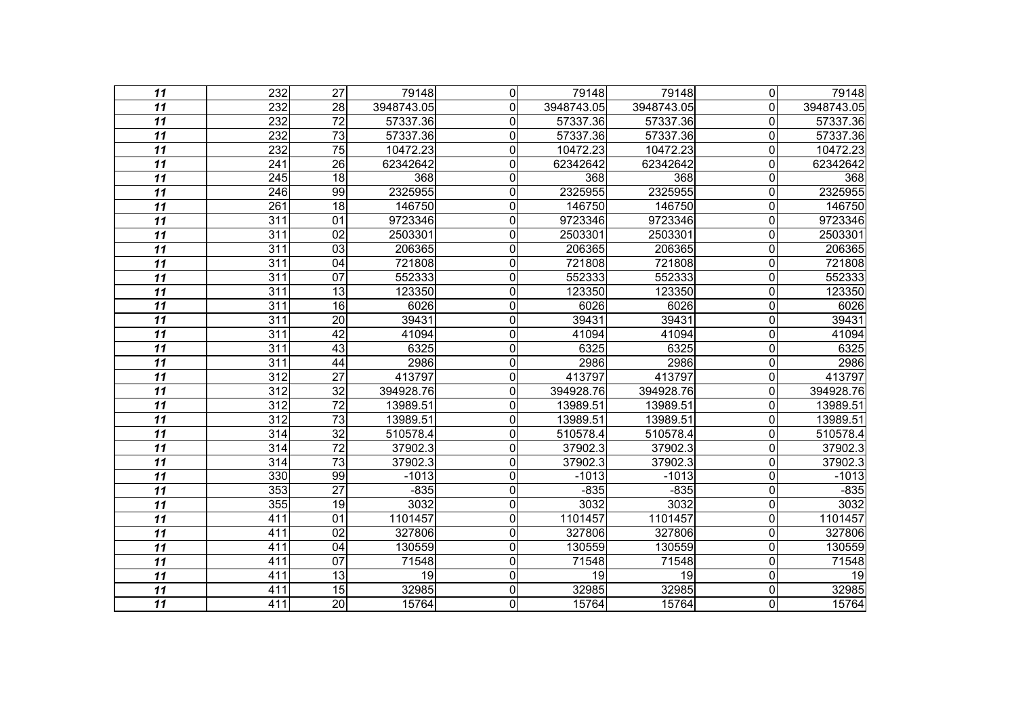| 11              | $\overline{232}$ | $\overline{27}$ | 79148      | $\overline{0}$ | 79148      | 79148      | $\overline{0}$          | 79148      |
|-----------------|------------------|-----------------|------------|----------------|------------|------------|-------------------------|------------|
| 11              | 232              | 28              | 3948743.05 | 0              | 3948743.05 | 3948743.05 | $\overline{0}$          | 3948743.05 |
| $\overline{11}$ | 232              | $\overline{72}$ | 57337.36   | $\overline{0}$ | 57337.36   | 57337.36   | 0                       | 57337.36   |
| $\overline{11}$ | 232              | $\overline{73}$ | 57337.36   | $\mathbf 0$    | 57337.36   | 57337.36   | $\overline{0}$          | 57337.36   |
| 11              | 232              | $\overline{75}$ | 10472.23   | $\mathbf 0$    | 10472.23   | 10472.23   | 0                       | 10472.23   |
| $\overline{11}$ | 241              | $\overline{26}$ | 62342642   | $\overline{0}$ | 62342642   | 62342642   | $\overline{0}$          | 62342642   |
| 11              | 245              | 18              | 368        | $\overline{0}$ | 368        | 368        | $\overline{0}$          | 368        |
| 11              | 246              | 99              | 2325955    | $\mathbf 0$    | 2325955    | 2325955    | $\overline{0}$          | 2325955    |
| $\overline{11}$ | 261              | 18              | 146750     | Ō              | 146750     | 146750     | $\overline{\mathsf{o}}$ | 146750     |
| $\overline{11}$ | 311              | 01              | 9723346    | $\mathbf 0$    | 9723346    | 9723346    | $\mathbf 0$             | 9723346    |
| $\overline{11}$ | $\overline{311}$ | $\overline{02}$ | 2503301    | $\overline{0}$ | 2503301    | 2503301    | $\overline{\mathsf{o}}$ | 2503301    |
| $\overline{11}$ | $\overline{311}$ | 03              | 206365     | 0              | 206365     | 206365     | $\overline{0}$          | 206365     |
| 11              | 311              | 04              | 721808     | $\mathbf 0$    | 721808     | 721808     | $\overline{0}$          | 721808     |
| $\overline{11}$ | 311              | 07              | 552333     | $\overline{0}$ | 552333     | 552333     | $\overline{\mathsf{o}}$ | 552333     |
| $\overline{11}$ | $\overline{311}$ | $\overline{13}$ | 123350     | $\mathbf 0$    | 123350     | 123350     | $\overline{0}$          | 123350     |
| 11              | 311              | 16              | 6026       | $\mathbf 0$    | 6026       | 6026       | $\overline{0}$          | 6026       |
| $\overline{11}$ | 311              | 20              | 39431      | $\overline{0}$ | 39431      | 39431      | $\overline{\mathsf{o}}$ | 39431      |
| $\overline{11}$ | $\overline{311}$ | 42              | 41094      | $\mathbf 0$    | 41094      | 41094      | $\overline{\mathsf{o}}$ | 41094      |
| 11              | 311              | 43              | 6325       | $\overline{0}$ | 6325       | 6325       | $\overline{\mathsf{o}}$ | 6325       |
| $\overline{11}$ | $\overline{311}$ | 44              | 2986       | $\mathbf 0$    | 2986       | 2986       | $\overline{\mathsf{o}}$ | 2986       |
| 11              | $\overline{312}$ | $\overline{27}$ | 413797     | $\mathbf 0$    | 413797     | 413797     | $\mathbf 0$             | 413797     |
| $\overline{11}$ | 312              | $\overline{32}$ | 394928.76  | $\overline{0}$ | 394928.76  | 394928.76  | $\overline{0}$          | 394928.76  |
| $\overline{11}$ | $\overline{312}$ | $\overline{72}$ | 13989.51   | $\overline{0}$ | 13989.51   | 13989.51   | $\overline{0}$          | 13989.51   |
| 11              | $\overline{312}$ | $\overline{73}$ | 13989.51   | $\mathbf 0$    | 13989.51   | 13989.51   | 0                       | 13989.51   |
| $\overline{11}$ | 314              | $\overline{32}$ | 510578.4   | $\overline{0}$ | 510578.4   | 510578.4   | $\overline{0}$          | 510578.4   |
| $\overline{11}$ | $\overline{314}$ | $\overline{72}$ | 37902.3    | $\mathbf 0$    | 37902.3    | 37902.3    | $\mathbf 0$             | 37902.3    |
| 11              | 314              | $\overline{73}$ | 37902.3    | $\mathbf 0$    | 37902.3    | 37902.3    | 0                       | 37902.3    |
| $\overline{11}$ | 330              | 99              | $-1013$    | $\mathbf 0$    | $-1013$    | $-1013$    | $\mathbf 0$             | $-1013$    |
| 11              | 353              | $\overline{27}$ | $-835$     | $\overline{0}$ | $-835$     | $-835$     | $\overline{\mathsf{o}}$ | $-835$     |
| 11              | 355              | 19              | 3032       | $\overline{0}$ | 3032       | 3032       | $\overline{0}$          | 3032       |
| $\overline{11}$ | 411              | $\overline{01}$ | 1101457    | $\mathbf 0$    | 1101457    | 1101457    | $\mathbf 0$             | 1101457    |
| 11              | 411              | 02              | 327806     | $\mathbf 0$    | 327806     | 327806     | $\overline{0}$          | 327806     |
| $\overline{11}$ | $\overline{411}$ | $\overline{04}$ | 130559     | $\overline{0}$ | 130559     | 130559     | $\overline{0}$          | 130559     |
| $\overline{11}$ | 411              | $\overline{07}$ | 71548      | $\mathbf 0$    | 71548      | 71548      | $\overline{\mathsf{o}}$ | 71548      |
| 11              | 411              | 13              | 19         | $\mathbf 0$    | 19         | 19         | $\mathbf 0$             | 19         |
| $\overline{11}$ | 411              | 15              | 32985      | Ō              | 32985      | 32985      | $\overline{\mathsf{o}}$ | 32985      |
| $\overline{11}$ | 411              | $\overline{20}$ | 15764      | $\overline{0}$ | 15764      | 15764      | $\overline{\mathsf{o}}$ | 15764      |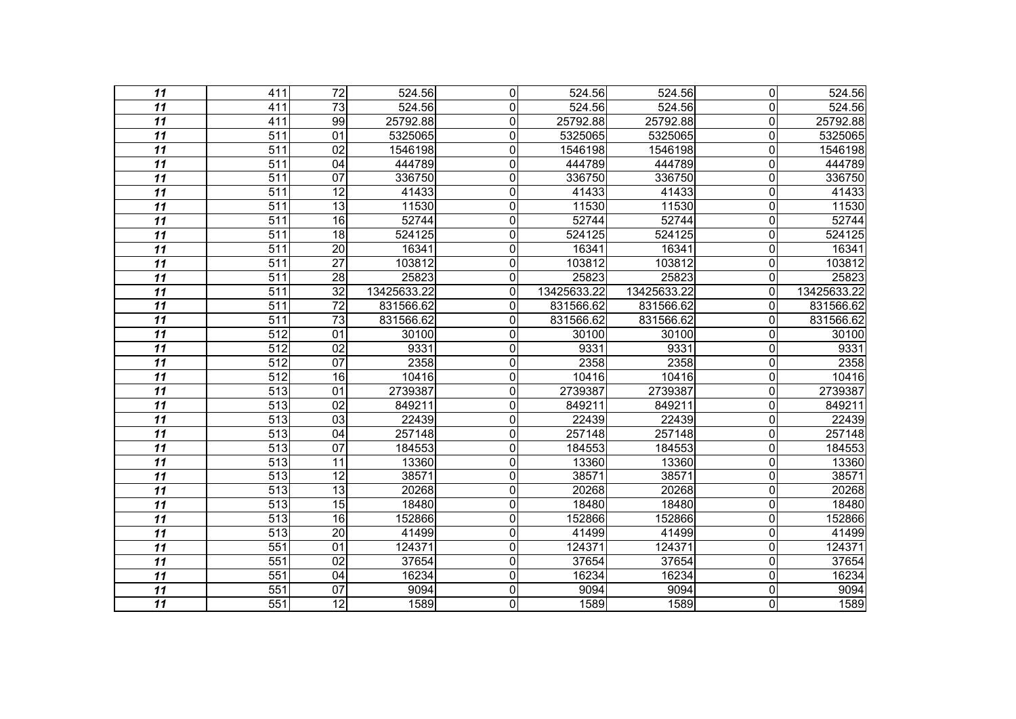| 11              | 411              | $\overline{72}$ |             |                |             |             |                         |                     |
|-----------------|------------------|-----------------|-------------|----------------|-------------|-------------|-------------------------|---------------------|
|                 |                  |                 | 524.56      | $\mathbf 0$    | 524.56      | 524.56      | $\Omega$                | $\overline{524.56}$ |
| 11              | 411              | 73              | 524.56      | 0              | 524.56      | 524.56      | $\Omega$                | 524.56              |
| $\overline{11}$ | 411              | 99              | 25792.88    | 0              | 25792.88    | 25792.88    | 0                       | 25792.88            |
| $\overline{11}$ | $\overline{511}$ | $\overline{01}$ | 5325065     | $\overline{0}$ | 5325065     | 5325065     | $\overline{0}$          | 5325065             |
| 11              | $\overline{511}$ | 02              | 1546198     | $\mathbf 0$    | 1546198     | 1546198     | 0                       | 1546198             |
| $\overline{11}$ | 511              | $\overline{04}$ | 444789      | $\mathbf 0$    | 444789      | 444789      | $\mathbf 0$             | 444789              |
| $\overline{11}$ | 511              | 07              | 336750      | 0              | 336750      | 336750      | 0                       | 336750              |
| 11              | $\overline{511}$ | $\overline{12}$ | 41433       | 0              | 41433       | 41433       | $\mathbf 0$             | 41433               |
| $\overline{11}$ | 511              | $\overline{13}$ | 11530       | $\overline{0}$ | 11530       | 11530       | 0                       | 11530               |
| $\overline{11}$ | $\overline{511}$ | $\overline{16}$ | 52744       | 0              | 52744       | 52744       | $\overline{0}$          | 52744               |
| $\overline{11}$ | 511              | 18              | 524125      | 0              | 524125      | 524125      | $\overline{0}$          | 524125              |
| $\overline{11}$ | 511              | $\overline{20}$ | 16341       | $\mathbf 0$    | 16341       | 16341       | 0                       | 16341               |
| $\overline{11}$ | $\overline{511}$ | $\overline{27}$ | 103812      | $\overline{0}$ | 103812      | 103812      | $\mathbf 0$             | 103812              |
| $\overline{11}$ | 511              | $\overline{28}$ | 25823       | $\mathbf 0$    | 25823       | 25823       | $\overline{0}$          | 25823               |
| $\overline{11}$ | 511              | $\overline{32}$ | 13425633.22 | $\mathbf 0$    | 13425633.22 | 13425633.22 | $\Omega$                | 13425633.22         |
| 11              | $\overline{511}$ | $\overline{72}$ | 831566.62   | 0              | 831566.62   | 831566.62   | $\mathbf 0$             | 831566.62           |
| 11              | $\overline{511}$ | $\overline{73}$ | 831566.62   | 0              | 831566.62   | 831566.62   | $\mathbf 0$             | 831566.62           |
| $\overline{11}$ | $\overline{512}$ | $\overline{01}$ | 30100       | 0              | 30100       | 30100       | $\mathbf 0$             | 30100               |
| $\overline{11}$ | 512              | 02              | 9331        | $\mathbf 0$    | 9331        | 9331        | $\mathbf 0$             | 9331                |
| $\overline{11}$ | $\overline{512}$ | 07              | 2358        | $\overline{0}$ | 2358        | 2358        | 0                       | 2358                |
| 11              | $\overline{512}$ | 16              | 10416       | $\mathbf 0$    | 10416       | 10416       | $\mathbf 0$             | 10416               |
| $\overline{11}$ | $\overline{513}$ | $\overline{01}$ | 2739387     | $\overline{0}$ | 2739387     | 2739387     | 0                       | 2739387             |
| $\overline{11}$ | $\overline{513}$ | 02              | 849211      | $\overline{0}$ | 849211      | 849211      | 0                       | 849211              |
| $\overline{11}$ | $\overline{513}$ | 03              | 22439       | $\overline{0}$ | 22439       | 22439       | $\mathbf 0$             | 22439               |
| $\overline{11}$ | 513              | $\overline{04}$ | 257148      | $\mathbf 0$    | 257148      | 257148      | 0                       | 257148              |
| $\overline{11}$ | $\overline{513}$ | $\overline{07}$ | 184553      | $\overline{0}$ | 184553      | 184553      | $\mathbf 0$             | 184553              |
| 11              | $\overline{513}$ | $\overline{11}$ | 13360       | $\overline{0}$ | 13360       | 13360       | $\mathbf 0$             | 13360               |
| $\overline{11}$ | $\overline{513}$ | $\overline{12}$ | 38571       | 0              | 38571       | 38571       | 0                       | 38571               |
| 11              | $\overline{513}$ | 13              | 20268       | 0              | 20268       | 20268       | $\mathbf 0$             | 20268               |
| 11              | $\overline{513}$ | 15              | 18480       | $\mathbf 0$    | 18480       | 18480       | 0                       | 18480               |
| $\overline{11}$ | $\overline{513}$ | $\overline{16}$ | 152866      | $\overline{0}$ | 152866      | 152866      | $\mathbf 0$             | 152866              |
| $\overline{11}$ | $\overline{513}$ | $\overline{20}$ | 41499       | $\overline{0}$ | 41499       | 41499       | $\mathbf 0$             | 41499               |
| $\overline{11}$ | 551              | 01              | 124371      | $\mathbf 0$    | 124371      | 124371      | 0                       | 124371              |
| $\overline{11}$ | $\overline{551}$ | $\overline{02}$ | 37654       | $\overline{0}$ | 37654       | 37654       | $\mathbf 0$             | 37654               |
| $\overline{11}$ | $\overline{551}$ | $\overline{04}$ | 16234       | $\overline{0}$ | 16234       | 16234       | $\overline{\mathsf{o}}$ | 16234               |
| $\overline{11}$ | 551              | $\overline{07}$ | 9094        | $\overline{0}$ | 9094        | 9094        | $\overline{\mathsf{o}}$ | 9094                |
| $\overline{11}$ | $\overline{551}$ | $\overline{12}$ | 1589        | $\overline{0}$ | 1589        | 1589        | $\overline{\mathsf{o}}$ | 1589                |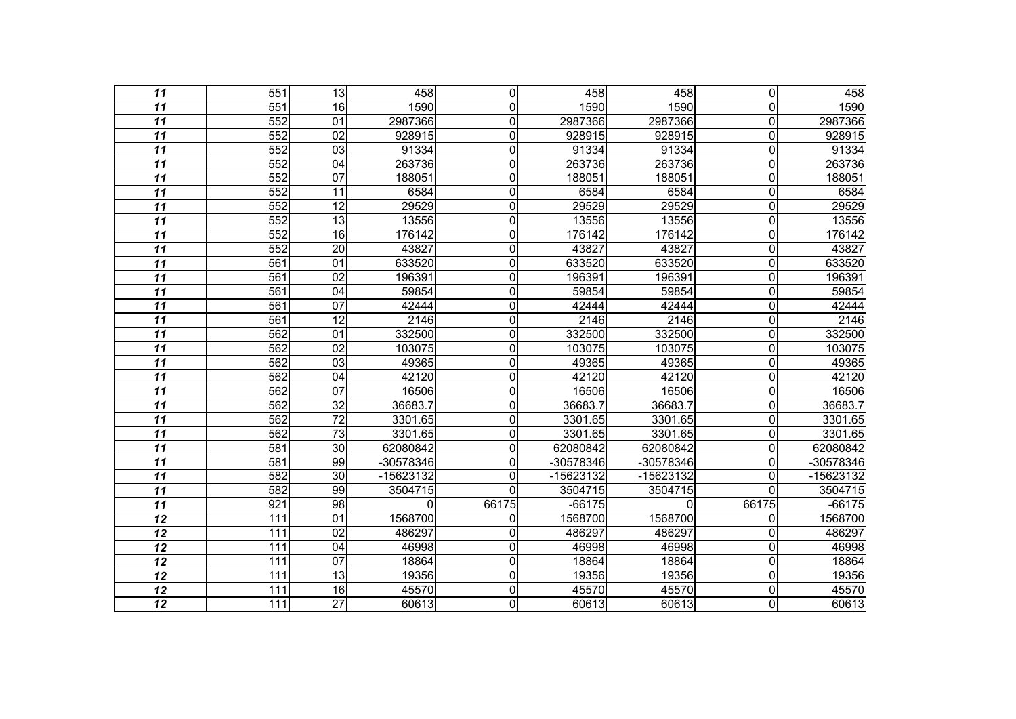| 11              | 551              | 13              | 458       | $\overline{0}$ | 458         | 458       | $\overline{\mathsf{o}}$ | 458       |
|-----------------|------------------|-----------------|-----------|----------------|-------------|-----------|-------------------------|-----------|
| 11              | 551              | 16              | 1590      | $\mathbf 0$    | 1590        | 1590      | 0                       | 1590      |
| $\overline{11}$ | 552              | 01              | 2987366   | $\overline{0}$ | 2987366     | 2987366   | $\overline{0}$          | 2987366   |
| $\overline{11}$ | 552              | $\overline{02}$ | 928915    | $\overline{0}$ | 928915      | 928915    | $\overline{0}$          | 928915    |
| 11              | 552              | 03              | 91334     | $\overline{0}$ | 91334       | 91334     | $\overline{0}$          | 91334     |
| $\overline{11}$ | 552              | 04              | 263736    | $\overline{0}$ | 263736      | 263736    | $\overline{0}$          | 263736    |
| $\overline{11}$ | 552              | 07              | 188051    | $\overline{0}$ | 188051      | 188051    | $\overline{0}$          | 188051    |
| 11              | 552              | 11              | 6584      | $\overline{0}$ | 6584        | 6584      | $\overline{0}$          | 6584      |
| $\overline{11}$ | 552              | $\overline{12}$ | 29529     | $\overline{0}$ | 29529       | 29529     | $\overline{\mathsf{o}}$ | 29529     |
| $\overline{11}$ | 552              | $\overline{13}$ | 13556     | $\overline{0}$ | 13556       | 13556     | $\mathbf 0$             | 13556     |
| $\overline{11}$ | 552              | 16              | 176142    | $\overline{0}$ | 176142      | 176142    | $\overline{0}$          | 176142    |
| $\overline{11}$ | 552              | $\overline{20}$ | 43827     | $\overline{0}$ | 43827       | 43827     | $\overline{0}$          | 43827     |
| 11              | 561              | 01              | 633520    | $\overline{0}$ | 633520      | 633520    | $\overline{0}$          | 633520    |
| $\overline{11}$ | 561              | 02              | 196391    | $\overline{0}$ | 196391      | 196391    | $\overline{0}$          | 196391    |
| $\overline{11}$ | 561              | $\overline{04}$ | 59854     | $\overline{0}$ | 59854       | 59854     | $\overline{0}$          | 59854     |
| 11              | $\overline{561}$ | $\overline{07}$ | 42444     | $\overline{0}$ | 42444       | 42444     | $\mathbf 0$             | 42444     |
| $\overline{11}$ | 561              | $\overline{12}$ | 2146      | $\overline{0}$ | 2146        | 2146      | $\overline{0}$          | 2146      |
| $\overline{11}$ | 562              | 01              | 332500    | $\overline{0}$ | 332500      | 332500    | $\overline{0}$          | 332500    |
| $\overline{11}$ | 562              | 02              | 103075    | $\overline{0}$ | 103075      | 103075    | $\overline{0}$          | 103075    |
| $\overline{11}$ | 562              | $\overline{03}$ | 49365     | $\overline{0}$ | 49365       | 49365     | $\overline{0}$          | 49365     |
| 11              | 562              | 04              | 42120     | $\overline{0}$ | 42120       | 42120     | $\mathbf 0$             | 42120     |
| $\overline{11}$ | 562              | $\overline{07}$ | 16506     | $\overline{0}$ | 16506       | 16506     | $\overline{0}$          | 16506     |
| $\overline{11}$ | 562              | $\overline{32}$ | 36683.7   | $\overline{0}$ | 36683.7     | 36683.7   | $\overline{0}$          | 36683.7   |
| 11              | 562              | $\overline{72}$ | 3301.65   | $\overline{0}$ | 3301.65     | 3301.65   | 0                       | 3301.65   |
| $\overline{11}$ | 562              | $\overline{73}$ | 3301.65   | $\overline{0}$ | 3301.65     | 3301.65   | $\overline{0}$          | 3301.65   |
| $\overline{11}$ | $\overline{581}$ | $\overline{30}$ | 62080842  | $\overline{0}$ | 62080842    | 62080842  | $\overline{0}$          | 62080842  |
| 11              | $\overline{581}$ | 99              | -30578346 | $\overline{0}$ | $-30578346$ | -30578346 | 0                       | -30578346 |
| $\overline{11}$ | 582              | $\overline{30}$ | -15623132 | $\overline{0}$ | -15623132   | -15623132 | $\mathbf 0$             | -15623132 |
| 11              | 582              | 99              | 3504715   | $\overline{0}$ | 3504715     | 3504715   | $\mathbf 0$             | 3504715   |
| $\overline{11}$ | 921              | 98              | 0         | 66175          | $-66175$    | 0         | 66175                   | $-66175$  |
| $\overline{12}$ | 111              | $\overline{01}$ | 1568700   | 0              | 1568700     | 1568700   | 0                       | 1568700   |
| 12              | 111              | 02              | 486297    | $\overline{0}$ | 486297      | 486297    | $\overline{0}$          | 486297    |
| $\overline{12}$ | 111              | 04              | 46998     | $\overline{0}$ | 46998       | 46998     | $\overline{0}$          | 46998     |
| $\overline{12}$ | 111              | $\overline{07}$ | 18864     | $\overline{0}$ | 18864       | 18864     | $\overline{0}$          | 18864     |
| 12              | 111              | 13              | 19356     | $\overline{0}$ | 19356       | 19356     | $\mathbf 0$             | 19356     |
| $\overline{12}$ | 111              | 16              | 45570     | $\overline{0}$ | 45570       | 45570     | $\overline{0}$          | 45570     |
| $\overline{12}$ | 111              | $\overline{27}$ | 60613     | $\overline{0}$ | 60613       | 60613     | $\overline{0}$          | 60613     |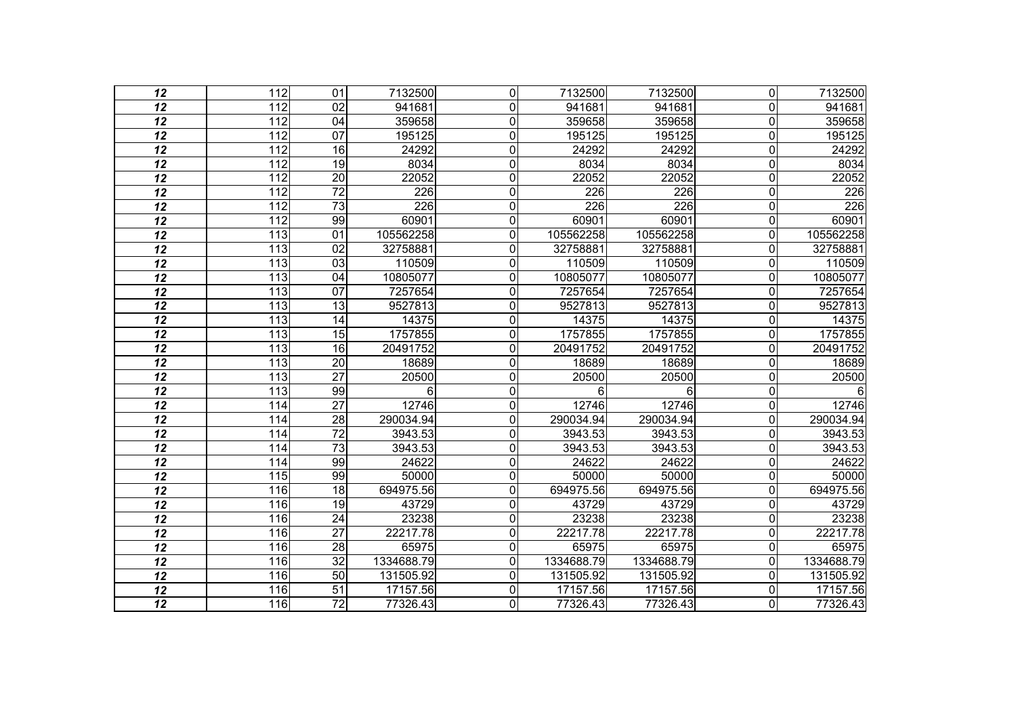| 12              | $\overline{112}$ | 01              | 7132500          | $\mathbf 0$    | 7132500    | 7132500          | $\overline{0}$ | 7132500    |
|-----------------|------------------|-----------------|------------------|----------------|------------|------------------|----------------|------------|
| 12              | 112              | 02              | 941681           | $\mathbf{0}$   | 941681     | 941681           | 0              | 941681     |
| 12              | 112              | $\overline{04}$ | 359658           | $\mathbf 0$    | 359658     | 359658           | $\mathbf 0$    | 359658     |
| $\overline{12}$ | $\overline{112}$ | $\overline{07}$ | 195125           | $\mathbf 0$    | 195125     | 195125           | $\mathbf 0$    | 195125     |
| 12              | 112              | 16              | 24292            | 0              | 24292      | 24292            | $\mathbf 0$    | 24292      |
| 12              | 112              | 19              | 8034             | $\mathbf 0$    | 8034       | 8034             | $\mathbf 0$    | 8034       |
| $\overline{12}$ | $\overline{112}$ | $\overline{20}$ | 22052            | $\mathbf 0$    | 22052      | 22052            | $\mathbf 0$    | 22052      |
| 12              | 112              | $\overline{72}$ | 226              | 0              | 226        | 226              | $\mathbf 0$    | 226        |
| 12              | 112              | $\overline{73}$ | $\overline{226}$ | $\mathbf 0$    | 226        | $\overline{226}$ | $\mathbf 0$    | 226        |
| $\overline{12}$ | $\overline{112}$ | 99              | 60901            | $\mathbf 0$    | 60901      | 60901            | $\mathbf 0$    | 60901      |
| 12              | $\overline{113}$ | $\overline{01}$ | 105562258        | 0              | 105562258  | 105562258        | $\Omega$       | 105562258  |
| 12              | 113              | 02              | 32758881         | $\mathbf 0$    | 32758881   | 32758881         | $\mathbf 0$    | 32758881   |
| 12              | $\frac{1}{13}$   | 03              | 110509           | 0              | 110509     | 110509           | 0              | 110509     |
| 12              | $\overline{113}$ | $\overline{04}$ | 10805077         | 0              | 10805077   | 10805077         | 0              | 10805077   |
| 12              | 113              | $\overline{07}$ | 7257654          | 0              | 7257654    | 7257654          | $\mathbf 0$    | 7257654    |
| 12              | $\frac{1}{13}$   | $\overline{13}$ | 9527813          | 0              | 9527813    | 9527813          | 0              | 9527813    |
| 12              | $\overline{113}$ | $\overline{14}$ | 14375            | $\mathbf{0}$   | 14375      | 14375            | 0              | 14375      |
| 12              | 113              | 15              | 1757855          | $\mathbf 0$    | 1757855    | 1757855          | 0              | 1757855    |
| $\overline{12}$ | 113              | 16              | 20491752         | $\mathbf 0$    | 20491752   | 20491752         | $\overline{0}$ | 20491752   |
| 12              | 113              | 20              | 18689            | $\mathbf{0}$   | 18689      | 18689            | 0              | 18689      |
| 12              | 113              | $\overline{27}$ | 20500            | $\mathbf 0$    | 20500      | 20500            | $\mathbf 0$    | 20500      |
| $\overline{12}$ | $\overline{113}$ | 99              | 6                | $\overline{0}$ | 6          | 6                | $\overline{0}$ |            |
| $\overline{12}$ | 114              | $\overline{27}$ | 12746            | 0              | 12746      | 12746            | $\mathbf 0$    | 12746      |
| 12              | 114              | $\overline{28}$ | 290034.94        | $\mathbf 0$    | 290034.94  | 290034.94        | $\mathbf 0$    | 290034.94  |
| $\overline{12}$ | 114              | $\overline{72}$ | 3943.53          | $\mathbf 0$    | 3943.53    | 3943.53          | 0              | 3943.53    |
| 12              | 114              | $\overline{73}$ | 3943.53          | $\mathbf{0}$   | 3943.53    | 3943.53          | $\Omega$       | 3943.53    |
| 12              | 114              | 99              | 24622            | $\mathbf 0$    | 24622      | 24622            | $\mathbf 0$    | 24622      |
| $\overline{12}$ | 115              | 99              | 50000            | $\mathbf 0$    | 50000      | 50000            | $\mathbf 0$    | 50000      |
| 12              | 116              | 18              | 694975.56        | $\mathbf 0$    | 694975.56  | 694975.56        | 0              | 694975.56  |
| $\overline{12}$ | 116              | 19              | 43729            | $\mathbf 0$    | 43729      | 43729            | $\mathbf 0$    | 43729      |
| $\overline{12}$ | 116              | $\overline{24}$ | 23238            | $\mathbf 0$    | 23238      | 23238            | $\mathbf 0$    | 23238      |
| 12              | 116              | $\overline{27}$ | 22217.78         | $\mathbf 0$    | 22217.78   | 22217.78         | $\mathbf 0$    | 22217.78   |
| $\overline{12}$ | 116              | 28              | 65975            | $\mathbf 0$    | 65975      | 65975            | $\mathbf 0$    | 65975      |
| $\overline{12}$ | 116              | $\overline{32}$ | 1334688.79       | $\overline{0}$ | 1334688.79 | 1334688.79       | 0              | 1334688.79 |
| 12              | 116              | 50              | 131505.92        | $\mathbf{0}$   | 131505.92  | 131505.92        | $\Omega$       | 131505.92  |
| $\overline{12}$ | 116              | $\overline{51}$ | 17157.56         | $\mathbf 0$    | 17157.56   | 17157.56         | $\mathbf 0$    | 17157.56   |
| $\overline{12}$ | 116              | $\overline{72}$ | 77326.43         | $\overline{0}$ | 77326.43   | 77326.43         | $\mathbf 0$    | 77326.43   |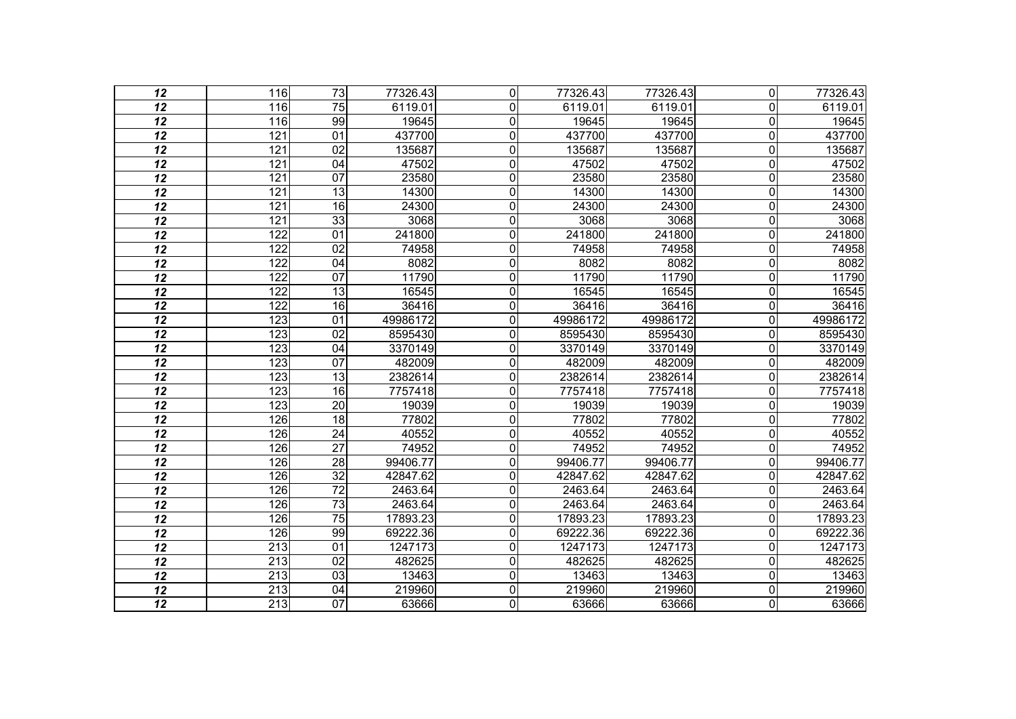| 12              | 116              | $\overline{73}$ | 77326.43 | $\overline{0}$ | 77326.43 | 77326.43 | $\overline{0}$          | 77326.43 |
|-----------------|------------------|-----------------|----------|----------------|----------|----------|-------------------------|----------|
| 12              | 116              | 75              | 6119.01  | 0              | 6119.01  | 6119.01  | $\overline{0}$          | 6119.01  |
| 12              | 116              | 99              | 19645    | $\pmb{0}$      | 19645    | 19645    | $\mathbf 0$             | 19645    |
| $\overline{12}$ | 121              | $\overline{01}$ | 437700   | $\mathbf 0$    | 437700   | 437700   | $\mathbf 0$             | 437700   |
| 12              | 121              | 02              | 135687   | 0              | 135687   | 135687   | $\overline{0}$          | 135687   |
| 12              | 121              | $\overline{04}$ | 47502    | 0              | 47502    | 47502    | $\mathbf 0$             | 47502    |
| $\overline{12}$ | 121              | $\overline{07}$ | 23580    | $\mathbf 0$    | 23580    | 23580    | $\mathbf 0$             | 23580    |
| 12              | 121              | 13              | 14300    | $\mathbf 0$    | 14300    | 14300    | $\overline{0}$          | 14300    |
| 12              | 121              | 16              | 24300    | $\pmb{0}$      | 24300    | 24300    | $\mathbf 0$             | 24300    |
| $\overline{12}$ | 121              | 33              | 3068     | $\mathbf 0$    | 3068     | 3068     | $\mathbf 0$             | 3068     |
| 12              | $\overline{122}$ | $\overline{01}$ | 241800   | $\mathbf 0$    | 241800   | 241800   | $\mathbf 0$             | 241800   |
| 12              | 122              | $\overline{02}$ | 74958    | $\mathbf 0$    | 74958    | 74958    | $\mathbf 0$             | 74958    |
| 12              | 122              | 04              | 8082     | $\mathbf 0$    | 8082     | 8082     | $\mathbf 0$             | 8082     |
| 12              | $\overline{122}$ | $\overline{07}$ | 11790    | $\mathbf 0$    | 11790    | 11790    | $\overline{0}$          | 11790    |
| 12              | 122              | 13              | 16545    | $\mathbf 0$    | 16545    | 16545    | $\mathbf 0$             | 16545    |
| 12              | $\overline{122}$ | $\overline{16}$ | 36416    | $\mathbf 0$    | 36416    | 36416    | $\mathbf 0$             | 36416    |
| 12              | 123              | $\overline{01}$ | 49986172 | $\mathbf 0$    | 49986172 | 49986172 | $\mathbf 0$             | 49986172 |
| 12              | 123              | 02              | 8595430  | $\mathbf 0$    | 8595430  | 8595430  | $\mathbf 0$             | 8595430  |
| $\overline{12}$ | 123              | $\overline{04}$ | 3370149  | $\overline{0}$ | 3370149  | 3370149  | $\mathbf 0$             | 3370149  |
| 12              | 123              | 07              | 482009   | 0              | 482009   | 482009   | $\overline{0}$          | 482009   |
| 12              | 123              | 13              | 2382614  | $\mathbf 0$    | 2382614  | 2382614  | $\mathbf 0$             | 2382614  |
| $\overline{12}$ | 123              | 16              | 7757418  | $\mathbf 0$    | 7757418  | 7757418  | $\mathbf 0$             | 7757418  |
| 12              | 123              | 20              | 19039    | 0              | 19039    | 19039    | $\overline{0}$          | 19039    |
| 12              | 126              | 18              | 77802    | $\mathbf 0$    | 77802    | 77802    | $\mathbf 0$             | 77802    |
| $\overline{12}$ | 126              | 24              | 40552    | $\overline{0}$ | 40552    | 40552    | $\overline{\mathsf{o}}$ | 40552    |
| 12              | 126              | $\overline{27}$ | 74952    | 0              | 74952    | 74952    | $\overline{0}$          | 74952    |
| 12              | 126              | $\overline{28}$ | 99406.77 | $\mathbf 0$    | 99406.77 | 99406.77 | $\mathbf 0$             | 99406.77 |
| $\overline{12}$ | 126              | $\overline{32}$ | 42847.62 | 0              | 42847.62 | 42847.62 | $\overline{0}$          | 42847.62 |
| 12              | 126              | $\overline{72}$ | 2463.64  | $\mathbf{0}$   | 2463.64  | 2463.64  | $\overline{0}$          | 2463.64  |
| $\overline{12}$ | 126              | $\overline{73}$ | 2463.64  | $\mathbf 0$    | 2463.64  | 2463.64  | $\mathbf 0$             | 2463.64  |
| $\overline{12}$ | 126              | $\overline{75}$ | 17893.23 | $\mathbf 0$    | 17893.23 | 17893.23 | $\mathbf 0$             | 17893.23 |
| 12              | 126              | 99              | 69222.36 | 0              | 69222.36 | 69222.36 | $\mathbf 0$             | 69222.36 |
| 12              | 213              | $\overline{01}$ | 1247173  | $\mathbf 0$    | 1247173  | 1247173  | $\mathbf 0$             | 1247173  |
| $\overline{12}$ | $\overline{213}$ | $\overline{02}$ | 482625   | 0              | 482625   | 482625   | $\mathbf 0$             | 482625   |
| 12              | 213              | 03              | 13463    | $\mathbf 0$    | 13463    | 13463    | $\mathbf 0$             | 13463    |
| $\overline{12}$ | 213              | $\overline{04}$ | 219960   | $\pmb{0}$      | 219960   | 219960   | $\mathbf 0$             | 219960   |
| $\overline{12}$ | $\overline{213}$ | $\overline{07}$ | 63666    | 0              | 63666    | 63666    | O                       | 63666    |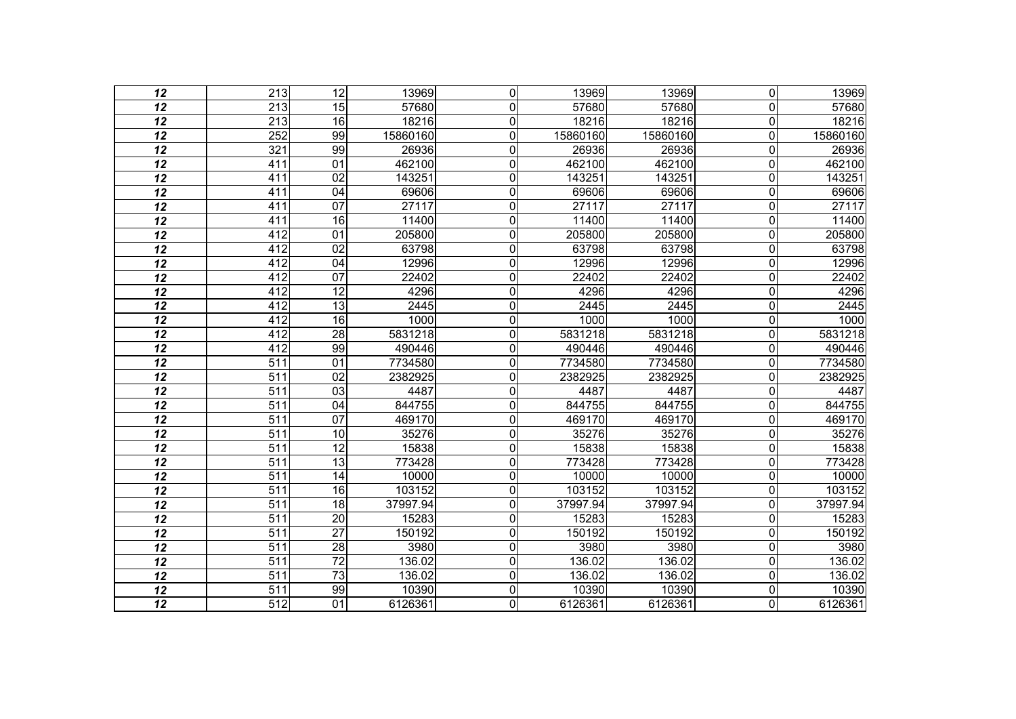| 12              | $\overline{213}$ | $\overline{12}$ | 13969    | $\mathbf 0$    | 13969    | 13969    | $\overline{0}$          | 13969    |
|-----------------|------------------|-----------------|----------|----------------|----------|----------|-------------------------|----------|
| 12              | 213              | 15              | 57680    | $\mathbf{0}$   | 57680    | 57680    | $\overline{0}$          | 57680    |
| $\overline{12}$ | 213              | 16              | 18216    | $\mathbf 0$    | 18216    | 18216    | $\overline{0}$          | 18216    |
| $\overline{12}$ | $\overline{252}$ | 99              | 15860160 | $\overline{0}$ | 15860160 | 15860160 | $\overline{0}$          | 15860160 |
| 12              | 321              | 99              | 26936    | $\mathbf 0$    | 26936    | 26936    | 0                       | 26936    |
| $\overline{12}$ | 411              | 01              | 462100   | $\overline{0}$ | 462100   | 462100   | $\overline{0}$          | 462100   |
| $\overline{12}$ | 411              | 02              | 143251   | $\overline{0}$ | 143251   | 143251   | $\mathbf 0$             | 143251   |
| 12              | 411              | 04              | 69606    | $\mathbf 0$    | 69606    | 69606    | $\mathbf 0$             | 69606    |
| $\overline{12}$ | 411              | $\overline{07}$ | 27117    | $\overline{0}$ | 27117    | 27117    | $\overline{\mathsf{o}}$ | 27117    |
| $\overline{12}$ | 411              | 16              | 11400    | $\overline{0}$ | 11400    | 11400    | $\mathbf 0$             | 11400    |
| $\overline{12}$ | $\overline{412}$ | 01              | 205800   | $\overline{0}$ | 205800   | 205800   | $\overline{0}$          | 205800   |
| $\overline{12}$ | 412              | $\overline{02}$ | 63798    | $\overline{0}$ | 63798    | 63798    | $\overline{0}$          | 63798    |
| 12              | 412              | 04              | 12996    | $\mathbf 0$    | 12996    | 12996    | $\overline{0}$          | 12996    |
| $\overline{12}$ | 412              | 07              | 22402    | $\overline{0}$ | 22402    | 22402    | $\overline{0}$          | 22402    |
| $\overline{12}$ | $\overline{412}$ | 12              | 4296     | $\overline{0}$ | 4296     | 4296     | $\overline{0}$          | 4296     |
| 12              | 412              | $\overline{13}$ | 2445     | $\overline{0}$ | 2445     | 2445     | $\mathbf 0$             | 2445     |
| $\overline{12}$ | 412              | 16              | 1000     | $\overline{0}$ | 1000     | 1000     | $\overline{0}$          | 1000     |
| $\overline{12}$ | $\overline{412}$ | $\overline{28}$ | 5831218  | $\overline{0}$ | 5831218  | 5831218  | $\overline{0}$          | 5831218  |
| $\overline{12}$ | 412              | 99              | 490446   | 0              | 490446   | 490446   | 0                       | 490446   |
| $\overline{12}$ | $\overline{511}$ | $\overline{01}$ | 7734580  | $\overline{0}$ | 7734580  | 7734580  | $\mathbf 0$             | 7734580  |
| 12              | $\overline{511}$ | 02              | 2382925  | $\mathbf 0$    | 2382925  | 2382925  | $\mathbf 0$             | 2382925  |
| $\overline{12}$ | 511              | $\overline{03}$ | 4487     | $\mathbf 0$    | 4487     | 4487     | $\overline{0}$          | 4487     |
| $\overline{12}$ | $\overline{511}$ | $\overline{04}$ | 844755   | $\overline{0}$ | 844755   | 844755   | $\mathbf 0$             | 844755   |
| 12              | 511              | 07              | 469170   | $\mathbf 0$    | 469170   | 469170   | 0                       | 469170   |
| $\overline{12}$ | 511              | 10              | 35276    | $\mathbf 0$    | 35276    | 35276    | $\overline{0}$          | 35276    |
| $\overline{12}$ | $\overline{511}$ | 12              | 15838    | $\overline{0}$ | 15838    | 15838    | $\overline{0}$          | 15838    |
| 12              | $\overline{511}$ | $\overline{13}$ | 773428   | $\overline{0}$ | 773428   | 773428   | $\mathbf 0$             | 773428   |
| $\overline{12}$ | $\overline{511}$ | $\overline{14}$ | 10000    | $\overline{0}$ | 10000    | 10000    | $\mathbf 0$             | 10000    |
| $\overline{12}$ | $\overline{511}$ | 16              | 103152   | $\overline{0}$ | 103152   | 103152   | $\mathbf 0$             | 103152   |
| $\overline{12}$ | $\overline{511}$ | 18              | 37997.94 | $\mathbf 0$    | 37997.94 | 37997.94 | 0                       | 37997.94 |
| $\overline{12}$ | $\overline{511}$ | $\overline{20}$ | 15283    | $\overline{0}$ | 15283    | 15283    | $\mathbf 0$             | 15283    |
| 12              | 511              | $\overline{27}$ | 150192   | $\overline{0}$ | 150192   | 150192   | $\mathbf 0$             | 150192   |
| $\overline{12}$ | 511              | 28              | 3980     | $\mathbf 0$    | 3980     | 3980     | $\overline{0}$          | 3980     |
| $\overline{12}$ | $\overline{511}$ | $\overline{72}$ | 136.02   | $\overline{0}$ | 136.02   | 136.02   | $\overline{0}$          | 136.02   |
| 12              | $\overline{511}$ | $\overline{73}$ | 136.02   | $\mathbf 0$    | 136.02   | 136.02   | $\mathbf 0$             | 136.02   |
| $\overline{12}$ | 511              | 99              | 10390    | $\overline{0}$ | 10390    | 10390    | $\mathbf 0$             | 10390    |
| $\overline{12}$ | $\overline{512}$ | $\overline{01}$ | 6126361  | $\overline{0}$ | 6126361  | 6126361  | $\overline{\mathsf{o}}$ | 6126361  |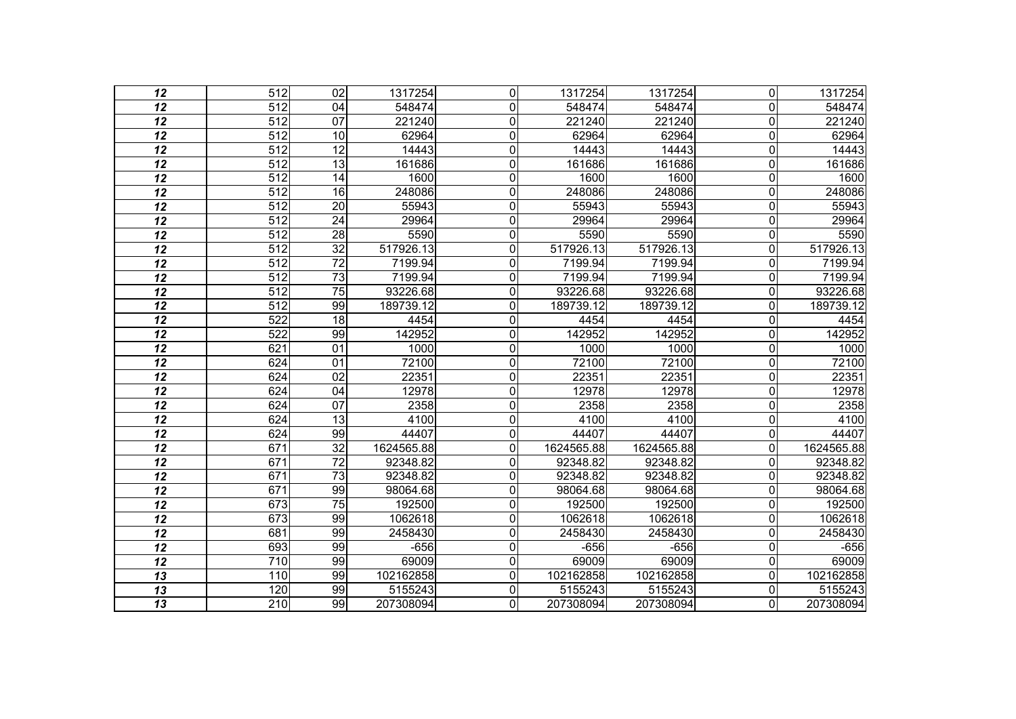| 12              | $\overline{512}$ | $\overline{02}$ | 1317254    | $\Omega$       | 1317254    | 1317254    | $\overline{0}$ | 1317254    |
|-----------------|------------------|-----------------|------------|----------------|------------|------------|----------------|------------|
| 12              | 512              | 04              | 548474     | $\mathbf{0}$   | 548474     | 548474     | $\Omega$       | 548474     |
| $\overline{12}$ | 512              | 07              | 221240     | 0              | 221240     | 221240     | $\mathbf 0$    | 221240     |
| $\overline{12}$ | $\overline{512}$ | 10              | 62964      | $\mathbf 0$    | 62964      | 62964      | $\mathbf 0$    | 62964      |
| 12              | $\overline{512}$ | $\overline{12}$ | 14443      | 0              | 14443      | 14443      | $\mathbf 0$    | 14443      |
| $\overline{12}$ | 512              | 13              | 161686     | $\mathbf 0$    | 161686     | 161686     | $\mathbf 0$    | 161686     |
| 12              | $\overline{512}$ | 14              | 1600       | $\overline{0}$ | 1600       | 1600       | $\overline{0}$ | 1600       |
| 12              | $\overline{512}$ | 16              | 248086     | 0              | 248086     | 248086     | $\overline{0}$ | 248086     |
| $\overline{12}$ | 512              | 20              | 55943      | 0              | 55943      | 55943      | $\mathbf 0$    | 55943      |
| 12              | 512              | 24              | 29964      | $\mathbf{0}$   | 29964      | 29964      | $\overline{0}$ | 29964      |
| 12              | 512              | 28              | 5590       | $\mathbf 0$    | 5590       | 5590       | $\mathbf 0$    | 5590       |
| $\overline{12}$ | $\overline{512}$ | $\overline{32}$ | 517926.13  | $\overline{0}$ | 517926.13  | 517926.13  | $\mathbf 0$    | 517926.13  |
| 12              | $\overline{512}$ | $\overline{72}$ | 7199.94    | 0              | 7199.94    | 7199.94    | $\mathbf{0}$   | 7199.94    |
| $\overline{12}$ | 512              | 73              | 7199.94    | 0              | 7199.94    | 7199.94    | $\mathbf 0$    | 7199.94    |
| $\overline{12}$ | $\overline{512}$ | $\overline{75}$ | 93226.68   | 0              | 93226.68   | 93226.68   | $\overline{0}$ | 93226.68   |
| 12              | 512              | 99              | 189739.12  | $\mathbf{0}$   | 189739.12  | 189739.12  | $\Omega$       | 189739.12  |
| $\overline{12}$ | 522              | 18              | 4454       | 0              | 4454       | 4454       | $\mathbf 0$    | 4454       |
| $\overline{12}$ | $\overline{522}$ | 99              | 142952     | $\mathbf 0$    | 142952     | 142952     | $\mathbf 0$    | 142952     |
| 12              | 621              | $\overline{01}$ | 1000       | 0              | 1000       | 1000       | $\overline{0}$ | 1000       |
| $\overline{12}$ | 624              | 01              | 72100      | $\overline{0}$ | 72100      | 72100      | $\mathbf 0$    | 72100      |
| 12              | 624              | 02              | 22351      | $\mathbf 0$    | 22351      | 22351      | $\overline{0}$ | 22351      |
| 12              | 624              | 04              | 12978      | 0              | 12978      | 12978      | $\overline{0}$ | 12978      |
| $\overline{12}$ | 624              | $\overline{07}$ | 2358       | 0              | 2358       | 2358       | $\overline{0}$ | 2358       |
| 12              | 624              | 13              | 4100       | 0              | 4100       | 4100       | $\overline{0}$ | 4100       |
| 12              | 624              | 99              | 44407      | $\mathbf 0$    | 44407      | 44407      | $\mathbf 0$    | 44407      |
| $\overline{12}$ | $\overline{671}$ | $\overline{32}$ | 1624565.88 | $\mathbf 0$    | 1624565.88 | 1624565.88 | $\mathbf 0$    | 1624565.88 |
| 12              | 671              | $\overline{72}$ | 92348.82   | 0              | 92348.82   | 92348.82   | 0              | 92348.82   |
| $\overline{12}$ | 671              | $\overline{73}$ | 92348.82   | 0              | 92348.82   | 92348.82   | 0              | 92348.82   |
| $\overline{12}$ | $\overline{671}$ | 99              | 98064.68   | 0              | 98064.68   | 98064.68   | 0              | 98064.68   |
| $\overline{12}$ | 673              | $\overline{75}$ | 192500     | 0              | 192500     | 192500     | $\mathbf{0}$   | 192500     |
| $\overline{12}$ | 673              | 99              | 1062618    | 0              | 1062618    | 1062618    | $\mathbf 0$    | 1062618    |
| 12              | 681              | 99              | 2458430    | $\mathbf 0$    | 2458430    | 2458430    | $\mathbf 0$    | 2458430    |
| 12              | 693              | 99              | $-656$     | 0              | $-656$     | $-656$     | $\Omega$       | $-656$     |
| $\overline{12}$ | 710              | 99              | 69009      | $\mathbf 0$    | 69009      | 69009      | $\mathbf 0$    | 69009      |
| 13              | 110              | 99              | 102162858  | $\mathbf{0}$   | 102162858  | 102162858  | $\Omega$       | 102162858  |
| $\overline{13}$ | 120              | 99              | 5155243    | $\mathbf 0$    | 5155243    | 5155243    | 0              | 5155243    |
| $\overline{13}$ | 210              | 99              | 207308094  | 0              | 207308094  | 207308094  | $\Omega$       | 207308094  |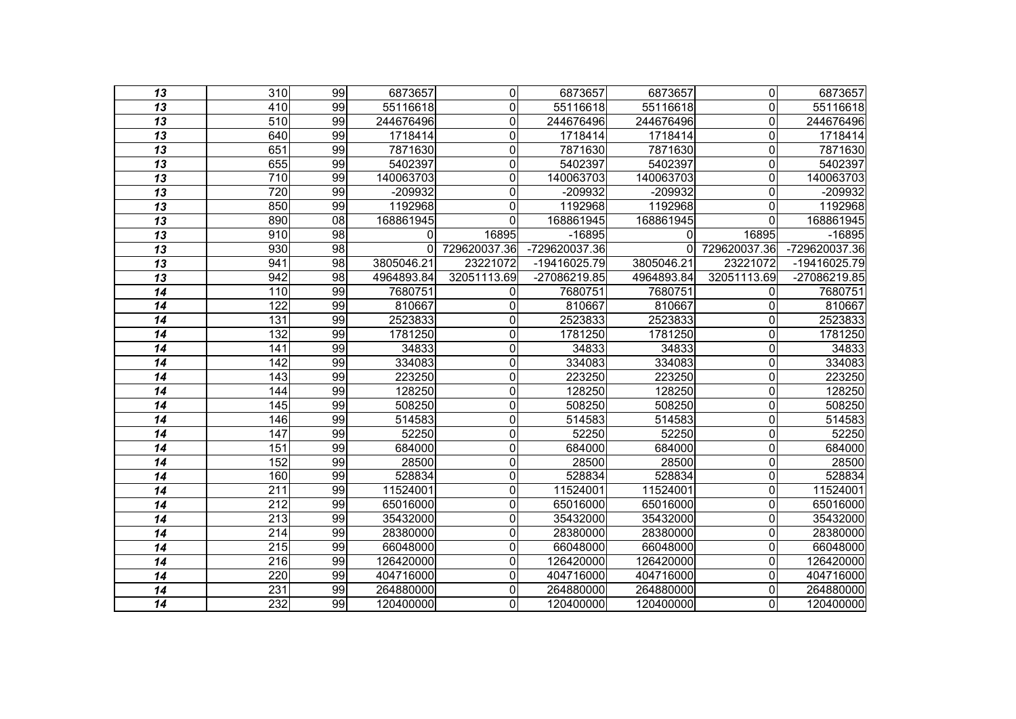| 13              | 310              | 99              | 6873657      | 0              | 6873657       | 6873657    | 0            | 6873657       |
|-----------------|------------------|-----------------|--------------|----------------|---------------|------------|--------------|---------------|
| 13              | 410              | 99              | 55116618     | $\Omega$       | 55116618      | 55116618   | 0            | 55116618      |
| $\overline{13}$ | $\overline{510}$ | 99              | 244676496    | $\mathbf 0$    | 244676496     | 244676496  | $\Omega$     | 244676496     |
| $\overline{13}$ | 640              | 99              | 1718414      | $\overline{0}$ | 1718414       | 1718414    | $\Omega$     | 1718414       |
| 13              | 651              | 99              | 7871630      | $\mathbf 0$    | 7871630       | 7871630    | $\Omega$     | 7871630       |
| $\overline{13}$ | 655              | 99              | 5402397      | $\mathbf 0$    | 5402397       | 5402397    | 0            | 5402397       |
| 13              | 710              | 99              | 140063703    | $\mathbf 0$    | 140063703     | 140063703  | 0            | 140063703     |
| 13              | 720              | 99              | -209932      | $\mathbf 0$    | -209932       | -209932    | 0            | $-209932$     |
| $\overline{13}$ | 850              | 99              | 1192968      | $\mathbf 0$    | 1192968       | 1192968    | $\Omega$     | 1192968       |
| $\overline{13}$ | 890              | $\overline{08}$ | 168861945    | $\Omega$       | 168861945     | 168861945  | $\Omega$     | 168861945     |
| $\overline{13}$ | 910              | $\overline{98}$ | $\mathbf{0}$ | 16895          | $-16895$      | ΩI         | 16895        | $-16895$      |
| 13              | 930              | $\overline{98}$ | 0            | 729620037.36   | -729620037.36 | 01         | 729620037.36 | -729620037.36 |
| 13              | 941              | $\overline{98}$ | 3805046.21   | 23221072       | -19416025.79  | 3805046.21 | 23221072     | -19416025.79  |
| $\overline{13}$ | 942              | 98              | 4964893.84   | 32051113.69    | -27086219.85  | 4964893.84 | 32051113.69  | -27086219.85  |
| 14              | 110              | 99              | 7680751      | 0              | 7680751       | 7680751    | 0            | 7680751       |
| 14              | 122              | 99              | 810667       | $\mathbf 0$    | 810667        | 810667     | 0            | 810667        |
| 14              | 131              | 99              | 2523833      | $\mathbf 0$    | 2523833       | 2523833    | 0            | 2523833       |
| 14              | 132              | 99              | 1781250      | $\mathbf 0$    | 1781250       | 1781250    | $\Omega$     | 1781250       |
| 14              | $\overline{141}$ | 99              | 34833        | $\mathbf 0$    | 34833         | 34833      | 0            | 34833         |
| 14              | 142              | 99              | 334083       | $\mathbf 0$    | 334083        | 334083     | 0            | 334083        |
| 14              | 143              | 99              | 223250       | $\overline{0}$ | 223250        | 223250     | 0            | 223250        |
| 14              | $\overline{144}$ | 99              | 128250       | $\overline{0}$ | 128250        | 128250     | 0            | 128250        |
| 14              | 145              | 99              | 508250       | $\mathbf 0$    | 508250        | 508250     | 0            | 508250        |
| 14              | 146              | 99              | 514583       | $\mathbf 0$    | 514583        | 514583     | 0            | 514583        |
| 14              | $\overline{147}$ | 99              | 52250        | $\mathbf 0$    | 52250         | 52250      | 0            | 52250         |
| 14              | 151              | 99              | 684000       | $\mathbf 0$    | 684000        | 684000     | 0            | 684000        |
| 14              | 152              | 99              | 28500        | $\overline{0}$ | 28500         | 28500      | 0            | 28500         |
| 14              | 160              | 99              | 528834       | $\mathbf 0$    | 528834        | 528834     | 0            | 528834        |
| 14              | 211              | 99              | 11524001     | $\overline{0}$ | 11524001      | 11524001   | 0            | 11524001      |
| 14              | $\overline{212}$ | 99              | 65016000     | $\mathbf 0$    | 65016000      | 65016000   | 0            | 65016000      |
| 14              | 213              | 99              | 35432000     | $\mathbf 0$    | 35432000      | 35432000   | 0            | 35432000      |
| 14              | $\overline{214}$ | 99              | 28380000     | $\overline{0}$ | 28380000      | 28380000   | 0            | 28380000      |
| 14              | 215              | 99              | 66048000     | $\mathbf 0$    | 66048000      | 66048000   | $\Omega$     | 66048000      |
| 14              | 216              | 99              | 126420000    | $\mathbf 0$    | 126420000     | 126420000  | 0            | 126420000     |
| 14              | 220              | 99              | 404716000    | $\overline{0}$ | 404716000     | 404716000  | 0            | 404716000     |
| 14              | 231              | 99              | 264880000    | $\mathbf 0$    | 264880000     | 264880000  | $\Omega$     | 264880000     |
| $\overline{14}$ | 232              | 99              | 120400000    | $\overline{0}$ | 120400000     | 120400000  | $\Omega$     | 120400000     |
|                 |                  |                 |              |                |               |            |              |               |